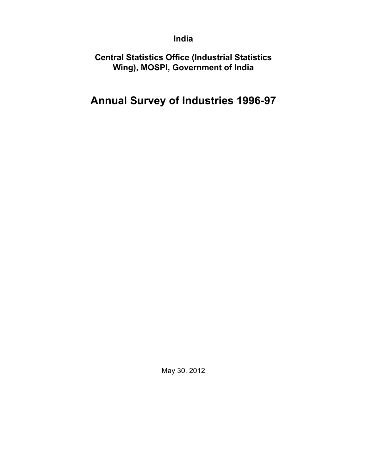### **India**

**Central Statistics Office (Industrial Statistics Wing), MOSPI, Government of India**

# **Annual Survey of Industries 1996-97**

May 30, 2012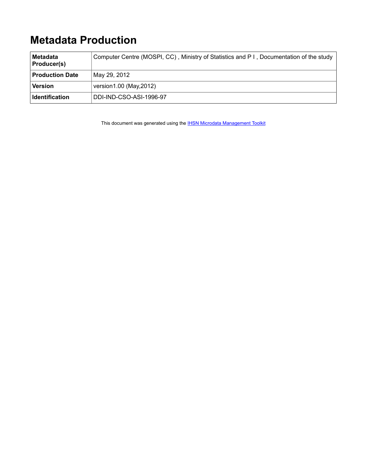# **Metadata Production**

| Metadata<br><b>Producer(s)</b> | Computer Centre (MOSPI, CC), Ministry of Statistics and P I, Documentation of the study |
|--------------------------------|-----------------------------------------------------------------------------------------|
| <b>Production Date</b>         | May 29, 2012                                                                            |
| Version                        | version1.00 (May, 2012)                                                                 |
| <b>Identification</b>          | DDI-IND-CSO-ASI-1996-97                                                                 |

This document was generated using the **[IHSN Microdata Management Toolkit](http://www.surveynetwork.org/toolkit)**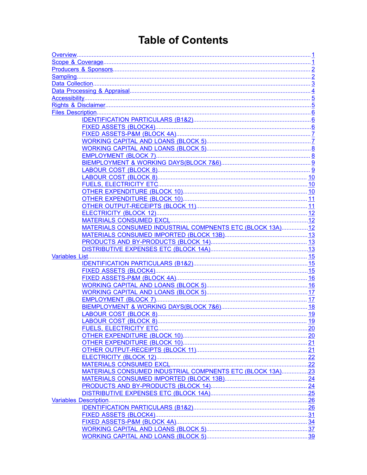# **Table of Contents**

| MATERIALS CONSUMED INDUSTRIAL COMPNENTS ETC (BLOCK 13A)12 |  |  |  |
|-----------------------------------------------------------|--|--|--|
|                                                           |  |  |  |
|                                                           |  |  |  |
|                                                           |  |  |  |
|                                                           |  |  |  |
|                                                           |  |  |  |
|                                                           |  |  |  |
|                                                           |  |  |  |
|                                                           |  |  |  |
|                                                           |  |  |  |
|                                                           |  |  |  |
|                                                           |  |  |  |
|                                                           |  |  |  |
|                                                           |  |  |  |
|                                                           |  |  |  |
|                                                           |  |  |  |
|                                                           |  |  |  |
|                                                           |  |  |  |
|                                                           |  |  |  |
|                                                           |  |  |  |
| MATERIALS CONSUMED INDUSTRIAL COMPNENTS ETC (BLOCK 13A)23 |  |  |  |
|                                                           |  |  |  |
|                                                           |  |  |  |
|                                                           |  |  |  |
|                                                           |  |  |  |
|                                                           |  |  |  |
|                                                           |  |  |  |
|                                                           |  |  |  |
|                                                           |  |  |  |
|                                                           |  |  |  |
|                                                           |  |  |  |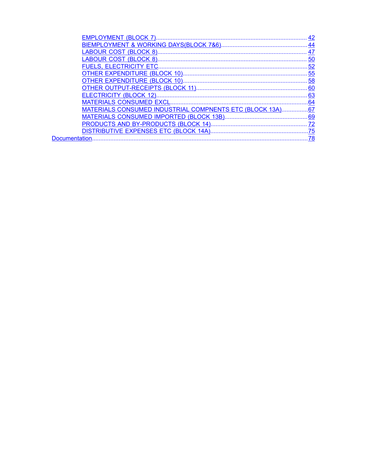| <b>EMPLOYMENT (BLOCK 7)</b>                                    | 42  |
|----------------------------------------------------------------|-----|
|                                                                | 44  |
|                                                                | 47  |
|                                                                | 50  |
| <b>FUELS. ELECTRICITY ETC.</b>                                 | 52  |
|                                                                | 55  |
|                                                                |     |
|                                                                |     |
| ELECTRICITY (BLOCK 12)                                         | 63  |
| MATERIALS CONSUMED EXCL                                        | .64 |
| <u>MATERIALS CONSUMED INDUSTRIAL COMPNENTS ETC (BLOCK 13A)</u> | .67 |
| MATERIALS CONSUMED IMPORTED (BLOCK 13B)                        | 69  |
|                                                                | 72  |
| DISTRIBUTIVE EXPENSES ETC (BLOCK 14A)                          | .75 |
| Documentation                                                  | 78  |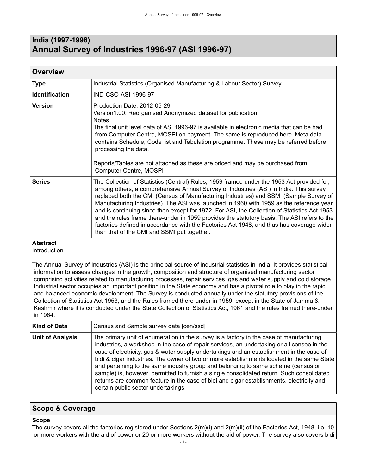### <span id="page-4-0"></span>**India (1997-1998) Annual Survey of Industries 1996-97 (ASI 1996-97)**

| <b>Overview</b> |                                                                                                                                                                                                                                                                                                                                                                                                                                                                                                                                                                                                                                                                                                                   |
|-----------------|-------------------------------------------------------------------------------------------------------------------------------------------------------------------------------------------------------------------------------------------------------------------------------------------------------------------------------------------------------------------------------------------------------------------------------------------------------------------------------------------------------------------------------------------------------------------------------------------------------------------------------------------------------------------------------------------------------------------|
| <b>Type</b>     | Industrial Statistics (Organised Manufacturing & Labour Sector) Survey                                                                                                                                                                                                                                                                                                                                                                                                                                                                                                                                                                                                                                            |
| Identification  | IND-CSO-ASI-1996-97                                                                                                                                                                                                                                                                                                                                                                                                                                                                                                                                                                                                                                                                                               |
| <b>Version</b>  | Production Date: 2012-05-29<br>Version1.00: Reorganised Anonymized dataset for publication<br><b>Notes</b><br>The final unit level data of ASI 1996-97 is available in electronic media that can be had<br>from Computer Centre, MOSPI on payment. The same is reproduced here. Meta data<br>contains Schedule, Code list and Tabulation programme. These may be referred before<br>processing the data.<br>Reports/Tables are not attached as these are priced and may be purchased from<br>Computer Centre, MOSPI                                                                                                                                                                                               |
| <b>Series</b>   | The Collection of Statistics (Central) Rules, 1959 framed under the 1953 Act provided for,<br>among others, a comprehensive Annual Survey of Industries (ASI) in India. This survey<br>replaced both the CMI (Census of Manufacturing Industries) and SSMI (Sample Survey of<br>Manufacturing Industries). The ASI was launched in 1960 with 1959 as the reference year<br>and is continuing since then except for 1972. For ASI, the Collection of Statistics Act 1953<br>and the rules frame there-under in 1959 provides the statutory basis. The ASI refers to the<br>factories defined in accordance with the Factories Act 1948, and thus has coverage wider<br>than that of the CMI and SSMI put together. |
| .               |                                                                                                                                                                                                                                                                                                                                                                                                                                                                                                                                                                                                                                                                                                                   |

#### **Abstract**

Introduction

The Annual Survey of Industries (ASI) is the principal source of industrial statistics in India. It provides statistical information to assess changes in the growth, composition and structure of organised manufacturing sector comprising activities related to manufacturing processes, repair services, gas and water supply and cold storage. Industrial sector occupies an important position in the State economy and has a pivotal role to play in the rapid and balanced economic development. The Survey is conducted annually under the statutory provisions of the Collection of Statistics Act 1953, and the Rules framed there-under in 1959, except in the State of Jammu & Kashmir where it is conducted under the State Collection of Statistics Act, 1961 and the rules framed there-under in 1964.

| <b>Kind of Data</b>     | Census and Sample survey data [cen/ssd]                                                                                                                                                                                                                                                                                                                                                                                                                                                                                                                                                                                                                                                              |
|-------------------------|------------------------------------------------------------------------------------------------------------------------------------------------------------------------------------------------------------------------------------------------------------------------------------------------------------------------------------------------------------------------------------------------------------------------------------------------------------------------------------------------------------------------------------------------------------------------------------------------------------------------------------------------------------------------------------------------------|
| <b>Unit of Analysis</b> | The primary unit of enumeration in the survey is a factory in the case of manufacturing<br>industries, a workshop in the case of repair services, an undertaking or a licensee in the<br>case of electricity, gas & water supply undertakings and an establishment in the case of<br>bidi & cigar industries. The owner of two or more establishments located in the same State<br>and pertaining to the same industry group and belonging to same scheme (census or<br>sample) is, however, permitted to furnish a single consolidated return. Such consolidated<br>returns are common feature in the case of bidi and cigar establishments, electricity and<br>certain public sector undertakings. |

#### <span id="page-4-1"></span>**Scope & Coverage**

#### **Scope**

The survey covers all the factories registered under Sections 2(m)(i) and 2(m)(ii) of the Factories Act, 1948, i.e. 10 or more workers with the aid of power or 20 or more workers without the aid of power. The survey also covers bidi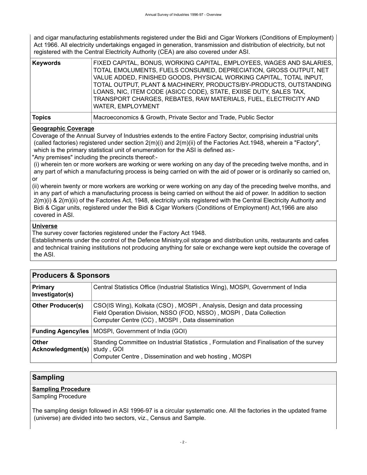and cigar manufacturing establishments registered under the Bidi and Cigar Workers (Conditions of Employment) Act 1966. All electricity undertakings engaged in generation, transmission and distribution of electricity, but not registered with the Central Electricity Authority (CEA) are also covered under ASI.

| Keywords      | FIXED CAPITAL, BONUS, WORKING CAPITAL, EMPLOYEES, WAGES AND SALARIES,<br>TOTAL EMOLUMENTS, FUELS CONSUMED, DEPRECIATION, GROSS OUTPUT, NET<br>VALUE ADDED, FINISHED GOODS, PHYSICAL WORKING CAPITAL, TOTAL INPUT,<br>TOTAL OUTPUT, PLANT & MACHINERY, PRODUCTS/BY-PRODUCTS, OUTSTANDING<br>LOANS, NIC, ITEM CODE (ASICC CODE), STATE, EXIISE DUTY, SALES TAX,<br>TRANSPORT CHARGES, REBATES, RAW MATERIALS, FUEL, ELECTRICITY AND<br>WATER, EMPLOYMENT |
|---------------|--------------------------------------------------------------------------------------------------------------------------------------------------------------------------------------------------------------------------------------------------------------------------------------------------------------------------------------------------------------------------------------------------------------------------------------------------------|
| <b>Topics</b> | Macroeconomics & Growth, Private Sector and Trade, Public Sector                                                                                                                                                                                                                                                                                                                                                                                       |

#### **Geographic Coverage**

Coverage of the Annual Survey of Industries extends to the entire Factory Sector, comprising industrial units (called factories) registered under section 2(m)(i) and 2(m)(ii) of the Factories Act.1948, wherein a "Factory", which is the primary statistical unit of enumeration for the ASI is defined as:-

"Any premises" including the precincts thereof:-

 (i) wherein ten or more workers are working or were working on any day of the preceding twelve months, and in any part of which a manufacturing process is being carried on with the aid of power or is ordinarily so carried on, or

(ii) wherein twenty or more workers are working or were working on any day of the preceding twelve months, and in any part of which a manufacturing process is being carried on without the aid of power. In addition to section 2(m)(i) & 2(m)(ii) of the Factories Act, 1948, electricity units registered with the Central Electricity Authority and Bidi & Cigar units, registered under the Bidi & Cigar Workers (Conditions of Employment) Act,1966 are also covered in ASI.

#### **Universe**

The survey cover factories registered under the Factory Act 1948.

Establishments under the control of the Defence Ministry,oil storage and distribution units, restaurants and cafes and technical training institutions not producing anything for sale or exchange were kept outside the coverage of the ASI.

<span id="page-5-0"></span>

| <b>Producers &amp; Sponsors</b>   |                                                                                                                                                                                                   |
|-----------------------------------|---------------------------------------------------------------------------------------------------------------------------------------------------------------------------------------------------|
| <b>Primary</b><br>Investigator(s) | Central Statistics Office (Industrial Statistics Wing), MOSPI, Government of India                                                                                                                |
| <b>Other Producer(s)</b>          | CSO(IS Wing), Kolkata (CSO), MOSPI, Analysis, Design and data processing<br>Field Operation Division, NSSO (FOD, NSSO), MOSPI, Data Collection<br>Computer Centre (CC), MOSPI, Data dissemination |
| <b>Funding Agency/ies</b>         | MOSPI, Government of India (GOI)                                                                                                                                                                  |
| <b>Other</b><br>Acknowledgment(s) | Standing Committee on Industrial Statistics, Formulation and Finalisation of the survey<br>study, GOI<br>Computer Centre, Dissemination and web hosting, MOSPI                                    |

#### <span id="page-5-1"></span>**Sampling**

#### **Sampling Procedure**

Sampling Procedure

The sampling design followed in ASI 1996-97 is a circular systematic one. All the factories in the updated frame (universe) are divided into two sectors, viz., Census and Sample.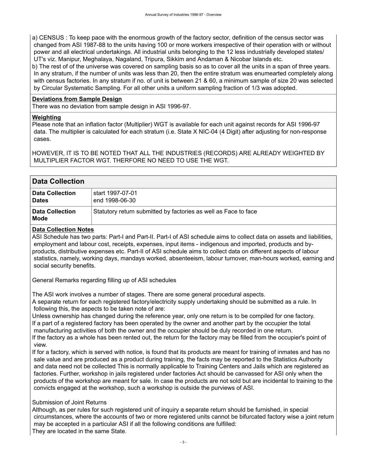a) CENSUS : To keep pace with the enormous growth of the factory sector, definition of the census sector was changed from ASI 1987-88 to the units having 100 or more workers irrespective of their operation with or without power and all electrical undertakings. All industrial units belonging to the 12 less industrially developed states/ UT's viz. Manipur, Meghalaya, Nagaland, Tripura, Sikkim and Andaman & Nicobar Islands etc.

b) The rest of of the universe was covered on sampling basis so as to cover all the units in a span of three years. In any stratum, if the number of units was less than 20, then the entire stratum was enumearted completely along with census factories. In any stratum if no. of unit is between 21 & 60, a minimum sample of size 20 was selected by Circular Systematic Sampling. For all other units a uniform sampling fraction of 1/3 was adopted.

#### **Deviations from Sample Design**

There was no deviation from sample design in ASI 1996-97.

#### **Weighting**

Please note that an inflation factor (Multiplier) WGT is available for each unit against records for ASI 1996-97 data. The multiplier is calculated for each stratum (i.e. State X NIC-04 (4 Digit) after adjusting for non-response cases.

HOWEVER, IT IS TO BE NOTED THAT ALL THE INDUSTRIES (RECORDS) ARE ALREADY WEIGHTED BY MULTIPLIER FACTOR WGT. THERFORE NO NEED TO USE THE WGT.

<span id="page-6-0"></span>

| <b>Data Collection</b>                 |                                                                 |
|----------------------------------------|-----------------------------------------------------------------|
| <b>Data Collection</b><br><b>Dates</b> | start 1997-07-01.<br>end 1998-06-30                             |
| <b>Data Collection</b><br>Mode         | Statutory return submitted by factories as well as Face to face |

#### **Data Collection Notes**

ASI Schedule has two parts: Part-I and Part-II. Part-I of ASI schedule aims to collect data on assets and liabilities, employment and labour cost, receipts, expenses, input items - indigenous and imported, products and byproducts, distributive expenses etc. Part-II of ASI schedule aims to collect data on different aspects of labour statistics, namely, working days, mandays worked, absenteeism, labour turnover, man-hours worked, earning and social security benefits.

General Remarks regarding filling up of ASI schedules

The ASI work involves a number of stages. There are some general procedural aspects.

A separate return for each registered factory/electricity supply undertaking should be submitted as a rule. In following this, the aspects to be taken note of are:

Unless ownership has changed during the reference year, only one return is to be compiled for one factory. If a part of a registered factory has been operated by the owner and another part by the occupier the total manufacturing activities of both the owner and the occupier should be duly recorded in one return.

If the factory as a whole has been rented out, the return for the factory may be filled from the occupier's point of view.

If for a factory, which is served with notice, is found that its products are meant for training of inmates and has no sale value and are produced as a product during training, the facts may be reported to the Statistics Authority and data need not be collected This is normally applicable to Training Centers and Jails which are registered as factories. Further, workshop in jails registered under factories Act should be canvassed for ASI only when the products of the workshop are meant for sale. In case the products are not sold but are incidental to training to the convicts engaged at the workshop, such a workshop is outside the purviews of ASI.

#### Submission of Joint Returns

Although, as per rules for such registered unit of inquiry a separate return should be furnished, in special circumstances, where the accounts of two or more registered units cannot be bifurcated factory wise a joint return may be accepted in a particular ASI if all the following conditions are fulfilled: They are located in the same State.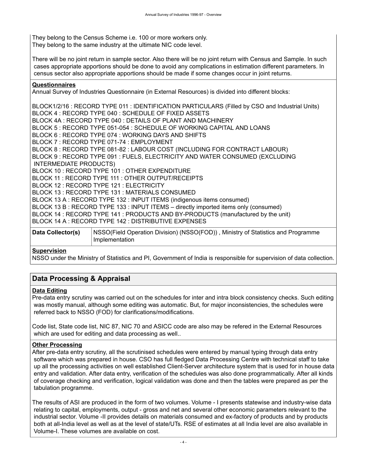They belong to the Census Scheme i.e. 100 or more workers only. They belong to the same industry at the ultimate NIC code level.

There will be no joint return in sample sector. Also there will be no joint return with Census and Sample. In such cases appropriate apportions should be done to avoid any complications in estimation different parameters. In census sector also appropriate apportions should be made if some changes occur in joint returns.

#### **Questionnaires**

Annual Survey of Industries Questionnaire (in External Resources) is divided into different blocks:

BLOCK1/2/16 : RECORD TYPE 011 : IDENTIFICATION PARTICULARS (Filled by CSO and Industrial Units) BLOCK 4 : RECORD TYPE 040 : SCHEDULE OF FIXED ASSETS BLOCK 4A : RECORD TYPE 040 : DETAILS OF PLANT AND MACHINERY BLOCK 5 : RECORD TYPE 051-054 : SCHEDULE OF WORKING CAPITAL AND LOANS BLOCK 6 : RECORD TYPE 074 : WORKING DAYS AND SHIFTS BLOCK 7 : RECORD TYPE 071-74 : EMPLOYMENT BLOCK 8 : RECORD TYPE 081-82 : LABOUR COST (INCLUDING FOR CONTRACT LABOUR) BLOCK 9 : RECORD TYPE 091 : FUELS, ELECTRICITY AND WATER CONSUMED (EXCLUDING INTERMEDIATE PRODUCTS) BLOCK 10 : RECORD TYPE 101 : OTHER EXPENDITURE BLOCK 11 : RECORD TYPE 111 : OTHER OUTPUT/RECEIPTS BLOCK 12 : RECORD TYPE 121 : ELECTRICITY BLOCK 13 : RECORD TYPE 131 : MATERIALS CONSUMED BLOCK 13 A : RECORD TYPE 132 : INPUT ITEMS (indigenous items consumed) BLOCK 13 B : RECORD TYPE 133 : INPUT ITEMS – directly imported items only (consumed) BLOCK 14 : RECORD TYPE 141 : PRODUCTS AND BY-PRODUCTS (manufactured by the unit) BLOCK 14 A : RECORD TYPE 142 : DISTRIBUTIVE EXPENSES

| Data Collector(s) | NSSO(Field Operation Division) (NSSO(FOD)), Ministry of Statistics and Programme |
|-------------------|----------------------------------------------------------------------------------|
|                   | Implementation                                                                   |

#### **Supervision**

NSSO under the Ministry of Statistics and PI, Government of India is responsible for supervision of data collection.

#### <span id="page-7-0"></span>**Data Processing & Appraisal**

#### **Data Editing**

Pre-data entry scrutiny was carried out on the schedules for inter and intra block consistency checks. Such editing was mostly manual, although some editing was automatic. But, for major inconsistencies, the schedules were referred back to NSSO (FOD) for clarifications/modifications.

Code list, State code list, NIC 87, NIC 70 and ASICC code are also may be refered in the External Resources which are used for editing and data processing as well..

#### **Other Processing**

After pre-data entry scrutiny, all the scrutinised schedules were entered by manual typing through data entry software which was prepared in house. CSO has full fledged Data Processing Centre with technical staff to take up all the processing activities on well established Client-Server architecture system that is used for in house data entry and validation. After data entry, verification of the schedules was also done programmatically. After all kinds of coverage checking and verification, logical validation was done and then the tables were prepared as per the tabulation programme.

The results of ASI are produced in the form of two volumes. Volume - I presents statewise and industry-wise data relating to capital, employments, output - gross and net and several other economic parameters relevant to the industrial sector. Volume -II provides details on materials consumed and ex-factory of products and by products both at all-India level as well as at the level of state/UTs. RSE of estimates at all India level are also available in Volume-I. These volumes are available on cost.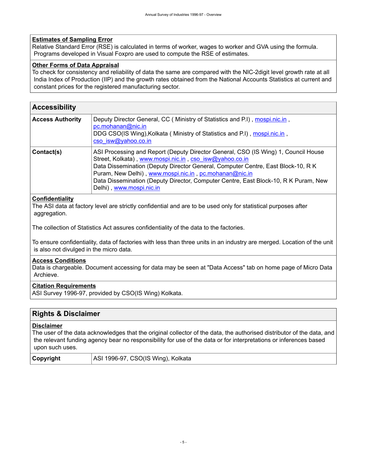#### **Estimates of Sampling Error**

Relative Standard Error (RSE) is calculated in terms of worker, wages to worker and GVA using the formula. Programs developed in Visual Foxpro are used to compute the RSE of estimates.

#### **Other Forms of Data Appraisal**

To check for consistency and reliability of data the same are compared with the NIC-2digit level growth rate at all India Index of Production (IIP) and the growth rates obtained from the National Accounts Statistics at current and constant prices for the registered manufacturing sector.

<span id="page-8-0"></span>

| <b>Accessibility</b>    |                                                                                                                                                                                                                                                                                                                                                                                                                |
|-------------------------|----------------------------------------------------------------------------------------------------------------------------------------------------------------------------------------------------------------------------------------------------------------------------------------------------------------------------------------------------------------------------------------------------------------|
| <b>Access Authority</b> | Deputy Director General, CC (Ministry of Statistics and P.I), mospi.nic.in,<br>pc.mohanan@nic.in<br>DDG CSO(IS Wing), Kolkata (Ministry of Statistics and P.I), mospi.nic.in,<br>cso isw@yahoo.co.in                                                                                                                                                                                                           |
| Contact(s)              | ASI Processing and Report (Deputy Director General, CSO (IS Wing) 1, Council House<br>Street, Kolkata), www.mospi.nic.in, cso_isw@yahoo.co.in<br>Data Dissemination (Deputy Director General, Computer Centre, East Block-10, R K<br>Puram, New Delhi), www.mospi.nic.in, pc.mohanan@nic.in<br>Data Dissemination (Deputy Director, Computer Centre, East Block-10, R K Puram, New<br>Delhi), www.mospi.nic.in |

#### **Confidentiality**

The ASI data at factory level are strictly confidential and are to be used only for statistical purposes after aggregation.

The collection of Statistics Act assures confidentiality of the data to the factories.

To ensure confidentiality, data of factories with less than three units in an industry are merged. Location of the unit is also not divulged in the micro data.

#### **Access Conditions**

Data is chargeable. Document accessing for data may be seen at "Data Access" tab on home page of Micro Data Archieve.

#### **Citation Requirements**

ASI Survey 1996-97, provided by CSO(IS Wing) Kolkata.

#### <span id="page-8-1"></span>**Rights & Disclaimer**

#### **Disclaimer**

The user of the data acknowledges that the original collector of the data, the authorised distributor of the data, and the relevant funding agency bear no responsibility for use of the data or for interpretations or inferences based upon such uses.

**Copyright** ASI 1996-97, CSO(IS Wing), Kolkata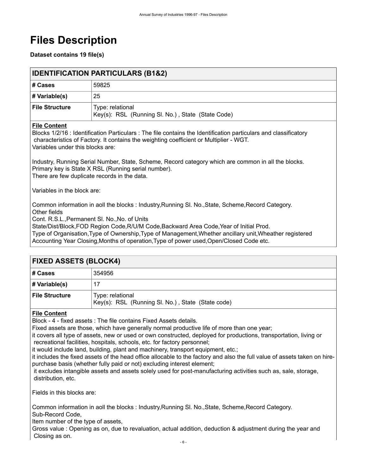# <span id="page-9-0"></span>**Files Description**

**Dataset contains 19 file(s)**

<span id="page-9-1"></span>

| <b>IDENTIFICATION PARTICULARS (B1&amp;2)</b> |                                                                       |
|----------------------------------------------|-----------------------------------------------------------------------|
| # Cases                                      | 59825                                                                 |
| $\#$ Variable(s)                             | 25                                                                    |
| <b>File Structure</b>                        | Type: relational<br>Key(s): RSL (Running SI. No.), State (State Code) |

#### **File Content**

Blocks 1/2/16 : Identification Particulars : The file contains the Identification particulars and classificatory characteristics of Factory. It contains the weighting coefficient or Multiplier - WGT. Variables under this blocks are:

Industry, Running Serial Number, State, Scheme, Record category which are common in all the blocks. Primary key is State X RSL (Running serial number). There are few duplicate records in the data.

Variables in the block are:

Common information in aoll the blocks : Industry,Running Sl. No.,State, Scheme,Record Category. Other fields

Cont. R.S.L.,Permanent Sl. No.,No. of Units

State/Dist/Block,FOD Region Code,R/U/M Code,Backward Area Code,Year of Initial Prod.

Type of Organisation,Type of Ownership,Type of Management,Whether ancillary unit,Wheather registered Accounting Year Closing,Months of operation,Type of power used,Open/Closed Code etc.

<span id="page-9-2"></span>

| <b>FIXED ASSETS (BLOCK4)</b> |                                                                       |
|------------------------------|-----------------------------------------------------------------------|
| # Cases                      | 354956                                                                |
| # Variable(s)                | 17                                                                    |
| <b>File Structure</b>        | Type: relational<br>Key(s): RSL (Running Sl. No.), State (State code) |

#### **File Content**

Block - 4 - fixed assets : The file contains Fixed Assets details.

Fixed assets are those, which have generally normal productive life of more than one year;

it covers all type of assets, new or used or own constructed, deployed for productions, transportation, living or recreational facilities, hospitals, schools, etc. for factory personnel;

it would include land, building, plant and machinery, transport equipment, etc.;

it includes the fixed assets of the head office allocable to the factory and also the full value of assets taken on hirepurchase basis (whether fully paid or not) excluding interest element;

 it excludes intangible assets and assets solely used for post-manufacturing activities such as, sale, storage, distribution, etc.

Fields in this blocks are:

Common information in aoll the blocks : Industry,Running Sl. No.,State, Scheme,Record Category. Sub-Record Code,

Item number of the type of assets,

Gross value : Opening as on, due to revaluation, actual addition, deduction & adjustment during the year and Closing as on.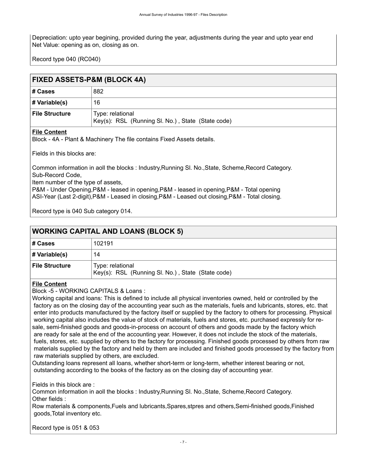Depreciation: upto year begining, provided during the year, adjustments during the year and upto year end Net Value: opening as on, closing as on.

Record type 040 (RC040)

### <span id="page-10-0"></span>**FIXED ASSETS-P&M (BLOCK 4A)**

| # Cases               | 882                                                                   |
|-----------------------|-----------------------------------------------------------------------|
| $\#$ Variable(s)      | 16                                                                    |
| <b>File Structure</b> | Type: relational<br>Key(s): RSL (Running Sl. No.), State (State code) |

#### **File Content**

Block - 4A - Plant & Machinery The file contains Fixed Assets details.

Fields in this blocks are:

Common information in aoll the blocks : Industry,Running Sl. No.,State, Scheme,Record Category. Sub-Record Code,

Item number of the type of assets,

P&M - Under Opening,P&M - leased in opening,P&M - leased in opening,P&M - Total opening ASI-Year (Last 2-digit),P&M - Leased in closing,P&M - Leased out closing,P&M - Total closing.

Record type is 040 Sub category 014.

### <span id="page-10-1"></span>**WORKING CAPITAL AND LOANS (BLOCK 5) # Cases** 102191 **# Variable(s)** 14 **File Structure** | Type: relational Key(s): RSL (Running Sl. No.) , State (State code)

#### **File Content**

Block -5 - WORKING CAPITALS & Loans :

Working capital and loans: This is defined to include all physical inventories owned, held or controlled by the factory as on the closing day of the accounting year such as the materials, fuels and lubricants, stores, etc. that enter into products manufactured by the factory itself or supplied by the factory to others for processing. Physical working capital also includes the value of stock of materials, fuels and stores, etc. purchased expressly for resale, semi-finished goods and goods-in-process on account of others and goods made by the factory which are ready for sale at the end of the accounting year. However, it does not include the stock of the materials, fuels, stores, etc. supplied by others to the factory for processing. Finished goods processed by others from raw materials supplied by the factory and held by them are included and finished goods processed by the factory from raw materials supplied by others, are excluded.

Outstanding loans represent all loans, whether short-term or long-term, whether interest bearing or not, outstanding according to the books of the factory as on the closing day of accounting year.

Fields in this block are :

Common information in aoll the blocks : Industry,Running Sl. No.,State, Scheme,Record Category. Other fields :

Row materials & components,Fuels and lubricants,Spares,stpres and others,Semi-finished goods,Finished goods,Total inventory etc.

Record type is 051 & 053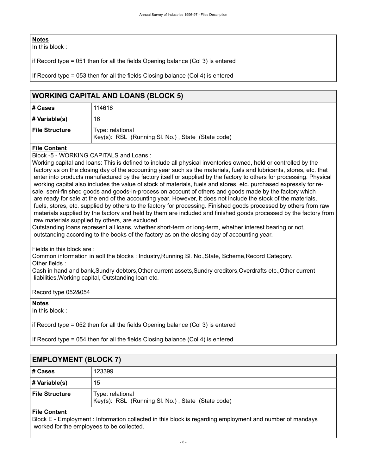#### **Notes**

In this block :

if Record type = 051 then for all the fields Opening balance (Col 3) is entered

If Record type = 053 then for all the fields Closing balance (Col 4) is entered

#### <span id="page-11-0"></span>**WORKING CAPITAL AND LOANS (BLOCK 5)**

| # Cases               | 114616                                                                |
|-----------------------|-----------------------------------------------------------------------|
| # Variable(s)         | 16                                                                    |
| <b>File Structure</b> | Type: relational<br>Key(s): RSL (Running SI. No.), State (State code) |

#### **File Content**

Block -5 - WORKING CAPITALS and Loans :

Working capital and loans: This is defined to include all physical inventories owned, held or controlled by the factory as on the closing day of the accounting year such as the materials, fuels and lubricants, stores, etc. that enter into products manufactured by the factory itself or supplied by the factory to others for processing. Physical working capital also includes the value of stock of materials, fuels and stores, etc. purchased expressly for resale, semi-finished goods and goods-in-process on account of others and goods made by the factory which are ready for sale at the end of the accounting year. However, it does not include the stock of the materials, fuels, stores, etc. supplied by others to the factory for processing. Finished goods processed by others from raw materials supplied by the factory and held by them are included and finished goods processed by the factory from raw materials supplied by others, are excluded.

Outstanding loans represent all loans, whether short-term or long-term, whether interest bearing or not, outstanding according to the books of the factory as on the closing day of accounting year.

Fields in this block are :

Common information in aoll the blocks : Industry,Running Sl. No.,State, Scheme,Record Category. Other fields :

Cash in hand and bank,Sundry debtors,Other current assets,Sundry creditors,Overdrafts etc.,Other current liabilities,Working capital, Outstanding loan etc.

Record type 052&054

**Notes**

In this block :

if Record type = 052 then for all the fields Opening balance (Col 3) is entered

If Record type = 054 then for all the fields Closing balance (Col 4) is entered

<span id="page-11-1"></span>

| <b>EMPLOYMENT (BLOCK 7)</b> |                                                                       |
|-----------------------------|-----------------------------------------------------------------------|
| # Cases                     | 123399                                                                |
| # Variable(s)               | 15                                                                    |
| <b>File Structure</b>       | Type: relational<br>Key(s): RSL (Running SI. No.), State (State code) |

#### **File Content**

Block E - Employment : Information collected in this block is regarding employment and number of mandays worked for the employees to be collected.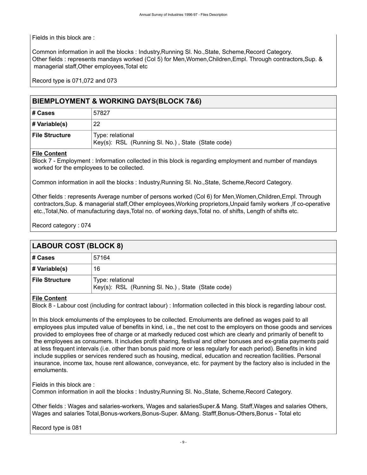Fields in this block are :

Common information in aoll the blocks : Industry,Running Sl. No.,State, Scheme,Record Category. Other fields : represents mandays worked (Col 5) for Men,Women,Children,Empl. Through contractors,Sup. & managerial staff,Other employees,Total etc

Record type is 071,072 and 073

#### <span id="page-12-0"></span>**BlEMPLOYMENT & WORKING DAYS(BLOCK 7&6)**

| # Cases               | 57827                                                                 |
|-----------------------|-----------------------------------------------------------------------|
| # Variable(s)         | 22                                                                    |
| <b>File Structure</b> | Type: relational<br>Key(s): RSL (Running SI. No.), State (State code) |

#### **File Content**

Block 7 - Employment : Information collected in this block is regarding employment and number of mandays worked for the employees to be collected.

Common information in aoll the blocks : Industry,Running Sl. No.,State, Scheme,Record Category.

Other fields : represents Average number of persons worked (Col 6) for Men,Women,Children,Empl. Through contractors,Sup. & managerial staff,Other employees,Working proprietors,Unpaid family workers ,If co-operative etc.,Total,No. of manufacturing days,Total no. of working days,Total no. of shifts, Length of shifts etc.

Record category : 074

<span id="page-12-1"></span>

| <b>LABOUR COST (BLOCK 8)</b> |                                                                       |
|------------------------------|-----------------------------------------------------------------------|
| # Cases                      | 57164                                                                 |
| # Variable(s)                | 16                                                                    |
| <b>File Structure</b>        | Type: relational<br>Key(s): RSL (Running Sl. No.), State (State code) |

#### **File Content**

Block 8 - Labour cost (including for contract labour) : Information collected in this block is regarding labour cost.

In this block emoluments of the employees to be collected. Emoluments are defined as wages paid to all employees plus imputed value of benefits in kind, i.e., the net cost to the employers on those goods and services provided to employees free of charge or at markedly reduced cost which are clearly and primarily of benefit to the employees as consumers. It includes profit sharing, festival and other bonuses and ex-gratia payments paid at less frequent intervals (i.e. other than bonus paid more or less regularly for each period). Benefits in kind include supplies or services rendered such as housing, medical, education and recreation facilities. Personal insurance, income tax, house rent allowance, conveyance, etc. for payment by the factory also is included in the emoluments.

Fields in this block are :

Common information in aoll the blocks : Industry,Running Sl. No.,State, Scheme,Record Category.

Other fields : Wages and salaries-workers, Wages and salariesSuper.& Mang. Staff,Wages and salaries Others, Wages and salaries Total,Bonus-workers,Bonus-Super. &Mang. Stafff,Bonus-Others,Bonus - Total etc

Record type is 081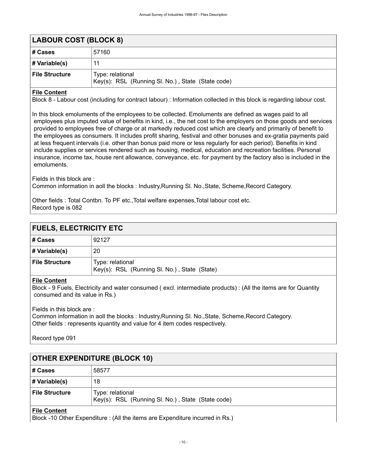<span id="page-13-0"></span>

| <b>LABOUR COST (BLOCK 8)</b> |                                                                       |
|------------------------------|-----------------------------------------------------------------------|
| ∣# Cases                     | 57160                                                                 |
| # Variable(s)                | 11                                                                    |
| <b>File Structure</b>        | Type: relational<br>Key(s): RSL (Running SI. No.), State (State code) |

#### **File Content**

Block 8 - Labour cost (including for contract labour) : Information collected in this block is regarding labour cost.

In this block emoluments of the employees to be collected. Emoluments are defined as wages paid to all employees plus imputed value of benefits in kind, i.e., the net cost to the employers on those goods and services provided to employees free of charge or at markedly reduced cost which are clearly and primarily of benefit to the employees as consumers. It includes profit sharing, festival and other bonuses and ex-gratia payments paid at less frequent intervals (i.e. other than bonus paid more or less regularly for each period). Benefits in kind include supplies or services rendered such as housing, medical, education and recreation facilities. Personal insurance, income tax, house rent allowance, conveyance, etc. for payment by the factory also is included in the emoluments.

Fields in this block are :

Common information in aoll the blocks : Industry,Running Sl. No.,State, Scheme,Record Category.

Other fields : Total Contbn. To PF etc.,Total welfare expenses,Total labour cost etc. Record type is 082

<span id="page-13-1"></span>

| <b>FUELS, ELECTRICITY ETC</b> |                                                                  |
|-------------------------------|------------------------------------------------------------------|
| # Cases                       | 92127                                                            |
| # Variable(s)                 | 20                                                               |
| <b>File Structure</b>         | Type: relational<br>Key(s): RSL (Running SI. No.), State (State) |
| $\mathbf{r}$                  |                                                                  |

#### **File Content**

Block - 9 Fuels, Electricity and water consumed ( excl. intermediate products) : (All the items are for Quantity consumed and its value in Rs.)

#### Fields in this block are :

Common information in aoll the blocks : Industry,Running Sl. No.,State, Scheme,Record Category. Other fields : represents iquantity and value for 4 item codes respectively.

Record type 091

<span id="page-13-2"></span>

| <b>OTHER EXPENDITURE (BLOCK 10)</b> |                                                                       |
|-------------------------------------|-----------------------------------------------------------------------|
| ∣# Cases                            | 58577                                                                 |
| $\#$ Variable(s)                    | 18                                                                    |
| <b>File Structure</b>               | Type: relational<br>Key(s): RSL (Running Sl. No.), State (State code) |

#### **File Content**

Block -10 Other Expenditure : (All the items are Expenditure incurred in Rs.)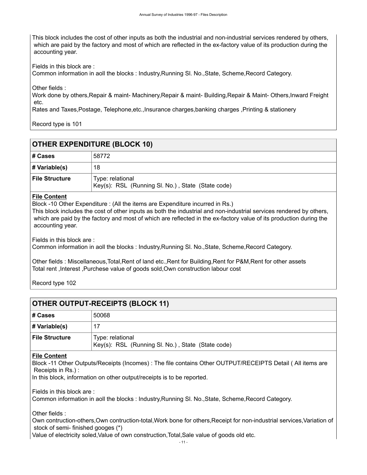This block includes the cost of other inputs as both the industrial and non-industrial services rendered by others, which are paid by the factory and most of which are reflected in the ex-factory value of its production during the accounting year.

Fields in this block are :

Common information in aoll the blocks : Industry,Running Sl. No.,State, Scheme,Record Category.

Other fields :

Work done by others,Repair & maint- Machinery,Repair & maint- Building,Repair & Maint- Others,Inward Freight etc.

Rates and Taxes,Postage, Telephone,etc.,Insurance charges,banking charges ,Printing & stationery

Record type is 101

<span id="page-14-0"></span>

| <b>OTHER EXPENDITURE (BLOCK 10)</b> |                                                                       |
|-------------------------------------|-----------------------------------------------------------------------|
| # Cases                             | 58772                                                                 |
| # Variable(s)                       | 18                                                                    |
| <b>File Structure</b>               | Type: relational<br>Key(s): RSL (Running SI. No.), State (State code) |

#### **File Content**

Block -10 Other Expenditure : (All the items are Expenditure incurred in Rs.)

This block includes the cost of other inputs as both the industrial and non-industrial services rendered by others, which are paid by the factory and most of which are reflected in the ex-factory value of its production during the accounting year.

Fields in this block are :

Common information in aoll the blocks : Industry,Running Sl. No.,State, Scheme,Record Category.

Other fields : Miscellaneous,Total,Rent of land etc.,Rent for Building,Rent for P&M,Rent for other assets Total rent ,Interest ,Purchese value of goods sold,Own construction labour cost

Record type 102

<span id="page-14-1"></span>

| <b>OTHER OUTPUT-RECEIPTS (BLOCK 11)</b> |                                                                       |
|-----------------------------------------|-----------------------------------------------------------------------|
| # Cases                                 | 50068                                                                 |
| # Variable(s)                           |                                                                       |
| <b>File Structure</b>                   | Type: relational<br>Key(s): RSL (Running Sl. No.), State (State code) |
|                                         |                                                                       |

#### **File Content**

Block -11 Other Outputs/Receipts (Incomes) : The file contains Other OUTPUT/RECEIPTS Detail ( All items are Receipts in Rs.) :

In this block, information on other output/receipts is to be reported.

Fields in this block are :

Common information in aoll the blocks : Industry,Running Sl. No.,State, Scheme,Record Category.

Other fields :

Own contruction-others,Own contruction-total,Work bone for others,Receipt for non-industrial services,Variation of stock of semi- finished googes (\*)

Value of electricity soled,Value of own construction,Total,Sale value of goods old etc.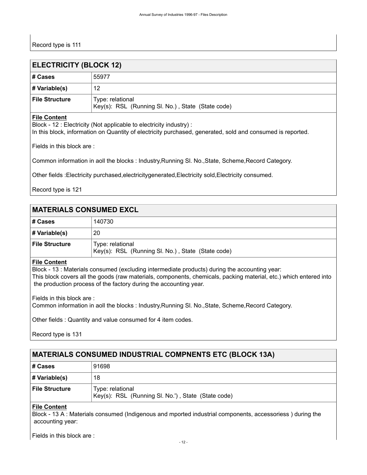<span id="page-15-0"></span>

| <b>ELECTRICITY (BLOCK 12)</b> |                                                                       |
|-------------------------------|-----------------------------------------------------------------------|
| ∣# Cases                      | 55977                                                                 |
| # Variable(s)                 | 12                                                                    |
| File Structure                | Type: relational<br>Key(s): RSL (Running Sl. No.), State (State code) |

#### **File Content**

Block - 12 : Electricity (Not applicable to electricity industry) : In this block, information on Quantity of electricity purchased, generated, sold and consumed is reported.

Fields in this block are :

Common information in aoll the blocks : Industry,Running Sl. No.,State, Scheme,Record Category.

Other fields :Electricity purchased,electricitygenerated,Electricity sold,Electricity consumed.

Record type is 121

#### <span id="page-15-1"></span>**MATERIALS CONSUMED EXCL**

| ∣# Cases       | 140730                                                                |
|----------------|-----------------------------------------------------------------------|
| # Variable(s)  | 20                                                                    |
| File Structure | Type: relational<br>Key(s): RSL (Running Sl. No.), State (State code) |

#### **File Content**

Block - 13 : Materials consumed (excluding intermediate products) during the accounting year: This block covers all the goods (raw materials, components, chemicals, packing material, etc.) which entered into the production process of the factory during the accounting year.

Fields in this block are :

Common information in aoll the blocks : Industry,Running Sl. No.,State, Scheme,Record Category.

Other fields : Quantity and value consumed for 4 item codes.

Record type is 131

#### <span id="page-15-2"></span>**MATERIALS CONSUMED INDUSTRIAL COMPNENTS ETC (BLOCK 13A)**

| # Cases               | 91698                                                                  |
|-----------------------|------------------------------------------------------------------------|
| # Variable(s)         | 18                                                                     |
| <b>File Structure</b> | Type: relational<br>Key(s): RSL (Running SI. No.'), State (State code) |

#### **File Content**

Block - 13 A : Materials consumed (Indigenous and mported industrial components, accessoriess ) during the accounting year:

Fields in this block are :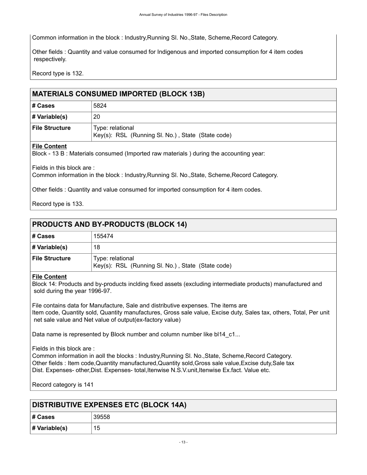Common information in the block : Industry,Running Sl. No.,State, Scheme,Record Category.

Other fields : Quantity and value consumed for Indigenous and imported consumption for 4 item codes respectively.

Record type is 132.

#### <span id="page-16-0"></span>**MATERIALS CONSUMED IMPORTED (BLOCK 13B)**

| # Cases        | 5824                                                                  |
|----------------|-----------------------------------------------------------------------|
| # Variable(s)  | 20                                                                    |
| File Structure | Type: relational<br>Key(s): RSL (Running SI. No.), State (State code) |

#### **File Content**

Block - 13 B : Materials consumed (Imported raw materials ) during the accounting year:

Fields in this block are :

Common information in the block : Industry,Running Sl. No.,State, Scheme,Record Category.

Other fields : Quantity and value consumed for imported consumption for 4 item codes.

Record type is 133.

<span id="page-16-1"></span>

| <b>PRODUCTS AND BY-PRODUCTS (BLOCK 14)</b> |                                                                       |  |  |  |
|--------------------------------------------|-----------------------------------------------------------------------|--|--|--|
| ∣# Cases                                   | 155474                                                                |  |  |  |
| # Variable(s)                              | 18                                                                    |  |  |  |
| File Structure                             | Type: relational<br>Key(s): RSL (Running SI. No.), State (State code) |  |  |  |

#### **File Content**

Block 14: Products and by-products inclding fixed assets (excluding intermediate products) manufactured and sold during the year 1996-97.

File contains data for Manufacture, Sale and distributive expenses. The items are Item code, Quantity sold, Quantity manufactures, Gross sale value, Excise duty, Sales tax, others, Total, Per unit net sale value and Net value of output(ex-factory value)

Data name is represented by Block number and column number like bl14\_c1...

#### Fields in this block are :

Common information in aoll the blocks : Industry,Running Sl. No.,State, Scheme,Record Category. Other fields : Item code,Quantity manufactured,Quantity sold,Gross sale value,Excise duty,Sale tax Dist. Expenses- other,Dist. Expenses- total,Itenwise N.S.V.unit,Itenwise Ex.fact. Value etc.

Record category is 141

<span id="page-16-2"></span>

| <b>DISTRIBUTIVE EXPENSES ETC (BLOCK 14A)</b> |       |  |  |
|----------------------------------------------|-------|--|--|
| # Cases                                      | 39558 |  |  |
| # Variable(s)                                | 15    |  |  |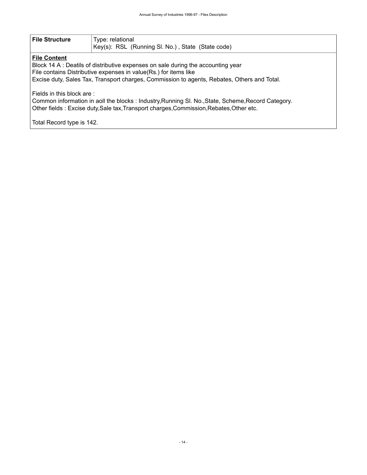| <b>File Structure</b> | Type: relational<br>  Key(s): RSL (Running Sl. No.), State (State code) |
|-----------------------|-------------------------------------------------------------------------|
| _____                 |                                                                         |

#### **File Content**

Block 14 A : Deatils of distributive expenses on sale during the accounting year File contains Distributive expenses in value(Rs.) for items like Excise duty, Sales Tax, Transport charges, Commission to agents, Rebates, Others and Total.

Fields in this block are :

Common information in aoll the blocks : Industry,Running Sl. No.,State, Scheme,Record Category. Other fields : Excise duty,Sale tax,Transport charges,Commission,Rebates,Other etc.

Total Record type is 142.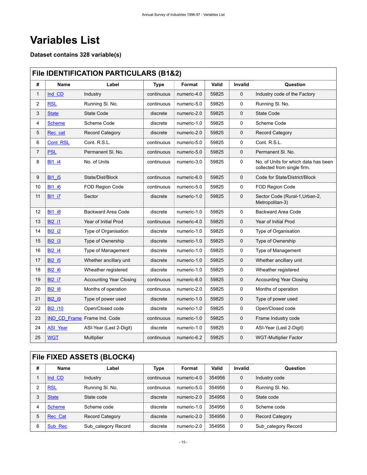# <span id="page-18-0"></span>**Variables List**

**Dataset contains 328 variable(s)**

### <span id="page-18-1"></span>**File IDENTIFICATION PARTICULARS (B1&2)**

| #            | Name            | Label                          | <b>Type</b> | Format      | Valid | Invalid     | Question                                                            |
|--------------|-----------------|--------------------------------|-------------|-------------|-------|-------------|---------------------------------------------------------------------|
| $\mathbf{1}$ | Ind CD          | Industry                       | continuous  | numeric-4.0 | 59825 | 0           | Industry code of the Factory                                        |
| 2            | <b>RSL</b>      | Running SI. No.                | continuous  | numeric-5.0 | 59825 | 0           | Running SI. No.                                                     |
| 3            | <b>State</b>    | State Code                     | discrete    | numeric-2.0 | 59825 | 0           | <b>State Code</b>                                                   |
| 4            | <b>Scheme</b>   | Scheme Code                    | discrete    | numeric-1.0 | 59825 | 0           | Scheme Code                                                         |
| 5            | Rec cat         | Record Category                | discrete    | numeric-2.0 | 59825 | 0           | Record Category                                                     |
| 6            | <b>Cont RSL</b> | Cont. R.S.L.                   | continuous  | numeric-5.0 | 59825 | 0           | Cont. R.S.L.                                                        |
| 7            | <b>PSL</b>      | Permanent SI, No.              | continuous  | numeric-5.0 | 59825 | 0           | Permanent SI, No.                                                   |
| 8            | <b>BI1 i4</b>   | No. of Units                   | continuous  | numeric-3.0 | 59825 | 0           | No. of Units for which data has been<br>collected from single firm. |
| 9            | <b>BI1 i5</b>   | State/Dist/Block               | continuous  | numeric-6.0 | 59825 | 0           | Code for State/District/Block                                       |
| 10           | <b>BI1 i6</b>   | FOD Region Code                | continuous  | numeric-5.0 | 59825 | 0           | FOD Region Code                                                     |
| 11           | <b>BI1 i7</b>   | Sector                         | discrete    | numeric-1.0 | 59825 | $\mathbf 0$ | Sector Code (Rural-1, Urban-2,<br>Metropolitan-3)                   |
| 12           | <b>BI1 i8</b>   | <b>Backward Area Code</b>      | discrete    | numeric-1.0 | 59825 | 0           | <b>Backward Area Code</b>                                           |
| 13           | <b>BI2 i1</b>   | Year of Initial Prod           | continuous  | numeric-4.0 | 59825 | 0           | Year of Initial Prod                                                |
| 14           | <b>BI2 i2</b>   | Type of Organisation           | discrete    | numeric-1.0 | 59825 | 0           | Type of Organisation                                                |
| 15           | <b>BI2_i3</b>   | Type of Ownership              | discrete    | numeric-1.0 | 59825 | 0           | Type of Ownership                                                   |
| 16           | <b>BI2 i4</b>   | Type of Management             | discrete    | numeric-1.0 | 59825 | 0           | Type of Management                                                  |
| 17           | <b>BI2 i5</b>   | Whether ancillary unit         | discrete    | numeric-1.0 | 59825 | 0           | Whether ancillary unit                                              |
| 18           | <b>BI2 i6</b>   | Wheather registered            | discrete    | numeric-1.0 | 59825 | 0           | Wheather registered                                                 |
| 19           | <b>BI2 i7</b>   | <b>Accounting Year Closing</b> | continuous  | numeric-6.0 | 59825 | 0           | <b>Accounting Year Closing</b>                                      |
| 20           | <b>BI2 i8</b>   | Months of operation            | continuous  | numeric-2.0 | 59825 | 0           | Months of operation                                                 |
| 21           | <b>BI2 i9</b>   | Type of power used             | discrete    | numeric-1.0 | 59825 | 0           | Type of power used                                                  |
| 22           | <b>BI2 i10</b>  | Open/Closed code               | discrete    | numeric-1.0 | 59825 | 0           | Open/Closed code                                                    |
| 23           |                 | IND CD Frame Frame Ind. Code   | continuous  | numeric-1.0 | 59825 | $\mathbf 0$ | Frame Industry code                                                 |
| 24           | <b>ASI Year</b> | ASI-Year (Last 2-Digit)        | discrete    | numeric-1.0 | 59825 | 0           | ASI-Year (Last 2-Digit)                                             |
| 25           | <b>WGT</b>      | <b>Multiplier</b>              | continuous  | numeric-6.2 | 59825 | 0           | <b>WGT-Multiplier Factor</b>                                        |

### <span id="page-18-2"></span>**File FIXED ASSETS (BLOCK4)**

| # | <b>Name</b>    | Label                  | Type       | Format      | Valid  | Invalid     | Question               |
|---|----------------|------------------------|------------|-------------|--------|-------------|------------------------|
|   | Ind CD         | Industry               | continuous | numeric-4.0 | 354956 | $\mathbf 0$ | Industry code          |
|   | <b>RSL</b>     | Running SI. No.        | continuous | numeric-5.0 | 354956 | 0           | Running SI. No.        |
|   | <b>State</b>   | State code             | discrete   | numeric-2.0 | 354956 | $\mathbf 0$ | State code             |
| 4 | <b>Scheme</b>  | Scheme code            | discrete   | numeric-1.0 | 354956 | 0           | Scheme code            |
| 5 | <b>Rec Cat</b> | <b>Record Category</b> | discrete   | numeric-2.0 | 354956 | $\mathbf 0$ | <b>Record Category</b> |
| 6 | Sub Rec        | Sub category Record    | discrete   | numeric-2.0 | 354956 | 0           | Sub category Record    |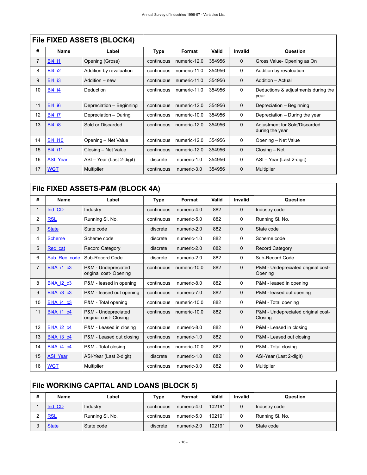|    | <u>I IIU I IALD AUULTU (DLUUILT)</u> |                           |            |              |        |             |                                                  |  |  |  |
|----|--------------------------------------|---------------------------|------------|--------------|--------|-------------|--------------------------------------------------|--|--|--|
| #  | Name                                 | Label                     | Type       | Format       | Valid  | Invalid     | Question                                         |  |  |  |
| 7  | <b>BI4 i1</b>                        | Opening (Gross)           | continuous | numeric-12.0 | 354956 | 0           | Gross Value- Opening as On                       |  |  |  |
| 8  | <b>BI4 i2</b>                        | Addition by revaluation   | continuous | numeric-11.0 | 354956 | 0           | Addition by revaluation                          |  |  |  |
| 9  | <b>BI4 i3</b>                        | Addition – new            | continuous | numeric-11.0 | 354956 | $\mathbf 0$ | Addition - Actual                                |  |  |  |
| 10 | <b>BI4 i4</b>                        | Deduction                 | continuous | numeric-11.0 | 354956 | $\mathbf 0$ | Deductions & adjustments during the<br>year      |  |  |  |
| 11 | <b>BI4 i6</b>                        | Depreciation - Beginning  | continuous | numeric-12.0 | 354956 | $\mathbf 0$ | Depreciation - Beginning                         |  |  |  |
| 12 | <b>BI4 i7</b>                        | Depreciation - During     | continuous | numeric-10.0 | 354956 | 0           | Depreciation – During the year                   |  |  |  |
| 13 | <b>BI4 i8</b>                        | Sold or Discarded         | continuous | numeric-12.0 | 354956 | $\mathbf 0$ | Adjustment for Sold/Discarded<br>during the year |  |  |  |
| 14 | <b>BI4 i10</b>                       | Opening - Net Value       | continuous | numeric-12.0 | 354956 | 0           | Opening - Net Value                              |  |  |  |
| 15 | <b>BI4 i11</b>                       | Closing - Net Value       | continuous | numeric-12.0 | 354956 | $\mathbf 0$ | Closing – Net                                    |  |  |  |
| 16 | <b>ASI Year</b>                      | ASI - Year (Last 2-digit) | discrete   | numeric-1.0  | 354956 | 0           | ASI - Year (Last 2-digit)                        |  |  |  |
| 17 | <b>WGT</b>                           | <b>Multiplier</b>         | continuous | numeric-3.0  | 354956 | 0           | Multiplier                                       |  |  |  |

### **File FIXED ASSETS (BLOCK4)**

### <span id="page-19-0"></span>**File FIXED ASSETS-P&M (BLOCK 4A)**

| #              | <b>Name</b>       | Label                                         | Type       | Format       | Valid | <b>Invalid</b> | Question                                      |  |  |
|----------------|-------------------|-----------------------------------------------|------------|--------------|-------|----------------|-----------------------------------------------|--|--|
| 1              | Ind CD            | Industry                                      | continuous | numeric-4.0  | 882   | $\mathbf 0$    | Industry code                                 |  |  |
| $\overline{2}$ | <b>RSL</b>        | Running SI. No.                               | continuous | numeric-5.0  | 882   | 0              | Running SI. No.                               |  |  |
| 3              | <b>State</b>      | State code                                    | discrete   | numeric-2.0  | 882   | 0              | State code                                    |  |  |
| 4              | <b>Scheme</b>     | Scheme code                                   | discrete   | numeric-1.0  | 882   | 0              | Scheme code                                   |  |  |
| 5              | Rec cat           | <b>Record Category</b>                        | discrete   | numeric-2.0  | 882   | 0              | <b>Record Category</b>                        |  |  |
| 6              | Sub_Rec_code      | Sub-Record Code                               | discrete   | numeric-2.0  | 882   | 0              | Sub-Record Code                               |  |  |
| $\overline{7}$ | <b>BI4A i1 c3</b> | P&M - Undepreciated<br>original cost-Opening  | continuous | numeric-10.0 | 882   | 0              | P&M - Undepreciated original cost-<br>Opening |  |  |
| 8              | <b>BI4A i2 c3</b> | P&M - leased in opening                       | continuous | numeric-8.0  | 882   | 0              | P&M - leased in opening                       |  |  |
| 9              | <b>BI4A i3 c3</b> | P&M - leased out opening                      | continuous | numeric-7.0  | 882   | 0              | P&M - leased out opening                      |  |  |
| 10             | <b>BI4A i4 c3</b> | P&M - Total opening                           | continuous | numeric-10.0 | 882   | 0              | P&M - Total opening                           |  |  |
| 11             | <b>BI4A i1 c4</b> | P&M - Undepreciated<br>original cost- Closing | continuous | numeric-10.0 | 882   | 0              | P&M - Undepreciated original cost-<br>Closing |  |  |
| 12             | <b>BI4A i2 c4</b> | P&M - Leased in closing                       | continuous | numeric-8.0  | 882   | 0              | P&M - Leased in closing                       |  |  |
| 13             | <b>BI4A i3 c4</b> | P&M - Leased out closing                      | continuous | numeric-1.0  | 882   | 0              | P&M - Leased out closing                      |  |  |
| 14             | <b>BI4A i4 c4</b> | P&M - Total closing                           | continuous | numeric-10.0 | 882   | 0              | P&M - Total closing                           |  |  |
| 15             | <b>ASI_Year</b>   | ASI-Year (Last 2-digit)                       | discrete   | numeric-1.0  | 882   | 0              | ASI-Year (Last 2-digit)                       |  |  |
| 16             | <b>WGT</b>        | Multiplier                                    | continuous | numeric-3.0  | 882   | 0              | Multiplier                                    |  |  |

## <span id="page-19-1"></span>**File WORKING CAPITAL AND LOANS (BLOCK 5) # Name Label Type Format Valid Invalid Question**

| Ind CD       | Industry        | continuous | numeric-4.0 | 102191 | Industry code   |
|--------------|-----------------|------------|-------------|--------|-----------------|
| <b>RSL</b>   | Running SI, No. | continuous | numeric-5.0 | 102191 | Running SI, No. |
| <b>State</b> | State code      | discrete   | numeric-2.0 | 102191 | State code      |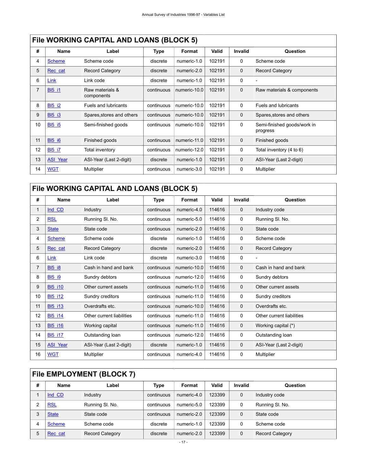|  | File WORKING CAPITAL AND LOANS (BLOCK 5) |
|--|------------------------------------------|
|--|------------------------------------------|

| #              | Name            | Label                         | Type       | Format       | Valid  | <b>Invalid</b> | Question                                |  |  |
|----------------|-----------------|-------------------------------|------------|--------------|--------|----------------|-----------------------------------------|--|--|
| 4              | <b>Scheme</b>   | Scheme code                   | discrete   | numeric-1.0  | 102191 | $\mathbf 0$    | Scheme code                             |  |  |
| 5              | Rec cat         | <b>Record Category</b>        | discrete   | numeric-2.0  | 102191 | $\mathbf 0$    | <b>Record Category</b>                  |  |  |
| 6              | Link            | Link code                     | discrete   | numeric-1.0  | 102191 | 0              |                                         |  |  |
| $\overline{7}$ | <b>BI5 i1</b>   | Raw materials &<br>components | continuous | numeric-10.0 | 102191 | $\mathbf 0$    | Raw materials & components              |  |  |
| 8              | <b>BI5 i2</b>   | <b>Fuels and lubricants</b>   | continuous | numeric-10.0 | 102191 | $\mathbf 0$    | Fuels and lubricants                    |  |  |
| 9              | <b>BI5 i3</b>   | Spares, stores and others     | continuous | numeric-10.0 | 102191 | $\mathbf 0$    | Spares, stores and others               |  |  |
| 10             | <b>BI5 i5</b>   | Semi-finished goods           | continuous | numeric-10.0 | 102191 | $\mathbf 0$    | Semi-finished goods/work in<br>progress |  |  |
| 11             | <b>BI5 16</b>   | Finished goods                | continuous | numeric-11.0 | 102191 | $\mathbf 0$    | Finished goods                          |  |  |
| 12             | <b>BI5 i7</b>   | Total inventory               | continuous | numeric-12.0 | 102191 | $\mathbf 0$    | Total inventory (4 to 6)                |  |  |
| 13             | <b>ASI Year</b> | ASI-Year (Last 2-digit)       | discrete   | numeric-1.0  | 102191 | $\mathbf 0$    | ASI-Year (Last 2-digit)                 |  |  |
| 14             | <b>WGT</b>      | Multiplier                    | continuous | numeric-3.0  | 102191 | $\mathbf 0$    | Multiplier                              |  |  |

## <span id="page-20-0"></span>**File WORKING CAPITAL AND LOANS (BLOCK 5)**

| #              | <b>Name</b>     | Label                     | Type       | Format       | Valid  | <b>Invalid</b> | Question                  |  |  |  |
|----------------|-----------------|---------------------------|------------|--------------|--------|----------------|---------------------------|--|--|--|
| 1              | Ind CD          | Industry                  | continuous | numeric-4.0  | 114616 | 0              | Industry code             |  |  |  |
| 2              | <b>RSL</b>      | Running SI. No.           | continuous | numeric-5.0  | 114616 | 0              | Running SI. No.           |  |  |  |
| 3              | <b>State</b>    | State code                | continuous | numeric-2.0  | 114616 | $\mathbf 0$    | State code                |  |  |  |
| 4              | <b>Scheme</b>   | Scheme code               | discrete   | numeric-1.0  | 114616 | 0              | Scheme code               |  |  |  |
| 5              | Rec cat         | Record Category           | discrete   | numeric-2.0  | 114616 | $\mathbf 0$    | <b>Record Category</b>    |  |  |  |
| 6              | Link            | Link code                 | discrete   | numeric-3.0  | 114616 | 0              |                           |  |  |  |
| $\overline{7}$ | <b>BI5 i8</b>   | Cash in hand and bank     | continuous | numeric-10.0 | 114616 | 0              | Cash in hand and bank     |  |  |  |
| 8              | <b>BI5 i9</b>   | Sundry debtors            | continuous | numeric-12.0 | 114616 | 0              | Sundry debtors            |  |  |  |
| 9              | <b>BI5 i10</b>  | Other current assets      | continuous | numeric-11.0 | 114616 | 0              | Other current assets      |  |  |  |
| 10             | <b>BI5 i12</b>  | Sundry creditors          | continuous | numeric-11.0 | 114616 | 0              | Sundry creditors          |  |  |  |
| 11             | <b>BI5 i13</b>  | Overdrafts etc.           | continuous | numeric-10.0 | 114616 | $\mathbf 0$    | Overdrafts etc.           |  |  |  |
| 12             | <b>BI5 i14</b>  | Other current liabilities | continuous | numeric-11.0 | 114616 | 0              | Other current liabilities |  |  |  |
| 13             | <b>BI5 i16</b>  | Working capital           | continuous | numeric-11.0 | 114616 | 0              | Working capital (*)       |  |  |  |
| 14             | <b>BI5 i17</b>  | Outstanding loan          | continuous | numeric-12.0 | 114616 | 0              | Outstanding loan          |  |  |  |
| 15             | <b>ASI_Year</b> | ASI-Year (Last 2-digit)   | discrete   | numeric-1.0  | 114616 | 0              | ASI-Year (Last 2-digit)   |  |  |  |
| 16             | <b>WGT</b>      | Multiplier                | continuous | numeric-4.0  | 114616 | 0              | Multiplier                |  |  |  |

## <span id="page-20-1"></span>**File EMPLOYMENT (BLOCK 7)**

| # | Name          | Label                  | Type       | Format      | Valid  | Invalid     | Question               |
|---|---------------|------------------------|------------|-------------|--------|-------------|------------------------|
|   | Ind CD        | Industry               | continuous | numeric-4.0 | 123399 | $\mathbf 0$ | Industry code          |
|   | <b>RSL</b>    | Running SI. No.        | continuous | numeric-5.0 | 123399 | 0           | Running SI. No.        |
|   | <b>State</b>  | State code             | continuous | numeric-2.0 | 123399 | $\Omega$    | State code             |
| 4 | <b>Scheme</b> | Scheme code            | discrete   | numeric-1.0 | 123399 | $\Omega$    | Scheme code            |
| 5 | Rec cat       | <b>Record Category</b> | discrete   | numeric-2.0 | 123399 | $\mathbf 0$ | <b>Record Category</b> |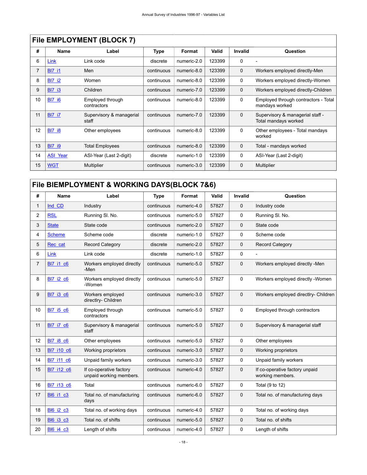|    | <u>I IIG LIVIFLU I IVILIV I (DLUUN 7)</u> |                                   |             |             |        |                |                                                          |  |  |  |  |
|----|-------------------------------------------|-----------------------------------|-------------|-------------|--------|----------------|----------------------------------------------------------|--|--|--|--|
| #  | Name                                      | Label                             | <b>Type</b> | Format      | Valid  | <b>Invalid</b> | Question                                                 |  |  |  |  |
| 6  | Link                                      | Link code                         | discrete    | numeric-2.0 | 123399 | 0              |                                                          |  |  |  |  |
| 7  | <b>BI7 i1</b>                             | Men                               | continuous  | numeric-8.0 | 123399 | $\mathbf 0$    | Workers employed directly-Men                            |  |  |  |  |
| 8  | <b>BI7 i2</b>                             | Women                             | continuous  | numeric-8.0 | 123399 | 0              | Workers employed directly-Women                          |  |  |  |  |
| 9  | <b>BI7 i3</b>                             | Children                          | continuous  | numeric-7.0 | 123399 | $\mathbf 0$    | Workers employed directly-Children                       |  |  |  |  |
| 10 | <b>BI7 i6</b>                             | Employed through<br>contractors   | continuous  | numeric-8.0 | 123399 | 0              | Employed through contractors - Total<br>mandays worked   |  |  |  |  |
| 11 | <b>BI7 i7</b>                             | Supervisory & managerial<br>staff | continuous  | numeric-7.0 | 123399 | $\mathbf 0$    | Supervisory & managerial staff -<br>Total mandays worked |  |  |  |  |
| 12 | <b>BI7 i8</b>                             | Other employees                   | continuous  | numeric-8.0 | 123399 | $\mathbf 0$    | Other employees - Total mandays<br>worked                |  |  |  |  |
| 13 | <b>BI7 i9</b>                             | <b>Total Employees</b>            | continuous  | numeric-8.0 | 123399 | $\mathbf 0$    | Total - mandays worked                                   |  |  |  |  |
| 14 | <b>ASI Year</b>                           | ASI-Year (Last 2-digit)           | discrete    | numeric-1.0 | 123399 | 0              | ASI-Year (Last 2-digit)                                  |  |  |  |  |
| 15 | <b>WGT</b>                                | <b>Multiplier</b>                 | continuous  | numeric-3.0 | 123399 | 0              | Multiplier                                               |  |  |  |  |

### **File EMPLOYMENT (BLOCK 7)**

## <span id="page-21-0"></span>**File BlEMPLOYMENT & WORKING DAYS(BLOCK 7&6)**

| #              | Name              | Label                                              | <b>Type</b> | Format      | Valid | <b>Invalid</b> | Question                                           |
|----------------|-------------------|----------------------------------------------------|-------------|-------------|-------|----------------|----------------------------------------------------|
| 1              | Ind CD            | Industry                                           | continuous  | numeric-4.0 | 57827 | $\mathbf 0$    | Industry code                                      |
| 2              | <b>RSL</b>        | Running SI. No.                                    | continuous  | numeric-5.0 | 57827 | 0              | Running SI. No.                                    |
| 3              | <b>State</b>      | State code                                         | continuous  | numeric-2.0 | 57827 | $\mathbf 0$    | State code                                         |
| 4              | <b>Scheme</b>     | Scheme code                                        | discrete    | numeric-1.0 | 57827 | 0              | Scheme code                                        |
| 5              | Rec cat           | <b>Record Category</b>                             | discrete    | numeric-2.0 | 57827 | $\mathbf 0$    | Record Category                                    |
| 6              | Link              | Link code                                          | discrete    | numeric-1.0 | 57827 | 0              |                                                    |
| $\overline{7}$ | <b>BI7 i1 c6</b>  | Workers employed directly<br>-Men                  | continuous  | numeric-5.0 | 57827 | $\mathbf 0$    | Workers employed directly -Men                     |
| 8              | BI7 i2 c6         | Workers employed directly<br>-Women                | continuous  | numeric-5.0 | 57827 | 0              | Workers employed directly - Women                  |
| 9              | <b>BI7 i3 c6</b>  | Workers employed<br>directlry- Children            | continuous  | numeric-3.0 | 57827 | $\mathbf 0$    | Workers employed directlry- Children               |
| 10             | BI7 i5 c6         | Employed through<br>contractors                    | continuous  | numeric-5.0 | 57827 | $\mathbf 0$    | Employed through contractors                       |
| 11             | BI7 i7 c6         | Supervisory & managerial<br>staff                  | continuous  | numeric-5.0 | 57827 | $\mathbf 0$    | Supervisory & managerial staff                     |
| 12             | <b>BI7 i8 c6</b>  | Other employees                                    | continuous  | numeric-5.0 | 57827 | 0              | Other employees                                    |
| 13             | <b>BI7 i10 c6</b> | Working proprietors                                | continuous  | numeric-3.0 | 57827 | 0              | Working proprietors                                |
| 14             | BI7 i11 c6        | Unpaid family workers                              | continuous  | numeric-3.0 | 57827 | $\mathbf 0$    | Unpaid family workers                              |
| 15             | <b>BI7 i12 c6</b> | If co-operative factory<br>unpaid working members. | continuous  | numeric-4.0 | 57827 | $\mathbf 0$    | If co-operative factory unpaid<br>working members. |
| 16             | BI7 i13 c6        | Total                                              | continuous  | numeric-6.0 | 57827 | 0              | Total (9 to 12)                                    |
| 17             | <b>BI6 i1 c3</b>  | Total no. of manufacturing<br>days                 | continuous  | numeric-6.0 | 57827 | $\mathbf 0$    | Total no. of manufacturing days                    |
| 18             | <b>BI6_i2_c3</b>  | Total no. of working days                          | continuous  | numeric-4.0 | 57827 | 0              | Total no. of working days                          |
| 19             | <b>BI6 i3 c3</b>  | Total no. of shifts                                | continuous  | numeric-5.0 | 57827 | $\mathbf 0$    | Total no. of shifts                                |
| 20             | <b>BI6 i4 c3</b>  | Length of shifts                                   | continuous  | numeric-4.0 | 57827 | 0              | Length of shifts                                   |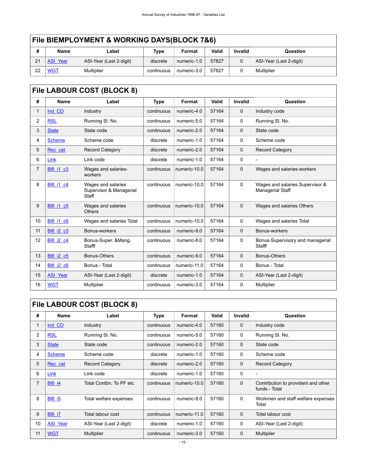|    | File BIEMPLOYMENT & WORKING DAYS(BLOCK 7&6) |                         |            |             |       |                |                         |  |  |  |
|----|---------------------------------------------|-------------------------|------------|-------------|-------|----------------|-------------------------|--|--|--|
| #  | <b>Name</b>                                 | Label                   | Type       | Format      | Valid | <b>Invalid</b> | Question                |  |  |  |
| 21 | <b>ASI Year</b>                             | ASI-Year (Last 2-digit) | discrete   | numeric-1.0 | 57827 |                | ASI-Year (Last 2-digit) |  |  |  |
| 22 | <b>WGT</b>                                  | Multiplier              | continuous | numeric-3.0 | 57827 |                | Multiplier              |  |  |  |

<span id="page-22-0"></span>

| #              | <b>Name</b>      | Label                                                  | <b>Type</b> | Format       | Valid | <b>Invalid</b> | Question                                            |
|----------------|------------------|--------------------------------------------------------|-------------|--------------|-------|----------------|-----------------------------------------------------|
| 1              | Ind CD           | Industry                                               | continuous  | numeric-4.0  | 57164 | $\mathbf 0$    | Industry code                                       |
| 2              | <b>RSL</b>       | Running SI. No.                                        | continuous  | numeric-5.0  | 57164 | $\Omega$       | Running SI. No.                                     |
| 3              | <b>State</b>     | State code                                             | continuous  | numeric-2.0  | 57164 | $\mathbf 0$    | State code                                          |
| 4              | <b>Scheme</b>    | Scheme code                                            | discrete    | numeric-1.0  | 57164 | 0              | Scheme code                                         |
| 5              | Rec cat          | <b>Record Category</b>                                 | discrete    | numeric-2.0  | 57164 | $\Omega$       | <b>Record Category</b>                              |
| 6              | Link             | Link code                                              | discrete    | numeric-1.0  | 57164 | $\mathbf 0$    |                                                     |
| $\overline{7}$ | <b>BI8 i1 c3</b> | Wages and salaries-<br>workers                         | continuous  | numeric-10.0 | 57164 | $\mathbf{0}$   | Wages and salaries-workers                          |
| 8              | <b>BI8 i1 c4</b> | Wages and salaries<br>Supervisor & Managerial<br>Staff | continuous  | numeric-10.0 | 57164 | $\Omega$       | Wages and salaries Supervisor &<br>Managerial Staff |
| 9              | <b>BI8 i1 c5</b> | Wages and salaries<br><b>Others</b>                    | continuous  | numeric-10.0 | 57164 | $\Omega$       | Wages and salaries Others                           |
| 10             | <b>BI8 i1 c6</b> | Wages and salaries Total                               | continuous  | numeric-10.0 | 57164 | 0              | Wages and salaries Total                            |
| 11             | <b>BI8 i2 c3</b> | Bonus-workers                                          | continuous  | numeric-9.0  | 57164 | $\mathbf 0$    | Bonus-workers                                       |
| 12             | <b>BI8 i2 c4</b> | Bonus-Super. & Mang.<br>Stafff                         | continuous  | numeric-8.0  | 57164 | $\mathbf 0$    | Bonus-Supervisory and managerial<br>Stafff          |
| 13             | BI8 i2 c5        | Bonus-Others                                           | continuous  | numeric-9.0  | 57164 | $\mathbf 0$    | Bonus-Others                                        |
| 14             | <b>BI8 i2 c6</b> | Bonus - Total                                          | continuous  | numeric-11.0 | 57164 | $\mathbf 0$    | Bonus - Total                                       |
| 15             | <b>ASI Year</b>  | ASI-Year (Last 2-digit)                                | discrete    | numeric-1.0  | 57164 | $\mathbf{0}$   | ASI-Year (Last 2-digit)                             |
| 16             | <b>WGT</b>       | Multiplier                                             | continuous  | numeric-3.0  | 57164 | 0              | Multiplier                                          |

## <span id="page-22-1"></span>**File LABOUR COST (BLOCK 8)**

| #              | Name            | Label                   | Type       | Format       | Valid | Invalid     | Question                                             |
|----------------|-----------------|-------------------------|------------|--------------|-------|-------------|------------------------------------------------------|
| 1              | Ind CD          | Industry                | continuous | numeric-4.0  | 57160 | $\mathbf 0$ | Industry code                                        |
| 2              | <b>RSL</b>      | Running SI. No.         | continuous | numeric-5.0  | 57160 | 0           | Running SI. No.                                      |
| 3              | <b>State</b>    | State code              | continuous | numeric-2.0  | 57160 | $\mathbf 0$ | State code                                           |
| 4              | <b>Scheme</b>   | Scheme code             | discrete   | numeric-1.0  | 57160 | 0           | Scheme code                                          |
| 5              | Rec cat         | <b>Record Category</b>  | discrete   | numeric-2.0  | 57160 | $\mathbf 0$ | <b>Record Category</b>                               |
| 6              | Link            | Link code               | discrete   | numeric-1.0  | 57160 | 0           | $\overline{\phantom{0}}$                             |
| $\overline{7}$ | <b>BI8 i4</b>   | Total Contbn. To PF etc | continuous | numeric-10.0 | 57160 | $\mathbf 0$ | Contribution to provident and other<br>funds - Total |
| 8              | <b>BI8 i5</b>   | Total welfare expenses  | continuous | numeric-9.0  | 57160 | 0           | Workmen and staff welfare expenses<br>Total          |
| 9              | <b>BI8 i7</b>   | Total labour cost       | continuous | numeric-11.0 | 57160 | $\mathbf 0$ | Total labour cost                                    |
| 10             | <b>ASI Year</b> | ASI-Year (Last 2-digit) | discrete   | numeric-1.0  | 57160 | 0           | ASI-Year (Last 2-digit)                              |
| 11             | <b>WGT</b>      | <b>Multiplier</b>       | continuous | numeric-3.0  | 57160 | $\mathbf 0$ | Multiplier                                           |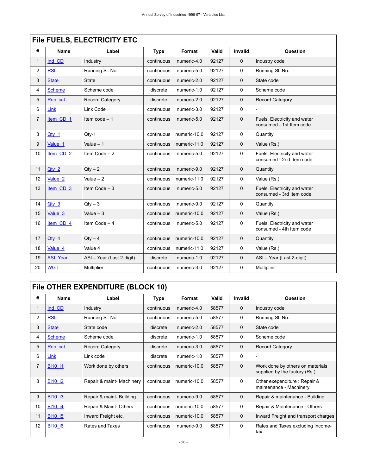|                | FIIG FUELS, ELECTRICITY ETC |                           |             |              |       |                |                                                          |  |  |  |  |  |
|----------------|-----------------------------|---------------------------|-------------|--------------|-------|----------------|----------------------------------------------------------|--|--|--|--|--|
| #              | <b>Name</b>                 | Label                     | <b>Type</b> | Format       | Valid | <b>Invalid</b> | Question                                                 |  |  |  |  |  |
| $\mathbf{1}$   | Ind CD                      | Industry                  | continuous  | numeric-4.0  | 92127 | $\mathbf 0$    | Industry code                                            |  |  |  |  |  |
| 2              | <b>RSL</b>                  | Running SI. No.           | continuous  | numeric-5.0  | 92127 | 0              | Running SI. No.                                          |  |  |  |  |  |
| 3              | <b>State</b>                | <b>State</b>              | continuous  | numeric-2.0  | 92127 | $\mathbf 0$    | State code                                               |  |  |  |  |  |
| 4              | <b>Scheme</b>               | Scheme code               | discrete    | numeric-1.0  | 92127 | 0              | Scheme code                                              |  |  |  |  |  |
| 5              | Rec cat                     | <b>Record Category</b>    | discrete    | numeric-2.0  | 92127 | $\Omega$       | <b>Record Category</b>                                   |  |  |  |  |  |
| 6              | Link                        | Link Code                 | continuous  | numeric-3.0  | 92127 | 0              | $\overline{\phantom{a}}$                                 |  |  |  |  |  |
| $\overline{7}$ | Item CD <sub>1</sub>        | Item code $-1$            | continuous  | numeric-5.0  | 92127 | $\mathbf 0$    | Fuels, Electricity and water<br>consumed - 1st Item code |  |  |  |  |  |
| 8              | Qty 1                       | $Qty-1$                   | continuous  | numeric-10.0 | 92127 | 0              | Quantity                                                 |  |  |  |  |  |
| 9              | Value <sub>1</sub>          | Value $-1$                | continuous  | numeric-11.0 | 92127 | $\Omega$       | Value (Rs.)                                              |  |  |  |  |  |
| 10             | Item CD <sub>2</sub>        | Item Code $-2$            | continuous  | numeric-5.0  | 92127 | 0              | Fuels, Electricity and water<br>consumed - 2nd Item code |  |  |  |  |  |
| 11             | $Qty_2$                     | $Qty - 2$                 | continuous  | numeric-9.0  | 92127 | $\mathbf 0$    | Quantity                                                 |  |  |  |  |  |
| 12             | Value <sub>2</sub>          | Value $-2$                | continuous  | numeric-11.0 | 92127 | 0              | Value (Rs.)                                              |  |  |  |  |  |
| 13             | Item CD 3                   | Item Code $-3$            | continuous  | numeric-5.0  | 92127 | $\mathbf 0$    | Fuels, Electricity and water<br>consumed - 3rd Item code |  |  |  |  |  |
| 14             | $Qty$ 3                     | $Qty - 3$                 | continuous  | numeric-9.0  | 92127 | 0              | Quantity                                                 |  |  |  |  |  |
| 15             | Value <sub>3</sub>          | Value $-3$                | continuous  | numeric-10.0 | 92127 | $\mathbf 0$    | Value (Rs.)                                              |  |  |  |  |  |
| 16             | Item CD 4                   | Item Code $-4$            | continuous  | numeric-5.0  | 92127 | 0              | Fuels, Electricity and water<br>consumed - 4th Item code |  |  |  |  |  |
| 17             | $Qty_4$                     | $Qtv - 4$                 | continuous  | numeric-10.0 | 92127 | $\mathbf 0$    | Quantity                                                 |  |  |  |  |  |
| 18             | Value 4                     | Value 4                   | continuous  | numeric-11.0 | 92127 | 0              | Value (Rs.)                                              |  |  |  |  |  |
| 19             | <b>ASI Year</b>             | ASI - Year (Last 2-digit) | discrete    | numeric-1.0  | 92127 | 0              | ASI - Year (Last 2-digit)                                |  |  |  |  |  |
| 20             | <b>WGT</b>                  | Multiplier                | continuous  | numeric-3.0  | 92127 | 0              | Multiplier                                               |  |  |  |  |  |

## <span id="page-23-0"></span>**File FUELS, ELECTRICITY ETC**

## <span id="page-23-1"></span>**File OTHER EXPENDITURE (BLOCK 10)**

| #              | Name           | Label                     | <b>Type</b> | Format       | Valid | <b>Invalid</b> | Question                                                          |  |  |  |
|----------------|----------------|---------------------------|-------------|--------------|-------|----------------|-------------------------------------------------------------------|--|--|--|
|                | Ind CD         | Industry                  | continuous  | numeric-4.0  | 58577 | $\mathbf 0$    | Industry code                                                     |  |  |  |
| 2              | <b>RSL</b>     | Running SI. No.           | continuous  | numeric-5.0  | 58577 | 0              | Running SI. No.                                                   |  |  |  |
| 3              | <b>State</b>   | State code                | discrete    | numeric-2.0  | 58577 | $\mathbf 0$    | State code                                                        |  |  |  |
| 4              | <b>Scheme</b>  | Scheme code               | discrete    | numeric-1.0  | 58577 | 0              | Scheme code                                                       |  |  |  |
| 5              | Rec cat        | <b>Record Category</b>    | discrete    | numeric-3.0  | 58577 | $\mathbf 0$    | <b>Record Category</b>                                            |  |  |  |
| 6              | Link           | Link code                 | discrete    | numeric-1.0  | 58577 | $\Omega$       |                                                                   |  |  |  |
| $\overline{7}$ | <b>BI10 i1</b> | Work done by others       | continuous  | numeric-10.0 | 58577 | $\mathbf 0$    | Work done by others on materials<br>supplied by the factory (Rs.) |  |  |  |
| 8              | <b>BI10 i2</b> | Repair & maint- Machinery | continuous  | numeric-10.0 | 58577 | $\mathbf 0$    | Other exependiture: Repair &<br>maintenance - Machinery           |  |  |  |
| 9              | <b>BI10 i3</b> | Repair & maint-Building   | continuous  | numeric-9.0  | 58577 | $\mathbf 0$    | Repair & maintenance - Building                                   |  |  |  |
| 10             | <b>BI10 i4</b> | Repair & Maint-Others     | continuous  | numeric-10.0 | 58577 | 0              | Repair & Maintenance - Others                                     |  |  |  |
| 11             | <b>BI10 i5</b> | Inward Freight etc.       | continuous  | numeric-10.0 | 58577 | $\mathbf 0$    | Inward Freight and transport charges                              |  |  |  |
| 12             | <b>BI10 i6</b> | Rates and Taxes           | continuous  | numeric-9.0  | 58577 | 0              | Rates and Taxes excluding Income-<br>tax                          |  |  |  |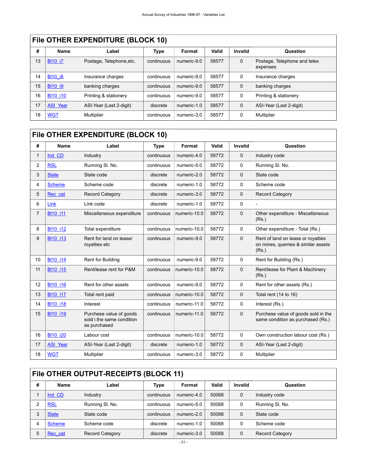### **File OTHER EXPENDITURE (BLOCK 10)**

| #  | <b>Name</b>     | Label                    | Type       | Format      | Valid | Invalid     | <b>Question</b>                          |
|----|-----------------|--------------------------|------------|-------------|-------|-------------|------------------------------------------|
| 13 | <b>BI10 i7</b>  | Postage, Telephone, etc. | continuous | numeric-9.0 | 58577 | $\mathbf 0$ | Postage, Telephone and telex<br>expenses |
| 14 | <b>BI10 i8</b>  | Insurance charges        | continuous | numeric-9.0 | 58577 | 0           | Insurance charges                        |
| 15 | <b>BI10 i9</b>  | banking charges          | continuous | numeric-9.0 | 58577 | 0           | banking charges                          |
| 16 | <b>BI10 i10</b> | Printing & stationery    | continuous | numeric-9.0 | 58577 | 0           | Printing & stationery                    |
| 17 | <b>ASI Year</b> | ASI-Year (Last 2-digit)  | discrete   | numeric-1.0 | 58577 | $\mathbf 0$ | ASI-Year (Last 2-digit)                  |
| 18 | <b>WGT</b>      | Multiplier               | continuous | numeric-3.0 | 58577 | 0           | Multiplier                               |

### <span id="page-24-0"></span>**File OTHER EXPENDITURE (BLOCK 10)**

| #              | <b>Name</b>     | Label                                                                | <b>Type</b> | Format       | Valid | <b>Invalid</b> | Question                                                                           |
|----------------|-----------------|----------------------------------------------------------------------|-------------|--------------|-------|----------------|------------------------------------------------------------------------------------|
| 1              | Ind CD          | Industry                                                             | continuous  | numeric-4.0  | 58772 | $\mathbf 0$    | Industry code                                                                      |
| 2              | <b>RSL</b>      | Running SI. No.                                                      | continuous  | numeric-5.0  | 58772 | $\Omega$       | Running SI. No.                                                                    |
| 3              | <b>State</b>    | State code                                                           | discrete    | numeric-2.0  | 58772 | $\mathbf 0$    | State code                                                                         |
| 4              | <b>Scheme</b>   | Scheme code                                                          | discrete    | numeric-1.0  | 58772 | $\mathbf 0$    | Scheme code                                                                        |
| 5              | Rec cat         | <b>Record Category</b>                                               | discrete    | numeric-3.0  | 58772 | $\mathbf 0$    | <b>Record Category</b>                                                             |
| 6              | Link            | Link code                                                            | discrete    | numeric-1.0  | 58772 | $\mathbf 0$    |                                                                                    |
| $\overline{7}$ | <b>BI10 i11</b> | Miscellaneous expenditure                                            | continuous  | numeric-10.0 | 58772 | $\mathbf 0$    | Other expenditure - Miscellaneous<br>(Rs.)                                         |
| 8              | <b>BI10 i12</b> | Total expenditure                                                    | continuous  | numeric-10.0 | 58772 | $\Omega$       | Other expenditure - Total (Rs.)                                                    |
| 9              | <b>BI10 i13</b> | Rent for land on lease/<br>royalties etc                             | continuous  | numeric-9.0  | 58772 | $\mathbf 0$    | Rent of land on lease or royalties<br>on mines, querries & similar assets<br>(Rs.) |
| 10             | <b>BI10 i14</b> | Rent for Building                                                    | continuous  | numeric-9.0  | 58772 | $\mathbf 0$    | Rent for Building (Rs.)                                                            |
| 11             | <b>BI10 i15</b> | Rent/lease rent for P&M                                              | continuous  | numeric-10.0 | 58772 | $\mathbf 0$    | Rent/lease for Plant & Machinery<br>(Rs.)                                          |
| 12             | <b>BI10 i16</b> | Rent for other assets                                                | continuous  | numeric-9.0  | 58772 | $\mathbf 0$    | Rent for other assets (Rs.)                                                        |
| 13             | <b>BI10 i17</b> | Total rent paid                                                      | continuous  | numeric-10.0 | 58772 | $\mathbf 0$    | Total rent (14 to 16)                                                              |
| 14             | <b>BI10 i18</b> | Interest                                                             | continuous  | numeric-11.0 | 58772 | $\mathbf 0$    | Interest (Rs.)                                                                     |
| 15             | <b>BI10 i19</b> | Purchese value of goods<br>sold i the same condition<br>as purchased | continuous  | numeric-11.0 | 58772 | $\mathbf 0$    | Purchese value of goods sold in the<br>same condition as purchased (Rs.)           |
| 16             | <b>BI10 i20</b> | Labour cost                                                          | continuous  | numeric-10.0 | 58772 | $\mathbf 0$    | Own construction labour cost (Rs.)                                                 |
| 17             | <b>ASI Year</b> | ASI-Year (Last 2-digit)                                              | discrete    | numeric-1.0  | 58772 | $\mathbf 0$    | ASI-Year (Last 2-digit)                                                            |
| 18             | <b>WGT</b>      | Multiplier                                                           | continuous  | numeric-3.0  | 58772 | $\mathbf 0$    | Multiplier                                                                         |

## <span id="page-24-1"></span>**File OTHER OUTPUT-RECEIPTS (BLOCK 11)**

| # | Name          | Label                  | Type       | Format      | Valid | Invalid     | Question               |
|---|---------------|------------------------|------------|-------------|-------|-------------|------------------------|
|   | Ind CD        | Industry               | continuous | numeric-4.0 | 50068 | $\mathbf 0$ | Industry code          |
| ົ | <b>RSL</b>    | Running SI. No.        | continuous | numeric-5.0 | 50068 | 0           | Running SI. No.        |
| 3 | <b>State</b>  | State code             | continuous | numeric-2.0 | 50068 | $\Omega$    | State code             |
| 4 | <b>Scheme</b> | Scheme code            | discrete   | numeric-1.0 | 50068 | $\Omega$    | Scheme code            |
| 5 | Rec cat       | <b>Record Category</b> | discrete   | numeric-3.0 | 50068 | $\mathbf 0$ | <b>Record Category</b> |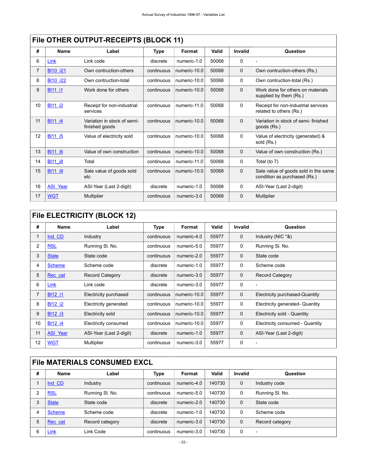|    | FIIE OTHER OUTPUT-RECEIPTS (BLOCK 11) |                                               |             |              |       |             |                                                                      |
|----|---------------------------------------|-----------------------------------------------|-------------|--------------|-------|-------------|----------------------------------------------------------------------|
| #  | <b>Name</b>                           | Label                                         | <b>Type</b> | Format       | Valid | Invalid     | Question                                                             |
| 6  | Link                                  | Link code                                     | discrete    | numeric-1.0  | 50068 | 0           |                                                                      |
| 7  | <b>BI10 i21</b>                       | Own contruction-others                        | continuous  | numeric-10.0 | 50068 | $\mathbf 0$ | Own contruction-others (Rs.)                                         |
| 8  | <b>BI10 i22</b>                       | Own contruction-total                         | continuous  | numeric-10.0 | 50068 | $\mathbf 0$ | Own contruction-total (Rs.)                                          |
| 9  | <b>BI11 i1</b>                        | Work done for others                          | continuous  | numeric-10.0 | 50068 | $\mathbf 0$ | Work done for others on materials<br>supplied by them (Rs.)          |
| 10 | <b>BI11 i2</b>                        | Receipt for non-industrial<br>services        | continuous  | numeric-11.0 | 50068 | $\Omega$    | Receipt for non-industrial services<br>related to others (Rs.)       |
| 11 | <b>BI11 i4</b>                        | Variation in stock of semi-<br>finished goods | continuous  | numeric-10.0 | 50068 | $\mathbf 0$ | Variation in stock of semi- finished<br>goods (Rs.)                  |
| 12 | <b>BI11 i5</b>                        | Value of electricity sold                     | continuous  | numeric-10.0 | 50068 | $\Omega$    | Value of electricity (generated) &<br>sold (Rs.)                     |
| 13 | <b>BI11 i6</b>                        | Value of own construction                     | continuous  | numeric-10.0 | 50068 | $\Omega$    | Value of own construction (Rs.)                                      |
| 14 | <b>BI11 i8</b>                        | Total                                         | continuous  | numeric-11.0 | 50068 | 0           | Total (to 7)                                                         |
| 15 | <b>BI11 i9</b>                        | Sale value of goods sold<br>etc               | continuous  | numeric-10.0 | 50068 | $\Omega$    | Sale value of goods sold in the same<br>condition as purchased (Rs.) |
| 16 | <b>ASI Year</b>                       | ASI-Year (Last 2-digit)                       | discrete    | numeric-1.0  | 50068 | 0           | ASI-Year (Last 2-digit)                                              |
| 17 | <b>WGT</b>                            | <b>Multiplier</b>                             | continuous  | numeric-3.0  | 50068 | $\mathbf 0$ | Multiplier                                                           |
|    |                                       |                                               |             |              |       |             |                                                                      |

## **FILE OTHER OUTPUT BECEIPTS (BLOCK 14)**

## <span id="page-25-0"></span>**File ELECTRICITY (BLOCK 12)**

| #              | <b>Name</b>     | Label                   | <b>Type</b> | Format       | <b>Valid</b> | Invalid     | Question                        |
|----------------|-----------------|-------------------------|-------------|--------------|--------------|-------------|---------------------------------|
| 1              | Ind CD          | Industry                | continuous  | numeric-4.0  | 55977        | 0           | Industry (NIC *&)               |
| $\overline{2}$ | <b>RSL</b>      | Running SI. No.         | continuous  | numeric-5.0  | 55977        | 0           | Running SI. No.                 |
| 3              | <b>State</b>    | State code              | continuous  | numeric-2.0  | 55977        | $\mathbf 0$ | State code                      |
| 4              | <b>Scheme</b>   | Scheme code             | discrete    | numeric-1.0  | 55977        | 0           | Scheme code                     |
| 5              | Rec cat         | <b>Record Category</b>  | discrete    | numeric-3.0  | 55977        | $\mathbf 0$ | <b>Record Category</b>          |
| 6              | Link            | Link code               | discrete    | numeric-3.0  | 55977        | 0           |                                 |
| $\overline{7}$ | <b>BI12 i1</b>  | Electricity purchased   | continuous  | numeric-10.0 | 55977        | $\mathbf 0$ | Electricity purchased-Quantity  |
| 8              | <b>BI12 i2</b>  | Electricity generated   | continuous  | numeric-10.0 | 55977        | 0           | Electricity generated- Quantity |
| 9              | <b>BI12 i3</b>  | Electricity sold        | continuous  | numeric-10.0 | 55977        | 0           | Electricity sold - Quantity     |
| 10             | <b>BI12 i4</b>  | Electricity consumed    | continuous  | numeric-10.0 | 55977        | 0           | Electricity consumed - Quantity |
| 11             | <b>ASI Year</b> | ASI-Year (Last 2-digit) | discrete    | numeric-1.0  | 55977        | $\mathbf 0$ | ASI-Year (Last 2-digit)         |
| 12             | <b>WGT</b>      | Multiplier              | continuous  | numeric-3.0  | 55977        | 0           |                                 |

### <span id="page-25-1"></span>**File MATERIALS CONSUMED EXCL**

| # | Name          | Label           | Type       | Format      | Valid  | Invalid     | Question        |
|---|---------------|-----------------|------------|-------------|--------|-------------|-----------------|
|   | Ind CD        | Industry        | continuous | numeric-4.0 | 140730 | $\mathbf 0$ | Industry code   |
| 2 | <b>RSL</b>    | Running SI. No. | continuous | numeric-5.0 | 140730 | 0           | Running SI. No. |
| 3 | <b>State</b>  | State code      | discrete   | numeric-2.0 | 140730 | $\Omega$    | State code      |
| 4 | <b>Scheme</b> | Scheme code     | discrete   | numeric-1.0 | 140730 | 0           | Scheme code     |
| 5 | Rec cat       | Record category | discrete   | numeric-3.0 | 140730 | $\mathbf 0$ | Record category |
| 6 | Link          | Link Code       | continuous | numeric-3.0 | 140730 | $\mathbf 0$ |                 |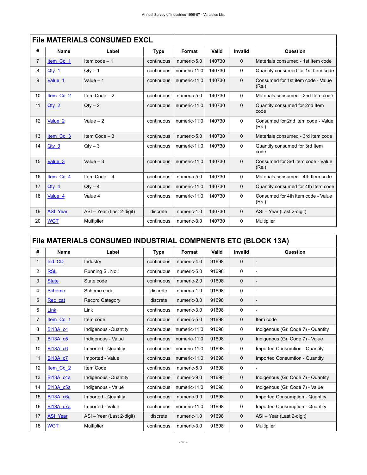|                | FIIB MATERIALS CONSUMED EACL |                           |            |              |        |             |                                             |  |
|----------------|------------------------------|---------------------------|------------|--------------|--------|-------------|---------------------------------------------|--|
| #              | <b>Name</b>                  | Label                     | Type       | Format       | Valid  | Invalid     | Question                                    |  |
| $\overline{7}$ | Item Cd 1                    | Item $code - 1$           | continuous | numeric-5.0  | 140730 | $\Omega$    | Materials consumed - 1st Item code          |  |
| 8              | Qty 1                        | $Qty - 1$                 | continuous | numeric-11.0 | 140730 | $\Omega$    | Quantity consumed for 1st Item code         |  |
| 9              | Value 1                      | Value $-1$                | continuous | numeric-11.0 | 140730 | $\mathbf 0$ | Consumed for 1st item code - Value<br>(Rs.) |  |
| 10             | Item Cd 2                    | Item Code $-2$            | continuous | numeric-5.0  | 140730 | $\Omega$    | Materials consumed - 2nd Item code          |  |
| 11             | $Qtv$ 2                      | $Qtv - 2$                 | continuous | numeric-11.0 | 140730 | $\Omega$    | Quantity consumed for 2nd Item<br>code      |  |
| 12             | Value 2                      | Value $-2$                | continuous | numeric-11.0 | 140730 | $\Omega$    | Consumed for 2nd item code - Value<br>(Rs.) |  |
| 13             | Item Cd 3                    | Item Code $-3$            | continuous | numeric-5.0  | 140730 | $\Omega$    | Materials consumed - 3rd Item code          |  |
| 14             | $Qtv$ 3                      | $Qty - 3$                 | continuous | numeric-11.0 | 140730 | $\Omega$    | Quantity consumed for 3rd Item<br>code      |  |
| 15             | Value 3                      | Value $-3$                | continuous | numeric-11.0 | 140730 | $\Omega$    | Consumed for 3rd item code - Value<br>(Rs.) |  |
| 16             | Item Cd 4                    | Item Code $-4$            | continuous | numeric-5.0  | 140730 | $\Omega$    | Materials consumed - 4th Item code          |  |
| 17             | $Qty$ 4                      | $Qty - 4$                 | continuous | numeric-11.0 | 140730 | $\Omega$    | Quantity consumed for 4th Item code         |  |
| 18             | Value 4                      | Value 4                   | continuous | numeric-11.0 | 140730 | $\Omega$    | Consumed for 4th item code - Value<br>(Rs.) |  |
| 19             | <b>ASI Year</b>              | ASI - Year (Last 2-digit) | discrete   | numeric-1.0  | 140730 | $\mathbf 0$ | ASI - Year (Last 2-digit)                   |  |
| 20             | <b>WGT</b>                   | Multiplier                | continuous | numeric-3.0  | 140730 | 0           | Multiplier                                  |  |

### **File MATERIALS CONSUMED EXCL**

## <span id="page-26-0"></span>**File MATERIALS CONSUMED INDUSTRIAL COMPNENTS ETC (BLOCK 13A)**

| #              | Name             | Label                     | <b>Type</b> | Format       | Valid | <b>Invalid</b> | Question                               |
|----------------|------------------|---------------------------|-------------|--------------|-------|----------------|----------------------------------------|
| 1              | Ind CD           | Industry                  | continuous  | numeric-4.0  | 91698 | $\mathbf 0$    | $\overline{a}$                         |
| $\overline{2}$ | <b>RSL</b>       | Running SI. No.'          | continuous  | numeric-5.0  | 91698 | $\Omega$       | $\overline{a}$                         |
| 3              | <b>State</b>     | State code                | continuous  | numeric-2.0  | 91698 | $\Omega$       | $\overline{a}$                         |
| 4              | <b>Scheme</b>    | Scheme code               | discrete    | numeric-1.0  | 91698 | 0              | $\overline{a}$                         |
| 5              | Rec cat          | <b>Record Category</b>    | discrete    | numeric-3.0  | 91698 | $\Omega$       |                                        |
| 6              | Link             | Link                      | continuous  | numeric-3.0  | 91698 | $\mathbf 0$    |                                        |
| $\overline{7}$ | Item Cd 1        | Item code                 | continuous  | numeric-5.0  | 91698 | $\mathbf 0$    | Item code                              |
| 8              | <b>BI13A_c4</b>  | Indigenous - Quantity     | continuous  | numeric-11.0 | 91698 | 0              | Indigenous (Gr. Code 7) - Quantity     |
| 9              | <b>BI13A c5</b>  | Indigenous - Value        | continuous  | numeric-11.0 | 91698 | $\mathbf 0$    | Indigenous (Gr. Code 7) - Value        |
| 10             | <b>BI13A c6</b>  | Imported - Quantity       | continuous  | numeric-11.0 | 91698 | 0              | <b>Imported Consumtion - Quantity</b>  |
| 11             | <b>BI13A c7</b>  | Imported - Value          | continuous  | numeric-11.0 | 91698 | $\mathbf 0$    | Imported Consumtion - Quantity         |
| 12             | Item Cd 2        | Item Code                 | continuous  | numeric-5.0  | 91698 | 0              |                                        |
| 13             | BI13A c4a        | Indigenous - Quantity     | continuous  | numeric-9.0  | 91698 | $\mathbf 0$    | Indigenous (Gr. Code 7) - Quantity     |
| 14             | <b>BI13A c5a</b> | Indigenous - Value        | continuous  | numeric-11.0 | 91698 | 0              | Indigenous (Gr. Code 7) - Value        |
| 15             | <b>BI13A c6a</b> | Imported - Quantity       | continuous  | numeric-9.0  | 91698 | $\mathbf 0$    | Imported Consumption - Quantity        |
| 16             | <b>BI13A c7a</b> | Imported - Value          | continuous  | numeric-11.0 | 91698 | 0              | <b>Imported Consumption - Quantity</b> |
| 17             | <b>ASI Year</b>  | ASI - Year (Last 2-digit) | discrete    | numeric-1.0  | 91698 | $\mathbf 0$    | ASI - Year (Last 2-digit)              |
| 18             | <b>WGT</b>       | Multiplier                | continuous  | numeric-3.0  | 91698 | 0              | Multiplier                             |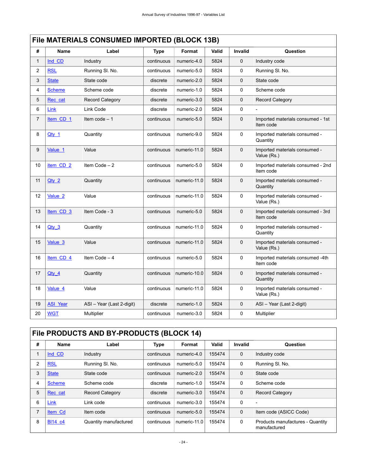<span id="page-27-0"></span>

|                | File MATERIALS CONSUMED IMPORTED (BLOCK 13B) |                           |             |              |       |              |                                                |
|----------------|----------------------------------------------|---------------------------|-------------|--------------|-------|--------------|------------------------------------------------|
| #              | Name                                         | Label                     | <b>Type</b> | Format       | Valid | Invalid      | Question                                       |
| $\mathbf{1}$   | Ind CD                                       | Industry                  | continuous  | numeric-4.0  | 5824  | 0            | Industry code                                  |
| $\overline{c}$ | <b>RSL</b>                                   | Running SI. No.           | continuous  | numeric-5.0  | 5824  | 0            | Running SI. No.                                |
| 3              | <b>State</b>                                 | State code                | discrete    | numeric-2.0  | 5824  | $\mathbf 0$  | State code                                     |
| 4              | <b>Scheme</b>                                | Scheme code               | discrete    | numeric-1.0  | 5824  | 0            | Scheme code                                    |
| 5              | Rec cat                                      | Record Category           | discrete    | numeric-3.0  | 5824  | $\mathbf 0$  | <b>Record Category</b>                         |
| 6              | Link                                         | Link Code                 | discrete    | numeric-2.0  | 5824  | 0            |                                                |
| $\overline{7}$ | Item CD 1                                    | Item code $-1$            | continuous  | numeric-5.0  | 5824  | $\mathbf{0}$ | Imported materials consumed - 1st<br>Item code |
| 8              | $Qty_1$                                      | Quantity                  | continuous  | numeric-9.0  | 5824  | 0            | Imported materials consumed -<br>Quantity      |
| 9              | Value 1                                      | Value                     | continuous  | numeric-11.0 | 5824  | $\mathbf 0$  | Imported materials consumed -<br>Value (Rs.)   |
| 10             | item CD <sub>2</sub>                         | Item Code $-2$            | continuous  | numeric-5.0  | 5824  | 0            | Imported materials consumed - 2nd<br>Item code |
| 11             | $Qty_2$                                      | Quantity                  | continuous  | numeric-11.0 | 5824  | 0            | Imported materials consumed -<br>Quantity      |
| 12             | Value <sub>2</sub>                           | Value                     | continuous  | numeric-11.0 | 5824  | 0            | Imported materials consumed -<br>Value (Rs.)   |
| 13             | Item CD 3                                    | Item Code - 3             | continuous  | numeric-5.0  | 5824  | 0            | Imported materials consumed - 3rd<br>Item code |
| 14             | $Qty_3$                                      | Quantity                  | continuous  | numeric-11.0 | 5824  | 0            | Imported materials consumed -<br>Quantity      |
| 15             | Value 3                                      | Value                     | continuous  | numeric-11.0 | 5824  | $\mathbf 0$  | Imported materials consumed -<br>Value (Rs.)   |
| 16             | Item_CD_4                                    | Item Code $-4$            | continuous  | numeric-5.0  | 5824  | 0            | Imported materials consumed -4th<br>Item code  |
| 17             | <u>Qty 4</u>                                 | Quantity                  | continuous  | numeric-10.0 | 5824  | $\mathbf 0$  | Imported materials consumed -<br>Quantity      |
| 18             | Value 4                                      | Value                     | continuous  | numeric-11.0 | 5824  | 0            | Imported materials consumed -<br>Value (Rs.)   |
| 19             | <b>ASI Year</b>                              | ASI - Year (Last 2-digit) | discrete    | numeric-1.0  | 5824  | 0            | ASI - Year (Last 2-digit)                      |
| 20             | <b>WGT</b>                                   | Multiplier                | continuous  | numeric-3.0  | 5824  | 0            | Multiplier                                     |

## <span id="page-27-1"></span>**File PRODUCTS AND BY-PRODUCTS (BLOCK 14)**

| # | Name           | Label                  | <b>Type</b> | Format       | Valid  | <b>Invalid</b> | Question                                         |
|---|----------------|------------------------|-------------|--------------|--------|----------------|--------------------------------------------------|
|   | Ind CD         | Industry               | continuous  | numeric-4.0  | 155474 | $\mathbf 0$    | Industry code                                    |
| 2 | <b>RSL</b>     | Running SI. No.        | continuous  | numeric-5.0  | 155474 | 0              | Running SI. No.                                  |
| 3 | <b>State</b>   | State code             | continuous  | numeric-2.0  | 155474 | $\mathbf 0$    | State code                                       |
| 4 | <b>Scheme</b>  | Scheme code            | discrete    | numeric-1.0  | 155474 | $\Omega$       | Scheme code                                      |
| 5 | Rec cat        | <b>Record Category</b> | discrete    | numeric-3.0  | 155474 | $\mathbf 0$    | <b>Record Category</b>                           |
| 6 | Link           | Link code              | continuous  | numeric-3.0  | 155474 | $\mathbf 0$    | $\overline{\phantom{a}}$                         |
|   | <b>Item Cd</b> | Item code              | continuous  | numeric-5.0  | 155474 | $\mathbf 0$    | Item code (ASICC Code)                           |
| 8 | BI14 c4        | Quantity manufactured  | continuous  | numeric-11.0 | 155474 | $\mathbf 0$    | Products manufactures - Quantity<br>manufactured |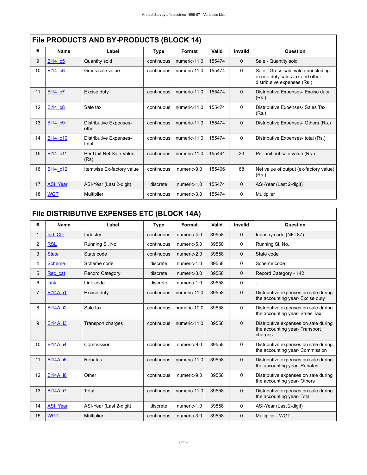|    | File PRODUCTS AND BY-PRODUCTS (BLOCK 14) |                                 |            |              |        |                |                                                                                                        |  |
|----|------------------------------------------|---------------------------------|------------|--------------|--------|----------------|--------------------------------------------------------------------------------------------------------|--|
| #  | Name                                     | Label                           | Type       | Format       | Valid  | <b>Invalid</b> | Question                                                                                               |  |
| 9  | BI14 c5                                  | Quantity sold                   | continuous | numeric-11.0 | 155474 | $\Omega$       | Sale - Quantity sold                                                                                   |  |
| 10 | BI14 c6                                  | Gross sale value                | continuous | numeric-11.0 | 155474 | $\Omega$       | Sale - Gross sale value b(including<br>excise duty, sales tax and other<br>distributive expenses (Rs.) |  |
| 11 | BI14 c7                                  | Excise duty                     | continuous | numeric-11.0 | 155474 | $\Omega$       | Distributive Expenses- Excise duty<br>(Rs.)                                                            |  |
| 12 | <b>BI14 c8</b>                           | Sale tax                        | continuous | numeric-11.0 | 155474 | $\Omega$       | Distributive Expenses- Sales Tax<br>(Rs.)                                                              |  |
| 13 | BI14 c9                                  | Distributive Expenses-<br>other | continuous | numeric-11.0 | 155474 | $\mathbf 0$    | Distributive Expenses-Others (Rs.)                                                                     |  |
| 14 | BI14 c10                                 | Distributive Expenses-<br>total | continuous | numeric-11.0 | 155474 | $\Omega$       | Distributive Expenses- total (Rs.)                                                                     |  |
| 15 | BI14 c11                                 | Per Unit Net Sale Value<br>(Rs) | continuous | numeric-11.0 | 155441 | 33             | Per unit net sale value (Rs.)                                                                          |  |
| 16 | BI14 c12                                 | Itemwise Ex-factory value       | continuous | numeric-9.0  | 155406 | 68             | Net value of output (ex-factory value)<br>(Rs.)                                                        |  |
| 17 | <b>ASI Year</b>                          | ASI-Year (Last 2-digit)         | discrete   | numeric-1.0  | 155474 | $\mathbf 0$    | ASI-Year (Last 2-digit)                                                                                |  |
| 18 | <b>WGT</b>                               | Multiplier                      | continuous | numeric-3.0  | 155474 | 0              | Multiplier                                                                                             |  |

## **FILA BRODUCTS AND BY BRODUCTS (BLOCK 14)**

## <span id="page-28-0"></span>**File DISTRIBUTIVE EXPENSES ETC (BLOCK 14A)**

| #              | <b>Name</b>     | Label                    | <b>Type</b> | Format       | Valid | Invalid      | Question                                                                         |
|----------------|-----------------|--------------------------|-------------|--------------|-------|--------------|----------------------------------------------------------------------------------|
| 1              | Ind CD          | Industry                 | continuous  | numeric-4.0  | 39558 | $\mathbf 0$  | Industry code (NIC 87)                                                           |
| $\overline{c}$ | <b>RSL</b>      | Running SI. No.          | continuous  | numeric-5.0  | 39558 | $\mathbf{0}$ | Running SI. No.                                                                  |
| 3              | <b>State</b>    | State code               | continuous  | numeric-2.0  | 39558 | $\mathbf 0$  | State code                                                                       |
| 4              | <b>Scheme</b>   | Scheme code              | discrete    | numeric-1.0  | 39558 | $\Omega$     | Scheme code                                                                      |
| 5              | Rec cat         | <b>Record Category</b>   | discrete    | numeric-3.0  | 39558 | $\Omega$     | Record Category - 142                                                            |
| 6              | Link            | Link code                | discrete    | numeric-1.0  | 39558 | 0            |                                                                                  |
| 7              | <b>BI14A i1</b> | Excise duty              | continuous  | numeric-11.0 | 39558 | $\Omega$     | Distributive expenses on sale during<br>the accounting year- Excise duty         |
| 8              | <b>BI14A i2</b> | Sale tax                 | continuous  | numeric-10.0 | 39558 | $\Omega$     | Distributive expenses on sale during<br>the accounting year-Sales Tax            |
| 9              | <b>BI14A i3</b> | <b>Transport charges</b> | continuous  | numeric-11.0 | 39558 | $\Omega$     | Distributive expenses on sale during<br>the accounting year-Transport<br>charges |
| 10             | <b>BI14A i4</b> | Commission               | continuous  | numeric-9.0  | 39558 | $\Omega$     | Distributive expenses on sale during<br>the accounting year- Commission          |
| 11             | <b>BI14A i5</b> | Rebates                  | continuous  | numeric-11.0 | 39558 | $\Omega$     | Distributive expenses on sale during<br>the accounting year-Rebates              |
| 12             | <b>BI14A i6</b> | Other                    | continuous  | numeric-9.0  | 39558 | $\Omega$     | Distributive expenses on sale during<br>the accounting year-Others               |
| 13             | <b>BI14A i7</b> | Total                    | continuous  | numeric-11.0 | 39558 | $\Omega$     | Distributive expenses on sale during<br>the accounting year- Total               |
| 14             | <b>ASI Year</b> | ASI-Year (Last 2-digit)  | discrete    | numeric-1.0  | 39558 | $\Omega$     | ASI-Year (Last 2-digit)                                                          |
| 15             | <b>WGT</b>      | Multiplier               | continuous  | numeric-3.0  | 39558 | $\mathbf 0$  | Multiplier - WGT                                                                 |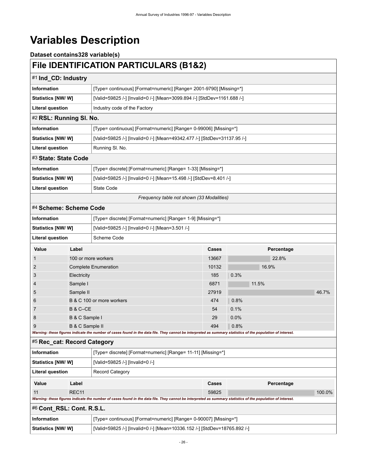# <span id="page-29-0"></span>**Variables Description**

### **Dataset contains328 variable(s) File IDENTIFICATION PARTICULARS (B1&2)**

<span id="page-29-5"></span><span id="page-29-4"></span><span id="page-29-3"></span><span id="page-29-2"></span><span id="page-29-1"></span>

| <u>FIIG IDENTIFICATION FARTICULARS (DT&amp;Z)</u>                     |                                                         |                                                                                                                                                             |       |            |       |  |  |
|-----------------------------------------------------------------------|---------------------------------------------------------|-------------------------------------------------------------------------------------------------------------------------------------------------------------|-------|------------|-------|--|--|
| #1 Ind_CD: Industry                                                   |                                                         |                                                                                                                                                             |       |            |       |  |  |
| Information                                                           |                                                         | [Type= continuous] [Format=numeric] [Range= 2001-9790] [Missing=*]                                                                                          |       |            |       |  |  |
| Statistics [NW/W]                                                     |                                                         | [Valid=59825 /-] [Invalid=0 /-] [Mean=3099.894 /-] [StdDev=1161.688 /-]                                                                                     |       |            |       |  |  |
|                                                                       | <b>Literal question</b><br>Industry code of the Factory |                                                                                                                                                             |       |            |       |  |  |
| #2 RSL: Running SI. No.                                               |                                                         |                                                                                                                                                             |       |            |       |  |  |
| Information                                                           |                                                         | [Type= continuous] [Format=numeric] [Range= 0-99006] [Missing=*]                                                                                            |       |            |       |  |  |
| Statistics [NW/W]                                                     |                                                         | [Valid=59825 /-] [Invalid=0 /-] [Mean=49342.477 /-] [StdDev=31137.95 /-]                                                                                    |       |            |       |  |  |
| <b>Literal question</b>                                               |                                                         | Running SI. No.                                                                                                                                             |       |            |       |  |  |
| #3 State: State Code                                                  |                                                         |                                                                                                                                                             |       |            |       |  |  |
| <b>Information</b>                                                    |                                                         | [Type= discrete] [Format=numeric] [Range= 1-33] [Missing=*]                                                                                                 |       |            |       |  |  |
| Statistics [NW/W]                                                     |                                                         | [Valid=59825 /-] [Invalid=0 /-] [Mean=15.498 /-] [StdDev=8.401 /-]                                                                                          |       |            |       |  |  |
| <b>Literal question</b>                                               |                                                         | State Code                                                                                                                                                  |       |            |       |  |  |
|                                                                       |                                                         | Frequency table not shown (33 Modalities)                                                                                                                   |       |            |       |  |  |
| #4 Scheme: Scheme Code                                                |                                                         |                                                                                                                                                             |       |            |       |  |  |
| Information                                                           |                                                         | [Type= discrete] [Format=numeric] [Range= 1-9] [Missing=*]                                                                                                  |       |            |       |  |  |
| Statistics [NW/ W]<br>[Valid=59825 /-] [Invalid=0 /-] [Mean=3.501 /-] |                                                         |                                                                                                                                                             |       |            |       |  |  |
| <b>Literal question</b>                                               |                                                         | Scheme Code                                                                                                                                                 |       |            |       |  |  |
| Value                                                                 | Label                                                   |                                                                                                                                                             | Cases | Percentage |       |  |  |
|                                                                       |                                                         | 100 or more workers                                                                                                                                         | 13667 | 22.8%      |       |  |  |
| 2                                                                     |                                                         | <b>Complete Enumeration</b>                                                                                                                                 | 10132 | 16.9%      |       |  |  |
| 3                                                                     | Electricity                                             |                                                                                                                                                             | 185   | 0.3%       |       |  |  |
| 4                                                                     | Sample I                                                |                                                                                                                                                             | 6871  | 11.5%      |       |  |  |
| 5                                                                     | Sample II                                               |                                                                                                                                                             | 27919 |            | 46.7% |  |  |
| 6                                                                     |                                                         | B & C 100 or more workers                                                                                                                                   | 474   | 0.8%       |       |  |  |
| 7                                                                     | B & C-CE                                                |                                                                                                                                                             | 54    | 0.1%       |       |  |  |
| 8                                                                     | B & C Sample I                                          |                                                                                                                                                             | 29    | 0.0%       |       |  |  |
| 9                                                                     | B & C Sample II                                         | Warning: these figures indicate the number of cases found in the data file. They cannot be interpreted as summary statistics of the population of interest. | 494   | 0.8%       |       |  |  |
| #5 Rec cat: Record Category                                           |                                                         |                                                                                                                                                             |       |            |       |  |  |
| <b>Information</b>                                                    |                                                         | [Type= discrete] [Format=numeric] [Range= 11-11] [Missing=*]                                                                                                |       |            |       |  |  |
| Statistics [NW/ W]                                                    |                                                         | [Valid=59825 /-] [Invalid=0 /-]                                                                                                                             |       |            |       |  |  |
| Literal question                                                      |                                                         | <b>Record Category</b>                                                                                                                                      |       |            |       |  |  |
| Value                                                                 | Label                                                   |                                                                                                                                                             | Cases | Percentage |       |  |  |

#### <span id="page-29-7"></span>#6 **Cont\_RSL: Cont. R.S.L.**

| ∣ Information      | [Type= continuous] [Format=numeric] [Range= 0-90007] [Missing=*]          |  |  |  |  |
|--------------------|---------------------------------------------------------------------------|--|--|--|--|
| Statistics [NW/ W] | [Valid=59825 /-] [Invalid=0 /-] [Mean=10336.152 /-] [StdDev=18765.892 /-] |  |  |  |  |

<span id="page-29-6"></span>11 REC11 59825 100.0%

*Warning: these figures indicate the number of cases found in the data file. They cannot be interpreted as summary statistics of the population of interest.*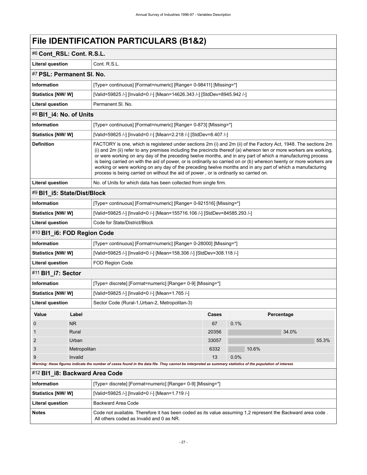<span id="page-30-5"></span><span id="page-30-4"></span><span id="page-30-3"></span><span id="page-30-2"></span><span id="page-30-1"></span><span id="page-30-0"></span>

|                                                                                                                                                                                                                                                                                                                                                                                                                                                                                                                                                                                                                                                                                                         | #6 Cont_RSL: Cont. R.S.L. |                                                                                                                                                             |       |       |            |       |  |
|---------------------------------------------------------------------------------------------------------------------------------------------------------------------------------------------------------------------------------------------------------------------------------------------------------------------------------------------------------------------------------------------------------------------------------------------------------------------------------------------------------------------------------------------------------------------------------------------------------------------------------------------------------------------------------------------------------|---------------------------|-------------------------------------------------------------------------------------------------------------------------------------------------------------|-------|-------|------------|-------|--|
| <b>Literal question</b>                                                                                                                                                                                                                                                                                                                                                                                                                                                                                                                                                                                                                                                                                 | Cont. R.S.L.              |                                                                                                                                                             |       |       |            |       |  |
|                                                                                                                                                                                                                                                                                                                                                                                                                                                                                                                                                                                                                                                                                                         | #7 PSL: Permanent SI. No. |                                                                                                                                                             |       |       |            |       |  |
| Information                                                                                                                                                                                                                                                                                                                                                                                                                                                                                                                                                                                                                                                                                             |                           | [Type= continuous] [Format=numeric] [Range= 0-98411] [Missing=*]                                                                                            |       |       |            |       |  |
| Statistics [NW/W]                                                                                                                                                                                                                                                                                                                                                                                                                                                                                                                                                                                                                                                                                       |                           | [Valid=59825 /-] [Invalid=0 /-] [Mean=14626.343 /-] [StdDev=8945.942 /-]                                                                                    |       |       |            |       |  |
| <b>Literal question</b>                                                                                                                                                                                                                                                                                                                                                                                                                                                                                                                                                                                                                                                                                 |                           | Permanent SI. No.                                                                                                                                           |       |       |            |       |  |
| #8 BI1_i4: No. of Units                                                                                                                                                                                                                                                                                                                                                                                                                                                                                                                                                                                                                                                                                 |                           |                                                                                                                                                             |       |       |            |       |  |
| <b>Information</b>                                                                                                                                                                                                                                                                                                                                                                                                                                                                                                                                                                                                                                                                                      |                           | [Type= continuous] [Format=numeric] [Range= 0-873] [Missing=*]                                                                                              |       |       |            |       |  |
| Statistics [NW/W]                                                                                                                                                                                                                                                                                                                                                                                                                                                                                                                                                                                                                                                                                       |                           | [Valid=59825 /-] [Invalid=0 /-] [Mean=2.218 /-] [StdDev=8.407 /-]                                                                                           |       |       |            |       |  |
| <b>Definition</b><br>FACTORY is one, which is registered under sections 2m (i) and 2m (ii) of the Factory Act, 1948. The sections 2m<br>(i) and 2m (ii) refer to any premises including the precincts thereof (a) whereon ten or more workers are working,<br>or were working on any day of the preceding twelve months, and in any part of which a manufacturing process<br>is being carried on with the aid of power, or is ordinarily so carried on or (b) whereon twenty or more workers are<br>working or were working on any day of the preceding twelve months and in any part of which a manufacturing<br>process is being carried on without the aid of power, or is ordinarily so carried on. |                           |                                                                                                                                                             |       |       |            |       |  |
| <b>Literal question</b>                                                                                                                                                                                                                                                                                                                                                                                                                                                                                                                                                                                                                                                                                 |                           | No. of Units for which data has been collected from single firm.                                                                                            |       |       |            |       |  |
| #9 BI1 i5: State/Dist/Block                                                                                                                                                                                                                                                                                                                                                                                                                                                                                                                                                                                                                                                                             |                           |                                                                                                                                                             |       |       |            |       |  |
| <b>Information</b>                                                                                                                                                                                                                                                                                                                                                                                                                                                                                                                                                                                                                                                                                      |                           | [Type= continuous] [Format=numeric] [Range= 0-921516] [Missing=*]                                                                                           |       |       |            |       |  |
| Statistics [NW/W]                                                                                                                                                                                                                                                                                                                                                                                                                                                                                                                                                                                                                                                                                       |                           | [Valid=59825 /-] [Invalid=0 /-] [Mean=155716.106 /-] [StdDev=84585.293 /-]                                                                                  |       |       |            |       |  |
| <b>Literal question</b>                                                                                                                                                                                                                                                                                                                                                                                                                                                                                                                                                                                                                                                                                 |                           | Code for State/District/Block                                                                                                                               |       |       |            |       |  |
| #10 BI1_i6: FOD Region Code                                                                                                                                                                                                                                                                                                                                                                                                                                                                                                                                                                                                                                                                             |                           |                                                                                                                                                             |       |       |            |       |  |
| <b>Information</b>                                                                                                                                                                                                                                                                                                                                                                                                                                                                                                                                                                                                                                                                                      |                           | [Type= continuous] [Format=numeric] [Range= 0-28000] [Missing=*]                                                                                            |       |       |            |       |  |
| <b>Statistics [NW/ W]</b>                                                                                                                                                                                                                                                                                                                                                                                                                                                                                                                                                                                                                                                                               |                           | [Valid=59825 /-] [Invalid=0 /-] [Mean=158.306 /-] [StdDev=308.118 /-]                                                                                       |       |       |            |       |  |
| <b>Literal question</b>                                                                                                                                                                                                                                                                                                                                                                                                                                                                                                                                                                                                                                                                                 |                           | FOD Region Code                                                                                                                                             |       |       |            |       |  |
| #11 BI1_i7: Sector                                                                                                                                                                                                                                                                                                                                                                                                                                                                                                                                                                                                                                                                                      |                           |                                                                                                                                                             |       |       |            |       |  |
| Information                                                                                                                                                                                                                                                                                                                                                                                                                                                                                                                                                                                                                                                                                             |                           | [Type= discrete] [Format=numeric] [Range= 0-9] [Missing=*]                                                                                                  |       |       |            |       |  |
| Statistics [NW/W]                                                                                                                                                                                                                                                                                                                                                                                                                                                                                                                                                                                                                                                                                       |                           | [Valid=59825 /-] [Invalid=0 /-] [Mean=1.765 /-]                                                                                                             |       |       |            |       |  |
| Literal question                                                                                                                                                                                                                                                                                                                                                                                                                                                                                                                                                                                                                                                                                        |                           | Sector Code (Rural-1, Urban-2, Metropolitan-3)                                                                                                              |       |       |            |       |  |
| Value                                                                                                                                                                                                                                                                                                                                                                                                                                                                                                                                                                                                                                                                                                   | Label                     |                                                                                                                                                             | Cases |       | Percentage |       |  |
| $\mathbf 0$                                                                                                                                                                                                                                                                                                                                                                                                                                                                                                                                                                                                                                                                                             | <b>NR</b>                 |                                                                                                                                                             | 67    | 0.1%  |            |       |  |
| $\mathbf{1}$                                                                                                                                                                                                                                                                                                                                                                                                                                                                                                                                                                                                                                                                                            | Rural                     |                                                                                                                                                             | 20356 |       | 34.0%      |       |  |
| $\overline{2}$                                                                                                                                                                                                                                                                                                                                                                                                                                                                                                                                                                                                                                                                                          | Urban                     |                                                                                                                                                             | 33057 |       |            | 55.3% |  |
| 3<br>Metropolitan                                                                                                                                                                                                                                                                                                                                                                                                                                                                                                                                                                                                                                                                                       |                           |                                                                                                                                                             | 6332  | 10.6% |            |       |  |
| 9<br>Invalid                                                                                                                                                                                                                                                                                                                                                                                                                                                                                                                                                                                                                                                                                            |                           |                                                                                                                                                             | 13    | 0.0%  |            |       |  |
|                                                                                                                                                                                                                                                                                                                                                                                                                                                                                                                                                                                                                                                                                                         |                           | Warning: these figures indicate the number of cases found in the data file. They cannot be interpreted as summary statistics of the population of interest. |       |       |            |       |  |
|                                                                                                                                                                                                                                                                                                                                                                                                                                                                                                                                                                                                                                                                                                         |                           | #12 BI1_i8: Backward Area Code                                                                                                                              |       |       |            |       |  |
| Information                                                                                                                                                                                                                                                                                                                                                                                                                                                                                                                                                                                                                                                                                             |                           | [Type= discrete] [Format=numeric] [Range= 0-9] [Missing=*]                                                                                                  |       |       |            |       |  |
| Statistics [NW/W]                                                                                                                                                                                                                                                                                                                                                                                                                                                                                                                                                                                                                                                                                       |                           | [Valid=59825 /-] [Invalid=0 /-] [Mean=1.719 /-]                                                                                                             |       |       |            |       |  |
| <b>Literal question</b>                                                                                                                                                                                                                                                                                                                                                                                                                                                                                                                                                                                                                                                                                 |                           | <b>Backward Area Code</b>                                                                                                                                   |       |       |            |       |  |
| <b>Notes</b>                                                                                                                                                                                                                                                                                                                                                                                                                                                                                                                                                                                                                                                                                            |                           | Code not available. Therefore it has been coded as its value assuming 1,2 represent the Backward area code.<br>All others coded as Invalid and 0 as NR.     |       |       |            |       |  |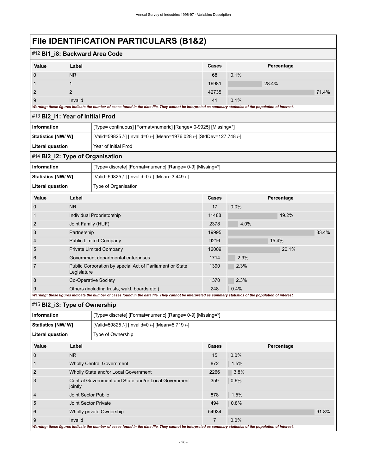<span id="page-31-1"></span><span id="page-31-0"></span>

| #12 BI1_i8: Backward Area Code   |                      |                                                                                                                                                             |                                                                 |      |            |       |  |  |
|----------------------------------|----------------------|-------------------------------------------------------------------------------------------------------------------------------------------------------------|-----------------------------------------------------------------|------|------------|-------|--|--|
| Value                            | Label                |                                                                                                                                                             | Cases                                                           |      | Percentage |       |  |  |
| 0                                | <b>NR</b>            |                                                                                                                                                             | 68                                                              | 0.1% |            |       |  |  |
| 1                                | $\mathbf 1$          |                                                                                                                                                             | 16981                                                           |      | 28.4%      |       |  |  |
| 2                                | $\overline{2}$       |                                                                                                                                                             | 42735                                                           |      |            | 71.4% |  |  |
| 9                                | Invalid              |                                                                                                                                                             | 41                                                              | 0.1% |            |       |  |  |
|                                  |                      | Warning: these figures indicate the number of cases found in the data file. They cannot be interpreted as summary statistics of the population of interest. |                                                                 |      |            |       |  |  |
| #13 BI2_i1: Year of Initial Prod |                      |                                                                                                                                                             |                                                                 |      |            |       |  |  |
| Information                      |                      |                                                                                                                                                             | [Type= continuous] [Format=numeric] [Range= 0-9925] [Missing=*] |      |            |       |  |  |
| <b>Statistics [NW/ W]</b>        |                      | [Valid=59825 /-] [Invalid=0 /-] [Mean=1976.028 /-] [StdDev=127.748 /-]                                                                                      |                                                                 |      |            |       |  |  |
| <b>Literal question</b>          |                      | Year of Initial Prod                                                                                                                                        |                                                                 |      |            |       |  |  |
| #14 BI2_i2: Type of Organisation |                      |                                                                                                                                                             |                                                                 |      |            |       |  |  |
| Information                      |                      | [Type= discrete] [Format=numeric] [Range= 0-9] [Missing=*]                                                                                                  |                                                                 |      |            |       |  |  |
| <b>Statistics [NW/W]</b>         |                      | [Valid=59825 /-] [Invalid=0 /-] [Mean=3.449 /-]                                                                                                             |                                                                 |      |            |       |  |  |
| <b>Literal question</b>          |                      | Type of Organisation                                                                                                                                        |                                                                 |      |            |       |  |  |
| Value                            | Label                |                                                                                                                                                             | Cases                                                           |      | Percentage |       |  |  |
| 0                                | <b>NR</b>            |                                                                                                                                                             | 17                                                              | 0.0% |            |       |  |  |
| 1                                |                      | Individual Proprietorship                                                                                                                                   | 11488                                                           |      | 19.2%      |       |  |  |
| 2                                | Joint Family (HUF)   |                                                                                                                                                             | 2378                                                            | 4.0% |            |       |  |  |
| 3                                | Partnership          |                                                                                                                                                             | 19995                                                           |      |            | 33.4% |  |  |
| 4                                |                      | <b>Public Limited Company</b>                                                                                                                               | 9216                                                            |      | 15.4%      |       |  |  |
| 5                                |                      | Private Limited Company                                                                                                                                     | 12009                                                           |      | 20.1%      |       |  |  |
| 6                                |                      | Government departmental enterprises                                                                                                                         | 1714                                                            | 2.9% |            |       |  |  |
| 7                                | Legislature          | Public Corporation by special Act of Parliament or State                                                                                                    | 1390                                                            | 2.3% |            |       |  |  |
| 8                                |                      | Co-Operative Society                                                                                                                                        | 1370                                                            | 2.3% |            |       |  |  |
| 9                                |                      | Others (including trusts, wakf, boards etc.)                                                                                                                | 248                                                             | 0.4% |            |       |  |  |
|                                  |                      | Warning: these figures indicate the number of cases found in the data file. They cannot be interpreted as summary statistics of the population of interest. |                                                                 |      |            |       |  |  |
| #15 BI2_i3: Type of Ownership    |                      |                                                                                                                                                             |                                                                 |      |            |       |  |  |
| Information                      |                      | [Type= discrete] [Format=numeric] [Range= 0-9] [Missing=*]                                                                                                  |                                                                 |      |            |       |  |  |
| <b>Statistics [NW/W]</b>         |                      | [Valid=59825 /-] [Invalid=0 /-] [Mean=5.719 /-]                                                                                                             |                                                                 |      |            |       |  |  |
| <b>Literal question</b>          |                      | Type of Ownership                                                                                                                                           |                                                                 |      |            |       |  |  |
| Value                            | Label                |                                                                                                                                                             | Cases                                                           |      | Percentage |       |  |  |
| $\boldsymbol{0}$                 | <b>NR</b>            |                                                                                                                                                             | 15                                                              | 0.0% |            |       |  |  |
| 1                                |                      | <b>Wholly Central Government</b>                                                                                                                            | 872                                                             | 1.5% |            |       |  |  |
| $\overline{c}$                   |                      | Wholly State and/or Local Government                                                                                                                        | 2266                                                            | 3.8% |            |       |  |  |
| 3                                | jointly              | Central Government and State and/or Local Government                                                                                                        | 359                                                             | 0.6% |            |       |  |  |
| 4                                | Joint Sector Public  |                                                                                                                                                             | 878                                                             | 1.5% |            |       |  |  |
| 5                                | Joint Sector Private |                                                                                                                                                             | 494                                                             | 0.8% |            |       |  |  |
| 6                                |                      | Wholly private Ownership                                                                                                                                    | 54934                                                           |      |            | 91.8% |  |  |
| 9                                | Invalid              |                                                                                                                                                             | 7                                                               | 0.0% |            |       |  |  |

<span id="page-31-2"></span>*Warning: these figures indicate the number of cases found in the data file. They cannot be interpreted as summary statistics of the population of interest.*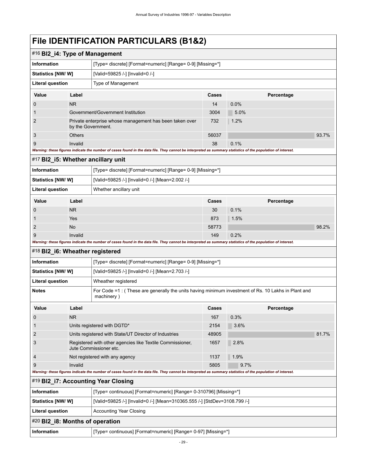<span id="page-32-4"></span><span id="page-32-3"></span><span id="page-32-2"></span><span id="page-32-1"></span><span id="page-32-0"></span>

| #16 BI2_i4: Type of Management     |                                                                                     |                                                                                                                                                             |       |            |            |       |  |  |
|------------------------------------|-------------------------------------------------------------------------------------|-------------------------------------------------------------------------------------------------------------------------------------------------------------|-------|------------|------------|-------|--|--|
| <b>Information</b>                 |                                                                                     | [Type= discrete] [Format=numeric] [Range= 0-9] [Missing=*]                                                                                                  |       |            |            |       |  |  |
| Statistics [NW/W]                  |                                                                                     | [Valid=59825 /-] [Invalid=0 /-]                                                                                                                             |       |            |            |       |  |  |
| <b>Literal question</b>            |                                                                                     | Type of Management                                                                                                                                          |       |            |            |       |  |  |
| Value                              | Label                                                                               |                                                                                                                                                             | Cases |            | Percentage |       |  |  |
| 0                                  | <b>NR</b>                                                                           |                                                                                                                                                             | 14    | 0.0%       |            |       |  |  |
| 1                                  |                                                                                     | Government/Government Institution                                                                                                                           | 3004  | 5.0%       |            |       |  |  |
| 2                                  | by the Government.                                                                  | Private enterprise whose management has been taken over                                                                                                     | 732   | 1.2%       |            |       |  |  |
| 3                                  | <b>Others</b>                                                                       |                                                                                                                                                             | 56037 |            |            | 93.7% |  |  |
| 9                                  | Invalid                                                                             |                                                                                                                                                             | 38    | 0.1%       |            |       |  |  |
|                                    |                                                                                     | Warning: these figures indicate the number of cases found in the data file. They cannot be interpreted as summary statistics of the population of interest. |       |            |            |       |  |  |
| #17 BI2_i5: Whether ancillary unit |                                                                                     |                                                                                                                                                             |       |            |            |       |  |  |
| <b>Information</b>                 |                                                                                     | [Type= discrete] [Format=numeric] [Range= 0-9] [Missing=*]                                                                                                  |       |            |            |       |  |  |
| <b>Statistics [NW/ W]</b>          |                                                                                     | [Valid=59825 /-] [Invalid=0 /-] [Mean=2.002 /-]                                                                                                             |       |            |            |       |  |  |
| <b>Literal question</b>            |                                                                                     | Whether ancillary unit                                                                                                                                      |       |            |            |       |  |  |
| Value                              | Label                                                                               | Cases                                                                                                                                                       |       | Percentage |            |       |  |  |
| $\boldsymbol{0}$                   | <b>NR</b>                                                                           |                                                                                                                                                             | 30    | 0.1%       |            |       |  |  |
| 1                                  | Yes                                                                                 |                                                                                                                                                             | 873   | 1.5%       |            |       |  |  |
| 2                                  | No                                                                                  |                                                                                                                                                             | 58773 |            |            | 98.2% |  |  |
| Invalid<br>9                       |                                                                                     |                                                                                                                                                             | 149   | 0.2%       |            |       |  |  |
|                                    |                                                                                     | Warning: these figures indicate the number of cases found in the data file. They cannot be interpreted as summary statistics of the population of interest. |       |            |            |       |  |  |
| #18 BI2_i6: Wheather registered    |                                                                                     |                                                                                                                                                             |       |            |            |       |  |  |
| Information                        |                                                                                     | [Type= discrete] [Format=numeric] [Range= 0-9] [Missing=*]                                                                                                  |       |            |            |       |  |  |
| <b>Statistics [NW/ W]</b>          |                                                                                     | [Valid=59825 /-] [Invalid=0 /-] [Mean=2.703 /-]                                                                                                             |       |            |            |       |  |  |
| <b>Literal question</b>            |                                                                                     | Wheather registered                                                                                                                                         |       |            |            |       |  |  |
| <b>Notes</b>                       |                                                                                     | For Code $=1$ : (These are generally the units having minimum investment of Rs. 10 Lakhs in Plant and<br>machinery)                                         |       |            |            |       |  |  |
| Value                              | Label                                                                               |                                                                                                                                                             | Cases |            | Percentage |       |  |  |
| 0                                  | <b>NR</b>                                                                           |                                                                                                                                                             | 167   | 0.3%       |            |       |  |  |
| 1                                  |                                                                                     | Units registered with DGTD*                                                                                                                                 | 2154  | 3.6%       |            |       |  |  |
| 2                                  |                                                                                     | Units registered with State/UT Director of Industries                                                                                                       | 48905 |            |            | 81.7% |  |  |
| 3                                  | Registered with other agencies like Textile Commissioner,<br>Jute Commissioner etc. |                                                                                                                                                             | 1657  | 2.8%       |            |       |  |  |
| 4                                  | Not registered with any agency                                                      |                                                                                                                                                             | 1137  | 1.9%       |            |       |  |  |
| 9                                  | Invalid                                                                             |                                                                                                                                                             | 5805  | 9.7%       |            |       |  |  |
|                                    |                                                                                     | Warning: these figures indicate the number of cases found in the data file. They cannot be interpreted as summary statistics of the population of interest. |       |            |            |       |  |  |
|                                    |                                                                                     | #19 BI2_i7: Accounting Year Closing                                                                                                                         |       |            |            |       |  |  |
| <b>Information</b>                 |                                                                                     | [Type= continuous] [Format=numeric] [Range= 0-310796] [Missing=*]                                                                                           |       |            |            |       |  |  |
| <b>Statistics [NW/W]</b>           |                                                                                     | [Valid=59825 /-] [Invalid=0 /-] [Mean=310365.555 /-] [StdDev=3108.799 /-]                                                                                   |       |            |            |       |  |  |
| <b>Literal question</b>            |                                                                                     | <b>Accounting Year Closing</b>                                                                                                                              |       |            |            |       |  |  |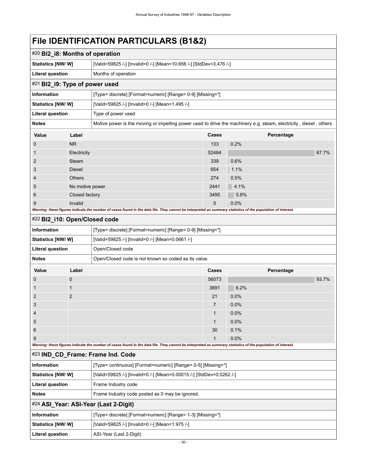<span id="page-33-3"></span><span id="page-33-2"></span><span id="page-33-1"></span><span id="page-33-0"></span>

| #20 BI2_i8: Months of operation |                 |                                                                                                                                                             |       |            |       |  |  |  |
|---------------------------------|-----------------|-------------------------------------------------------------------------------------------------------------------------------------------------------------|-------|------------|-------|--|--|--|
| Statistics [NW/ W]              |                 | [Valid=59825 /-] [Invalid=0 /-] [Mean=10.656 /-] [StdDev=3.476 /-]                                                                                          |       |            |       |  |  |  |
| <b>Literal question</b>         |                 | Months of operation                                                                                                                                         |       |            |       |  |  |  |
| #21 BI2_i9: Type of power used  |                 |                                                                                                                                                             |       |            |       |  |  |  |
| <b>Information</b>              |                 | [Type= discrete] [Format=numeric] [Range= 0-9] [Missing=*]                                                                                                  |       |            |       |  |  |  |
| <b>Statistics [NW/ W]</b>       |                 | [Valid=59825 /-] [Invalid=0 /-] [Mean=1.495 /-]                                                                                                             |       |            |       |  |  |  |
| <b>Literal question</b>         |                 | Type of power used                                                                                                                                          |       |            |       |  |  |  |
| <b>Notes</b>                    |                 | Motive power is the moving or impelling power used to drive the machinery e.g. steam, electricity, diesel, others.                                          |       |            |       |  |  |  |
| Value                           | Label           |                                                                                                                                                             | Cases | Percentage |       |  |  |  |
| $\boldsymbol{0}$                | <b>NR</b>       |                                                                                                                                                             | 133   | 0.2%       |       |  |  |  |
| 1                               | Electricity     |                                                                                                                                                             | 52484 |            | 87.7% |  |  |  |
| 2                               | Steam           |                                                                                                                                                             | 339   | 0.6%       |       |  |  |  |
| 3                               | Diesel          |                                                                                                                                                             | 654   | 1.1%       |       |  |  |  |
| 4                               | <b>Others</b>   |                                                                                                                                                             | 274   | 0.5%       |       |  |  |  |
| 5                               | No motive power |                                                                                                                                                             | 2441  | 4.1%       |       |  |  |  |
| 6                               | Closed factory  |                                                                                                                                                             | 3495  | 5.8%       |       |  |  |  |
| 9                               | Invalid         |                                                                                                                                                             | 5     | 0.0%       |       |  |  |  |
|                                 |                 | Warning: these figures indicate the number of cases found in the data file. They cannot be interpreted as summary statistics of the population of interest. |       |            |       |  |  |  |
| #22 BI2_i10: Open/Closed code   |                 |                                                                                                                                                             |       |            |       |  |  |  |
| Information                     |                 | [Type= discrete] [Format=numeric] [Range= 0-9] [Missing=*]                                                                                                  |       |            |       |  |  |  |
| <b>Statistics [NW/W]</b>        |                 | [Valid=59825 /-] [Invalid=0 /-] [Mean=0.0661 /-]                                                                                                            |       |            |       |  |  |  |
| <b>Literal question</b>         |                 | Open/Closed code                                                                                                                                            |       |            |       |  |  |  |
| <b>Notes</b>                    |                 | Open/Closed code is not known so coded as its value.                                                                                                        |       |            |       |  |  |  |
| Value                           | Label           |                                                                                                                                                             | Cases | Percentage |       |  |  |  |
| 0                               | $\mathbf 0$     |                                                                                                                                                             | 56073 |            | 93.7% |  |  |  |
| 1                               | 1               |                                                                                                                                                             | 3691  | 6.2%       |       |  |  |  |
| $\overline{2}$                  | $\overline{2}$  |                                                                                                                                                             | 21    | 0.0%       |       |  |  |  |
| 3                               |                 |                                                                                                                                                             | 7     | 0.0%       |       |  |  |  |
| 4                               |                 |                                                                                                                                                             | 1     | 0.0%       |       |  |  |  |
| 5                               |                 |                                                                                                                                                             | 1     | 0.0%       |       |  |  |  |
| 6                               |                 |                                                                                                                                                             | 30    | 0.1%       |       |  |  |  |
| 9                               |                 | Warning: these figures indicate the number of cases found in the data file. They cannot be interpreted as summary statistics of the population of interest. | 1     | 0.0%       |       |  |  |  |
|                                 |                 | #23 IND_CD_Frame: Frame Ind. Code                                                                                                                           |       |            |       |  |  |  |
| <b>Information</b>              |                 | [Type= continuous] [Format=numeric] [Range= 0-5] [Missing=*]                                                                                                |       |            |       |  |  |  |
| <b>Statistics [NW/ W]</b>       |                 | [Valid=59825 /-] [Invalid=0 /-] [Mean=0.00015 /-] [StdDev=0.0262 /-]                                                                                        |       |            |       |  |  |  |
| <b>Literal question</b>         |                 | Frame Industry code                                                                                                                                         |       |            |       |  |  |  |
| <b>Notes</b>                    |                 | Frame Industry code posted as 0 may be ignored.                                                                                                             |       |            |       |  |  |  |
|                                 |                 | #24 ASI_Year: ASI-Year (Last 2-Digit)                                                                                                                       |       |            |       |  |  |  |
| <b>Information</b>              |                 | [Type= discrete] [Format=numeric] [Range= 1-3] [Missing=*]                                                                                                  |       |            |       |  |  |  |
| <b>Statistics [NW/ W]</b>       |                 |                                                                                                                                                             |       |            |       |  |  |  |
|                                 |                 | [Valid=59825 /-] [Invalid=0 /-] [Mean=1.975 /-]                                                                                                             |       |            |       |  |  |  |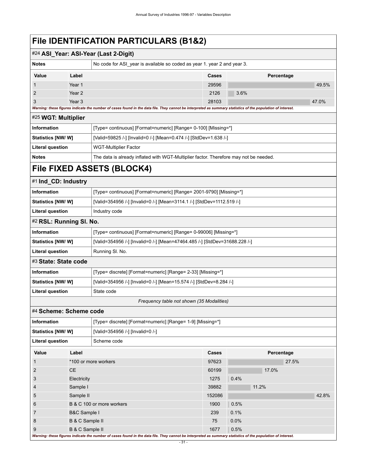<span id="page-34-5"></span><span id="page-34-4"></span><span id="page-34-3"></span><span id="page-34-2"></span><span id="page-34-1"></span><span id="page-34-0"></span>

|                           | #24 ASI_Year: ASI-Year (Last 2-Digit)                          |                                                                                                                                                             |                                                                          |      |            |       |  |  |
|---------------------------|----------------------------------------------------------------|-------------------------------------------------------------------------------------------------------------------------------------------------------------|--------------------------------------------------------------------------|------|------------|-------|--|--|
| <b>Notes</b>              |                                                                |                                                                                                                                                             | No code for ASI_year is available so coded as year 1. year 2 and year 3. |      |            |       |  |  |
| Value                     | Label                                                          |                                                                                                                                                             | Cases                                                                    |      | Percentage |       |  |  |
|                           | Year 1                                                         |                                                                                                                                                             | 29596                                                                    |      |            | 49.5% |  |  |
| 2                         | Year <sub>2</sub>                                              |                                                                                                                                                             | 2126                                                                     | 3.6% |            |       |  |  |
| 3                         | Year <sub>3</sub>                                              | Warning: these figures indicate the number of cases found in the data file. They cannot be interpreted as summary statistics of the population of interest. | 28103                                                                    |      |            | 47.0% |  |  |
| #25 WGT: Multiplier       |                                                                |                                                                                                                                                             |                                                                          |      |            |       |  |  |
| Information               | [Type= continuous] [Format=numeric] [Range= 0-100] [Missing=*] |                                                                                                                                                             |                                                                          |      |            |       |  |  |
| Statistics [NW/W]         |                                                                | [Valid=59825 /-] [Invalid=0 /-] [Mean=0.474 /-] [StdDev=1.638 /-]                                                                                           |                                                                          |      |            |       |  |  |
|                           |                                                                |                                                                                                                                                             |                                                                          |      |            |       |  |  |
| <b>Literal question</b>   |                                                                | <b>WGT-Multiplier Factor</b>                                                                                                                                |                                                                          |      |            |       |  |  |
| <b>Notes</b>              |                                                                | The data is already inflated with WGT-Multiplier factor. Therefore may not be needed.                                                                       |                                                                          |      |            |       |  |  |
|                           |                                                                | File FIXED ASSETS (BLOCK4)                                                                                                                                  |                                                                          |      |            |       |  |  |
| #1 Ind_CD: Industry       |                                                                |                                                                                                                                                             |                                                                          |      |            |       |  |  |
| <b>Information</b>        |                                                                | [Type= continuous] [Format=numeric] [Range= 2001-9790] [Missing=*]                                                                                          |                                                                          |      |            |       |  |  |
| Statistics [NW/W]         |                                                                | [Valid=354956 /-] [Invalid=0 /-] [Mean=3114.1 /-] [StdDev=1112.519 /-]                                                                                      |                                                                          |      |            |       |  |  |
| <b>Literal question</b>   |                                                                | Industry code                                                                                                                                               |                                                                          |      |            |       |  |  |
| #2 RSL: Running SI. No.   |                                                                |                                                                                                                                                             |                                                                          |      |            |       |  |  |
| Information               |                                                                | [Type= continuous] [Format=numeric] [Range= 0-99006] [Missing=*]                                                                                            |                                                                          |      |            |       |  |  |
| <b>Statistics [NW/W]</b>  |                                                                | [Valid=354956 /-] [Invalid=0 /-] [Mean=47464.485 /-] [StdDev=31688.228 /-]                                                                                  |                                                                          |      |            |       |  |  |
| <b>Literal question</b>   |                                                                | Running SI. No.                                                                                                                                             |                                                                          |      |            |       |  |  |
| #3 State: State code      |                                                                |                                                                                                                                                             |                                                                          |      |            |       |  |  |
| Information               |                                                                | [Type= discrete] [Format=numeric] [Range= 2-33] [Missing=*]                                                                                                 |                                                                          |      |            |       |  |  |
| Statistics [NW/W]         |                                                                | [Valid=354956 /-] [Invalid=0 /-] [Mean=15.574 /-] [StdDev=8.284 /-]                                                                                         |                                                                          |      |            |       |  |  |
| <b>Literal question</b>   |                                                                | State code                                                                                                                                                  |                                                                          |      |            |       |  |  |
|                           |                                                                |                                                                                                                                                             | Frequency table not shown (35 Modalities)                                |      |            |       |  |  |
| #4 Scheme: Scheme code    |                                                                |                                                                                                                                                             |                                                                          |      |            |       |  |  |
| <b>Information</b>        |                                                                | [Type= discrete] [Format=numeric] [Range= 1-9] [Missing=*]                                                                                                  |                                                                          |      |            |       |  |  |
| <b>Statistics [NW/ W]</b> |                                                                | [Valid=354956 /-] [Invalid=0 /-]                                                                                                                            |                                                                          |      |            |       |  |  |
| <b>Literal question</b>   |                                                                | Scheme code                                                                                                                                                 |                                                                          |      |            |       |  |  |
| Value                     | Label                                                          |                                                                                                                                                             | Cases                                                                    |      | Percentage |       |  |  |
| 1                         |                                                                | *100 or more workers                                                                                                                                        | 97623                                                                    |      | 27.5%      |       |  |  |
| $\overline{2}$            | <b>CE</b>                                                      |                                                                                                                                                             | 60199                                                                    |      | 17.0%      |       |  |  |
| 3                         | Electricity                                                    |                                                                                                                                                             | 1275                                                                     | 0.4% |            |       |  |  |
| 4                         | Sample I                                                       |                                                                                                                                                             | 39882                                                                    |      | 11.2%      |       |  |  |
| 5                         | Sample II                                                      |                                                                                                                                                             | 152086                                                                   |      |            | 42.8% |  |  |
| 6                         |                                                                | B & C 100 or more workers                                                                                                                                   | 1900                                                                     | 0.5% |            |       |  |  |
| 7                         | <b>B&amp;C Sample I</b>                                        |                                                                                                                                                             | 239                                                                      | 0.1% |            |       |  |  |
| 8                         | 0.0%<br>B & C Sample II<br>75                                  |                                                                                                                                                             |                                                                          |      |            |       |  |  |
|                           |                                                                |                                                                                                                                                             |                                                                          |      |            |       |  |  |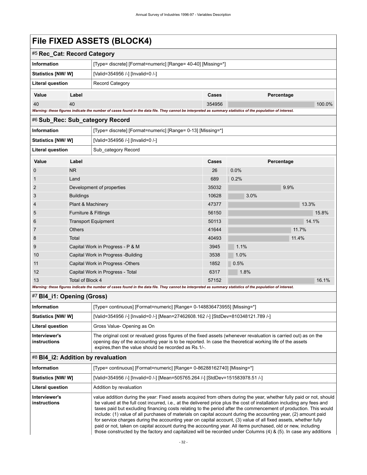## **File FIXED ASSETS (BLOCK4)**

<span id="page-35-0"></span>

| #5 Rec Cat: Record Category                                                                                                                                 |       |                                                              |        |            |        |  |
|-------------------------------------------------------------------------------------------------------------------------------------------------------------|-------|--------------------------------------------------------------|--------|------------|--------|--|
| Information                                                                                                                                                 |       | [Type= discrete] [Format=numeric] [Range= 40-40] [Missing=*] |        |            |        |  |
| <b>Statistics [NW/ W]</b>                                                                                                                                   |       | [Valid=354956 /-] [Invalid=0 /-]                             |        |            |        |  |
| Literal question                                                                                                                                            |       | Record Category                                              |        |            |        |  |
| Value                                                                                                                                                       | Label |                                                              | Cases  | Percentage |        |  |
| 40                                                                                                                                                          | 40    |                                                              | 354956 |            | 100.0% |  |
| Warning: these figures indicate the number of cases found in the data file. They cannot be interpreted as summary statistics of the population of interest. |       |                                                              |        |            |        |  |

#### <span id="page-35-1"></span>#6 **Sub\_Rec: Sub\_category Record**

| Information              |                                 | [Type= discrete] [Format=numeric] [Range= 0-13] [Missing=*] |       |      |            |  |  |
|--------------------------|---------------------------------|-------------------------------------------------------------|-------|------|------------|--|--|
| <b>Statistics [NW/W]</b> |                                 | [Valid=354956 /-] [Invalid=0 /-]                            |       |      |            |  |  |
| Literal question         |                                 | Sub category Record                                         |       |      |            |  |  |
| Value                    | Label                           |                                                             |       |      | Percentage |  |  |
| $\overline{0}$           | N <sub>R</sub>                  |                                                             | 26    | 0.0% |            |  |  |
|                          | Land                            |                                                             | 689   | 0.2% |            |  |  |
| 2                        |                                 | Development of properties                                   | 35032 |      | 9.9%       |  |  |
| 3                        | <b>Buildings</b>                |                                                             | 10628 | 3.0% |            |  |  |
| $\overline{4}$           | <b>Plant &amp; Machinery</b>    |                                                             | 47377 |      | 13.3%      |  |  |
| 5                        | <b>Furniture &amp; Fittings</b> |                                                             | 56150 |      | 15.8%      |  |  |

6 Transport Equipment 14.1% 7 Others 2011 - Communication of the Communication of the Communication of the Communication of the Communication of the Communication of the Communication of the Communication of the Communication of the Communication of 8 Total 40493 11.4%

9 Capital Work in Progress - P & M 3945 1.1% 10 Capital Work in Progress -Building 3538 1.0% 11 Capital Work in Progress -Others 1852 1852 0.5% 12 Capital Work in Progress - Total 6317 6317 1.8%

<span id="page-35-2"></span>

| Total of Block 4<br>13<br>57152<br>Warning: these figures indicate the number of cases found in the data file. They cannot be interpreted as summary statistics of the population of interest. |                                                                                                                                                                                                                                                                                       |  |  |  |  |  |
|------------------------------------------------------------------------------------------------------------------------------------------------------------------------------------------------|---------------------------------------------------------------------------------------------------------------------------------------------------------------------------------------------------------------------------------------------------------------------------------------|--|--|--|--|--|
| #7 BI4 i1: Opening (Gross)                                                                                                                                                                     |                                                                                                                                                                                                                                                                                       |  |  |  |  |  |
| Information                                                                                                                                                                                    | [Type= continuous] [Format=numeric] [Range= 0-148836473955] [Missing=*]                                                                                                                                                                                                               |  |  |  |  |  |
| Statistics [NW/ W]                                                                                                                                                                             | [Valid=354956 /-] [Invalid=0 /-] [Mean=27462608.162 /-] [StdDev=810348121.789 /-]                                                                                                                                                                                                     |  |  |  |  |  |
| Literal question                                                                                                                                                                               | Gross Value-Opening as On                                                                                                                                                                                                                                                             |  |  |  |  |  |
| Interviewer's<br>instructions                                                                                                                                                                  | The original cost or revalued gross figures of the fixed assets (whenever revaluation is carried out) as on the<br>opening day of the accounting year is to be reported. In case the theoretical working life of the assets<br>expires, then the value should be recorded as Rs. 1/-. |  |  |  |  |  |

### <span id="page-35-3"></span>#8 **Bl4\_i2: Addition by revaluation**

| <b>Information</b>                   | [Type= continuous] [Format=numeric] [Range= 0-86288162740] [Missing=*]                                                                                                                                                                                                                                                                                                                                                                                                                                                                                                                                                                                                                                                                                                                                                                       |
|--------------------------------------|----------------------------------------------------------------------------------------------------------------------------------------------------------------------------------------------------------------------------------------------------------------------------------------------------------------------------------------------------------------------------------------------------------------------------------------------------------------------------------------------------------------------------------------------------------------------------------------------------------------------------------------------------------------------------------------------------------------------------------------------------------------------------------------------------------------------------------------------|
| Statistics [NW/ W]                   | [Valid=354956 /-] [Invalid=0 /-] [Mean=505765.264 /-] [StdDev=151583978.51 /-]                                                                                                                                                                                                                                                                                                                                                                                                                                                                                                                                                                                                                                                                                                                                                               |
| Literal question                     | Addition by revaluation                                                                                                                                                                                                                                                                                                                                                                                                                                                                                                                                                                                                                                                                                                                                                                                                                      |
| Interviewer's<br><b>instructions</b> | value addition during the year: Fixed assets acquired from others during the year, whether fully paid or not, should<br>be valued at the full cost incurred, i.e., at the delivered price plus the cost of installation including any fees and<br>taxes paid but excluding financing costs relating to the period after the commencement of production. This would<br>include: (1) value of all purchases of materials on capital account during the accounting year, (2) amount paid<br>for service charges during the accounting year on capital account, (3) value of all fixed assets, whether fully<br>paid or not, taken on capital account during the accounting year. All items purchased, old or new, including<br>those constructed by the factory and capitalized will be recorded under Columns (4) & (5). In case any additions |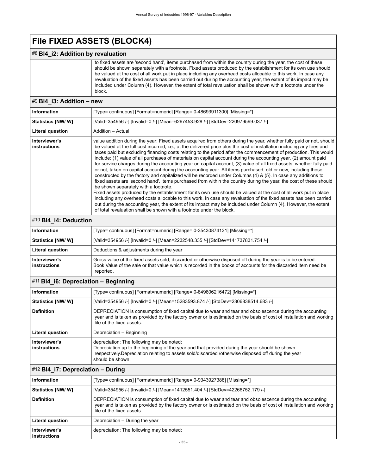# **File FIXED ASSETS (BLOCK4)**

#### #8 **Bl4\_i2: Addition by revaluation**

 to fixed assets are 'second hand', items purchased from within the country during the year, the cost of these should be shown separately with a footnote. Fixed assets produced by the establishment for its own use should be valued at the cost of all work put in place including any overhead costs allocable to this work. In case any revaluation of the fixed assets has been carried out during the accounting year, the extent of its impact may be included under Column (4). However, the extent of total revaluation shall be shown with a footnote under the block.

#### #9 **Bl4\_i3: Addition – new**

| <b>Information</b>            | [Type= continuous] [Format=numeric] [Range= 0-48693911300] [Missing=*]                                                                                                                                                                                                                                                                                                                                                                                                                                                                                                                                                                                                                                                                                                                                                                                                                                                                                                                                                                                                                                                                                                                                                                                                                                                                                                                                                                          |
|-------------------------------|-------------------------------------------------------------------------------------------------------------------------------------------------------------------------------------------------------------------------------------------------------------------------------------------------------------------------------------------------------------------------------------------------------------------------------------------------------------------------------------------------------------------------------------------------------------------------------------------------------------------------------------------------------------------------------------------------------------------------------------------------------------------------------------------------------------------------------------------------------------------------------------------------------------------------------------------------------------------------------------------------------------------------------------------------------------------------------------------------------------------------------------------------------------------------------------------------------------------------------------------------------------------------------------------------------------------------------------------------------------------------------------------------------------------------------------------------|
| <b>Statistics [NW/ W]</b>     | [Valid=354956 /-] [Invalid=0 /-] [Mean=6267453.928 /-] [StdDev=220979599.037 /-]                                                                                                                                                                                                                                                                                                                                                                                                                                                                                                                                                                                                                                                                                                                                                                                                                                                                                                                                                                                                                                                                                                                                                                                                                                                                                                                                                                |
| Literal question              | Addition - Actual                                                                                                                                                                                                                                                                                                                                                                                                                                                                                                                                                                                                                                                                                                                                                                                                                                                                                                                                                                                                                                                                                                                                                                                                                                                                                                                                                                                                                               |
| Interviewer's<br>instructions | value addition during the year: Fixed assets acquired from others during the year, whether fully paid or not, should<br>be valued at the full cost incurred, i.e., at the delivered price plus the cost of installation including any fees and<br>taxes paid but excluding financing costs relating to the period after the commencement of production. This would<br>include: (1) value of all purchases of materials on capital account during the accounting year, (2) amount paid<br>for service charges during the accounting year on capital account, (3) value of all fixed assets, whether fully paid<br>or not, taken on capital account during the accounting year. All items purchased, old or new, including those<br>constructed by the factory and capitalized will be recorded under Columns (4) & (5). In case any additions to<br>fixed assets are 'second hand', items purchased from within the country during the year, the cost of these should<br>be shown separately with a footnote.<br>Fixed assets produced by the establishment for its own use should be valued at the cost of all work put in place<br>including any overhead costs allocable to this work. In case any revaluation of the fixed assets has been carried<br>out during the accounting year, the extent of its impact may be included under Column (4). However, the extent<br>of total revaluation shall be shown with a footnote under the block. |

#### #10 **Bl4\_i4: Deduction**

| Information                   | [Type= continuous] [Format=numeric] [Range= 0-35430874131] [Missing=*]                                                                                                                                                                     |
|-------------------------------|--------------------------------------------------------------------------------------------------------------------------------------------------------------------------------------------------------------------------------------------|
| <b>Statistics [NW/ W]</b>     | [Valid=354956 /-] [Invalid=0 /-] [Mean=2232548.335 /-] [StdDev=141737831.754 /-]                                                                                                                                                           |
| <b>Literal question</b>       | Deductions & adjustments during the year                                                                                                                                                                                                   |
| Interviewer's<br>instructions | Gross value of the fixed assets sold, discarded or otherwise disposed off during the year is to be entered.<br>Book Value of the sale or that value which is recorded in the books of accounts for the discarded item need be<br>reported. |

### #11 **Bl4\_i6: Depreciation – Beginning**

| Information                   | [Type= continuous] [Format=numeric] [Range= 0-849806216472] [Missing=*]                                                                                                                                                                                                 |
|-------------------------------|-------------------------------------------------------------------------------------------------------------------------------------------------------------------------------------------------------------------------------------------------------------------------|
| <b>Statistics [NW/W]</b>      | [Valid=354956 /-] [Invalid=0 /-] [Mean=15283593.874 /-] [StdDev=2306838514.683 /-]                                                                                                                                                                                      |
| <b>Definition</b>             | DEPRECIATION is consumption of fixed capital due to wear and tear and obsolescence during the accounting<br>year and is taken as provided by the factory owner or is estimated on the basis of cost of installation and working<br>life of the fixed assets.            |
| Literal question              | Depreciation - Beginning                                                                                                                                                                                                                                                |
| Interviewer's<br>instructions | depreciation: The following may be noted:<br>Depreciation up to the beginning of the year and that provided during the year should be shown<br>respectively. Depreciation relating to assets sold/discarded /otherwise disposed off during the year<br>should be shown. |

#### #12 **Bl4\_i7: Depreciation – During**

| Information                   | [Type= continuous] [Format=numeric] [Range= 0-9343927388] [Missing=*]                                                                                                                                                                                        |
|-------------------------------|--------------------------------------------------------------------------------------------------------------------------------------------------------------------------------------------------------------------------------------------------------------|
| Statistics [NW/ W]            | [Valid=354956 /-] [Invalid=0 /-] [Mean=1412551.404 /-] [StdDev=42266752.179 /-]                                                                                                                                                                              |
| <b>Definition</b>             | DEPRECIATION is consumption of fixed capital due to wear and tear and obsolescence during the accounting<br>year and is taken as provided by the factory owner or is estimated on the basis of cost of installation and working<br>life of the fixed assets. |
| <b>Literal question</b>       | Depreciation - During the year                                                                                                                                                                                                                               |
| Interviewer's<br>instructions | depreciation: The following may be noted:                                                                                                                                                                                                                    |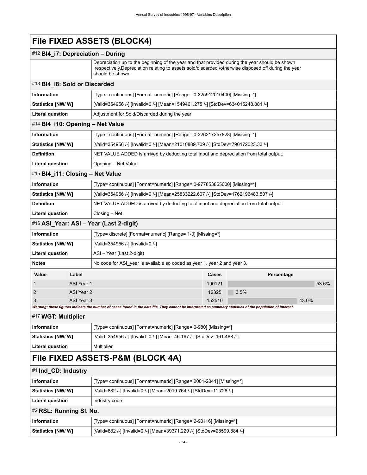### **File FIXED ASSETS (BLOCK4)**

### #12 **Bl4\_i7: Depreciation – During**

Depreciation up to the beginning of the year and that provided during the year should be shown respectively.Depreciation relating to assets sold/discarded /otherwise disposed off during the year should be shown.

### #13 **Bl4\_i8: Sold or Discarded Information** [Type= continuous] [Format=numeric] [Range= 0-325912010400] [Missing=\*] **Statistics [NW/ W]** [Valid=354956 /-] [Invalid=0 /-] [Mean=1549461.275 /-] [StdDev=634015248.881 /-] **Literal question** | Adjustment for Sold/Discarded during the year #14 **Bl4\_i10: Opening – Net Value Information** [Type= continuous] [Format=numeric] [Range= 0-326217257828] [Missing=\*] **Statistics [NW/ W]** [Valid=354956 /-] [Invalid=0 /-] [Mean=21010889.709 /-] [StdDev=790172023.33 /-] **Definition** NET VALUE ADDED is arrived by deducting total input and depreciation from total output. **Literal question** | Opening – Net Value #15 **Bl4\_i11: Closing – Net Value Information** [Type= continuous] [Format=numeric] [Range= 0-977853865000] [Missing=\*] **Statistics [NW/ W]** [Valid=354956 /-] [Invalid=0 /-] [Mean=25833222.607 /-] [StdDev=1762196483.507 /-] **Definition** NET VALUE ADDED is arrived by deducting total input and depreciation from total output. **Literal question** | Closing – Net #16 **ASI\_Year: ASI – Year (Last 2-digit)**

| <b>Information</b>           |                                  | [Type= discrete] [Format=numeric] [Range= 1-3] [Missing=*]               |              |  |            |       |       |
|------------------------------|----------------------------------|--------------------------------------------------------------------------|--------------|--|------------|-------|-------|
| Statistics [NW/ W]           | [Valid=354956 /-] [Invalid=0 /-] |                                                                          |              |  |            |       |       |
| <b>Literal question</b>      |                                  | ASI - Year (Last 2-digit)                                                |              |  |            |       |       |
| <b>Notes</b>                 |                                  | No code for ASI year is available so coded as year 1, year 2 and year 3. |              |  |            |       |       |
| Value                        | Label                            |                                                                          | <b>Cases</b> |  | Percentage |       |       |
|                              | ASI Year 1                       |                                                                          | 190121       |  |            |       | 53.6% |
| $\overline{2}$<br>ASI Year 2 |                                  | 12325                                                                    | 3.5%         |  |            |       |       |
| 3                            | ASI Year 3                       |                                                                          | 152510       |  |            | 43.0% |       |

#### *Warning: these figures indicate the number of cases found in the data file. They cannot be interpreted as summary statistics of the population of interest.*

### #17 **WGT: Multiplier**

| Information               | [Type= continuous] [Format=numeric] [Range= 0-980] [Missing=*]        |
|---------------------------|-----------------------------------------------------------------------|
| <b>Statistics [NW/ W]</b> | [Valid=354956 /-] [Invalid=0 /-] [Mean=46.167 /-] [StdDev=161.488 /-] |
| Literal question          | Multiplier                                                            |

### **File FIXED ASSETS-P&M (BLOCK 4A)**

#### #1 **Ind\_CD: Industry**

| <b>Information</b>        | [Type= continuous] [Format=numeric] [Range= 2001-2041] [Missing=*]      |  |  |  |
|---------------------------|-------------------------------------------------------------------------|--|--|--|
| <b>Statistics [NW/W]</b>  | [Valid=882 /-] [Invalid=0 /-] [Mean=2019.764 /-] [StdDev=11.726 /-]     |  |  |  |
| Literal question          | Industry code                                                           |  |  |  |
| #2 RSL: Running SI. No.   |                                                                         |  |  |  |
| Information               | [Type= continuous] [Format=numeric] [Range= 2-90116] [Missing=*]        |  |  |  |
| <b>Statistics [NW/ W]</b> | [Valid=882 /-] [Invalid=0 /-] [Mean=39371.229 /-] [StdDev=28599.884 /-] |  |  |  |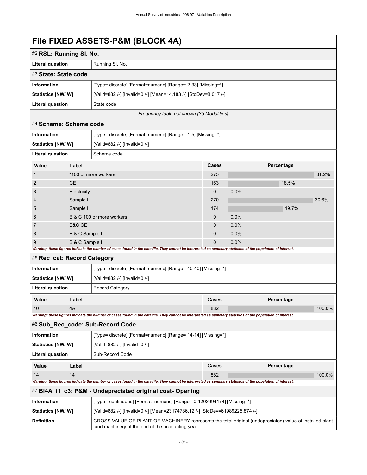# **File FIXED ASSETS-P&M (BLOCK 4A)**

| #2 RSL: Running SI. No.   |                                                                  |  |  |
|---------------------------|------------------------------------------------------------------|--|--|
| <b>Literal question</b>   | Running SI, No.                                                  |  |  |
| #3 State: State code      |                                                                  |  |  |
| Information               | [Type= discrete] [Format=numeric] [Range= 2-33] [Missing=*]      |  |  |
| <b>Statistics [NW/ W]</b> | [Valid=882 /-] [Invalid=0 /-] [Mean=14.183 /-] [StdDev=8.017 /-] |  |  |
| <b>Literal question</b>   | State code                                                       |  |  |
|                           |                                                                  |  |  |

*Frequency table not shown (35 Modalities)*

#### #4 **Scheme: Scheme code**

| <b>Information</b>                                                                                                                                          |                           | [Type= discrete] [Format=numeric] [Range= 1-5] [Missing=*] |              |            |       |       |
|-------------------------------------------------------------------------------------------------------------------------------------------------------------|---------------------------|------------------------------------------------------------|--------------|------------|-------|-------|
| Statistics [NW/W]                                                                                                                                           |                           | [Valid=882 /-] [Invalid=0 /-]                              |              |            |       |       |
| Literal question<br>Scheme code                                                                                                                             |                           |                                                            |              |            |       |       |
| Value                                                                                                                                                       | Label                     |                                                            | <b>Cases</b> | Percentage |       |       |
| 1                                                                                                                                                           |                           | *100 or more workers                                       | 275          |            |       | 31.2% |
| $\overline{2}$                                                                                                                                              | CE.                       |                                                            | 163          |            | 18.5% |       |
| 3                                                                                                                                                           | Electricity               |                                                            | $\mathbf 0$  | 0.0%       |       |       |
| 4                                                                                                                                                           | Sample I                  |                                                            | 270          |            |       | 30.6% |
| 5                                                                                                                                                           | Sample II                 |                                                            | 174          |            | 19.7% |       |
| 6                                                                                                                                                           | B & C 100 or more workers |                                                            | $\mathbf{0}$ | 0.0%       |       |       |
| 7                                                                                                                                                           | <b>B&amp;C CE</b>         |                                                            | $\mathbf{0}$ | 0.0%       |       |       |
| 8                                                                                                                                                           | B & C Sample I            |                                                            | $\Omega$     | 0.0%       |       |       |
| 9                                                                                                                                                           | B & C Sample II           |                                                            | $\mathbf 0$  | 0.0%       |       |       |
| Warning: these figures indicate the number of cases found in the data file. They cannot be interpreted as summary statistics of the population of interest. |                           |                                                            |              |            |       |       |
| #5 Rec_cat: Record Category                                                                                                                                 |                           |                                                            |              |            |       |       |

| Value                                             | Label |                                                              | Cases | Percentage |  |  |
|---------------------------------------------------|-------|--------------------------------------------------------------|-------|------------|--|--|
| <b>Record Category</b><br><b>Literal question</b> |       |                                                              |       |            |  |  |
| Statistics [NW/ W]                                |       | [Valid=882 /-] [Invalid=0 /-]                                |       |            |  |  |
| <b>Information</b>                                |       | [Type= discrete] [Format=numeric] [Range= 40-40] [Missing=*] |       |            |  |  |

| 40<br>882<br>4Α                                                                                                                                             |  |  |  |  |  |  |
|-------------------------------------------------------------------------------------------------------------------------------------------------------------|--|--|--|--|--|--|
| Warning: these figures indicate the number of cases found in the data file. They cannot be interpreted as summary statistics of the population of interest. |  |  |  |  |  |  |
| #6 Sub_Rec_code: Sub-Record Code                                                                                                                            |  |  |  |  |  |  |

| <b>Information</b>       |       | [Type= discrete] [Format=numeric] [Range= 14-14] [Missing=*] |       |            |  |  |
|--------------------------|-------|--------------------------------------------------------------|-------|------------|--|--|
| <b>Statistics [NW/W]</b> |       | [Valid=882 /-] [Invalid=0 /-]                                |       |            |  |  |
| Literal question         |       | Sub-Record Code                                              |       |            |  |  |
| Value                    | Label |                                                              | Cases | Percentage |  |  |
| 14                       | 14    |                                                              | 882   | 100.0%     |  |  |

*Warning: these figures indicate the number of cases found in the data file. They cannot be interpreted as summary statistics of the population of interest.*

### #7 **Bl4A\_i1\_c3: P&M - Undepreciated original cost- Opening**

| Information               | [Type= continuous] [Format=numeric] [Range= 0-1203994174] [Missing=*]                                                                                        |
|---------------------------|--------------------------------------------------------------------------------------------------------------------------------------------------------------|
| <b>Statistics [NW/ W]</b> | [Valid=882 /-] [Invalid=0 /-] [Mean=23174786.12 /-] [StdDev=61989225.874 /-]                                                                                 |
| <b>Definition</b>         | GROSS VALUE OF PLANT OF MACHINERY represents the total original (undepreciated) value of installed plant<br>and machinery at the end of the accounting year. |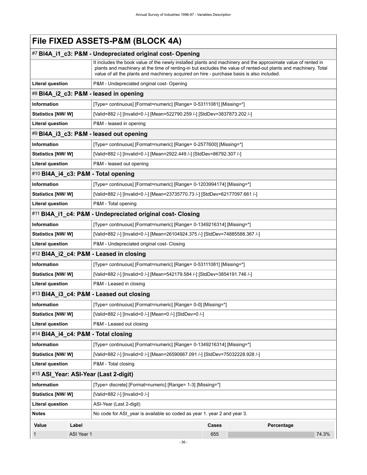# **File FIXED ASSETS-P&M (BLOCK 4A)**

|                           |                                                                            | #7 BI4A_i1_c3: P&M - Undepreciated original cost- Opening                                                                                                                                                                                                                                                                     |       |            |       |
|---------------------------|----------------------------------------------------------------------------|-------------------------------------------------------------------------------------------------------------------------------------------------------------------------------------------------------------------------------------------------------------------------------------------------------------------------------|-------|------------|-------|
|                           |                                                                            | It includes the book value of the newly installed plants and machinery and the approximate value of rented in<br>plants and machinery at the time of renting-in but excludes the value of rented-out plants and machinery. Total<br>value of all the plants and machinery acquired on hire - purchase basis is also included. |       |            |       |
| <b>Literal question</b>   |                                                                            | P&M - Undepreciated original cost- Opening                                                                                                                                                                                                                                                                                    |       |            |       |
|                           |                                                                            | #8 BI4A_i2_c3: P&M - leased in opening                                                                                                                                                                                                                                                                                        |       |            |       |
| Information               |                                                                            | [Type= continuous] [Format=numeric] [Range= 0-53111081] [Missing=*]                                                                                                                                                                                                                                                           |       |            |       |
| Statistics [NW/W]         |                                                                            | [Valid=882 /-] [Invalid=0 /-] [Mean=522790.259 /-] [StdDev=3837873.202 /-]                                                                                                                                                                                                                                                    |       |            |       |
| <b>Literal question</b>   |                                                                            | P&M - leased in opening                                                                                                                                                                                                                                                                                                       |       |            |       |
|                           |                                                                            | #9 BI4A i3 c3: P&M - leased out opening                                                                                                                                                                                                                                                                                       |       |            |       |
| Information               |                                                                            | [Type= continuous] [Format=numeric] [Range= 0-2577600] [Missing=*]                                                                                                                                                                                                                                                            |       |            |       |
| <b>Statistics [NW/W]</b>  |                                                                            | [Valid=882 /-] [Invalid=0 /-] [Mean=2922.449 /-] [StdDev=86792.307 /-]                                                                                                                                                                                                                                                        |       |            |       |
| <b>Literal question</b>   |                                                                            | P&M - leased out opening                                                                                                                                                                                                                                                                                                      |       |            |       |
|                           |                                                                            | #10 BI4A_i4_c3: P&M - Total opening                                                                                                                                                                                                                                                                                           |       |            |       |
| Information               |                                                                            | [Type= continuous] [Format=numeric] [Range= 0-1203994174] [Missing=*]                                                                                                                                                                                                                                                         |       |            |       |
| Statistics [NW/ W]        |                                                                            | [Valid=882 /-] [Invalid=0 /-] [Mean=23735770.73 /-] [StdDev=62177097.661 /-]                                                                                                                                                                                                                                                  |       |            |       |
| <b>Literal question</b>   |                                                                            | P&M - Total opening                                                                                                                                                                                                                                                                                                           |       |            |       |
|                           |                                                                            | #11 BI4A_i1_c4: P&M - Undepreciated original cost- Closing                                                                                                                                                                                                                                                                    |       |            |       |
| Information               |                                                                            | [Type= continuous] [Format=numeric] [Range= 0-1349216314] [Missing=*]                                                                                                                                                                                                                                                         |       |            |       |
| Statistics [NW/W]         |                                                                            | [Valid=882 /-] [Invalid=0 /-] [Mean=26104924.375 /-] [StdDev=74885588.367 /-]                                                                                                                                                                                                                                                 |       |            |       |
| <b>Literal question</b>   | P&M - Undepreciated original cost- Closing                                 |                                                                                                                                                                                                                                                                                                                               |       |            |       |
|                           |                                                                            | #12 BI4A_i2_c4: P&M - Leased in closing                                                                                                                                                                                                                                                                                       |       |            |       |
| Information               |                                                                            | [Type= continuous] [Format=numeric] [Range= 0-53111081] [Missing=*]                                                                                                                                                                                                                                                           |       |            |       |
| <b>Statistics [NW/ W]</b> | [Valid=882 /-] [Invalid=0 /-] [Mean=542179.584 /-] [StdDev=3854191.746 /-] |                                                                                                                                                                                                                                                                                                                               |       |            |       |
| <b>Literal question</b>   | P&M - Leased in closing                                                    |                                                                                                                                                                                                                                                                                                                               |       |            |       |
|                           |                                                                            | #13 BI4A_i3_c4: P&M - Leased out closing                                                                                                                                                                                                                                                                                      |       |            |       |
| Information               |                                                                            | [Type= continuous] [Format=numeric] [Range= 0-0] [Missing=*]                                                                                                                                                                                                                                                                  |       |            |       |
| Statistics [NW/ W]        |                                                                            | [Valid=882 /-] [Invalid=0 /-] [Mean=0 /-] [StdDev=0 /-]                                                                                                                                                                                                                                                                       |       |            |       |
| <b>Literal question</b>   |                                                                            | P&M - Leased out closing                                                                                                                                                                                                                                                                                                      |       |            |       |
|                           |                                                                            | #14 BI4A_i4_c4: P&M - Total closing                                                                                                                                                                                                                                                                                           |       |            |       |
| Information               |                                                                            | [Type= continuous] [Format=numeric] [Range= 0-1349216314] [Missing=*]                                                                                                                                                                                                                                                         |       |            |       |
| Statistics [NW/ W]        |                                                                            | [Valid=882 /-] [Invalid=0 /-] [Mean=26590667.091 /-] [StdDev=75032228.928 /-]                                                                                                                                                                                                                                                 |       |            |       |
| <b>Literal question</b>   |                                                                            | P&M - Total closing                                                                                                                                                                                                                                                                                                           |       |            |       |
|                           |                                                                            | #15 ASI_Year: ASI-Year (Last 2-digit)                                                                                                                                                                                                                                                                                         |       |            |       |
| Information               |                                                                            | [Type= discrete] [Format=numeric] [Range= 1-3] [Missing=*]                                                                                                                                                                                                                                                                    |       |            |       |
| Statistics [NW/W]         |                                                                            | [Valid=882 /-] [Invalid=0 /-]                                                                                                                                                                                                                                                                                                 |       |            |       |
| <b>Literal question</b>   |                                                                            | ASI-Year (Last 2-digit)                                                                                                                                                                                                                                                                                                       |       |            |       |
| Notes                     |                                                                            | No code for ASI_year is available so coded as year 1. year 2 and year 3.                                                                                                                                                                                                                                                      |       |            |       |
| Value                     | Label                                                                      |                                                                                                                                                                                                                                                                                                                               | Cases | Percentage |       |
|                           | ASI Year 1                                                                 |                                                                                                                                                                                                                                                                                                                               | 655   |            | 74.3% |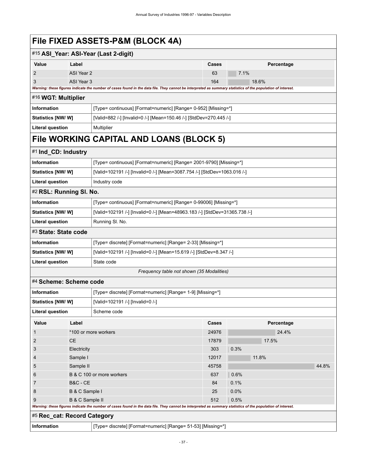| File FIXED ASSETS-P&M (BLOCK 4A) |  |
|----------------------------------|--|
|----------------------------------|--|

| #15 ASI_Year: ASI-Year (Last 2-digit) |            |                                                                                                                                                             |       |            |
|---------------------------------------|------------|-------------------------------------------------------------------------------------------------------------------------------------------------------------|-------|------------|
| Value                                 | Label      |                                                                                                                                                             | Cases | Percentage |
| $\overline{2}$                        | ASI Year 2 |                                                                                                                                                             | 63    | 7.1%       |
| 3                                     | ASI Year 3 |                                                                                                                                                             | 164   | 18.6%      |
|                                       |            | Warning: these figures indicate the number of cases found in the data file. They cannot be interpreted as summary statistics of the population of interest. |       |            |
| #16 WGT: Multiplier                   |            |                                                                                                                                                             |       |            |
| Information                           |            | [Type= continuous] [Format=numeric] [Range= 0-952] [Missing=*]                                                                                              |       |            |
| Statistics [NW/W]                     |            | [Valid=882 /-] [Invalid=0 /-] [Mean=150.46 /-] [StdDev=270.445 /-]                                                                                          |       |            |
| <b>Literal question</b>               |            | Multiplier                                                                                                                                                  |       |            |
|                                       |            | File WORKING CAPITAL AND LOANS (BLOCK 5)                                                                                                                    |       |            |
| #1 Ind_CD: Industry                   |            |                                                                                                                                                             |       |            |
| Information                           |            | [Type= continuous] [Format=numeric] [Range= 2001-9790] [Missing=*]                                                                                          |       |            |
| Statistics [NW/ W]                    |            | [Valid=102191 /-] [Invalid=0 /-] [Mean=3087.754 /-] [StdDev=1063.016 /-]                                                                                    |       |            |
| <b>Literal question</b>               |            | Industry code                                                                                                                                               |       |            |
| #2 RSL: Running SI. No.               |            |                                                                                                                                                             |       |            |
| Information                           |            | [Type= continuous] [Format=numeric] [Range= 0-99006] [Missing=*]                                                                                            |       |            |
| Statistics [NW/W]                     |            | [Valid=102191 /-] [Invalid=0 /-] [Mean=48963.183 /-] [StdDev=31365.738 /-]                                                                                  |       |            |
| <b>Literal question</b>               |            | Running SI. No.                                                                                                                                             |       |            |
| #3 State: State code                  |            |                                                                                                                                                             |       |            |
| <b>Information</b>                    |            | [Type= discrete] [Format=numeric] [Range= 2-33] [Missing=*]                                                                                                 |       |            |
| Statistics [NW/W]                     |            | [Valid=102191 /-] [Invalid=0 /-] [Mean=15.619 /-] [StdDev=8.347 /-]                                                                                         |       |            |
| <b>Literal question</b>               |            | State code                                                                                                                                                  |       |            |

#### *Frequency table not shown (35 Modalities)*

### #4 **Scheme: Scheme code**

| <b>Information</b><br>[Type= discrete] [Format=numeric] [Range= 1-9] [Missing=*] |                           |                                                                                                                                                             |              |       |            |       |
|----------------------------------------------------------------------------------|---------------------------|-------------------------------------------------------------------------------------------------------------------------------------------------------------|--------------|-------|------------|-------|
| Statistics [NW/W]<br>[Valid=102191 /-] [Invalid=0 /-]                            |                           |                                                                                                                                                             |              |       |            |       |
| Literal question<br>Scheme code                                                  |                           |                                                                                                                                                             |              |       |            |       |
| Value                                                                            | Label                     |                                                                                                                                                             | <b>Cases</b> |       | Percentage |       |
|                                                                                  |                           | *100 or more workers                                                                                                                                        | 24976        |       | 24.4%      |       |
| 2                                                                                | <b>CE</b>                 |                                                                                                                                                             | 17879        |       | 17.5%      |       |
| 3                                                                                | Electricity               |                                                                                                                                                             | 303          | 0.3%  |            |       |
| 4                                                                                | Sample I                  |                                                                                                                                                             | 12017        | 11.8% |            |       |
| 5                                                                                | Sample II                 |                                                                                                                                                             | 45758        |       |            | 44.8% |
| 6                                                                                | B & C 100 or more workers |                                                                                                                                                             | 637          | 0.6%  |            |       |
|                                                                                  | <b>B&amp;C - CE</b>       |                                                                                                                                                             | 84           | 0.1%  |            |       |
| 8                                                                                | B & C Sample I            |                                                                                                                                                             | 25           | 0.0%  |            |       |
| B & C Sample II<br>9                                                             |                           | 512                                                                                                                                                         | 0.5%         |       |            |       |
|                                                                                  |                           | Warning: these figures indicate the number of cases found in the data file. They cannot be interpreted as summary statistics of the population of interest. |              |       |            |       |
| #5 Rec_cat: Record Category                                                      |                           |                                                                                                                                                             |              |       |            |       |
| <b>Information</b>                                                               |                           | [Type= discrete] [Format=numeric] [Range= 51-53] [Missing=*]                                                                                                |              |       |            |       |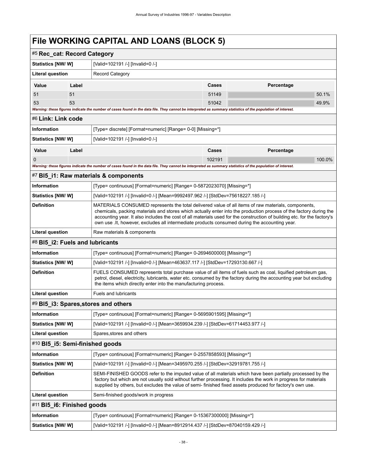| #5 Rec_cat: Record Category     |                                                                                                                                                                                                                                                                                                                                                                                                                                                      |                                                                                                                                                             |        |            |
|---------------------------------|------------------------------------------------------------------------------------------------------------------------------------------------------------------------------------------------------------------------------------------------------------------------------------------------------------------------------------------------------------------------------------------------------------------------------------------------------|-------------------------------------------------------------------------------------------------------------------------------------------------------------|--------|------------|
| <b>Statistics [NW/ W]</b>       |                                                                                                                                                                                                                                                                                                                                                                                                                                                      | [Valid=102191 /-] [Invalid=0 /-]                                                                                                                            |        |            |
| Literal question                |                                                                                                                                                                                                                                                                                                                                                                                                                                                      | <b>Record Category</b>                                                                                                                                      |        |            |
| Value                           | Label                                                                                                                                                                                                                                                                                                                                                                                                                                                |                                                                                                                                                             | Cases  | Percentage |
| 51                              | 51                                                                                                                                                                                                                                                                                                                                                                                                                                                   |                                                                                                                                                             | 51149  | 50.1%      |
| 53                              | 53                                                                                                                                                                                                                                                                                                                                                                                                                                                   |                                                                                                                                                             | 51042  | 49.9%      |
|                                 |                                                                                                                                                                                                                                                                                                                                                                                                                                                      | Warning: these figures indicate the number of cases found in the data file. They cannot be interpreted as summary statistics of the population of interest. |        |            |
| #6 Link: Link code              |                                                                                                                                                                                                                                                                                                                                                                                                                                                      |                                                                                                                                                             |        |            |
| <b>Information</b>              |                                                                                                                                                                                                                                                                                                                                                                                                                                                      | [Type= discrete] [Format=numeric] [Range= 0-0] [Missing=*]                                                                                                  |        |            |
| Statistics [NW/W]               |                                                                                                                                                                                                                                                                                                                                                                                                                                                      | [Valid=102191 /-] [Invalid=0 /-]                                                                                                                            |        |            |
| Value                           | Label                                                                                                                                                                                                                                                                                                                                                                                                                                                |                                                                                                                                                             | Cases  | Percentage |
| 0                               |                                                                                                                                                                                                                                                                                                                                                                                                                                                      |                                                                                                                                                             | 102191 | 100.0%     |
|                                 |                                                                                                                                                                                                                                                                                                                                                                                                                                                      | Warning: these figures indicate the number of cases found in the data file. They cannot be interpreted as summary statistics of the population of interest. |        |            |
|                                 |                                                                                                                                                                                                                                                                                                                                                                                                                                                      | #7 BI5_i1: Raw materials & components                                                                                                                       |        |            |
| <b>Information</b>              |                                                                                                                                                                                                                                                                                                                                                                                                                                                      | [Type= continuous] [Format=numeric] [Range= 0-5872023070] [Missing=*]                                                                                       |        |            |
| <b>Statistics [NW/ W]</b>       |                                                                                                                                                                                                                                                                                                                                                                                                                                                      | [Valid=102191 /-] [Invalid=0 /-] [Mean=9992497.962 /-] [StdDev=75618227.185 /-]                                                                             |        |            |
| <b>Definition</b>               | MATERIALS CONSUMED represents the total delivered value of all items of raw materials, components,<br>chemicals, packing materials and stores which actually enter into the production process of the factory during the<br>accounting year. It also includes the cost of all materials used for the construction of building etc. for the factory's<br>own use lt, however, excludes all intermediate products consumed during the accounting year. |                                                                                                                                                             |        |            |
| Literal question                |                                                                                                                                                                                                                                                                                                                                                                                                                                                      | Raw materials & components                                                                                                                                  |        |            |
| #8 BI5_i2: Fuels and lubricants |                                                                                                                                                                                                                                                                                                                                                                                                                                                      |                                                                                                                                                             |        |            |
| Information                     | [Type= continuous] [Format=numeric] [Range= 0-2694600000] [Missing=*]                                                                                                                                                                                                                                                                                                                                                                                |                                                                                                                                                             |        |            |
|                                 | <b>Statistics [NW/ W]</b><br>[Valid=102191 /-] [Invalid=0 /-] [Mean=463637.117 /-] [StdDev=17293130.667 /-]                                                                                                                                                                                                                                                                                                                                          |                                                                                                                                                             |        |            |
| <b>Definition</b>               | FUELS CONSUMED represents total purchase value of all items of fuels such as coal, liquified petroleum gas,<br>petrol, diesel, electricity, lubricants, water etc. consumed by the factory during the accounting year but excluding<br>the items which directly enter into the manufacturing process.                                                                                                                                                |                                                                                                                                                             |        |            |
| <b>Literal question</b>         |                                                                                                                                                                                                                                                                                                                                                                                                                                                      | <b>Fuels and lubricants</b>                                                                                                                                 |        |            |
|                                 |                                                                                                                                                                                                                                                                                                                                                                                                                                                      | #9 BI5_i3: Spares, stores and others                                                                                                                        |        |            |
| <b>Information</b>              |                                                                                                                                                                                                                                                                                                                                                                                                                                                      | [Type= continuous] [Format=numeric] [Range= 0-5695901595] [Missing=*]                                                                                       |        |            |
| <b>Statistics [NW/ W]</b>       |                                                                                                                                                                                                                                                                                                                                                                                                                                                      | [Valid=102191 /-] [Invalid=0 /-] [Mean=3659934.239 /-] [StdDev=61714453.977 /-]                                                                             |        |            |
| <b>Literal question</b>         |                                                                                                                                                                                                                                                                                                                                                                                                                                                      | Spares, stores and others                                                                                                                                   |        |            |
| #10 BI5 i5: Semi-finished goods |                                                                                                                                                                                                                                                                                                                                                                                                                                                      |                                                                                                                                                             |        |            |
| Information                     |                                                                                                                                                                                                                                                                                                                                                                                                                                                      | [Type= continuous] [Format=numeric] [Range= 0-2557858593] [Missing=*]                                                                                       |        |            |
| Statistics [NW/W]               |                                                                                                                                                                                                                                                                                                                                                                                                                                                      | [Valid=102191 /-] [Invalid=0 /-] [Mean=3495970.255 /-] [StdDev=32919781.755 /-]                                                                             |        |            |
| <b>Definition</b>               | SEMI-FINISHED GOODS refer to the imputed value of all materials which have been partially processed by the<br>factory but which are not usually sold without further processing. It includes the work in progress for materials<br>supplied by others, but excludes the value of semi-finished fixed assets produced for factory's own use.                                                                                                          |                                                                                                                                                             |        |            |
| Literal question                |                                                                                                                                                                                                                                                                                                                                                                                                                                                      | Semi-finished goods/work in progress                                                                                                                        |        |            |
| #11 BI5_i6: Finished goods      |                                                                                                                                                                                                                                                                                                                                                                                                                                                      |                                                                                                                                                             |        |            |
| Information                     |                                                                                                                                                                                                                                                                                                                                                                                                                                                      | [Type= continuous] [Format=numeric] [Range= 0-15367300000] [Missing=*]                                                                                      |        |            |
| Statistics [NW/W]               |                                                                                                                                                                                                                                                                                                                                                                                                                                                      | [Valid=102191 /-] [Invalid=0 /-] [Mean=8912914.437 /-] [StdDev=87040159.429 /-]                                                                             |        |            |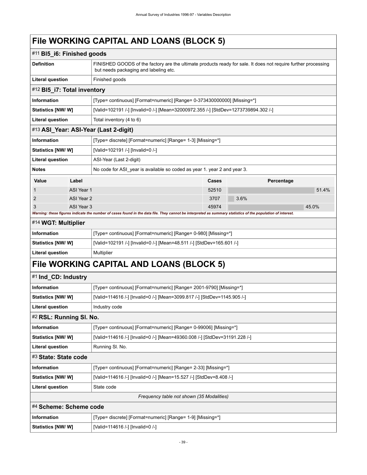| #11 BI5_i6: Finished goods  |                                                               |                                                                                                                                                             |       |            |       |
|-----------------------------|---------------------------------------------------------------|-------------------------------------------------------------------------------------------------------------------------------------------------------------|-------|------------|-------|
| <b>Definition</b>           |                                                               | FINISHED GOODS of the factory are the ultimate products ready for sale. It does not require further processing<br>but needs packaging and labeling etc.     |       |            |       |
| <b>Literal question</b>     |                                                               | Finished goods                                                                                                                                              |       |            |       |
| #12 BI5_i7: Total inventory |                                                               |                                                                                                                                                             |       |            |       |
| Information                 |                                                               | [Type= continuous] [Format=numeric] [Range= 0-373430000000] [Missing=*]                                                                                     |       |            |       |
| <b>Statistics [NW/W]</b>    |                                                               | [Valid=102191 /-] [Invalid=0 /-] [Mean=32000972.355 /-] [StdDev=1273739894.302 /-]                                                                          |       |            |       |
| <b>Literal question</b>     |                                                               | Total inventory (4 to 6)                                                                                                                                    |       |            |       |
|                             |                                                               | #13 ASI_Year: ASI-Year (Last 2-digit)                                                                                                                       |       |            |       |
| Information                 |                                                               | [Type= discrete] [Format=numeric] [Range= 1-3] [Missing=*]                                                                                                  |       |            |       |
| <b>Statistics [NW/W]</b>    |                                                               | [Valid=102191 /-] [Invalid=0 /-]                                                                                                                            |       |            |       |
| <b>Literal question</b>     |                                                               | ASI-Year (Last 2-digit)                                                                                                                                     |       |            |       |
| <b>Notes</b>                |                                                               | No code for ASI year is available so coded as year 1. year 2 and year 3.                                                                                    |       |            |       |
| <b>Value</b>                | Label                                                         |                                                                                                                                                             | Cases | Percentage |       |
|                             | ASI Year 1                                                    |                                                                                                                                                             | 52510 |            | 51.4% |
| 2                           | ASI Year 2                                                    |                                                                                                                                                             | 3707  | 3.6%       |       |
| 3                           | ASI Year 3                                                    | Warning: these figures indicate the number of cases found in the data file. They cannot be interpreted as summary statistics of the population of interest. | 45974 |            | 45.0% |
| #14 WGT: Multiplier         |                                                               |                                                                                                                                                             |       |            |       |
| <b>Information</b>          |                                                               | [Type= continuous] [Format=numeric] [Range= 0-980] [Missing=*]                                                                                              |       |            |       |
| <b>Statistics [NW/W]</b>    |                                                               | [Valid=102191 /-] [Invalid=0 /-] [Mean=48.511 /-] [StdDev=165.601 /-]                                                                                       |       |            |       |
| <b>Literal question</b>     |                                                               | Multiplier                                                                                                                                                  |       |            |       |
|                             |                                                               | File WORKING CAPITAL AND LOANS (BLOCK 5)                                                                                                                    |       |            |       |
| #1 Ind_CD: Industry         |                                                               |                                                                                                                                                             |       |            |       |
| Information                 |                                                               | [Type= continuous] [Format=numeric] [Range= 2001-9790] [Missing=*]                                                                                          |       |            |       |
| <b>Statistics [NW/W]</b>    |                                                               | [Valid=114616 /-] [Invalid=0 /-] [Mean=3099.817 /-] [StdDev=1145.905 /-]                                                                                    |       |            |       |
| <b>Literal question</b>     |                                                               | Industry code                                                                                                                                               |       |            |       |
| #2 RSL: Running SI. No.     |                                                               |                                                                                                                                                             |       |            |       |
| Information                 |                                                               | [Type= continuous] [Format=numeric] [Range= 0-99006] [Missing=*]                                                                                            |       |            |       |
| <b>Statistics [NW/W]</b>    |                                                               | [Valid=114616 /-] [Invalid=0 /-] [Mean=49360.008 /-] [StdDev=31191.228 /-]                                                                                  |       |            |       |
| <b>Literal question</b>     |                                                               | Running SI. No.                                                                                                                                             |       |            |       |
| #3 State: State code        |                                                               |                                                                                                                                                             |       |            |       |
| Information                 | [Type= continuous] [Format=numeric] [Range= 2-33] [Missing=*] |                                                                                                                                                             |       |            |       |
| Statistics [NW/ W]          |                                                               | [Valid=114616 /-] [Invalid=0 /-] [Mean=15.527 /-] [StdDev=8.408 /-]                                                                                         |       |            |       |
| <b>Literal question</b>     |                                                               | State code                                                                                                                                                  |       |            |       |
|                             |                                                               | Frequency table not shown (35 Modalities)                                                                                                                   |       |            |       |
| #4 Scheme: Scheme code      |                                                               |                                                                                                                                                             |       |            |       |
| Information                 |                                                               | [Type= discrete] [Format=numeric] [Range= 1-9] [Missing=*]                                                                                                  |       |            |       |
| Statistics [NW/W]           |                                                               | [Valid=114616 /-] [Invalid=0 /-]                                                                                                                            |       |            |       |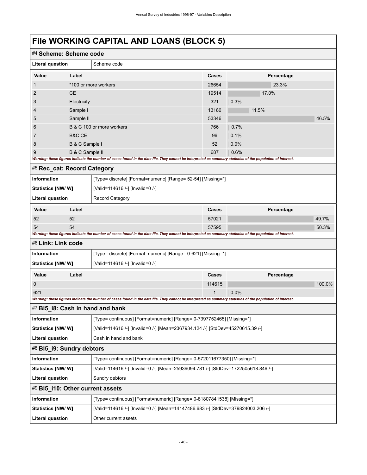| #4 Scheme: Scheme code           |                   |                                                                                                                                                             |              |            |        |
|----------------------------------|-------------------|-------------------------------------------------------------------------------------------------------------------------------------------------------------|--------------|------------|--------|
| <b>Literal question</b>          | Scheme code       |                                                                                                                                                             |              |            |        |
| Value                            | Label             |                                                                                                                                                             | Cases        | Percentage |        |
| $\mathbf 1$                      |                   | *100 or more workers                                                                                                                                        | 26654        | 23.3%      |        |
| 2                                | <b>CE</b>         |                                                                                                                                                             | 19514        | 17.0%      |        |
| 3                                | Electricity       |                                                                                                                                                             | 321          | 0.3%       |        |
| 4                                | Sample I          |                                                                                                                                                             | 13180        | 11.5%      |        |
| 5                                | Sample II         |                                                                                                                                                             | 53346        |            | 46.5%  |
| 6                                |                   | B & C 100 or more workers                                                                                                                                   | 766          | 0.7%       |        |
| 7                                | <b>B&amp;C CE</b> |                                                                                                                                                             | 96           | 0.1%       |        |
| 8                                | B & C Sample I    |                                                                                                                                                             | 52           | 0.0%       |        |
| 9                                | B & C Sample II   |                                                                                                                                                             | 687          | 0.6%       |        |
|                                  |                   | Warning: these figures indicate the number of cases found in the data file. They cannot be interpreted as summary statistics of the population of interest. |              |            |        |
| #5 Rec_cat: Record Category      |                   |                                                                                                                                                             |              |            |        |
| <b>Information</b>               |                   | [Type= discrete] [Format=numeric] [Range= 52-54] [Missing=*]                                                                                                |              |            |        |
| <b>Statistics [NW/W]</b>         |                   | [Valid=114616 /-] [Invalid=0 /-]                                                                                                                            |              |            |        |
| <b>Literal question</b>          |                   | <b>Record Category</b>                                                                                                                                      |              |            |        |
| Value                            | Label             |                                                                                                                                                             | Cases        | Percentage |        |
| 52                               | 52                |                                                                                                                                                             | 57021        |            | 49.7%  |
| 54                               | 54                |                                                                                                                                                             | 57595        |            | 50.3%  |
|                                  |                   | Warning: these figures indicate the number of cases found in the data file. They cannot be interpreted as summary statistics of the population of interest. |              |            |        |
| #6 Link: Link code               |                   |                                                                                                                                                             |              |            |        |
| <b>Information</b>               |                   | [Type= discrete] [Format=numeric] [Range= 0-621] [Missing=*]                                                                                                |              |            |        |
| Statistics [NW/W]                |                   | [Valid=114616 /-] [Invalid=0 /-]                                                                                                                            |              |            |        |
| Value                            | Label             |                                                                                                                                                             | Cases        | Percentage |        |
| 0                                |                   |                                                                                                                                                             | 114615       |            | 100.0% |
| 621                              |                   |                                                                                                                                                             | $\mathbf{1}$ | 0.0%       |        |
|                                  |                   | Warning: these figures indicate the number of cases found in the data file. They cannot be interpreted as summary statistics of the population of interest. |              |            |        |
|                                  |                   | #7 BI5_i8: Cash in hand and bank                                                                                                                            |              |            |        |
| Information                      |                   | [Type= continuous] [Format=numeric] [Range= 0-7397752465] [Missing=*]                                                                                       |              |            |        |
| Statistics [NW/W]                |                   | [Valid=114616 /-] [Invalid=0 /-] [Mean=2367934.124 /-] [StdDev=45270615.39 /-]                                                                              |              |            |        |
| <b>Literal question</b>          |                   | Cash in hand and bank                                                                                                                                       |              |            |        |
| #8 BI5_i9: Sundry debtors        |                   |                                                                                                                                                             |              |            |        |
| Information                      |                   | [Type= continuous] [Format=numeric] [Range= 0-572011677350] [Missing=*]                                                                                     |              |            |        |
| Statistics [NW/W]                |                   | [Valid=114616 /-] [Invalid=0 /-] [Mean=25939094.781 /-] [StdDev=1722505618.846 /-]                                                                          |              |            |        |
| <b>Literal question</b>          |                   | Sundry debtors                                                                                                                                              |              |            |        |
| #9 BI5_i10: Other current assets |                   |                                                                                                                                                             |              |            |        |
| Information                      |                   | [Type= continuous] [Format=numeric] [Range= 0-81807841538] [Missing=*]                                                                                      |              |            |        |
| Statistics [NW/W]                |                   | [Valid=114616 /-] [Invalid=0 /-] [Mean=14147486.683 /-] [StdDev=379824003.206 /-]                                                                           |              |            |        |
| <b>Literal question</b>          |                   | Other current assets                                                                                                                                        |              |            |        |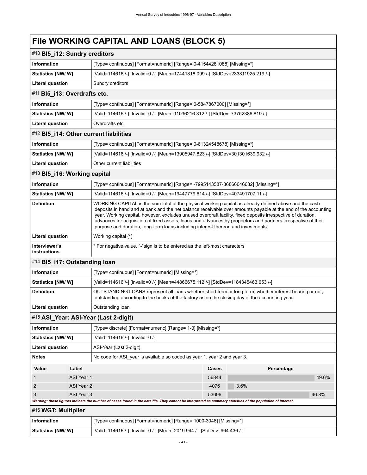### #10 **Bl5\_i12: Sundry creditors**

| Information               | [Type= continuous] [Format=numeric] [Range= 0-41544281088] [Missing=*]            |
|---------------------------|-----------------------------------------------------------------------------------|
| <b>Statistics [NW/ W]</b> | [Valid=114616 /-] [Invalid=0 /-] [Mean=17441818.099 /-] [StdDev=233811925.219 /-] |
| Literal question          | Sundry creditors                                                                  |

### #11 **Bl5\_i13: Overdrafts etc.**

| Information                                     | [Type= continuous] [Format=numeric] [Range= 0-5847867000] [Missing=*]            |  |
|-------------------------------------------------|----------------------------------------------------------------------------------|--|
| <b>Statistics [NW/ W]</b>                       | [Valid=114616 /-] [Invalid=0 /-] [Mean=11036216.312 /-] [StdDev=73752386.819 /-] |  |
| Literal question                                | Overdrafts etc.                                                                  |  |
| $#12$ BI5 $114 \cdot$ Other current liabilities |                                                                                  |  |

#### #12 **Bl5\_i14: Other current liabilities**

| ∣ Information           | [Type= continuous] [Format=numeric] [Range= 0-61324548678] [Missing=*]            |
|-------------------------|-----------------------------------------------------------------------------------|
| Statistics [NW/ W]      | [Valid=114616 /-] [Invalid=0 /-] [Mean=13905947.823 /-] [StdDev=301301639.932 /-] |
| <b>Literal question</b> | Other current liabilities                                                         |

### #13 **Bl5\_i16: Working capital**

| <b>Information</b>            | [Type= continuous] [Format=numeric] [Range= -7995143587-86866046682] [Missing=*]                                                                                                                                                                                                                                                                                                                                                                                                                                                               |
|-------------------------------|------------------------------------------------------------------------------------------------------------------------------------------------------------------------------------------------------------------------------------------------------------------------------------------------------------------------------------------------------------------------------------------------------------------------------------------------------------------------------------------------------------------------------------------------|
| Statistics [NW/W]             | [Valid=114616 /-] [Invalid=0 /-] [Mean=19447779.614 /-] [StdDev=407491707.11 /-]                                                                                                                                                                                                                                                                                                                                                                                                                                                               |
| <b>Definition</b>             | WORKING CAPITAL is the sum total of the physical working capital as already defined above and the cash<br>deposits in hand and at bank and the net balance receivable over amounts payable at the end of the accounting<br>year. Working capital, however, excludes unused overdraft facility, fixed deposits irrespective of duration,<br>advances for acquisition of fixed assets, loans and advances by proprietors and partners irrespective of their<br>purpose and duration, long-term loans including interest thereon and investments. |
| Literal question              | Working capital (*)                                                                                                                                                                                                                                                                                                                                                                                                                                                                                                                            |
| Interviewer's<br>instructions | * For negative value, "-"sign is to be entered as the left-most characters                                                                                                                                                                                                                                                                                                                                                                                                                                                                     |

### #14 **Bl5\_i17: Outstanding loan**

| Information              | [Type= continuous] [Format=numeric] [Missing=*]                                                                                                                                                            |
|--------------------------|------------------------------------------------------------------------------------------------------------------------------------------------------------------------------------------------------------|
| <b>Statistics [NW/W]</b> | [Valid=114616 /-] [Invalid=0 /-] [Mean=44866675.112 /-] [StdDev=1184345463.653 /-]                                                                                                                         |
| <b>Definition</b>        | OUTSTANDING LOANS represent all loans whether short term or long term, whether interest bearing or not,<br>outstanding according to the books of the factory as on the closing day of the accounting year. |
| <b>Literal question</b>  | Outstanding loan                                                                                                                                                                                           |

### #15 **ASI\_Year: ASI-Year (Last 2-digit)**

| Information                                                                                                                                                 |                                                                          | [Type= discrete] [Format=numeric] [Range= 1-3] [Missing=*] |       |            |       |
|-------------------------------------------------------------------------------------------------------------------------------------------------------------|--------------------------------------------------------------------------|------------------------------------------------------------|-------|------------|-------|
| <b>Statistics [NW/ W]</b>                                                                                                                                   |                                                                          | [Valid=114616 /-] [Invalid=0 /-]                           |       |            |       |
| <b>Literal question</b>                                                                                                                                     |                                                                          | ASI-Year (Last 2-digit)                                    |       |            |       |
| <b>Notes</b>                                                                                                                                                | No code for ASI year is available so coded as year 1, year 2 and year 3. |                                                            |       |            |       |
| Value                                                                                                                                                       | Label                                                                    |                                                            | Cases | Percentage |       |
|                                                                                                                                                             | ASI Year 1                                                               |                                                            | 56844 |            | 49.6% |
| 2                                                                                                                                                           | ASI Year 2                                                               |                                                            | 4076  | 3.6%       |       |
| 3                                                                                                                                                           | ASI Year 3                                                               |                                                            | 53696 |            | 46.8% |
| Warning: these figures indicate the number of cases found in the data file. They cannot be interpreted as summary statistics of the population of interest. |                                                                          |                                                            |       |            |       |
| #16 WGT: Multiplier                                                                                                                                         |                                                                          |                                                            |       |            |       |
|                                                                                                                                                             |                                                                          |                                                            |       |            |       |

| Information        | [Type= continuous] [Format=numeric] [Range= 1000-3048] [Missing=*]      |
|--------------------|-------------------------------------------------------------------------|
| Statistics [NW/ W] | [Valid=114616 /-] [Invalid=0 /-] [Mean=2019.944 /-] [StdDev=964.436 /-] |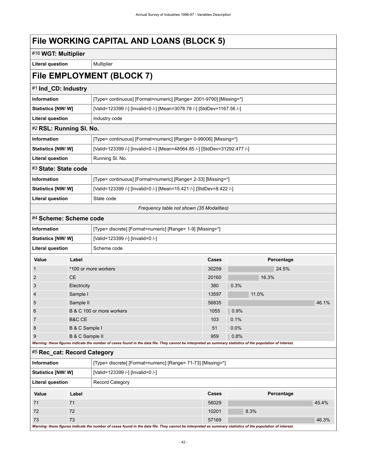| #16 WGT: Multiplier                                   |                 |                                                                                                                                                             |                                                                  |       |            |       |
|-------------------------------------------------------|-----------------|-------------------------------------------------------------------------------------------------------------------------------------------------------------|------------------------------------------------------------------|-------|------------|-------|
| <b>Literal question</b>                               |                 | Multiplier                                                                                                                                                  |                                                                  |       |            |       |
|                                                       |                 | File EMPLOYMENT (BLOCK 7)                                                                                                                                   |                                                                  |       |            |       |
| #1 Ind_CD: Industry                                   |                 |                                                                                                                                                             |                                                                  |       |            |       |
| <b>Information</b>                                    |                 | [Type= continuous] [Format=numeric] [Range= 2001-9790] [Missing=*]                                                                                          |                                                                  |       |            |       |
| Statistics [NW/W]                                     |                 | [Valid=123399 /-] [Invalid=0 /-] [Mean=3078.78 /-] [StdDev=1167.56 /-]                                                                                      |                                                                  |       |            |       |
| <b>Literal question</b>                               |                 | Industry code                                                                                                                                               |                                                                  |       |            |       |
| #2 RSL: Running SI. No.                               |                 |                                                                                                                                                             |                                                                  |       |            |       |
| Information                                           |                 |                                                                                                                                                             | [Type= continuous] [Format=numeric] [Range= 0-99006] [Missing=*] |       |            |       |
| <b>Statistics [NW/W]</b>                              |                 | [Valid=123399 /-] [Invalid=0 /-] [Mean=48564.85 /-] [StdDev=31292.477 /-]                                                                                   |                                                                  |       |            |       |
| <b>Literal question</b>                               |                 | Running SI. No.                                                                                                                                             |                                                                  |       |            |       |
| #3 State: State code                                  |                 |                                                                                                                                                             |                                                                  |       |            |       |
| <b>Information</b>                                    |                 | [Type= continuous] [Format=numeric] [Range= 2-33] [Missing=*]                                                                                               |                                                                  |       |            |       |
| Statistics [NW/W]                                     |                 | [Valid=123399 /-] [Invalid=0 /-] [Mean=15.421 /-] [StdDev=8.422 /-]                                                                                         |                                                                  |       |            |       |
| <b>Literal question</b>                               |                 | State code                                                                                                                                                  |                                                                  |       |            |       |
|                                                       |                 | Frequency table not shown (35 Modalities)                                                                                                                   |                                                                  |       |            |       |
| #4 Scheme: Scheme code                                |                 |                                                                                                                                                             |                                                                  |       |            |       |
| <b>Information</b>                                    |                 | [Type= discrete] [Format=numeric] [Range= 1-9] [Missing=*]                                                                                                  |                                                                  |       |            |       |
| Statistics [NW/W]<br>[Valid=123399 /-] [Invalid=0 /-] |                 |                                                                                                                                                             |                                                                  |       |            |       |
| <b>Literal question</b>                               |                 | Scheme code                                                                                                                                                 |                                                                  |       |            |       |
| Value                                                 | Label           |                                                                                                                                                             | Cases                                                            |       | Percentage |       |
| 1                                                     |                 | *100 or more workers                                                                                                                                        | 30259                                                            |       | 24.5%      |       |
| 2                                                     | <b>CE</b>       |                                                                                                                                                             | 20160                                                            | 16.3% |            |       |
| 3                                                     | Electricity     |                                                                                                                                                             | 380                                                              | 0.3%  |            |       |
| 4                                                     | Sample I        |                                                                                                                                                             | 13597                                                            | 11.0% |            |       |
| 5                                                     | Sample II       |                                                                                                                                                             | 56835                                                            |       |            | 46.1% |
| 6                                                     |                 | B & C 100 or more workers                                                                                                                                   | 1055                                                             | 0.9%  |            |       |
| $\overline{7}$                                        | B&C CE          |                                                                                                                                                             | 103                                                              | 0.1%  |            |       |
| 8                                                     | B & C Sample I  |                                                                                                                                                             | 51<br>959                                                        | 0.0%  |            |       |
| 9                                                     | B & C Sample II | Warning: these figures indicate the number of cases found in the data file. They cannot be interpreted as summary statistics of the population of interest. |                                                                  | 0.8%  |            |       |
| #5 Rec_cat: Record Category                           |                 |                                                                                                                                                             |                                                                  |       |            |       |
| Information                                           |                 | [Type= discrete] [Format=numeric] [Range= 71-73] [Missing=*]                                                                                                |                                                                  |       |            |       |
| Statistics [NW/W]                                     |                 | [Valid=123399 /-] [Invalid=0 /-]                                                                                                                            |                                                                  |       |            |       |
| <b>Literal question</b>                               |                 | <b>Record Category</b>                                                                                                                                      |                                                                  |       |            |       |
| Value                                                 | Label           |                                                                                                                                                             | Cases                                                            |       | Percentage |       |
| 71                                                    | 71              |                                                                                                                                                             | 56029                                                            |       |            | 45.4% |
| 72                                                    | 72              |                                                                                                                                                             | 10201                                                            | 8.3%  |            |       |
| 73                                                    | 73              |                                                                                                                                                             | 57169                                                            |       |            | 46.3% |

*Warning: these figures indicate the number of cases found in the data file. They cannot be interpreted as summary statistics of the population of interest.*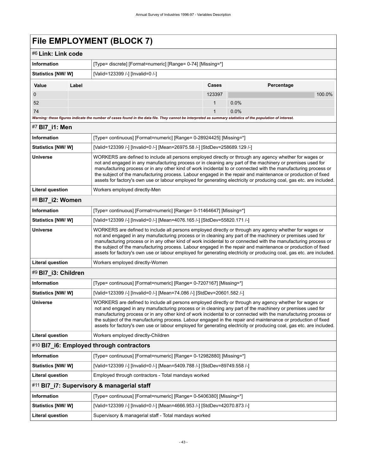# **File EMPLOYMENT (BLOCK 7)**

|                         | FIIG EMPLOYMENT (BLOCK 7)                                                                                                                                                                                                                                                                                                                                                                                                                                                                                                                                                         |        |            |        |
|-------------------------|-----------------------------------------------------------------------------------------------------------------------------------------------------------------------------------------------------------------------------------------------------------------------------------------------------------------------------------------------------------------------------------------------------------------------------------------------------------------------------------------------------------------------------------------------------------------------------------|--------|------------|--------|
| #6 Link: Link code      |                                                                                                                                                                                                                                                                                                                                                                                                                                                                                                                                                                                   |        |            |        |
| <b>Information</b>      | [Type= discrete] [Format=numeric] [Range= 0-74] [Missing=*]                                                                                                                                                                                                                                                                                                                                                                                                                                                                                                                       |        |            |        |
| Statistics [NW/W]       | [Valid=123399 /-] [Invalid=0 /-]                                                                                                                                                                                                                                                                                                                                                                                                                                                                                                                                                  |        |            |        |
| Value<br>Label          |                                                                                                                                                                                                                                                                                                                                                                                                                                                                                                                                                                                   | Cases  | Percentage |        |
| 0                       |                                                                                                                                                                                                                                                                                                                                                                                                                                                                                                                                                                                   | 123397 |            | 100.0% |
| 52                      |                                                                                                                                                                                                                                                                                                                                                                                                                                                                                                                                                                                   | 1      | 0.0%       |        |
| 74                      |                                                                                                                                                                                                                                                                                                                                                                                                                                                                                                                                                                                   | 1      | 0.0%       |        |
|                         | Warning: these figures indicate the number of cases found in the data file. They cannot be interpreted as summary statistics of the population of interest.                                                                                                                                                                                                                                                                                                                                                                                                                       |        |            |        |
| #7 BI7_i1: Men          |                                                                                                                                                                                                                                                                                                                                                                                                                                                                                                                                                                                   |        |            |        |
| <b>Information</b>      | [Type= continuous] [Format=numeric] [Range= 0-28924425] [Missing=*]                                                                                                                                                                                                                                                                                                                                                                                                                                                                                                               |        |            |        |
| Statistics [NW/ W]      | [Valid=123399 /-] [Invalid=0 /-] [Mean=26975.58 /-] [StdDev=258689.129 /-]                                                                                                                                                                                                                                                                                                                                                                                                                                                                                                        |        |            |        |
| <b>Universe</b>         | WORKERS are defined to include all persons employed directly or through any agency whether for wages or<br>not and engaged in any manufacturing process or in cleaning any part of the machinery or premises used for<br>manufacturing process or in any other kind of work incidental to or connected with the manufacturing process or<br>the subject of the manufacturing process. Labour engaged in the repair and maintenance or production of fixed<br>assets for factory's own use or labour employed for generating electricity or producing coal, gas etc. are included. |        |            |        |
| <b>Literal question</b> | Workers employed directly-Men                                                                                                                                                                                                                                                                                                                                                                                                                                                                                                                                                     |        |            |        |
| #8 BI7_i2: Women        |                                                                                                                                                                                                                                                                                                                                                                                                                                                                                                                                                                                   |        |            |        |
| <b>Information</b>      | [Type= continuous] [Format=numeric] [Range= 0-11464647] [Missing=*]                                                                                                                                                                                                                                                                                                                                                                                                                                                                                                               |        |            |        |
| Statistics [NW/W]       | [Valid=123399 /-] [Invalid=0 /-] [Mean=4076.165 /-] [StdDev=55820.171 /-]                                                                                                                                                                                                                                                                                                                                                                                                                                                                                                         |        |            |        |
| <b>Universe</b>         | WORKERS are defined to include all persons employed directly or through any agency whether for wages or<br>not and engaged in any manufacturing process or in cleaning any part of the machinery or premises used for<br>manufacturing process or in any other kind of work incidental to or connected with the manufacturing process or<br>the subject of the manufacturing process. Labour engaged in the repair and maintenance or production of fixed<br>assets for factory's own use or labour employed for generating electricity or producing coal, gas etc. are included. |        |            |        |
| <b>Literal question</b> | Workers employed directly-Women                                                                                                                                                                                                                                                                                                                                                                                                                                                                                                                                                   |        |            |        |
| #9 BI7_i3: Children     |                                                                                                                                                                                                                                                                                                                                                                                                                                                                                                                                                                                   |        |            |        |
| <b>Information</b>      | [Type= continuous] [Format=numeric] [Range= 0-7207167] [Missing=*]                                                                                                                                                                                                                                                                                                                                                                                                                                                                                                                |        |            |        |
| Statistics [NW/W]       | [Valid=123399 /-] [Invalid=0 /-] [Mean=74.086 /-] [StdDev=20601.582 /-]                                                                                                                                                                                                                                                                                                                                                                                                                                                                                                           |        |            |        |
| Universe                | WORKERS are defined to include all persons employed directly or through any agency whether for wages or<br>not and engaged in any manufacturing process or in cleaning any part of the machinery or premises used for<br>manufacturing process or in any other kind of work incidental to or connected with the manufacturing process or<br>the subject of the manufacturing process. Labour engaged in the repair and maintenance or production of fixed<br>assets for factory's own use or labour employed for generating electricity or producing coal, gas etc. are included. |        |            |        |
| <b>Literal question</b> | Workers employed directly-Children                                                                                                                                                                                                                                                                                                                                                                                                                                                                                                                                                |        |            |        |
|                         | #10 BI7_i6: Employed through contractors                                                                                                                                                                                                                                                                                                                                                                                                                                                                                                                                          |        |            |        |
| Information             | [Type= continuous] [Format=numeric] [Range= 0-12982880] [Missing=*]                                                                                                                                                                                                                                                                                                                                                                                                                                                                                                               |        |            |        |
| Statistics [NW/ W]      | [Valid=123399 /-] [Invalid=0 /-] [Mean=5409.788 /-] [StdDev=89749.558 /-]                                                                                                                                                                                                                                                                                                                                                                                                                                                                                                         |        |            |        |
| <b>Literal question</b> | Employed through contractors - Total mandays worked                                                                                                                                                                                                                                                                                                                                                                                                                                                                                                                               |        |            |        |
|                         | #11 BI7_i7: Supervisory & managerial staff                                                                                                                                                                                                                                                                                                                                                                                                                                                                                                                                        |        |            |        |
| <b>Information</b>      | [Type= continuous] [Format=numeric] [Range= 0-5406380] [Missing=*]                                                                                                                                                                                                                                                                                                                                                                                                                                                                                                                |        |            |        |
| Statistics [NW/W]       | [Valid=123399 /-] [Invalid=0 /-] [Mean=4666.953 /-] [StdDev=42070.873 /-]                                                                                                                                                                                                                                                                                                                                                                                                                                                                                                         |        |            |        |
| <b>Literal question</b> | Supervisory & managerial staff - Total mandays worked                                                                                                                                                                                                                                                                                                                                                                                                                                                                                                                             |        |            |        |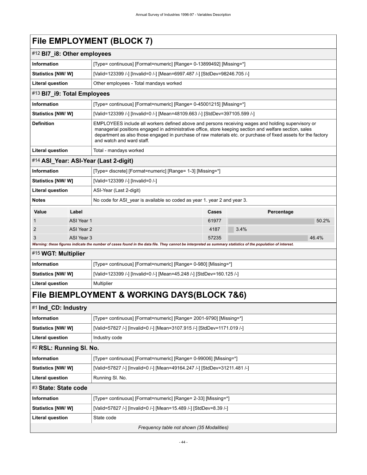# **File EMPLOYMENT (BLOCK 7)**

| #12 BI7_i8: Other employees |                                           |                                                                                                                                                             |                                                                                                                                                                                                                                                                                                                                 |            |       |
|-----------------------------|-------------------------------------------|-------------------------------------------------------------------------------------------------------------------------------------------------------------|---------------------------------------------------------------------------------------------------------------------------------------------------------------------------------------------------------------------------------------------------------------------------------------------------------------------------------|------------|-------|
| Information                 |                                           | [Type= continuous] [Format=numeric] [Range= 0-13899492] [Missing=*]                                                                                         |                                                                                                                                                                                                                                                                                                                                 |            |       |
| Statistics [NW/W]           |                                           | [Valid=123399 /-] [Invalid=0 /-] [Mean=6997.487 /-] [StdDev=98246.705 /-]                                                                                   |                                                                                                                                                                                                                                                                                                                                 |            |       |
| <b>Literal question</b>     |                                           | Other employees - Total mandays worked                                                                                                                      |                                                                                                                                                                                                                                                                                                                                 |            |       |
| #13 BI7_i9: Total Employees |                                           |                                                                                                                                                             |                                                                                                                                                                                                                                                                                                                                 |            |       |
| <b>Information</b>          |                                           | [Type= continuous] [Format=numeric] [Range= 0-45001215] [Missing=*]                                                                                         |                                                                                                                                                                                                                                                                                                                                 |            |       |
| <b>Statistics [NW/ W]</b>   |                                           | [Valid=123399 /-] [Invalid=0 /-] [Mean=48109.663 /-] [StdDev=397105.599 /-]                                                                                 |                                                                                                                                                                                                                                                                                                                                 |            |       |
| <b>Definition</b>           |                                           | and watch and ward staff.                                                                                                                                   | EMPLOYEES include all workers defined above and persons receiving wages and holding supervisory or<br>managerial positions engaged in administrative office, store keeping section and welfare section, sales<br>department as also those engaged in purchase of raw materials etc. or purchase of fixed assets for the factory |            |       |
| <b>Literal question</b>     |                                           | Total - mandays worked                                                                                                                                      |                                                                                                                                                                                                                                                                                                                                 |            |       |
|                             |                                           | #14 ASI_Year: ASI-Year (Last 2-digit)                                                                                                                       |                                                                                                                                                                                                                                                                                                                                 |            |       |
| Information                 |                                           | [Type= discrete] [Format=numeric] [Range= 1-3] [Missing=*]                                                                                                  |                                                                                                                                                                                                                                                                                                                                 |            |       |
| Statistics [NW/ W]          |                                           | [Valid=123399 /-] [Invalid=0 /-]                                                                                                                            |                                                                                                                                                                                                                                                                                                                                 |            |       |
| <b>Literal question</b>     |                                           | ASI-Year (Last 2-digit)                                                                                                                                     |                                                                                                                                                                                                                                                                                                                                 |            |       |
| <b>Notes</b>                |                                           | No code for ASI year is available so coded as year 1. year 2 and year 3.                                                                                    |                                                                                                                                                                                                                                                                                                                                 |            |       |
| Value                       | Label                                     |                                                                                                                                                             | Cases                                                                                                                                                                                                                                                                                                                           | Percentage |       |
| 1                           | ASI Year 1                                |                                                                                                                                                             | 61977                                                                                                                                                                                                                                                                                                                           |            | 50.2% |
| 2                           | ASI Year 2                                |                                                                                                                                                             | 4187                                                                                                                                                                                                                                                                                                                            | 3.4%       |       |
| 3                           | ASI Year 3                                | Warning: these figures indicate the number of cases found in the data file. They cannot be interpreted as summary statistics of the population of interest. | 57235                                                                                                                                                                                                                                                                                                                           |            | 46.4% |
| #15 WGT: Multiplier         |                                           |                                                                                                                                                             |                                                                                                                                                                                                                                                                                                                                 |            |       |
| Information                 |                                           | [Type= continuous] [Format=numeric] [Range= 0-980] [Missing=*]                                                                                              |                                                                                                                                                                                                                                                                                                                                 |            |       |
| <b>Statistics [NW/W]</b>    |                                           | [Valid=123399 /-] [Invalid=0 /-] [Mean=45.248 /-] [StdDev=160.125 /-]                                                                                       |                                                                                                                                                                                                                                                                                                                                 |            |       |
| <b>Literal question</b>     |                                           | Multiplier                                                                                                                                                  |                                                                                                                                                                                                                                                                                                                                 |            |       |
|                             |                                           | File BIEMPLOYMENT & WORKING DAYS(BLOCK 7&6)                                                                                                                 |                                                                                                                                                                                                                                                                                                                                 |            |       |
| #1 Ind_CD: Industry         |                                           |                                                                                                                                                             |                                                                                                                                                                                                                                                                                                                                 |            |       |
| Information                 |                                           | [Type= continuous] [Format=numeric] [Range= 2001-9790] [Missing=*]                                                                                          |                                                                                                                                                                                                                                                                                                                                 |            |       |
| Statistics [NW/W]           |                                           | [Valid=57827 /-] [Invalid=0 /-] [Mean=3107.915 /-] [StdDev=1171.019 /-]                                                                                     |                                                                                                                                                                                                                                                                                                                                 |            |       |
| <b>Literal question</b>     | Industry code                             |                                                                                                                                                             |                                                                                                                                                                                                                                                                                                                                 |            |       |
|                             | #2 RSL: Running SI. No.                   |                                                                                                                                                             |                                                                                                                                                                                                                                                                                                                                 |            |       |
| Information                 |                                           | [Type= continuous] [Format=numeric] [Range= 0-99006] [Missing=*]                                                                                            |                                                                                                                                                                                                                                                                                                                                 |            |       |
| Statistics [NW/W]           |                                           | [Valid=57827 /-] [Invalid=0 /-] [Mean=49164.247 /-] [StdDev=31211.481 /-]                                                                                   |                                                                                                                                                                                                                                                                                                                                 |            |       |
| <b>Literal question</b>     |                                           | Running SI. No.                                                                                                                                             |                                                                                                                                                                                                                                                                                                                                 |            |       |
| #3 State: State code        |                                           |                                                                                                                                                             |                                                                                                                                                                                                                                                                                                                                 |            |       |
| Information                 |                                           | [Type= continuous] [Format=numeric] [Range= 2-33] [Missing=*]                                                                                               |                                                                                                                                                                                                                                                                                                                                 |            |       |
| Statistics [NW/W]           |                                           | [Valid=57827 /-] [Invalid=0 /-] [Mean=15.489 /-] [StdDev=8.39 /-]                                                                                           |                                                                                                                                                                                                                                                                                                                                 |            |       |
| <b>Literal question</b>     |                                           | State code                                                                                                                                                  |                                                                                                                                                                                                                                                                                                                                 |            |       |
|                             | Frequency table not shown (35 Modalities) |                                                                                                                                                             |                                                                                                                                                                                                                                                                                                                                 |            |       |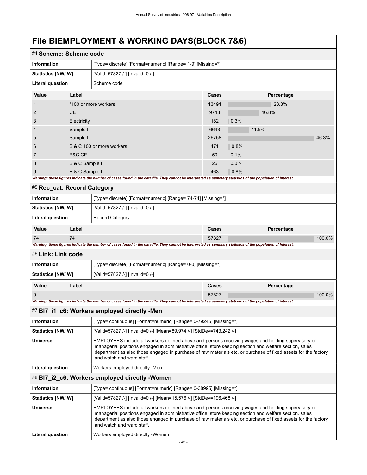# **File BlEMPLOYMENT & WORKING DAYS(BLOCK 7&6)**

|                             | #4 Scheme: Scheme code                                                                                                                                                                                                                                                                                                                                       |                                                                                                                                                             |       |            |        |
|-----------------------------|--------------------------------------------------------------------------------------------------------------------------------------------------------------------------------------------------------------------------------------------------------------------------------------------------------------------------------------------------------------|-------------------------------------------------------------------------------------------------------------------------------------------------------------|-------|------------|--------|
| <b>Information</b>          |                                                                                                                                                                                                                                                                                                                                                              | [Type= discrete] [Format=numeric] [Range= 1-9] [Missing=*]                                                                                                  |       |            |        |
| Statistics [NW/W]           |                                                                                                                                                                                                                                                                                                                                                              | [Valid=57827 /-] [Invalid=0 /-]                                                                                                                             |       |            |        |
| <b>Literal question</b>     |                                                                                                                                                                                                                                                                                                                                                              | Scheme code                                                                                                                                                 |       |            |        |
| Value                       | Label                                                                                                                                                                                                                                                                                                                                                        |                                                                                                                                                             | Cases | Percentage |        |
| 1                           |                                                                                                                                                                                                                                                                                                                                                              | *100 or more workers                                                                                                                                        | 13491 | 23.3%      |        |
| 2                           | <b>CE</b>                                                                                                                                                                                                                                                                                                                                                    |                                                                                                                                                             | 9743  | 16.8%      |        |
| 3                           | Electricity                                                                                                                                                                                                                                                                                                                                                  |                                                                                                                                                             | 182   | 0.3%       |        |
| 4                           | Sample I                                                                                                                                                                                                                                                                                                                                                     |                                                                                                                                                             | 6643  | 11.5%      |        |
| 5                           | Sample II                                                                                                                                                                                                                                                                                                                                                    |                                                                                                                                                             | 26758 |            | 46.3%  |
| 6                           |                                                                                                                                                                                                                                                                                                                                                              | B & C 100 or more workers                                                                                                                                   | 471   | 0.8%       |        |
| 7                           | B&C CE                                                                                                                                                                                                                                                                                                                                                       |                                                                                                                                                             | 50    | 0.1%       |        |
| 8                           | B & C Sample I                                                                                                                                                                                                                                                                                                                                               |                                                                                                                                                             | 26    | 0.0%       |        |
| 9                           | B & C Sample II                                                                                                                                                                                                                                                                                                                                              |                                                                                                                                                             | 463   | 0.8%       |        |
|                             |                                                                                                                                                                                                                                                                                                                                                              | Warning: these figures indicate the number of cases found in the data file. They cannot be interpreted as summary statistics of the population of interest. |       |            |        |
| #5 Rec_cat: Record Category |                                                                                                                                                                                                                                                                                                                                                              |                                                                                                                                                             |       |            |        |
| Information                 |                                                                                                                                                                                                                                                                                                                                                              | [Type= discrete] [Format=numeric] [Range= 74-74] [Missing=*]                                                                                                |       |            |        |
| <b>Statistics [NW/W]</b>    |                                                                                                                                                                                                                                                                                                                                                              | [Valid=57827 /-] [Invalid=0 /-]                                                                                                                             |       |            |        |
| <b>Literal question</b>     |                                                                                                                                                                                                                                                                                                                                                              | <b>Record Category</b>                                                                                                                                      |       |            |        |
| Value                       | Label                                                                                                                                                                                                                                                                                                                                                        |                                                                                                                                                             | Cases | Percentage |        |
| 74                          | 74                                                                                                                                                                                                                                                                                                                                                           |                                                                                                                                                             | 57827 |            | 100.0% |
|                             |                                                                                                                                                                                                                                                                                                                                                              | Warning: these figures indicate the number of cases found in the data file. They cannot be interpreted as summary statistics of the population of interest. |       |            |        |
| #6 Link: Link code          |                                                                                                                                                                                                                                                                                                                                                              |                                                                                                                                                             |       |            |        |
| Information                 |                                                                                                                                                                                                                                                                                                                                                              | [Type= discrete] [Format=numeric] [Range= 0-0] [Missing=*]                                                                                                  |       |            |        |
| <b>Statistics [NW/ W]</b>   |                                                                                                                                                                                                                                                                                                                                                              | [Valid=57827 /-] [Invalid=0 /-]                                                                                                                             |       |            |        |
| Value                       | Label                                                                                                                                                                                                                                                                                                                                                        |                                                                                                                                                             | Cases | Percentage |        |
| 0                           |                                                                                                                                                                                                                                                                                                                                                              |                                                                                                                                                             | 57827 |            | 100.0% |
|                             |                                                                                                                                                                                                                                                                                                                                                              | Warning: these figures indicate the number of cases found in the data file. They cannot be interpreted as summary statistics of the population of interest. |       |            |        |
|                             |                                                                                                                                                                                                                                                                                                                                                              | #7 BI7_i1_c6: Workers employed directly -Men                                                                                                                |       |            |        |
| Information                 |                                                                                                                                                                                                                                                                                                                                                              | [Type= continuous] [Format=numeric] [Range= 0-79245] [Missing=*]                                                                                            |       |            |        |
| Statistics [NW/ W]          |                                                                                                                                                                                                                                                                                                                                                              | [Valid=57827 /-] [Invalid=0 /-] [Mean=89.974 /-] [StdDev=743.242 /-]                                                                                        |       |            |        |
| <b>Universe</b>             | EMPLOYEES include all workers defined above and persons receiving wages and holding supervisory or<br>managerial positions engaged in administrative office, store keeping section and welfare section, sales<br>department as also those engaged in purchase of raw materials etc. or purchase of fixed assets for the factory<br>and watch and ward staff. |                                                                                                                                                             |       |            |        |
| <b>Literal question</b>     | Workers employed directly -Men                                                                                                                                                                                                                                                                                                                               |                                                                                                                                                             |       |            |        |
|                             |                                                                                                                                                                                                                                                                                                                                                              | #8 BI7_i2_c6: Workers employed directly -Women                                                                                                              |       |            |        |
| Information                 |                                                                                                                                                                                                                                                                                                                                                              | [Type= continuous] [Format=numeric] [Range= 0-38995] [Missing=*]                                                                                            |       |            |        |
| <b>Statistics [NW/ W]</b>   |                                                                                                                                                                                                                                                                                                                                                              | [Valid=57827 /-] [Invalid=0 /-] [Mean=15.576 /-] [StdDev=196.468 /-]                                                                                        |       |            |        |
| <b>Universe</b>             | EMPLOYEES include all workers defined above and persons receiving wages and holding supervisory or<br>managerial positions engaged in administrative office, store keeping section and welfare section, sales<br>department as also those engaged in purchase of raw materials etc. or purchase of fixed assets for the factory<br>and watch and ward staff. |                                                                                                                                                             |       |            |        |
| <b>Literal question</b>     |                                                                                                                                                                                                                                                                                                                                                              | Workers employed directly -Women                                                                                                                            |       |            |        |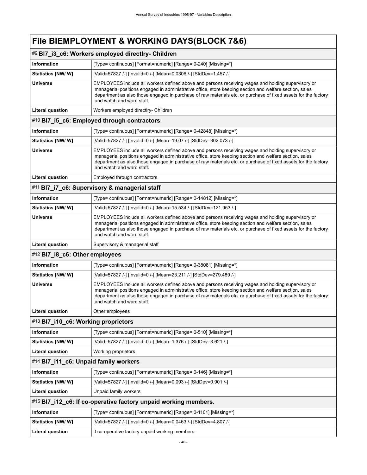### **File BlEMPLOYMENT & WORKING DAYS(BLOCK 7&6)**

### #9 **Bl7\_i3\_c6: Workers employed directlry- Children**

| Information               | [Type= continuous] [Format=numeric] [Range= 0-240] [Missing=*]                                                                                                                                                                                                                                                                                               |
|---------------------------|--------------------------------------------------------------------------------------------------------------------------------------------------------------------------------------------------------------------------------------------------------------------------------------------------------------------------------------------------------------|
| <b>Statistics [NW/ W]</b> | [Valid=57827 /-] [Invalid=0 /-] [Mean=0.0306 /-] [StdDev=1.457 /-]                                                                                                                                                                                                                                                                                           |
| <b>Universe</b>           | EMPLOYEES include all workers defined above and persons receiving wages and holding supervisory or<br>managerial positions engaged in administrative office, store keeping section and welfare section, sales<br>department as also those engaged in purchase of raw materials etc. or purchase of fixed assets for the factory<br>and watch and ward staff. |
| Literal question          | Workers employed directlry- Children                                                                                                                                                                                                                                                                                                                         |

### #10 **Bl7\_i5\_c6: Employed through contractors**

| [Type= continuous] [Format=numeric] [Range= 0-42848] [Missing=*]                                                                                                                                                                                                                                                                                             |
|--------------------------------------------------------------------------------------------------------------------------------------------------------------------------------------------------------------------------------------------------------------------------------------------------------------------------------------------------------------|
| [Valid=57827 /-] [Invalid=0 /-] [Mean=19.07 /-] [StdDev=302.073 /-]                                                                                                                                                                                                                                                                                          |
| EMPLOYEES include all workers defined above and persons receiving wages and holding supervisory or<br>managerial positions engaged in administrative office, store keeping section and welfare section, sales<br>department as also those engaged in purchase of raw materials etc. or purchase of fixed assets for the factory<br>and watch and ward staff. |
| Employed through contractors                                                                                                                                                                                                                                                                                                                                 |
|                                                                                                                                                                                                                                                                                                                                                              |

### #11 **Bl7\_i7\_c6: Supervisory & managerial staff**

| ∣ Information     | [Type= continuous] [Format=numeric] [Range= 0-14812] [Missing=*]                                                                                                                                                                                                                                                                                             |
|-------------------|--------------------------------------------------------------------------------------------------------------------------------------------------------------------------------------------------------------------------------------------------------------------------------------------------------------------------------------------------------------|
| Statistics [NW/W] | [Valid=57827 /-] [Invalid=0 /-] [Mean=15.534 /-] [StdDev=121.953 /-]                                                                                                                                                                                                                                                                                         |
| <b>Universe</b>   | EMPLOYEES include all workers defined above and persons receiving wages and holding supervisory or<br>managerial positions engaged in administrative office, store keeping section and welfare section, sales<br>department as also those engaged in purchase of raw materials etc. or purchase of fixed assets for the factory<br>and watch and ward staff. |
| Literal question  | Supervisory & managerial staff                                                                                                                                                                                                                                                                                                                               |

### #12 **Bl7\_i8\_c6: Other employees**

| Information              | [Type= continuous] [Format=numeric] [Range= 0-38081] [Missing=*]                                                                                                                                                                                                                                                                                             |
|--------------------------|--------------------------------------------------------------------------------------------------------------------------------------------------------------------------------------------------------------------------------------------------------------------------------------------------------------------------------------------------------------|
| <b>Statistics [NW/W]</b> | [Valid=57827 /-] [Invalid=0 /-] [Mean=23.211 /-] [StdDev=279.489 /-]                                                                                                                                                                                                                                                                                         |
| <b>Universe</b>          | EMPLOYEES include all workers defined above and persons receiving wages and holding supervisory or<br>managerial positions engaged in administrative office, store keeping section and welfare section, sales<br>department as also those engaged in purchase of raw materials etc. or purchase of fixed assets for the factory<br>and watch and ward staff. |
| <b>Literal question</b>  | Other employees                                                                                                                                                                                                                                                                                                                                              |

#### #13 **Bl7\_i10\_c6: Working proprietors**

| <b>Information</b>                    | [Type= continuous] [Format=numeric] [Range= 0-510] [Missing=*]     |  |  |
|---------------------------------------|--------------------------------------------------------------------|--|--|
| <b>Statistics [NW/ W]</b>             | [Valid=57827 /-] [Invalid=0 /-] [Mean=1.376 /-] [StdDev=3.621 /-]  |  |  |
| Literal question                      | Working proprietors                                                |  |  |
| #14 BI7_i11_c6: Unpaid family workers |                                                                    |  |  |
| <b>Information</b>                    | [Type= continuous] [Format=numeric] [Range= 0-146] [Missing=*]     |  |  |
| <b>Statistics [NW/ W]</b>             | [Valid=57827 /-] [Invalid=0 /-] [Mean=0.093 /-] [StdDev=0.901 /-]  |  |  |
| Literal question                      | Unpaid family workers                                              |  |  |
|                                       | #15 BI7_i12_c6: If co-operative factory unpaid working members.    |  |  |
| <b>Information</b>                    | [Type= continuous] [Format=numeric] [Range= 0-1101] [Missing=*]    |  |  |
| Statistics [NW/W]                     | [Valid=57827 /-] [Invalid=0 /-] [Mean=0.0463 /-] [StdDev=4.807 /-] |  |  |
| Literal question                      | If co-operative factory unpaid working members.                    |  |  |
|                                       |                                                                    |  |  |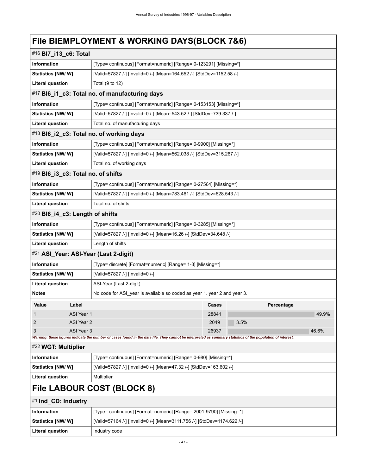# **File BlEMPLOYMENT & WORKING DAYS(BLOCK 7&6)**

| #16 BI7_i13_c6: Total                 |                                                                    |                                                                                                                                                                               |  |  |  |  |
|---------------------------------------|--------------------------------------------------------------------|-------------------------------------------------------------------------------------------------------------------------------------------------------------------------------|--|--|--|--|
| <b>Information</b>                    |                                                                    | [Type= continuous] [Format=numeric] [Range= 0-123291] [Missing=*]                                                                                                             |  |  |  |  |
| <b>Statistics [NW/ W]</b>             |                                                                    | [Valid=57827 /-] [Invalid=0 /-] [Mean=164.552 /-] [StdDev=1152.58 /-]                                                                                                         |  |  |  |  |
| <b>Literal question</b>               | Total (9 to 12)                                                    |                                                                                                                                                                               |  |  |  |  |
|                                       |                                                                    | #17 BI6_i1_c3: Total no. of manufacturing days                                                                                                                                |  |  |  |  |
| <b>Information</b>                    |                                                                    | [Type= continuous] [Format=numeric] [Range= 0-153153] [Missing=*]                                                                                                             |  |  |  |  |
| Statistics [NW/ W]                    |                                                                    | [Valid=57827 /-] [Invalid=0 /-] [Mean=543.52 /-] [StdDev=739.337 /-]                                                                                                          |  |  |  |  |
| <b>Literal question</b>               |                                                                    | Total no. of manufacturing days                                                                                                                                               |  |  |  |  |
|                                       |                                                                    | #18 BI6_i2_c3: Total no. of working days                                                                                                                                      |  |  |  |  |
| <b>Information</b>                    |                                                                    | [Type= continuous] [Format=numeric] [Range= 0-9900] [Missing=*]                                                                                                               |  |  |  |  |
| <b>Statistics [NW/W]</b>              |                                                                    | [Valid=57827 /-] [Invalid=0 /-] [Mean=562.038 /-] [StdDev=315.267 /-]                                                                                                         |  |  |  |  |
| <b>Literal question</b>               |                                                                    | Total no. of working days                                                                                                                                                     |  |  |  |  |
| #19 BI6_i3_c3: Total no. of shifts    |                                                                    |                                                                                                                                                                               |  |  |  |  |
| <b>Information</b>                    |                                                                    | [Type= continuous] [Format=numeric] [Range= 0-27564] [Missing=*]                                                                                                              |  |  |  |  |
| <b>Statistics [NW/ W]</b>             |                                                                    | [Valid=57827 /-] [Invalid=0 /-] [Mean=783.461 /-] [StdDev=628.543 /-]                                                                                                         |  |  |  |  |
| <b>Literal question</b>               |                                                                    | Total no. of shifts                                                                                                                                                           |  |  |  |  |
| #20 BI6_i4_c3: Length of shifts       |                                                                    |                                                                                                                                                                               |  |  |  |  |
| <b>Information</b>                    |                                                                    | [Type= continuous] [Format=numeric] [Range= 0-3285] [Missing=*]                                                                                                               |  |  |  |  |
| Statistics [NW/W]                     | [Valid=57827 /-] [Invalid=0 /-] [Mean=16.26 /-] [StdDev=34.648 /-] |                                                                                                                                                                               |  |  |  |  |
| <b>Literal question</b>               | Length of shifts                                                   |                                                                                                                                                                               |  |  |  |  |
| #21 ASI_Year: ASI-Year (Last 2-digit) |                                                                    |                                                                                                                                                                               |  |  |  |  |
| <b>Information</b>                    |                                                                    | [Type= discrete] [Format=numeric] [Range= 1-3] [Missing=*]                                                                                                                    |  |  |  |  |
| <b>Statistics [NW/ W]</b>             |                                                                    | [Valid=57827 /-] [Invalid=0 /-]                                                                                                                                               |  |  |  |  |
| <b>Literal question</b>               |                                                                    | ASI-Year (Last 2-digit)                                                                                                                                                       |  |  |  |  |
| <b>Notes</b>                          |                                                                    | No code for ASI year is available so coded as year 1, year 2 and year 3.                                                                                                      |  |  |  |  |
| Label<br>Value                        |                                                                    | Percentage<br><b>Cases</b>                                                                                                                                                    |  |  |  |  |
| 1                                     | ASI Year 1                                                         | 28841<br>49.9%                                                                                                                                                                |  |  |  |  |
| $\overline{2}$                        | ASI Year 2                                                         | 3.5%<br>2049                                                                                                                                                                  |  |  |  |  |
| 3                                     | ASI Year 3                                                         | 26937<br>46.6%<br>Warning: these figures indicate the number of cases found in the data file. They cannot be interpreted as summary statistics of the population of interest. |  |  |  |  |
| #22 WGT: Multiplier                   |                                                                    |                                                                                                                                                                               |  |  |  |  |
| <b>Information</b>                    |                                                                    | [Type= continuous] [Format=numeric] [Range= 0-980] [Missing=*]                                                                                                                |  |  |  |  |
| Statistics [NW/ W]                    |                                                                    | [Valid=57827 /-] [Invalid=0 /-] [Mean=47.32 /-] [StdDev=163.602 /-]                                                                                                           |  |  |  |  |
| <b>Literal question</b>               |                                                                    | Multiplier                                                                                                                                                                    |  |  |  |  |
|                                       |                                                                    | File LABOUR COST (BLOCK 8)                                                                                                                                                    |  |  |  |  |
| #1 Ind_CD: Industry                   |                                                                    |                                                                                                                                                                               |  |  |  |  |
| <b>Information</b>                    |                                                                    | [Type= continuous] [Format=numeric] [Range= 2001-9790] [Missing=*]                                                                                                            |  |  |  |  |
| <b>Statistics [NW/ W]</b>             |                                                                    | [Valid=57164 /-] [Invalid=0 /-] [Mean=3111.756 /-] [StdDev=1174.622 /-]                                                                                                       |  |  |  |  |
| <b>Literal question</b>               |                                                                    | Industry code                                                                                                                                                                 |  |  |  |  |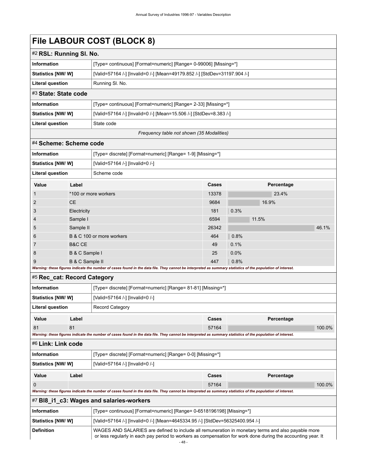# **File LABOUR COST (BLOCK 8)**

| #2 RSL: Running SI. No.   |                                                                           |  |
|---------------------------|---------------------------------------------------------------------------|--|
| <b>Information</b>        | [Type= continuous] [Format=numeric] [Range= 0-99006] [Missing=*]          |  |
| <b>Statistics [NW/ W]</b> | [Valid=57164 /-] [Invalid=0 /-] [Mean=49179.852 /-] [StdDev=31197.904 /-] |  |
| Literal question          | Running SI. No.                                                           |  |
| #3 State: State code      |                                                                           |  |
| <b>Information</b>        | [Type= continuous] [Format=numeric] [Range= 2-33] [Missing=*]             |  |
| <b>Statistics [NW/ W]</b> | [Valid=57164 /-] [Invalid=0 /-] [Mean=15.506 /-] [StdDev=8.383 /-]        |  |
| <b>Literal question</b>   | State code                                                                |  |
|                           |                                                                           |  |

#### *Frequency table not shown (35 Modalities)*

#### #4 **Scheme: Scheme code**

| <b>Information</b>             |                           | [Type= discrete] [Format=numeric] [Range= 1-9] [Missing=*]                                  |              |      |                                     |       |  |
|--------------------------------|---------------------------|---------------------------------------------------------------------------------------------|--------------|------|-------------------------------------|-------|--|
| <b>Statistics [NW/ W]</b>      |                           | [Valid=57164 /-] [Invalid=0 /-]                                                             |              |      |                                     |       |  |
| <b>Literal question</b>        |                           | Scheme code                                                                                 |              |      |                                     |       |  |
| Value                          | Label                     |                                                                                             | <b>Cases</b> |      | Percentage                          |       |  |
| $\mathbf{1}$                   | *100 or more workers      |                                                                                             | 13378        |      | 23.4%                               |       |  |
| 2                              | <b>CE</b>                 |                                                                                             |              |      | 16.9%                               |       |  |
| 3                              | Electricity               |                                                                                             | 181          | 0.3% |                                     |       |  |
| $\overline{4}$                 | Sample I                  |                                                                                             | 6594         |      | 11.5%                               |       |  |
| 5                              | Sample II                 |                                                                                             | 26342        |      |                                     | 46.1% |  |
| 6                              | B & C 100 or more workers |                                                                                             | 464          | 0.8% |                                     |       |  |
| $\overline{7}$                 | B&C CE                    |                                                                                             | 49           | 0.1% |                                     |       |  |
| 8                              | B & C Sample I            |                                                                                             | 25           | 0.0% |                                     |       |  |
| 9                              | B & C Sample II           |                                                                                             | 447          | 0.8% |                                     |       |  |
| 147-10-10-20-46-20-47-00-20-20 |                           | a foodfaatte tha connection of access formed foother date. Iffer There access the fotomoret |              |      | ataataa adalaa waxaa lada waddamaad |       |  |

#### *Warning: these figures indicate the number of cases found in the data file. They cannot be interpreted as summary statistics of the population of interest.*

| #5 Rec_cat: Record Category |       |                                                                                                                                                             |                                                              |            |        |  |
|-----------------------------|-------|-------------------------------------------------------------------------------------------------------------------------------------------------------------|--------------------------------------------------------------|------------|--------|--|
| <b>Information</b>          |       |                                                                                                                                                             | [Type= discrete] [Format=numeric] [Range= 81-81] [Missing=*] |            |        |  |
| Statistics [NW/W]           |       | [Valid=57164 /-] [Invalid=0 /-]                                                                                                                             |                                                              |            |        |  |
| Literal question            |       | <b>Record Category</b>                                                                                                                                      |                                                              |            |        |  |
| Value                       | Label |                                                                                                                                                             | Cases                                                        | Percentage |        |  |
| 81                          | 81    |                                                                                                                                                             | 57164                                                        |            | 100.0% |  |
|                             |       | Warning: these figures indicate the number of cases found in the data file. They cannot be interpreted as summary statistics of the population of interest. |                                                              |            |        |  |
| #6 Link: Link code          |       |                                                                                                                                                             |                                                              |            |        |  |
| <b>Information</b>          |       | [Type= discrete] [Format=numeric] [Range= 0-0] [Missing=*]                                                                                                  |                                                              |            |        |  |
| Statistics [NW/W]           |       | [Valid=57164 /-] [Invalid=0 /-]                                                                                                                             |                                                              |            |        |  |
| Value                       | Label |                                                                                                                                                             | Cases                                                        | Percentage |        |  |
| $\Omega$                    |       |                                                                                                                                                             | 57164                                                        |            | 100.0% |  |
|                             |       | Warning: these figures indicate the number of cases found in the data file. They cannot be interpreted as summary statistics of the population of interest. |                                                              |            |        |  |
|                             |       | #7 BI8_i1_c3: Wages and salaries-workers                                                                                                                    |                                                              |            |        |  |
| <b>Information</b>          |       | [Type= continuous] [Format=numeric] [Range= 0-6518196198] [Missing=*]                                                                                       |                                                              |            |        |  |
| Statistics [NW/W]           |       | [Valid=57164 /-] [Invalid=0 /-] [Mean=4645334.95 /-] [StdDev=56325400.954 /-]                                                                               |                                                              |            |        |  |

### **Definition** WAGES AND SALARIES are defined to include all remuneration in monetary terms and also payable more or less regularly in each pay period to workers as compensation for work done during the accounting year. It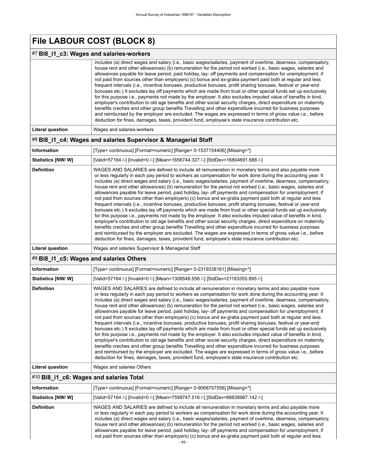# **File LABOUR COST (BLOCK 8)**

### #7 **Bl8\_i1\_c3: Wages and salaries-workers**

| includes (a) direct wages and salary (i.e., basic wages/salaries, payment of overtime, dearness, compensatory, |
|----------------------------------------------------------------------------------------------------------------|
| house rent and other allowances) (b) remuneration for the period not worked (i.e., basic wages, salaries and   |
| allowances payable for leave period, paid holiday, lay- off payments and compensation for unemployment, if     |
| not paid from sources other than employers) (c) bonus and ex-gratia payment paid both at regular and less      |
| frequent intervals (i.e., incentive bonuses, productive bonuses, profit sharing bonuses, festival or year-end  |
| bonuses etc.) It excludes lay off payments which are made from trust or other special funds set up exclusively |
| for this purpose i.e., payments not made by the employer. It also excludes imputed value of benefits in kind,  |
| employer's contribution to old age benefits and other social security charges, direct expenditure on maternity |
| benefits creches and other group benefits Travelling and other expenditure incurred for business purposes      |
| and reimbursed by the employer are excluded. The wages are expressed in terms of gross value i.e., before      |
| deduction for fines, damages, taxes, provident fund, employee's state insurance contribution etc.              |
|                                                                                                                |

#### Literal question **Wages and salaries-workers**

#### #8 **Bl8\_i1\_c4: Wages and salaries Supervisor & Managerial Staff**

| <b>Information</b>      | [Type= continuous] [Format=numeric] [Range= 0-1537154406] [Missing=*]                                                                                                                                                                                                                                                                                                                                                                                                                                                                                                                                                                                                                                                                                                                                                                                                                                                                                                                                                                                                                                                                                                                                                                                                                                                                                                                                                                                                                |
|-------------------------|--------------------------------------------------------------------------------------------------------------------------------------------------------------------------------------------------------------------------------------------------------------------------------------------------------------------------------------------------------------------------------------------------------------------------------------------------------------------------------------------------------------------------------------------------------------------------------------------------------------------------------------------------------------------------------------------------------------------------------------------------------------------------------------------------------------------------------------------------------------------------------------------------------------------------------------------------------------------------------------------------------------------------------------------------------------------------------------------------------------------------------------------------------------------------------------------------------------------------------------------------------------------------------------------------------------------------------------------------------------------------------------------------------------------------------------------------------------------------------------|
| Statistics [NW/W]       | [Valid=57164 /-] [Invalid=0 /-] [Mean=1656744.327 /-] [StdDev=16804691.688 /-]                                                                                                                                                                                                                                                                                                                                                                                                                                                                                                                                                                                                                                                                                                                                                                                                                                                                                                                                                                                                                                                                                                                                                                                                                                                                                                                                                                                                       |
| <b>Definition</b>       | WAGES AND SALARIES are defined to include all remuneration in monetary terms and also payable more<br>or less regularly in each pay period to workers as compensation for work done during the accounting year. It<br>includes (a) direct wages and salary (i.e., basic wages/salaries, payment of overtime, dearness, compensatory,<br>house rent and other allowances) (b) remuneration for the period not worked (i.e., basic wages, salaries and<br>allowances payable for leave period, paid holiday, lay- off payments and compensation for unemployment, if<br>not paid from sources other than employers) (c) bonus and ex-gratia payment paid both at regular and less<br>frequent intervals (i.e., incentive bonuses, productive bonuses, profit sharing bonuses, festival or year-end<br>bonuses etc.) It excludes lay off payments which are made from trust or other special funds set up exclusively<br>for this purpose i.e., payments not made by the employer. It also excludes imputed value of benefits in kind,<br>employer's contribution to old age benefits and other social security charges, direct expenditure on maternity<br>benefits creches and other group benefits Travelling and other expenditure incurred for business purposes<br>and reimbursed by the employer are excluded. The wages are expressed in terms of gross value i.e., before<br>deduction for fines, damages, taxes, provident fund, employee's state insurance contribution etc. |
| <b>Literal question</b> | Wages and salaries Supervisor & Managerial Staff                                                                                                                                                                                                                                                                                                                                                                                                                                                                                                                                                                                                                                                                                                                                                                                                                                                                                                                                                                                                                                                                                                                                                                                                                                                                                                                                                                                                                                     |

#### #9 **Bl8\_i1\_c5: Wages and salaries Others**

| <b>Information</b>        | [Type= continuous] [Format=numeric] [Range= 0-2319338161] [Missing=*]                                                                                                                                                                                                                                                                                                                                                                                                                                                                                                                                                                                                                                                                                                                                                                                                                                                                                                                                                                                                                                                                                                                                                                                                                                                                                                                                                                                                                |
|---------------------------|--------------------------------------------------------------------------------------------------------------------------------------------------------------------------------------------------------------------------------------------------------------------------------------------------------------------------------------------------------------------------------------------------------------------------------------------------------------------------------------------------------------------------------------------------------------------------------------------------------------------------------------------------------------------------------------------------------------------------------------------------------------------------------------------------------------------------------------------------------------------------------------------------------------------------------------------------------------------------------------------------------------------------------------------------------------------------------------------------------------------------------------------------------------------------------------------------------------------------------------------------------------------------------------------------------------------------------------------------------------------------------------------------------------------------------------------------------------------------------------|
| <b>Statistics [NW/ W]</b> | [Valid=57164 /-] [Invalid=0 /-] [Mean=1308548.558 /-] [StdDev=21183355.895 /-]                                                                                                                                                                                                                                                                                                                                                                                                                                                                                                                                                                                                                                                                                                                                                                                                                                                                                                                                                                                                                                                                                                                                                                                                                                                                                                                                                                                                       |
| <b>Definition</b>         | WAGES AND SALARIES are defined to include all remuneration in monetary terms and also payable more<br>or less regularly in each pay period to workers as compensation for work done during the accounting year. It<br>includes (a) direct wages and salary (i.e., basic wages/salaries, payment of overtime, dearness, compensatory,<br>house rent and other allowances) (b) remuneration for the period not worked (i.e., basic wages, salaries and<br>allowances payable for leave period, paid holiday, lay- off payments and compensation for unemployment, if<br>not paid from sources other than employers) (c) bonus and ex-gratia payment paid both at regular and less<br>frequent intervals (i.e., incentive bonuses, productive bonuses, profit sharing bonuses, festival or year-end<br>bonuses etc.) It excludes lay off payments which are made from trust or other special funds set up exclusively<br>for this purpose i.e., payments not made by the employer. It also excludes imputed value of benefits in kind,<br>employer's contribution to old age benefits and other social security charges, direct expenditure on maternity<br>benefits creches and other group benefits Travelling and other expenditure incurred for business purposes<br>and reimbursed by the employer are excluded. The wages are expressed in terms of gross value i.e., before<br>deduction for fines, damages, taxes, provident fund, employee's state insurance contribution etc. |
| Literal question          | Wages and salaries Others                                                                                                                                                                                                                                                                                                                                                                                                                                                                                                                                                                                                                                                                                                                                                                                                                                                                                                                                                                                                                                                                                                                                                                                                                                                                                                                                                                                                                                                            |

### #10 **Bl8\_i1\_c6: Wages and salaries Total**

| Information              | [Type= continuous] [Format=numeric] [Range= 0-9068757556] [Missing=*]                                                                                                                                                                                                                                                                                                                                                                                                                                                                                                                                                                                                           |
|--------------------------|---------------------------------------------------------------------------------------------------------------------------------------------------------------------------------------------------------------------------------------------------------------------------------------------------------------------------------------------------------------------------------------------------------------------------------------------------------------------------------------------------------------------------------------------------------------------------------------------------------------------------------------------------------------------------------|
| <b>Statistics [NW/W]</b> | [Valid=57164 /-] [Invalid=0 /-] [Mean=7599747.516 /-] [StdDev=88838967.142 /-]                                                                                                                                                                                                                                                                                                                                                                                                                                                                                                                                                                                                  |
| <b>Definition</b>        | WAGES AND SALARIES are defined to include all remuneration in monetary terms and also payable more<br>or less regularly in each pay period to workers as compensation for work done during the accounting year. It<br>includes (a) direct wages and salary (i.e., basic wages/salaries, payment of overtime, dearness, compensatory,<br>house rent and other allowances) (b) remuneration for the period not worked (i.e., basic wages, salaries and<br>allowances payable for leave period, paid holiday, lay- off payments and compensation for unemployment, if<br>not paid from sources other than employers) (c) bonus and ex-gratia payment paid both at regular and less |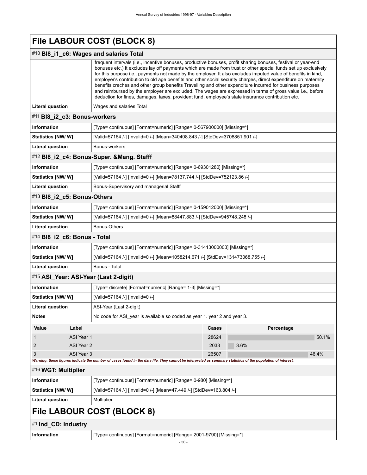|                                         |                                                                                           | File LABOUR COST (BLOCK 8)                                                                                                                                                                                                                                                                                                                                                                                                                                                                                                                                                                                                                                                                                                                                                                        |       |            |
|-----------------------------------------|-------------------------------------------------------------------------------------------|---------------------------------------------------------------------------------------------------------------------------------------------------------------------------------------------------------------------------------------------------------------------------------------------------------------------------------------------------------------------------------------------------------------------------------------------------------------------------------------------------------------------------------------------------------------------------------------------------------------------------------------------------------------------------------------------------------------------------------------------------------------------------------------------------|-------|------------|
|                                         |                                                                                           | #10 BI8_i1_c6: Wages and salaries Total                                                                                                                                                                                                                                                                                                                                                                                                                                                                                                                                                                                                                                                                                                                                                           |       |            |
|                                         |                                                                                           | frequent intervals (i.e., incentive bonuses, productive bonuses, profit sharing bonuses, festival or year-end<br>bonuses etc.) It excludes lay off payments which are made from trust or other special funds set up exclusively<br>for this purpose i.e., payments not made by the employer. It also excludes imputed value of benefits in kind,<br>employer's contribution to old age benefits and other social security charges, direct expenditure on maternity<br>benefits creches and other group benefits Travelling and other expenditure incurred for business purposes<br>and reimbursed by the employer are excluded. The wages are expressed in terms of gross value i.e., before<br>deduction for fines, damages, taxes, provident fund, employee's state insurance contribution etc. |       |            |
| <b>Literal question</b>                 |                                                                                           | Wages and salaries Total                                                                                                                                                                                                                                                                                                                                                                                                                                                                                                                                                                                                                                                                                                                                                                          |       |            |
| #11 BI8_i2_c3: Bonus-workers            |                                                                                           |                                                                                                                                                                                                                                                                                                                                                                                                                                                                                                                                                                                                                                                                                                                                                                                                   |       |            |
| <b>Information</b>                      |                                                                                           | [Type= continuous] [Format=numeric] [Range= 0-567900000] [Missing=*]                                                                                                                                                                                                                                                                                                                                                                                                                                                                                                                                                                                                                                                                                                                              |       |            |
| Statistics [NW/W]                       |                                                                                           | [Valid=57164 /-] [Invalid=0 /-] [Mean=340408.843 /-] [StdDev=3708851.901 /-]                                                                                                                                                                                                                                                                                                                                                                                                                                                                                                                                                                                                                                                                                                                      |       |            |
| <b>Literal question</b>                 |                                                                                           | Bonus-workers                                                                                                                                                                                                                                                                                                                                                                                                                                                                                                                                                                                                                                                                                                                                                                                     |       |            |
|                                         |                                                                                           | #12 BI8_i2_c4: Bonus-Super. & Mang. Stafff                                                                                                                                                                                                                                                                                                                                                                                                                                                                                                                                                                                                                                                                                                                                                        |       |            |
| <b>Information</b>                      |                                                                                           | [Type= continuous] [Format=numeric] [Range= 0-69301280] [Missing=*]                                                                                                                                                                                                                                                                                                                                                                                                                                                                                                                                                                                                                                                                                                                               |       |            |
| <b>Statistics [NW/W]</b>                |                                                                                           | [Valid=57164 /-] [Invalid=0 /-] [Mean=78137.744 /-] [StdDev=752123.86 /-]                                                                                                                                                                                                                                                                                                                                                                                                                                                                                                                                                                                                                                                                                                                         |       |            |
| <b>Literal question</b>                 |                                                                                           | Bonus-Supervisory and managerial Stafff                                                                                                                                                                                                                                                                                                                                                                                                                                                                                                                                                                                                                                                                                                                                                           |       |            |
| #13 BI8_i2_c5: Bonus-Others             |                                                                                           |                                                                                                                                                                                                                                                                                                                                                                                                                                                                                                                                                                                                                                                                                                                                                                                                   |       |            |
| <b>Information</b>                      |                                                                                           | [Type= continuous] [Format=numeric] [Range= 0-159012000] [Missing=*]                                                                                                                                                                                                                                                                                                                                                                                                                                                                                                                                                                                                                                                                                                                              |       |            |
| <b>Statistics [NW/W]</b>                |                                                                                           | [Valid=57164 /-] [Invalid=0 /-] [Mean=88447.883 /-] [StdDev=945748.248 /-]                                                                                                                                                                                                                                                                                                                                                                                                                                                                                                                                                                                                                                                                                                                        |       |            |
| <b>Literal question</b><br>Bonus-Others |                                                                                           |                                                                                                                                                                                                                                                                                                                                                                                                                                                                                                                                                                                                                                                                                                                                                                                                   |       |            |
| #14 BI8_i2_c6: Bonus - Total            |                                                                                           |                                                                                                                                                                                                                                                                                                                                                                                                                                                                                                                                                                                                                                                                                                                                                                                                   |       |            |
| <b>Information</b>                      | [Type= continuous] [Format=numeric] [Range= 0-31413000003] [Missing=*]                    |                                                                                                                                                                                                                                                                                                                                                                                                                                                                                                                                                                                                                                                                                                                                                                                                   |       |            |
| <b>Statistics [NW/W]</b>                |                                                                                           | [Valid=57164 /-] [Invalid=0 /-] [Mean=1058214.671 /-] [StdDev=131473068.755 /-]                                                                                                                                                                                                                                                                                                                                                                                                                                                                                                                                                                                                                                                                                                                   |       |            |
| <b>Literal question</b>                 |                                                                                           | Bonus - Total                                                                                                                                                                                                                                                                                                                                                                                                                                                                                                                                                                                                                                                                                                                                                                                     |       |            |
|                                         |                                                                                           | #15 ASI_Year: ASI-Year (Last 2-digit)                                                                                                                                                                                                                                                                                                                                                                                                                                                                                                                                                                                                                                                                                                                                                             |       |            |
| <b>Information</b>                      |                                                                                           | [Type= discrete] [Format=numeric] [Range= 1-3] [Missing=*]                                                                                                                                                                                                                                                                                                                                                                                                                                                                                                                                                                                                                                                                                                                                        |       |            |
| <b>Statistics [NW/W]</b>                |                                                                                           | [Valid=57164 /-] [Invalid=0 /-]                                                                                                                                                                                                                                                                                                                                                                                                                                                                                                                                                                                                                                                                                                                                                                   |       |            |
| Literal question                        |                                                                                           | ASI-Year (Last 2-digit)                                                                                                                                                                                                                                                                                                                                                                                                                                                                                                                                                                                                                                                                                                                                                                           |       |            |
| <b>Notes</b>                            |                                                                                           | No code for ASI year is available so coded as year 1. year 2 and year 3.                                                                                                                                                                                                                                                                                                                                                                                                                                                                                                                                                                                                                                                                                                                          |       |            |
| Value                                   | Label                                                                                     |                                                                                                                                                                                                                                                                                                                                                                                                                                                                                                                                                                                                                                                                                                                                                                                                   | Cases | Percentage |
| 1                                       | ASI Year 1                                                                                |                                                                                                                                                                                                                                                                                                                                                                                                                                                                                                                                                                                                                                                                                                                                                                                                   | 28624 | 50.1%      |
| $\overline{2}$                          | ASI Year 2                                                                                |                                                                                                                                                                                                                                                                                                                                                                                                                                                                                                                                                                                                                                                                                                                                                                                                   | 2033  | 3.6%       |
| 3                                       | ASI Year 3                                                                                | Warning: these figures indicate the number of cases found in the data file. They cannot be interpreted as summary statistics of the population of interest.                                                                                                                                                                                                                                                                                                                                                                                                                                                                                                                                                                                                                                       | 26507 | 46.4%      |
| #16 WGT: Multiplier                     |                                                                                           |                                                                                                                                                                                                                                                                                                                                                                                                                                                                                                                                                                                                                                                                                                                                                                                                   |       |            |
| <b>Information</b>                      |                                                                                           | [Type= continuous] [Format=numeric] [Range= 0-980] [Missing=*]                                                                                                                                                                                                                                                                                                                                                                                                                                                                                                                                                                                                                                                                                                                                    |       |            |
|                                         | [Valid=57164 /-] [Invalid=0 /-] [Mean=47.449 /-] [StdDev=163.804 /-]<br>Statistics [NW/W] |                                                                                                                                                                                                                                                                                                                                                                                                                                                                                                                                                                                                                                                                                                                                                                                                   |       |            |
| <b>Literal question</b>                 |                                                                                           | Multiplier                                                                                                                                                                                                                                                                                                                                                                                                                                                                                                                                                                                                                                                                                                                                                                                        |       |            |
|                                         |                                                                                           | File LABOUR COST (BLOCK 8)                                                                                                                                                                                                                                                                                                                                                                                                                                                                                                                                                                                                                                                                                                                                                                        |       |            |
| #1 Ind_CD: Industry                     |                                                                                           |                                                                                                                                                                                                                                                                                                                                                                                                                                                                                                                                                                                                                                                                                                                                                                                                   |       |            |
| <b>Information</b>                      |                                                                                           | [Type= continuous] [Format=numeric] [Range= 2001-9790] [Missing=*]                                                                                                                                                                                                                                                                                                                                                                                                                                                                                                                                                                                                                                                                                                                                |       |            |

- 50 -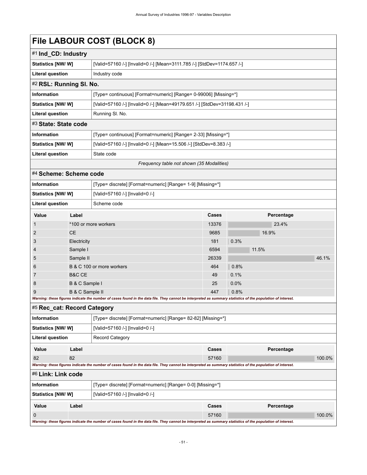# **File LABOUR COST (BLOCK 8)**

| #1 Ind_CD: Industry                       |                                                                           |  |
|-------------------------------------------|---------------------------------------------------------------------------|--|
| <b>Statistics [NW/ W]</b>                 | [Valid=57160 /-] [Invalid=0 /-] [Mean=3111.785 /-] [StdDev=1174.657 /-]   |  |
| <b>Literal question</b>                   | Industry code                                                             |  |
| #2 RSL: Running SI. No.                   |                                                                           |  |
| <b>Information</b>                        | [Type= continuous] [Format=numeric] [Range= 0-99006] [Missing=*]          |  |
| <b>Statistics [NW/ W]</b>                 | [Valid=57160 /-] [Invalid=0 /-] [Mean=49179.651 /-] [StdDev=31198.431 /-] |  |
| <b>Literal question</b>                   | Running SI. No.                                                           |  |
| #3 State: State code                      |                                                                           |  |
| <b>Information</b>                        | [Type= continuous] [Format=numeric] [Range= 2-33] [Missing=*]             |  |
| <b>Statistics [NW/W]</b>                  | [Valid=57160 /-] [Invalid=0 /-] [Mean=15.506 /-] [StdDev=8.383 /-]        |  |
| <b>Literal question</b>                   | State code                                                                |  |
| Frequency table not shown (35 Modalities) |                                                                           |  |

#### #4 **Scheme: Scheme code**

| <b>Information</b>       |                                                                                                                                                             | [Type= discrete] [Format=numeric] [Range= 1-9] [Missing=*] |       |            |       |  |
|--------------------------|-------------------------------------------------------------------------------------------------------------------------------------------------------------|------------------------------------------------------------|-------|------------|-------|--|
| <b>Statistics [NW/W]</b> |                                                                                                                                                             | [Valid=57160 /-] [Invalid=0 /-]                            |       |            |       |  |
| <b>Literal question</b>  |                                                                                                                                                             | Scheme code                                                |       |            |       |  |
| Value                    | Label                                                                                                                                                       |                                                            | Cases | Percentage |       |  |
| $\mathbf{1}$             |                                                                                                                                                             | *100 or more workers                                       | 13376 | 23.4%      |       |  |
| 2                        | <b>CE</b>                                                                                                                                                   |                                                            |       | 16.9%      |       |  |
| 3                        | Electricity                                                                                                                                                 |                                                            | 181   | 0.3%       |       |  |
| $\overline{4}$           | Sample I                                                                                                                                                    |                                                            | 6594  | 11.5%      |       |  |
| 5                        | Sample II                                                                                                                                                   |                                                            | 26339 |            | 46.1% |  |
| 6                        |                                                                                                                                                             | B & C 100 or more workers                                  |       | 0.8%       |       |  |
| 7                        | B&C CE                                                                                                                                                      |                                                            | 49    | 0.1%       |       |  |
| 8                        | B & C Sample I                                                                                                                                              |                                                            | 25    | 0.0%       |       |  |
| 9                        | B & C Sample II                                                                                                                                             |                                                            | 447   | 0.8%       |       |  |
|                          | Warning: these figures indicate the number of cases found in the data file. They cannot be interpreted as summary statistics of the population of interest. |                                                            |       |            |       |  |

### #5 **Rec\_cat: Record Category**

| <b>Information</b>        |                                                            | [Type= discrete] [Format=numeric] [Range= 82-82] [Missing=*]                                                                                                |       |            |        |  |  |
|---------------------------|------------------------------------------------------------|-------------------------------------------------------------------------------------------------------------------------------------------------------------|-------|------------|--------|--|--|
| <b>Statistics [NW/ W]</b> |                                                            | [Valid=57160 /-] [Invalid=0 /-]                                                                                                                             |       |            |        |  |  |
| <b>Literal question</b>   |                                                            | <b>Record Category</b>                                                                                                                                      |       |            |        |  |  |
| Value                     | Label                                                      |                                                                                                                                                             | Cases | Percentage |        |  |  |
| 82                        | 82                                                         |                                                                                                                                                             | 57160 |            | 100.0% |  |  |
|                           |                                                            | Warning: these figures indicate the number of cases found in the data file. They cannot be interpreted as summary statistics of the population of interest. |       |            |        |  |  |
| #6 Link: Link code        |                                                            |                                                                                                                                                             |       |            |        |  |  |
| <b>Information</b>        | [Type= discrete] [Format=numeric] [Range= 0-0] [Missing=*] |                                                                                                                                                             |       |            |        |  |  |
| <b>Statistics [NW/ W]</b> |                                                            | [Valid=57160 /-] [Invalid=0 /-]                                                                                                                             |       |            |        |  |  |
| Value                     | Label                                                      |                                                                                                                                                             | Cases | Percentage |        |  |  |
| $\Omega$                  |                                                            |                                                                                                                                                             | 57160 |            | 100.0% |  |  |
|                           |                                                            | Warning: these figures indicate the number of cases found in the data file. They cannot be interpreted as summary statistics of the population of interest. |       |            |        |  |  |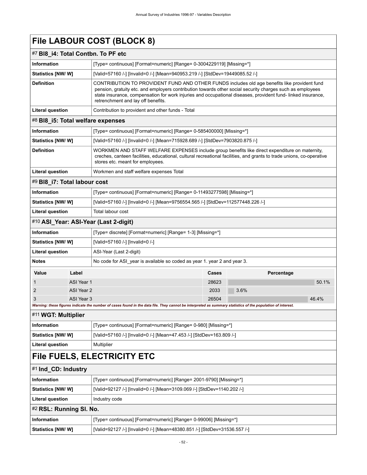# **File LABOUR COST (BLOCK 8)**

### #7 **Bl8\_i4: Total Contbn. To PF etc**

| <b>Information</b>                                                                                                                                                                                                                                                               |                                                                    | [Type= continuous] [Format=numeric] [Range= 0-3004229119] [Missing=*]                                                                                                                                                                                                                                                                                           |       |  |  |  |  |
|----------------------------------------------------------------------------------------------------------------------------------------------------------------------------------------------------------------------------------------------------------------------------------|--------------------------------------------------------------------|-----------------------------------------------------------------------------------------------------------------------------------------------------------------------------------------------------------------------------------------------------------------------------------------------------------------------------------------------------------------|-------|--|--|--|--|
| <b>Statistics [NW/ W]</b>                                                                                                                                                                                                                                                        |                                                                    | [Valid=57160 /-] [Invalid=0 /-] [Mean=940953.219 /-] [StdDev=19449085.52 /-]                                                                                                                                                                                                                                                                                    |       |  |  |  |  |
| <b>Definition</b>                                                                                                                                                                                                                                                                |                                                                    | CONTRIBUTION TO PROVIDENT FUND AND OTHER FUNDS includes old age benefits like provident fund<br>pension, gratuity etc. and employers contribution towards other social security charges such as employees<br>state insurance, compensation for work injuries and occupational diseases, provident fund- linked insurance,<br>retrenchment and lay off benefits. |       |  |  |  |  |
| Literal question                                                                                                                                                                                                                                                                 |                                                                    | Contribution to provident and other funds - Total                                                                                                                                                                                                                                                                                                               |       |  |  |  |  |
|                                                                                                                                                                                                                                                                                  |                                                                    | #8 BI8_i5: Total welfare expenses                                                                                                                                                                                                                                                                                                                               |       |  |  |  |  |
| Information                                                                                                                                                                                                                                                                      |                                                                    | [Type= continuous] [Format=numeric] [Range= 0-585400000] [Missing=*]                                                                                                                                                                                                                                                                                            |       |  |  |  |  |
| Statistics [NW/W]                                                                                                                                                                                                                                                                |                                                                    | [Valid=57160 /-] [Invalid=0 /-] [Mean=715928.689 /-] [StdDev=7903820.875 /-]                                                                                                                                                                                                                                                                                    |       |  |  |  |  |
| <b>Definition</b><br>WORKMEN AND STAFF WELFARE EXPENSES include group benefits like direct expenditure on maternity,<br>creches, canteen facilities, educational, cultural recreational facilities, and grants to trade unions, co-operative<br>stores etc. meant for employees. |                                                                    |                                                                                                                                                                                                                                                                                                                                                                 |       |  |  |  |  |
| Literal question                                                                                                                                                                                                                                                                 |                                                                    | Workmen and staff welfare expenses Total                                                                                                                                                                                                                                                                                                                        |       |  |  |  |  |
| #9 BI8_i7: Total labour cost                                                                                                                                                                                                                                                     |                                                                    |                                                                                                                                                                                                                                                                                                                                                                 |       |  |  |  |  |
| Information                                                                                                                                                                                                                                                                      |                                                                    | [Type= continuous] [Format=numeric] [Range= 0-11493277598] [Missing=*]                                                                                                                                                                                                                                                                                          |       |  |  |  |  |
| <b>Statistics [NW/ W]</b>                                                                                                                                                                                                                                                        |                                                                    | [Valid=57160 /-] [Invalid=0 /-] [Mean=9756554.565 /-] [StdDev=112577448.226 /-]                                                                                                                                                                                                                                                                                 |       |  |  |  |  |
| <b>Literal question</b>                                                                                                                                                                                                                                                          |                                                                    | Total labour cost                                                                                                                                                                                                                                                                                                                                               |       |  |  |  |  |
|                                                                                                                                                                                                                                                                                  |                                                                    | #10 ASI_Year: ASI-Year (Last 2-digit)                                                                                                                                                                                                                                                                                                                           |       |  |  |  |  |
| Information                                                                                                                                                                                                                                                                      |                                                                    | [Type= discrete] [Format=numeric] [Range= 1-3] [Missing=*]                                                                                                                                                                                                                                                                                                      |       |  |  |  |  |
| <b>Statistics [NW/ W]</b>                                                                                                                                                                                                                                                        |                                                                    | [Valid=57160 /-] [Invalid=0 /-]                                                                                                                                                                                                                                                                                                                                 |       |  |  |  |  |
| Literal question                                                                                                                                                                                                                                                                 |                                                                    | ASI-Year (Last 2-digit)                                                                                                                                                                                                                                                                                                                                         |       |  |  |  |  |
| <b>Notes</b>                                                                                                                                                                                                                                                                     |                                                                    | No code for ASI year is available so coded as year 1. year 2 and year 3.                                                                                                                                                                                                                                                                                        |       |  |  |  |  |
| Value                                                                                                                                                                                                                                                                            | Label                                                              | Cases<br>Percentage                                                                                                                                                                                                                                                                                                                                             |       |  |  |  |  |
| 1                                                                                                                                                                                                                                                                                | ASI Year 1                                                         | 28623                                                                                                                                                                                                                                                                                                                                                           | 50.1% |  |  |  |  |
| 2                                                                                                                                                                                                                                                                                | ASI Year 2                                                         | 2033<br>3.6%                                                                                                                                                                                                                                                                                                                                                    |       |  |  |  |  |
| 3                                                                                                                                                                                                                                                                                | ASI Year 3                                                         | 26504<br>Warning: these figures indicate the number of cases found in the data file. They cannot be interpreted as summary statistics of the population of interest.                                                                                                                                                                                            | 46.4% |  |  |  |  |
| #11 WGT: Multiplier                                                                                                                                                                                                                                                              |                                                                    |                                                                                                                                                                                                                                                                                                                                                                 |       |  |  |  |  |
| Information                                                                                                                                                                                                                                                                      |                                                                    | [Type= continuous] [Format=numeric] [Range= 0-980] [Missing=*]                                                                                                                                                                                                                                                                                                  |       |  |  |  |  |
| <b>Statistics [NW/ W]</b>                                                                                                                                                                                                                                                        |                                                                    | [Valid=57160 /-] [Invalid=0 /-] [Mean=47.453 /-] [StdDev=163.809 /-]                                                                                                                                                                                                                                                                                            |       |  |  |  |  |
| <b>Literal question</b>                                                                                                                                                                                                                                                          |                                                                    | Multiplier                                                                                                                                                                                                                                                                                                                                                      |       |  |  |  |  |
|                                                                                                                                                                                                                                                                                  | <b>File FUELS, ELECTRICITY ETC</b>                                 |                                                                                                                                                                                                                                                                                                                                                                 |       |  |  |  |  |
| #1 Ind_CD: Industry                                                                                                                                                                                                                                                              |                                                                    |                                                                                                                                                                                                                                                                                                                                                                 |       |  |  |  |  |
| Information                                                                                                                                                                                                                                                                      | [Type= continuous] [Format=numeric] [Range= 2001-9790] [Missing=*] |                                                                                                                                                                                                                                                                                                                                                                 |       |  |  |  |  |
| Statistics [NW/W]                                                                                                                                                                                                                                                                |                                                                    | [Valid=92127 /-] [Invalid=0 /-] [Mean=3109.069 /-] [StdDev=1140.202 /-]                                                                                                                                                                                                                                                                                         |       |  |  |  |  |
| <b>Literal question</b>                                                                                                                                                                                                                                                          | Industry code                                                      |                                                                                                                                                                                                                                                                                                                                                                 |       |  |  |  |  |
| #2 RSL: Running SI. No.                                                                                                                                                                                                                                                          |                                                                    |                                                                                                                                                                                                                                                                                                                                                                 |       |  |  |  |  |
| Information                                                                                                                                                                                                                                                                      |                                                                    | [Type= continuous] [Format=numeric] [Range= 0-99006] [Missing=*]                                                                                                                                                                                                                                                                                                |       |  |  |  |  |
| Statistics [NW/W]<br>[Valid=92127 /-] [Invalid=0 /-] [Mean=48380.851 /-] [StdDev=31536.557 /-]                                                                                                                                                                                   |                                                                    |                                                                                                                                                                                                                                                                                                                                                                 |       |  |  |  |  |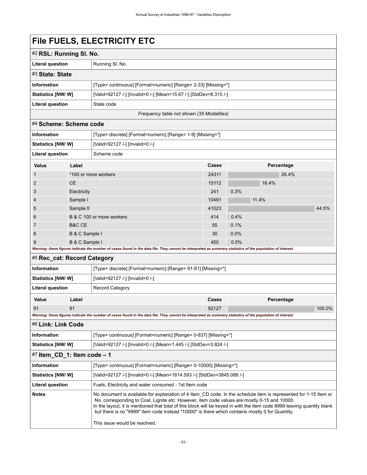# **File FUELS, ELECTRICITY ETC**

| #2 RSL: Running SI. No.   |                                                                   |  |  |
|---------------------------|-------------------------------------------------------------------|--|--|
| <b>Literal question</b>   | Running SI, No.                                                   |  |  |
| #3 State: State           |                                                                   |  |  |
| <b>Information</b>        | [Type= continuous] [Format=numeric] [Range= 2-33] [Missing=*]     |  |  |
| <b>Statistics [NW/ W]</b> | [Valid=92127 /-] [Invalid=0 /-] [Mean=15.67 /-] [StdDev=8.315 /-] |  |  |
| <b>Literal question</b>   | State code                                                        |  |  |
|                           |                                                                   |  |  |

*Frequency table not shown (35 Modalities)*

### #4 **Scheme: Scheme code**

| <b>Information</b>      |                           | [Type= discrete] [Format=numeric] [Range= 1-9] [Missing=*]                                                                                                  |              |         |            |       |       |  |
|-------------------------|---------------------------|-------------------------------------------------------------------------------------------------------------------------------------------------------------|--------------|---------|------------|-------|-------|--|
| Statistics [NW/W]       |                           | [Valid=92127 /-] [Invalid=0 /-]                                                                                                                             |              |         |            |       |       |  |
| <b>Literal question</b> |                           | Scheme code                                                                                                                                                 |              |         |            |       |       |  |
| Value                   | Label                     |                                                                                                                                                             | <b>Cases</b> |         | Percentage |       |       |  |
| $\mathbf{1}$            |                           | *100 or more workers                                                                                                                                        | 24311        |         |            | 26.4% |       |  |
| 2                       | CE.                       |                                                                                                                                                             | 15112        |         | 16.4%      |       |       |  |
| 3                       | Electricity               |                                                                                                                                                             | 241          | 0.3%    |            |       |       |  |
| $\overline{4}$          | Sample I                  |                                                                                                                                                             | 10491        |         | 11.4%      |       |       |  |
| 5                       | Sample II                 |                                                                                                                                                             | 41023        |         |            |       | 44.5% |  |
| 6                       | B & C 100 or more workers |                                                                                                                                                             | 414          | 0.4%    |            |       |       |  |
| 7                       | B&C CE                    |                                                                                                                                                             | 55           | 0.1%    |            |       |       |  |
| 8                       | B & C Sample I            |                                                                                                                                                             | 30           | $0.0\%$ |            |       |       |  |
| 9                       | B & C Sample I            |                                                                                                                                                             | 450          | 0.5%    |            |       |       |  |
|                         |                           | Warning: these figures indicate the number of cases found in the data file. They cannot be interpreted as summary statistics of the population of interest. |              |         |            |       |       |  |

### #5 **Rec\_cat: Record Category**

| <b>Information</b>                                                                                                                                                                                                                                                                                                                                                                                                                                                                              |                                                                   | [Type= discrete] [Format=numeric] [Range= 91-91] [Missing=*]                                                                                                |       |            |        |  |
|-------------------------------------------------------------------------------------------------------------------------------------------------------------------------------------------------------------------------------------------------------------------------------------------------------------------------------------------------------------------------------------------------------------------------------------------------------------------------------------------------|-------------------------------------------------------------------|-------------------------------------------------------------------------------------------------------------------------------------------------------------|-------|------------|--------|--|
| Statistics [NW/W]                                                                                                                                                                                                                                                                                                                                                                                                                                                                               |                                                                   | [Valid=92127 /-] [Invalid=0 /-]                                                                                                                             |       |            |        |  |
| Literal question                                                                                                                                                                                                                                                                                                                                                                                                                                                                                |                                                                   | <b>Record Category</b>                                                                                                                                      |       |            |        |  |
| Value                                                                                                                                                                                                                                                                                                                                                                                                                                                                                           | Label                                                             |                                                                                                                                                             | Cases | Percentage |        |  |
| 91                                                                                                                                                                                                                                                                                                                                                                                                                                                                                              | 91                                                                |                                                                                                                                                             | 92127 |            | 100.0% |  |
|                                                                                                                                                                                                                                                                                                                                                                                                                                                                                                 |                                                                   | Warning: these figures indicate the number of cases found in the data file. They cannot be interpreted as summary statistics of the population of interest. |       |            |        |  |
| #6 Link: Link Code                                                                                                                                                                                                                                                                                                                                                                                                                                                                              |                                                                   |                                                                                                                                                             |       |            |        |  |
| <b>Information</b>                                                                                                                                                                                                                                                                                                                                                                                                                                                                              |                                                                   | [Type= continuous] [Format=numeric] [Range= 0-837] [Missing=*]                                                                                              |       |            |        |  |
| Statistics [NW/W]                                                                                                                                                                                                                                                                                                                                                                                                                                                                               | [Valid=92127 /-] [Invalid=0 /-] [Mean=1.445 /-] [StdDev=3.824 /-] |                                                                                                                                                             |       |            |        |  |
| $#7$ Item_CD_1: Item code – 1                                                                                                                                                                                                                                                                                                                                                                                                                                                                   |                                                                   |                                                                                                                                                             |       |            |        |  |
| <b>Information</b>                                                                                                                                                                                                                                                                                                                                                                                                                                                                              |                                                                   | [Type= continuous] [Format=numeric] [Range= 0-10000] [Missing=*]                                                                                            |       |            |        |  |
| Statistics [NW/W]                                                                                                                                                                                                                                                                                                                                                                                                                                                                               |                                                                   | [Valid=92127 /-] [Invalid=0 /-] [Mean=1814.593 /-] [StdDev=3845.088 /-]                                                                                     |       |            |        |  |
| Literal question                                                                                                                                                                                                                                                                                                                                                                                                                                                                                |                                                                   | Fuels, Electricity and water consumed - 1st Item code                                                                                                       |       |            |        |  |
| <b>Notes</b><br>No document is available for explanation of 4 Item CD code. In the schedule item is represented for 1-15 Item sr<br>No. corresponding to Coal, Lignite etc. However, item code values are mostly 0-15 and 10000.<br>In the layout, it is mentioned that total of this block will be keyed in with the item code 9999 leaving quantity blank<br>but there is no "9999" item code instead "10000" is there which contains mostly 0 for Quantity.<br>This issue would be resolved. |                                                                   |                                                                                                                                                             |       |            |        |  |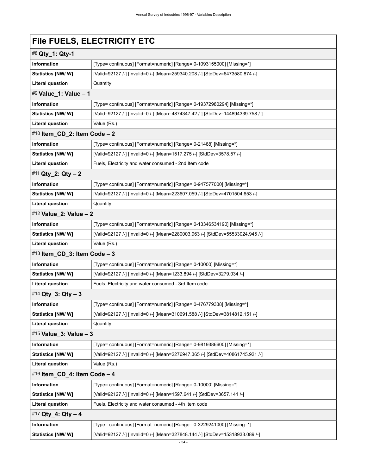# **File FUELS, ELECTRICITY ETC**

| #8 Qty_1: Qty-1                |                                                                                |  |  |  |  |  |
|--------------------------------|--------------------------------------------------------------------------------|--|--|--|--|--|
| Information                    | [Type= continuous] [Format=numeric] [Range= 0-1093155000] [Missing=*]          |  |  |  |  |  |
| Statistics [NW/W]              | [Valid=92127 /-] [Invalid=0 /-] [Mean=259340.208 /-] [StdDev=6473580.874 /-]   |  |  |  |  |  |
| <b>Literal question</b>        | Quantity                                                                       |  |  |  |  |  |
| #9 Value_1: Value - 1          |                                                                                |  |  |  |  |  |
| <b>Information</b>             | [Type= continuous] [Format=numeric] [Range= 0-19372980294] [Missing=*]         |  |  |  |  |  |
| <b>Statistics [NW/W]</b>       | [Valid=92127 /-] [Invalid=0 /-] [Mean=4874347.42 /-] [StdDev=144894339.758 /-] |  |  |  |  |  |
| <b>Literal question</b>        | Value (Rs.)                                                                    |  |  |  |  |  |
| #10 Item_CD_2: Item Code $- 2$ |                                                                                |  |  |  |  |  |
| <b>Information</b>             | [Type= continuous] [Format=numeric] [Range= 0-21488] [Missing=*]               |  |  |  |  |  |
| Statistics [NW/W]              | [Valid=92127 /-] [Invalid=0 /-] [Mean=1517.275 /-] [StdDev=3578.57 /-]         |  |  |  |  |  |
| <b>Literal question</b>        | Fuels, Electricity and water consumed - 2nd Item code                          |  |  |  |  |  |
| #11 Qty_2: Qty - 2             |                                                                                |  |  |  |  |  |
| Information                    | [Type= continuous] [Format=numeric] [Range= 0-947577000] [Missing=*]           |  |  |  |  |  |
| <b>Statistics [NW/W]</b>       | [Valid=92127 /-] [Invalid=0 /-] [Mean=223607.059 /-] [StdDev=4701504.653 /-]   |  |  |  |  |  |
| <b>Literal question</b>        | Quantity                                                                       |  |  |  |  |  |
| #12 Value_2: Value - 2         |                                                                                |  |  |  |  |  |
| <b>Information</b>             | [Type= continuous] [Format=numeric] [Range= 0-13346534190] [Missing=*]         |  |  |  |  |  |
| <b>Statistics [NW/W]</b>       | [Valid=92127 /-] [Invalid=0 /-] [Mean=2280003.963 /-] [StdDev=55533024.945 /-] |  |  |  |  |  |
| <b>Literal question</b>        | Value (Rs.)                                                                    |  |  |  |  |  |
| #13 Item_CD_3: Item Code $-3$  |                                                                                |  |  |  |  |  |
| <b>Information</b>             | [Type= continuous] [Format=numeric] [Range= 0-10000] [Missing=*]               |  |  |  |  |  |
| <b>Statistics [NW/W]</b>       | [Valid=92127 /-] [Invalid=0 /-] [Mean=1233.894 /-] [StdDev=3279.034 /-]        |  |  |  |  |  |
| <b>Literal question</b>        | Fuels, Electricity and water consumed - 3rd Item code                          |  |  |  |  |  |
| #14 Qty_3: Qty - 3             |                                                                                |  |  |  |  |  |
| Information                    | [Type= continuous] [Format=numeric] [Range= 0-476779338] [Missing=*]           |  |  |  |  |  |
| Statistics [NW/ W]             | [Valid=92127 /-] [Invalid=0 /-] [Mean=310691.588 /-] [StdDev=3814812.151 /-]   |  |  |  |  |  |
| <b>Literal question</b>        | Quantity                                                                       |  |  |  |  |  |
| #15 Value_3: Value - 3         |                                                                                |  |  |  |  |  |
| Information                    | [Type= continuous] [Format=numeric] [Range= 0-9819386600] [Missing=*]          |  |  |  |  |  |
| Statistics [NW/W]              | [Valid=92127 /-] [Invalid=0 /-] [Mean=2276947.365 /-] [StdDev=40861745.921 /-] |  |  |  |  |  |
| <b>Literal question</b>        | Value (Rs.)                                                                    |  |  |  |  |  |
| #16 Item_CD_4: Item Code - 4   |                                                                                |  |  |  |  |  |
| <b>Information</b>             | [Type= continuous] [Format=numeric] [Range= 0-10000] [Missing=*]               |  |  |  |  |  |
| Statistics [NW/W]              | [Valid=92127 /-] [Invalid=0 /-] [Mean=1597.641 /-] [StdDev=3657.141 /-]        |  |  |  |  |  |
| <b>Literal question</b>        | Fuels, Electricity and water consumed - 4th Item code                          |  |  |  |  |  |
| #17 Qty_4: Qty - 4             |                                                                                |  |  |  |  |  |
| Information                    | [Type= continuous] [Format=numeric] [Range= 0-3229241000] [Missing=*]          |  |  |  |  |  |
| Statistics [NW/W]              | [Valid=92127 /-] [Invalid=0 /-] [Mean=327848.144 /-] [StdDev=15318933.089 /-]  |  |  |  |  |  |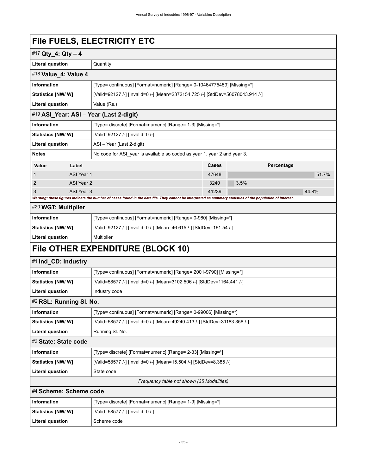# **File FUELS, ELECTRICITY ETC**

| #17 Qty_4: Qty - 4                        |                                                            |                                                                                                                                                             |       |            |       |  |  |
|-------------------------------------------|------------------------------------------------------------|-------------------------------------------------------------------------------------------------------------------------------------------------------------|-------|------------|-------|--|--|
| <b>Literal question</b>                   |                                                            | Quantity                                                                                                                                                    |       |            |       |  |  |
| #18 Value_4: Value 4                      |                                                            |                                                                                                                                                             |       |            |       |  |  |
| Information                               |                                                            | [Type= continuous] [Format=numeric] [Range= 0-10464775459] [Missing=*]                                                                                      |       |            |       |  |  |
| Statistics [NW/ W]                        |                                                            | [Valid=92127 /-] [Invalid=0 /-] [Mean=2372154.725 /-] [StdDev=56078043.914 /-]                                                                              |       |            |       |  |  |
| <b>Literal question</b><br>Value (Rs.)    |                                                            |                                                                                                                                                             |       |            |       |  |  |
|                                           |                                                            | #19 ASI_Year: ASI - Year (Last 2-digit)                                                                                                                     |       |            |       |  |  |
| <b>Information</b>                        | [Type= discrete] [Format=numeric] [Range= 1-3] [Missing=*] |                                                                                                                                                             |       |            |       |  |  |
| <b>Statistics [NW/W]</b>                  |                                                            | [Valid=92127 /-] [Invalid=0 /-]                                                                                                                             |       |            |       |  |  |
| <b>Literal question</b>                   |                                                            | ASI - Year (Last 2-digit)                                                                                                                                   |       |            |       |  |  |
| <b>Notes</b>                              |                                                            | No code for ASI year is available so coded as year 1. year 2 and year 3.                                                                                    |       |            |       |  |  |
| Value                                     | Label                                                      |                                                                                                                                                             | Cases | Percentage |       |  |  |
| 1                                         | ASI Year 1                                                 |                                                                                                                                                             | 47648 |            | 51.7% |  |  |
| 2                                         | ASI Year 2                                                 |                                                                                                                                                             | 3240  | 3.5%       |       |  |  |
| 3                                         | ASI Year 3                                                 | Warning: these figures indicate the number of cases found in the data file. They cannot be interpreted as summary statistics of the population of interest. | 41239 |            | 44.8% |  |  |
| #20 WGT: Multiplier                       |                                                            |                                                                                                                                                             |       |            |       |  |  |
| Information                               |                                                            | [Type= continuous] [Format=numeric] [Range= 0-980] [Missing=*]                                                                                              |       |            |       |  |  |
| <b>Statistics [NW/ W]</b>                 |                                                            | [Valid=92127 /-] [Invalid=0 /-] [Mean=46.615 /-] [StdDev=161.54 /-]                                                                                         |       |            |       |  |  |
| <b>Literal question</b>                   |                                                            | Multiplier                                                                                                                                                  |       |            |       |  |  |
|                                           |                                                            | File OTHER EXPENDITURE (BLOCK 10)                                                                                                                           |       |            |       |  |  |
| #1 Ind_CD: Industry                       |                                                            |                                                                                                                                                             |       |            |       |  |  |
| <b>Information</b>                        |                                                            | [Type= continuous] [Format=numeric] [Range= 2001-9790] [Missing=*]                                                                                          |       |            |       |  |  |
| <b>Statistics [NW/ W]</b>                 |                                                            | [Valid=58577 /-] [Invalid=0 /-] [Mean=3102.506 /-] [StdDev=1164.441 /-]                                                                                     |       |            |       |  |  |
| <b>Literal question</b>                   |                                                            | Industry code                                                                                                                                               |       |            |       |  |  |
| #2 RSL: Running SI. No.                   |                                                            |                                                                                                                                                             |       |            |       |  |  |
| <b>Information</b>                        |                                                            | [Type= continuous] [Format=numeric] [Range= 0-99006] [Missing=*]                                                                                            |       |            |       |  |  |
| <b>Statistics [NW/ W]</b>                 |                                                            | [Valid=58577 /-] [Invalid=0 /-] [Mean=49240.413 /-] [StdDev=31183.356 /-]                                                                                   |       |            |       |  |  |
| <b>Literal question</b>                   |                                                            | Running SI. No.                                                                                                                                             |       |            |       |  |  |
| #3 State: State code                      |                                                            |                                                                                                                                                             |       |            |       |  |  |
| Information                               |                                                            | [Type= discrete] [Format=numeric] [Range= 2-33] [Missing=*]                                                                                                 |       |            |       |  |  |
| <b>Statistics [NW/ W]</b>                 |                                                            | [Valid=58577 /-] [Invalid=0 /-] [Mean=15.504 /-] [StdDev=8.385 /-]                                                                                          |       |            |       |  |  |
| <b>Literal question</b>                   | State code                                                 |                                                                                                                                                             |       |            |       |  |  |
| Frequency table not shown (35 Modalities) |                                                            |                                                                                                                                                             |       |            |       |  |  |
|                                           | #4 Scheme: Scheme code                                     |                                                                                                                                                             |       |            |       |  |  |
| Information                               | [Type= discrete] [Format=numeric] [Range= 1-9] [Missing=*] |                                                                                                                                                             |       |            |       |  |  |
| Statistics [NW/W]                         |                                                            | [Valid=58577 /-] [Invalid=0 /-]                                                                                                                             |       |            |       |  |  |
| <b>Literal question</b>                   | Scheme code                                                |                                                                                                                                                             |       |            |       |  |  |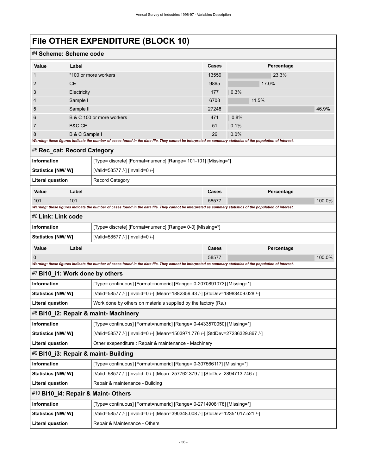| #4 Scheme: Scheme code          |                                     |                                                                                                                                                             |          |              |        |  |
|---------------------------------|-------------------------------------|-------------------------------------------------------------------------------------------------------------------------------------------------------------|----------|--------------|--------|--|
| Value                           | Label                               |                                                                                                                                                             | Cases    | Percentage   |        |  |
| 1                               |                                     | *100 or more workers                                                                                                                                        | 13559    | 23.3%        |        |  |
| $\overline{2}$                  | <b>CE</b>                           |                                                                                                                                                             | 9865     | 17.0%        |        |  |
| 3                               | Electricity                         |                                                                                                                                                             | 177      | 0.3%         |        |  |
| 4                               | Sample I                            |                                                                                                                                                             | 6708     | 11.5%        |        |  |
| 5                               | Sample II                           |                                                                                                                                                             | 27248    |              | 46.9%  |  |
| 6                               | B & C 100 or more workers           |                                                                                                                                                             | 471      | 0.8%         |        |  |
| 7<br>8                          | <b>B&amp;C CE</b><br>B & C Sample I |                                                                                                                                                             | 51<br>26 | 0.1%<br>0.0% |        |  |
|                                 |                                     | Warning: these figures indicate the number of cases found in the data file. They cannot be interpreted as summary statistics of the population of interest. |          |              |        |  |
| #5 Rec_cat: Record Category     |                                     |                                                                                                                                                             |          |              |        |  |
| <b>Information</b>              |                                     | [Type= discrete] [Format=numeric] [Range= 101-101] [Missing=*]                                                                                              |          |              |        |  |
| Statistics [NW/ W]              |                                     | [Valid=58577 /-] [Invalid=0 /-]                                                                                                                             |          |              |        |  |
| <b>Literal question</b>         |                                     | <b>Record Category</b>                                                                                                                                      |          |              |        |  |
| Value                           | Label                               |                                                                                                                                                             | Cases    | Percentage   |        |  |
| 101                             | 101                                 |                                                                                                                                                             | 58577    |              | 100.0% |  |
|                                 |                                     | Warning: these figures indicate the number of cases found in the data file. They cannot be interpreted as summary statistics of the population of interest. |          |              |        |  |
| #6 Link: Link code              |                                     |                                                                                                                                                             |          |              |        |  |
| Information                     |                                     | [Type= discrete] [Format=numeric] [Range= 0-0] [Missing=*]                                                                                                  |          |              |        |  |
| <b>Statistics [NW/W]</b>        |                                     | [Valid=58577 /-] [Invalid=0 /-]                                                                                                                             |          |              |        |  |
| Value                           | Label                               |                                                                                                                                                             | Cases    | Percentage   |        |  |
|                                 |                                     |                                                                                                                                                             | 58577    |              | 100.0% |  |
| #7 BI10_i1: Work done by others |                                     | Warning: these figures indicate the number of cases found in the data file. They cannot be interpreted as summary statistics of the population of interest. |          |              |        |  |
| Information                     |                                     |                                                                                                                                                             |          |              |        |  |
| <b>Statistics [NW/ W]</b>       |                                     | [Type= continuous] [Format=numeric] [Range= 0-2070891073] [Missing=*]<br>[Valid=58577 /-] [Invalid=0 /-] [Mean=1882359.43 /-] [StdDev=18983409.028 /-]      |          |              |        |  |
| <b>Literal question</b>         |                                     | Work done by others on materials supplied by the factory (Rs.)                                                                                              |          |              |        |  |
|                                 |                                     | #8 BI10_i2: Repair & maint- Machinery                                                                                                                       |          |              |        |  |
| Information                     |                                     | [Type= continuous] [Format=numeric] [Range= 0-4433570050] [Missing=*]                                                                                       |          |              |        |  |
| Statistics [NW/W]               |                                     | [Valid=58577 /-] [Invalid=0 /-] [Mean=1503971.776 /-] [StdDev=27236329.867 /-]                                                                              |          |              |        |  |
| <b>Literal question</b>         |                                     | Other exependiture : Repair & maintenance - Machinery                                                                                                       |          |              |        |  |
|                                 |                                     | #9 BI10_i3: Repair & maint- Building                                                                                                                        |          |              |        |  |
| Information                     |                                     | [Type= continuous] [Format=numeric] [Range= 0-307566117] [Missing=*]                                                                                        |          |              |        |  |
| Statistics [NW/W]               |                                     | [Valid=58577 /-] [Invalid=0 /-] [Mean=257762.379 /-] [StdDev=2894713.746 /-]                                                                                |          |              |        |  |
| <b>Literal question</b>         | Repair & maintenance - Building     |                                                                                                                                                             |          |              |        |  |
|                                 |                                     | #10 BI10_i4: Repair & Maint-Others                                                                                                                          |          |              |        |  |
| Information                     |                                     | [Type= continuous] [Format=numeric] [Range= 0-2714908178] [Missing=*]                                                                                       |          |              |        |  |
| Statistics [NW/W]               |                                     | [Valid=58577 /-] [Invalid=0 /-] [Mean=390348.008 /-] [StdDev=12351017.521 /-]                                                                               |          |              |        |  |
| <b>Literal question</b>         | Repair & Maintenance - Others       |                                                                                                                                                             |          |              |        |  |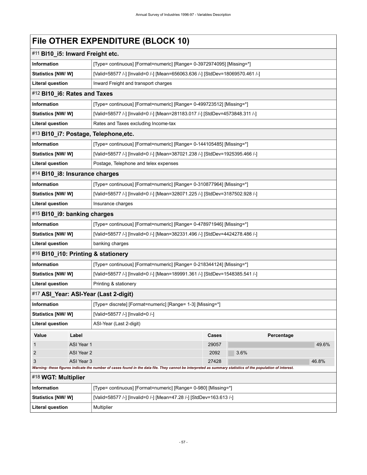| #11 BI10_i5: Inward Freight etc.                                                     |                                                                                                                                                             |       |      |            |       |
|--------------------------------------------------------------------------------------|-------------------------------------------------------------------------------------------------------------------------------------------------------------|-------|------|------------|-------|
| Information                                                                          | [Type= continuous] [Format=numeric] [Range= 0-3972974095] [Missing=*]                                                                                       |       |      |            |       |
| <b>Statistics [NW/W]</b>                                                             | [Valid=58577 /-] [Invalid=0 /-] [Mean=656063.636 /-] [StdDev=18069570.461 /-]                                                                               |       |      |            |       |
| <b>Literal question</b>                                                              | Inward Freight and transport charges                                                                                                                        |       |      |            |       |
| #12 BI10_i6: Rates and Taxes                                                         |                                                                                                                                                             |       |      |            |       |
| Information                                                                          | [Type= continuous] [Format=numeric] [Range= 0-499723512] [Missing=*]                                                                                        |       |      |            |       |
| <b>Statistics [NW/W]</b>                                                             | [Valid=58577 /-] [Invalid=0 /-] [Mean=281183.017 /-] [StdDev=4573848.311 /-]                                                                                |       |      |            |       |
| <b>Literal question</b>                                                              | Rates and Taxes excluding Income-tax                                                                                                                        |       |      |            |       |
| #13 BI10_i7: Postage, Telephone, etc.                                                |                                                                                                                                                             |       |      |            |       |
| Information                                                                          | [Type= continuous] [Format=numeric] [Range= 0-144105485] [Missing=*]                                                                                        |       |      |            |       |
| <b>Statistics [NW/W]</b>                                                             | [Valid=58577 /-] [Invalid=0 /-] [Mean=387021.238 /-] [StdDev=1925395.466 /-]                                                                                |       |      |            |       |
| <b>Literal question</b>                                                              | Postage, Telephone and telex expenses                                                                                                                       |       |      |            |       |
| #14 BI10_i8: Insurance charges                                                       |                                                                                                                                                             |       |      |            |       |
| <b>Information</b>                                                                   | [Type= continuous] [Format=numeric] [Range= 0-310877964] [Missing=*]                                                                                        |       |      |            |       |
| <b>Statistics [NW/W]</b>                                                             | [Valid=58577 /-] [Invalid=0 /-] [Mean=328071.225 /-] [StdDev=3187502.928 /-]                                                                                |       |      |            |       |
| <b>Literal question</b>                                                              | Insurance charges                                                                                                                                           |       |      |            |       |
| #15 BI10_i9: banking charges                                                         |                                                                                                                                                             |       |      |            |       |
| Information                                                                          | [Type= continuous] [Format=numeric] [Range= 0-478971946] [Missing=*]                                                                                        |       |      |            |       |
| Statistics [NW/W]                                                                    | [Valid=58577 /-] [Invalid=0 /-] [Mean=382331.496 /-] [StdDev=4424278.486 /-]                                                                                |       |      |            |       |
| <b>Literal question</b>                                                              | banking charges                                                                                                                                             |       |      |            |       |
| #16 BI10_i10: Printing & stationery                                                  |                                                                                                                                                             |       |      |            |       |
| Information                                                                          | [Type= continuous] [Format=numeric] [Range= 0-218344124] [Missing=*]                                                                                        |       |      |            |       |
| <b>Statistics [NW/W]</b>                                                             | [Valid=58577 /-] [Invalid=0 /-] [Mean=189991.361 /-] [StdDev=1548385.541 /-]                                                                                |       |      |            |       |
| <b>Literal question</b>                                                              | Printing & stationery                                                                                                                                       |       |      |            |       |
| #17 ASI_Year: ASI-Year (Last 2-digit)                                                |                                                                                                                                                             |       |      |            |       |
| <b>Information</b>                                                                   | [Type= discrete] [Format=numeric] [Range= 1-3] [Missing=*]                                                                                                  |       |      |            |       |
| <b>Statistics [NW/W]</b>                                                             | [Valid=58577 /-] [Invalid=0 /-]                                                                                                                             |       |      |            |       |
| <b>Literal question</b>                                                              | ASI-Year (Last 2-digit)                                                                                                                                     |       |      |            |       |
| Value<br>Label                                                                       |                                                                                                                                                             | Cases |      | Percentage |       |
| ASI Year 1<br>1                                                                      |                                                                                                                                                             | 29057 |      |            | 49.6% |
| 2<br>ASI Year 2                                                                      |                                                                                                                                                             | 2092  | 3.6% |            |       |
| ASI Year 3<br>3                                                                      | Warning: these figures indicate the number of cases found in the data file. They cannot be interpreted as summary statistics of the population of interest. | 27428 |      |            | 46.8% |
| #18 WGT: Multiplier                                                                  |                                                                                                                                                             |       |      |            |       |
| <b>Information</b><br>[Type= continuous] [Format=numeric] [Range= 0-980] [Missing=*] |                                                                                                                                                             |       |      |            |       |
| Statistics [NW/W]                                                                    | [Valid=58577 /-] [Invalid=0 /-] [Mean=47.28 /-] [StdDev=163.613 /-]                                                                                         |       |      |            |       |
| <b>Literal question</b>                                                              | Multiplier                                                                                                                                                  |       |      |            |       |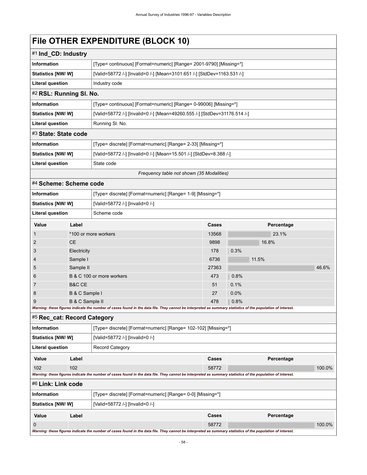|                                                                           |                   | FIIE UTHER EXPENDITURE (BLUCK 10)                                                                                                                           |                                           |            |        |
|---------------------------------------------------------------------------|-------------------|-------------------------------------------------------------------------------------------------------------------------------------------------------------|-------------------------------------------|------------|--------|
| #1 Ind_CD: Industry                                                       |                   |                                                                                                                                                             |                                           |            |        |
| Information                                                               |                   | [Type= continuous] [Format=numeric] [Range= 2001-9790] [Missing=*]                                                                                          |                                           |            |        |
| <b>Statistics [NW/ W]</b>                                                 |                   | [Valid=58772 /-] [Invalid=0 /-] [Mean=3101.651 /-] [StdDev=1163.531 /-]                                                                                     |                                           |            |        |
| <b>Literal question</b>                                                   |                   | Industry code                                                                                                                                               |                                           |            |        |
| #2 RSL: Running SI. No.                                                   |                   |                                                                                                                                                             |                                           |            |        |
| <b>Information</b>                                                        |                   | [Type= continuous] [Format=numeric] [Range= 0-99006] [Missing=*]                                                                                            |                                           |            |        |
| Statistics [NW/W]                                                         |                   | [Valid=58772 /-] [Invalid=0 /-] [Mean=49260.555 /-] [StdDev=31176.514 /-]                                                                                   |                                           |            |        |
| Running SI. No.<br><b>Literal question</b>                                |                   |                                                                                                                                                             |                                           |            |        |
| #3 State: State code                                                      |                   |                                                                                                                                                             |                                           |            |        |
| Information                                                               |                   | [Type= discrete] [Format=numeric] [Range= 2-33] [Missing=*]                                                                                                 |                                           |            |        |
| Statistics [NW/W]                                                         |                   | [Valid=58772 /-] [Invalid=0 /-] [Mean=15.501 /-] [StdDev=8.388 /-]                                                                                          |                                           |            |        |
| <b>Literal question</b>                                                   |                   | State code                                                                                                                                                  |                                           |            |        |
|                                                                           |                   |                                                                                                                                                             | Frequency table not shown (35 Modalities) |            |        |
| #4 Scheme: Scheme code                                                    |                   |                                                                                                                                                             |                                           |            |        |
| Information<br>[Type= discrete] [Format=numeric] [Range= 1-9] [Missing=*] |                   |                                                                                                                                                             |                                           |            |        |
| Statistics [NW/ W]<br>[Valid=58772 /-] [Invalid=0 /-]                     |                   |                                                                                                                                                             |                                           |            |        |
| <b>Literal question</b><br>Scheme code                                    |                   |                                                                                                                                                             |                                           |            |        |
| Value                                                                     | Label             |                                                                                                                                                             | Cases                                     | Percentage |        |
| $\mathbf 1$                                                               |                   | *100 or more workers                                                                                                                                        | 13568                                     | 23.1%      |        |
| 2                                                                         | <b>CE</b>         |                                                                                                                                                             | 9898                                      | 16.8%      |        |
| 3                                                                         | Electricity       |                                                                                                                                                             | 178                                       | 0.3%       |        |
| 4                                                                         | Sample I          |                                                                                                                                                             | 6736                                      | 11.5%      |        |
| 5                                                                         | Sample II         |                                                                                                                                                             | 27363                                     |            | 46.6%  |
| 6                                                                         |                   | B & C 100 or more workers                                                                                                                                   | 473                                       | 0.8%       |        |
| 7                                                                         | <b>B&amp;C CE</b> |                                                                                                                                                             | 51                                        | 0.1%       |        |
| 8                                                                         | B & C Sample I    |                                                                                                                                                             | 27                                        | 0.0%       |        |
| 9                                                                         | B & C Sample II   | Warning: these figures indicate the number of cases found in the data file. They cannot be interpreted as summary statistics of the population of interest. | 478                                       | 0.8%       |        |
| #5 Rec cat: Record Category                                               |                   |                                                                                                                                                             |                                           |            |        |
| Information                                                               |                   | [Type= discrete] [Format=numeric] [Range= 102-102] [Missing=*]                                                                                              |                                           |            |        |
| Statistics [NW/W]                                                         |                   | [Valid=58772 /-] [Invalid=0 /-]                                                                                                                             |                                           |            |        |
| <b>Literal question</b>                                                   |                   | <b>Record Category</b>                                                                                                                                      |                                           |            |        |
| Value                                                                     | Label             |                                                                                                                                                             | Cases                                     | Percentage |        |
| 102                                                                       | 102               |                                                                                                                                                             | 58772                                     |            | 100.0% |
|                                                                           |                   | Warning: these figures indicate the number of cases found in the data file. They cannot be interpreted as summary statistics of the population of interest. |                                           |            |        |

#6 **Link: Link code**

| $#$ Link. Link code                                                                                                                                         |       |                                                            |       |            |        |
|-------------------------------------------------------------------------------------------------------------------------------------------------------------|-------|------------------------------------------------------------|-------|------------|--------|
| <b>Information</b>                                                                                                                                          |       | [Type= discrete] [Format=numeric] [Range= 0-0] [Missing=*] |       |            |        |
| <b>Statistics [NW/ W]</b><br>[Valid=58772 /-] [Invalid=0 /-]                                                                                                |       |                                                            |       |            |        |
| Value                                                                                                                                                       | Label |                                                            | Cases | Percentage |        |
|                                                                                                                                                             |       |                                                            | 58772 |            | 100.0% |
| Warning: these figures indicate the number of cases found in the data file. They cannot be interpreted as summary statistics of the population of interest. |       |                                                            |       |            |        |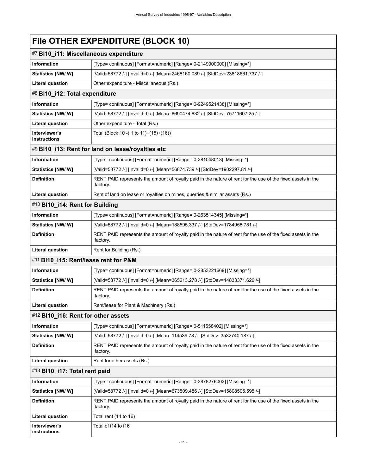| #7 BI10_i11: Miscellaneous expenditure |                                                                                                                          |
|----------------------------------------|--------------------------------------------------------------------------------------------------------------------------|
| <b>Information</b>                     | [Type= continuous] [Format=numeric] [Range= 0-2149900000] [Missing=*]                                                    |
| Statistics [NW/W]                      | [Valid=58772 /-] [Invalid=0 /-] [Mean=2468160.089 /-] [StdDev=23818661.737 /-]                                           |
| <b>Literal question</b>                | Other expenditure - Miscellaneous (Rs.)                                                                                  |
| #8 BI10_i12: Total expenditure         |                                                                                                                          |
| <b>Information</b>                     | [Type= continuous] [Format=numeric] [Range= 0-9249521438] [Missing=*]                                                    |
| <b>Statistics [NW/ W]</b>              | [Valid=58772 /-] [Invalid=0 /-] [Mean=8690474.632 /-] [StdDev=75711607.25 /-]                                            |
| <b>Literal question</b>                | Other expenditure - Total (Rs.)                                                                                          |
| <b>Interviewer's</b><br>instructions   | Total (Block 10 - (1 to 11)+(15)+(16))                                                                                   |
|                                        | #9 BI10_i13: Rent for land on lease/royalties etc                                                                        |
| <b>Information</b>                     | [Type= continuous] [Format=numeric] [Range= 0-281048013] [Missing=*]                                                     |
| Statistics [NW/W]                      | [Valid=58772 /-] [Invalid=0 /-] [Mean=56874.739 /-] [StdDev=1902297.81 /-]                                               |
| <b>Definition</b>                      | RENT PAID represents the amount of royalty paid in the nature of rent for the use of the fixed assets in the<br>factory. |
| <b>Literal question</b>                | Rent of land on lease or royalties on mines, querries & similar assets (Rs.)                                             |
| #10 BI10_i14: Rent for Building        |                                                                                                                          |
| <b>Information</b>                     | [Type= continuous] [Format=numeric] [Range= 0-263514345] [Missing=*]                                                     |
| Statistics [NW/W]                      | [Valid=58772 /-] [Invalid=0 /-] [Mean=188595.337 /-] [StdDev=1784958.781 /-]                                             |
| <b>Definition</b>                      | RENT PAID represents the amount of royalty paid in the nature of rent for the use of the fixed assets in the<br>factory. |
| <b>Literal question</b>                | Rent for Building (Rs.)                                                                                                  |
| #11 BI10_i15: Rent/lease rent for P&M  |                                                                                                                          |
| Information                            | [Type= continuous] [Format=numeric] [Range= 0-2853221669] [Missing=*]                                                    |
| Statistics [NW/W]                      | [Valid=58772 /-] [Invalid=0 /-] [Mean=365213.278 /-] [StdDev=14833371.626 /-]                                            |
| <b>Definition</b>                      | RENT PAID represents the amount of royalty paid in the nature of rent for the use of the fixed assets in the<br>factory. |
| <b>Literal question</b>                | Rent/lease for Plant & Machinery (Rs.)                                                                                   |
| #12 BI10_i16: Rent for other assets    |                                                                                                                          |
| <b>Information</b>                     | [Type= continuous] [Format=numeric] [Range= 0-511558402] [Missing=*]                                                     |
| Statistics [NW/W]                      | [Valid=58772 /-] [Invalid=0 /-] [Mean=114539.78 /-] [StdDev=3532740.187 /-]                                              |
| <b>Definition</b>                      | RENT PAID represents the amount of royalty paid in the nature of rent for the use of the fixed assets in the<br>factory. |
| <b>Literal question</b>                | Rent for other assets (Rs.)                                                                                              |
| #13 BI10 i17: Total rent paid          |                                                                                                                          |
| <b>Information</b>                     | [Type= continuous] [Format=numeric] [Range= 0-2878276003] [Missing=*]                                                    |
| Statistics [NW/W]                      | [Valid=58772 /-] [Invalid=0 /-] [Mean=673509.486 /-] [StdDev=15808505.595 /-]                                            |
| <b>Definition</b>                      | RENT PAID represents the amount of royalty paid in the nature of rent for the use of the fixed assets in the<br>factory. |
| Literal question                       | Total rent (14 to 16)                                                                                                    |
| Interviewer's<br>instructions          | Total of i14 to i16                                                                                                      |

- 1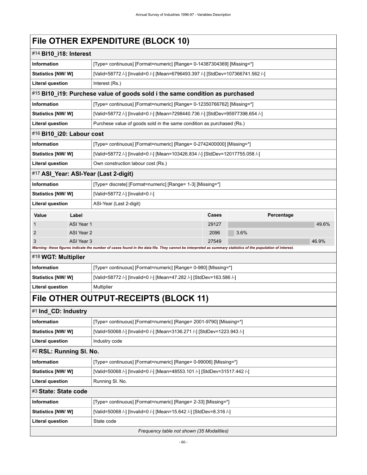| #14 BI10_i18: Interest    |            |                                                                                                                                                             |       |      |            |       |  |  |
|---------------------------|------------|-------------------------------------------------------------------------------------------------------------------------------------------------------------|-------|------|------------|-------|--|--|
| <b>Information</b>        |            | [Type= continuous] [Format=numeric] [Range= 0-14387304369] [Missing=*]                                                                                      |       |      |            |       |  |  |
| <b>Statistics [NW/W]</b>  |            | [Valid=58772 /-] [Invalid=0 /-] [Mean=6796493.397 /-] [StdDev=107366741.562 /-]                                                                             |       |      |            |       |  |  |
| <b>Literal question</b>   |            | Interest (Rs.)                                                                                                                                              |       |      |            |       |  |  |
|                           |            | #15 BI10_i19: Purchese value of goods sold i the same condition as purchased                                                                                |       |      |            |       |  |  |
| <b>Information</b>        |            | [Type= continuous] [Format=numeric] [Range= 0-12350766762] [Missing=*]                                                                                      |       |      |            |       |  |  |
| <b>Statistics [NW/ W]</b> |            | [Valid=58772 /-] [Invalid=0 /-] [Mean=7298440.736 /-] [StdDev=95977398.654 /-]                                                                              |       |      |            |       |  |  |
| <b>Literal question</b>   |            | Purchese value of goods sold in the same condition as purchased (Rs.)                                                                                       |       |      |            |       |  |  |
| #16 BI10_i20: Labour cost |            |                                                                                                                                                             |       |      |            |       |  |  |
| <b>Information</b>        |            | [Type= continuous] [Format=numeric] [Range= 0-2742400000] [Missing=*]                                                                                       |       |      |            |       |  |  |
| <b>Statistics [NW/W]</b>  |            | [Valid=58772 /-] [Invalid=0 /-] [Mean=103426.834 /-] [StdDev=12017755.058 /-]                                                                               |       |      |            |       |  |  |
| <b>Literal question</b>   |            | Own construction labour cost (Rs.)                                                                                                                          |       |      |            |       |  |  |
|                           |            | #17 ASI_Year: ASI-Year (Last 2-digit)                                                                                                                       |       |      |            |       |  |  |
| <b>Information</b>        |            | [Type= discrete] [Format=numeric] [Range= 1-3] [Missing=*]                                                                                                  |       |      |            |       |  |  |
| Statistics [NW/W]         |            | [Valid=58772 /-] [Invalid=0 /-]                                                                                                                             |       |      |            |       |  |  |
| <b>Literal question</b>   |            | ASI-Year (Last 2-digit)                                                                                                                                     |       |      |            |       |  |  |
| Value                     | Label      |                                                                                                                                                             | Cases |      | Percentage |       |  |  |
| $\mathbf{1}$              | ASI Year 1 |                                                                                                                                                             | 29127 |      |            | 49.6% |  |  |
| $\overline{2}$            | ASI Year 2 |                                                                                                                                                             | 2096  | 3.6% |            |       |  |  |
| 3                         | ASI Year 3 | Warning: these figures indicate the number of cases found in the data file. They cannot be interpreted as summary statistics of the population of interest. | 27549 |      |            | 46.9% |  |  |
| #18 WGT: Multiplier       |            |                                                                                                                                                             |       |      |            |       |  |  |
| <b>Information</b>        |            | [Type= continuous] [Format=numeric] [Range= 0-980] [Missing=*]                                                                                              |       |      |            |       |  |  |
| <b>Statistics [NW/W]</b>  |            | [Valid=58772 /-] [Invalid=0 /-] [Mean=47.282 /-] [StdDev=163.586 /-]                                                                                        |       |      |            |       |  |  |
| <b>Literal question</b>   |            | Multiplier                                                                                                                                                  |       |      |            |       |  |  |
|                           |            | File OTHER OUTPUT-RECEIPTS (BLOCK 11)                                                                                                                       |       |      |            |       |  |  |
| #1 Ind_CD: Industry       |            |                                                                                                                                                             |       |      |            |       |  |  |
| <b>Information</b>        |            | [Type= continuous] [Format=numeric] [Range= 2001-9790] [Missing=*]                                                                                          |       |      |            |       |  |  |
| Statistics [NW/W]         |            | [Valid=50068 /-] [Invalid=0 /-] [Mean=3136.271 /-] [StdDev=1223.943 /-]                                                                                     |       |      |            |       |  |  |
| <b>Literal question</b>   |            | Industry code                                                                                                                                               |       |      |            |       |  |  |
| #2 RSL: Running SI. No.   |            |                                                                                                                                                             |       |      |            |       |  |  |
| Information               |            | [Type= continuous] [Format=numeric] [Range= 0-99006] [Missing=*]                                                                                            |       |      |            |       |  |  |
| Statistics [NW/W]         |            | [Valid=50068 /-] [Invalid=0 /-] [Mean=48553.101 /-] [StdDev=31517.442 /-]                                                                                   |       |      |            |       |  |  |
| <b>Literal question</b>   |            | Running SI. No.                                                                                                                                             |       |      |            |       |  |  |
| #3 State: State code      |            |                                                                                                                                                             |       |      |            |       |  |  |
| Information               |            | [Type= continuous] [Format=numeric] [Range= 2-33] [Missing=*]                                                                                               |       |      |            |       |  |  |
| Statistics [NW/W]         |            | [Valid=50068 /-] [Invalid=0 /-] [Mean=15.642 /-] [StdDev=8.316 /-]                                                                                          |       |      |            |       |  |  |
| <b>Literal question</b>   |            | State code                                                                                                                                                  |       |      |            |       |  |  |

*Frequency table not shown (35 Modalities)*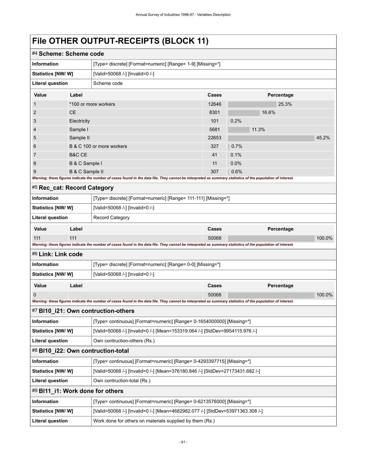# **File OTHER OUTPUT-RECEIPTS (BLOCK 11)**

| #4 Scheme: Scheme code                                                              |                                                                                                    |                                                                                                                                                             |       |            |        |  |  |  |
|-------------------------------------------------------------------------------------|----------------------------------------------------------------------------------------------------|-------------------------------------------------------------------------------------------------------------------------------------------------------------|-------|------------|--------|--|--|--|
| <b>Information</b>                                                                  |                                                                                                    | [Type= discrete] [Format=numeric] [Range= 1-9] [Missing=*]                                                                                                  |       |            |        |  |  |  |
| Statistics [NW/ W]                                                                  |                                                                                                    | [Valid=50068 /-] [Invalid=0 /-]                                                                                                                             |       |            |        |  |  |  |
| <b>Literal question</b>                                                             |                                                                                                    | Scheme code                                                                                                                                                 |       |            |        |  |  |  |
| Value                                                                               | Label                                                                                              |                                                                                                                                                             | Cases | Percentage |        |  |  |  |
| 1                                                                                   |                                                                                                    | *100 or more workers                                                                                                                                        | 12646 | 25.3%      |        |  |  |  |
| 2                                                                                   | <b>CE</b>                                                                                          |                                                                                                                                                             | 8301  | 16.6%      |        |  |  |  |
| 3                                                                                   | Electricity                                                                                        |                                                                                                                                                             | 101   | 0.2%       |        |  |  |  |
| 4                                                                                   | Sample I                                                                                           |                                                                                                                                                             |       | 11.3%      |        |  |  |  |
| 5                                                                                   | Sample II                                                                                          |                                                                                                                                                             | 22653 |            | 45.2%  |  |  |  |
| 6                                                                                   |                                                                                                    | B & C 100 or more workers                                                                                                                                   | 327   | 0.7%       |        |  |  |  |
| 7                                                                                   | B&C CE                                                                                             |                                                                                                                                                             | 41    | 0.1%       |        |  |  |  |
| 8                                                                                   | B & C Sample I                                                                                     |                                                                                                                                                             | 11    | 0.0%       |        |  |  |  |
| 9                                                                                   | B & C Sample II                                                                                    |                                                                                                                                                             | 307   | 0.6%       |        |  |  |  |
|                                                                                     |                                                                                                    | Warning: these figures indicate the number of cases found in the data file. They cannot be interpreted as summary statistics of the population of interest. |       |            |        |  |  |  |
| #5 Rec_cat: Record Category                                                         |                                                                                                    |                                                                                                                                                             |       |            |        |  |  |  |
| <b>Information</b>                                                                  |                                                                                                    | [Type= discrete] [Format=numeric] [Range= 111-111] [Missing=*]                                                                                              |       |            |        |  |  |  |
| <b>Statistics [NW/ W]</b>                                                           |                                                                                                    | [Valid=50068 /-] [Invalid=0 /-]                                                                                                                             |       |            |        |  |  |  |
| <b>Literal question</b>                                                             |                                                                                                    | <b>Record Category</b>                                                                                                                                      |       |            |        |  |  |  |
| Value                                                                               | Label                                                                                              |                                                                                                                                                             | Cases | Percentage |        |  |  |  |
| 111                                                                                 | 111                                                                                                |                                                                                                                                                             | 50068 |            | 100.0% |  |  |  |
|                                                                                     |                                                                                                    | Warning: these figures indicate the number of cases found in the data file. They cannot be interpreted as summary statistics of the population of interest. |       |            |        |  |  |  |
| #6 Link: Link code                                                                  |                                                                                                    |                                                                                                                                                             |       |            |        |  |  |  |
| Information                                                                         |                                                                                                    | [Type= discrete] [Format=numeric] [Range= 0-0] [Missing=*]                                                                                                  |       |            |        |  |  |  |
| <b>Statistics [NW/W]</b>                                                            |                                                                                                    | [Valid=50068 /-] [Invalid=0 /-]                                                                                                                             |       |            |        |  |  |  |
| Value                                                                               | Label                                                                                              |                                                                                                                                                             | Cases | Percentage |        |  |  |  |
| 0                                                                                   |                                                                                                    |                                                                                                                                                             | 50068 |            | 100.0% |  |  |  |
|                                                                                     |                                                                                                    | Warning: these figures indicate the number of cases found in the data file. They cannot be interpreted as summary statistics of the population of interest. |       |            |        |  |  |  |
|                                                                                     |                                                                                                    | #7 BI10_i21: Own contruction-others                                                                                                                         |       |            |        |  |  |  |
| <b>Information</b>                                                                  |                                                                                                    | [Type= continuous] [Format=numeric] [Range= 0-1654000000] [Missing=*]                                                                                       |       |            |        |  |  |  |
| Statistics [NW/ W]                                                                  |                                                                                                    | [Valid=50068 /-] [Invalid=0 /-] [Mean=153319.064 /-] [StdDev=9954115.976 /-]                                                                                |       |            |        |  |  |  |
| <b>Literal question</b>                                                             |                                                                                                    | Own contruction-others (Rs.)                                                                                                                                |       |            |        |  |  |  |
|                                                                                     |                                                                                                    | #8 BI10_i22: Own contruction-total                                                                                                                          |       |            |        |  |  |  |
| Information                                                                         |                                                                                                    | [Type= continuous] [Format=numeric] [Range= 0-4293397715] [Missing=*]                                                                                       |       |            |        |  |  |  |
|                                                                                     | [Valid=50068 /-] [Invalid=0 /-] [Mean=376180.846 /-] [StdDev=27173431.682 /-]<br>Statistics [NW/W] |                                                                                                                                                             |       |            |        |  |  |  |
| <b>Literal question</b>                                                             | Own contruction-total (Rs.)                                                                        |                                                                                                                                                             |       |            |        |  |  |  |
| #9 BI11_i1: Work done for others                                                    |                                                                                                    |                                                                                                                                                             |       |            |        |  |  |  |
| Information                                                                         |                                                                                                    | [Type= continuous] [Format=numeric] [Range= 0-6213576000] [Missing=*]                                                                                       |       |            |        |  |  |  |
| Statistics [NW/W]                                                                   |                                                                                                    | [Valid=50068 /-] [Invalid=0 /-] [Mean=4682982.077 /-] [StdDev=53971363.308 /-]                                                                              |       |            |        |  |  |  |
| <b>Literal question</b><br>Work done for others on materials supplied by them (Rs.) |                                                                                                    |                                                                                                                                                             |       |            |        |  |  |  |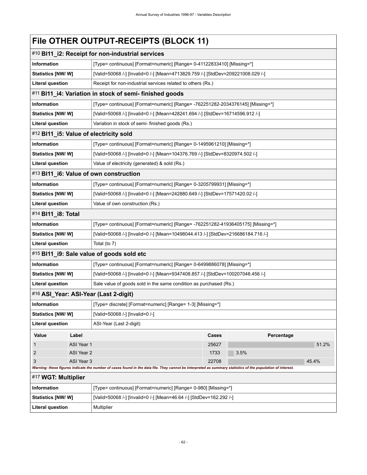# **File OTHER OUTPUT-RECEIPTS (BLOCK 11)**

| #10 BI11_i2: Receipt for non-industrial services |                                                                                                                                                                                    |                                                                                  |       |            |       |  |  |
|--------------------------------------------------|------------------------------------------------------------------------------------------------------------------------------------------------------------------------------------|----------------------------------------------------------------------------------|-------|------------|-------|--|--|
| Information                                      |                                                                                                                                                                                    | [Type= continuous] [Format=numeric] [Range= 0-41122833410] [Missing=*]           |       |            |       |  |  |
| <b>Statistics [NW/ W]</b>                        |                                                                                                                                                                                    | [Valid=50068 /-] [Invalid=0 /-] [Mean=4713829.759 /-] [StdDev=209221008.029 /-]  |       |            |       |  |  |
| <b>Literal question</b>                          |                                                                                                                                                                                    | Receipt for non-industrial services related to others (Rs.)                      |       |            |       |  |  |
|                                                  |                                                                                                                                                                                    | #11 BI11_i4: Variation in stock of semi- finished goods                          |       |            |       |  |  |
| Information                                      |                                                                                                                                                                                    | [Type= continuous] [Format=numeric] [Range= -762251282-2034376145] [Missing=*]   |       |            |       |  |  |
| Statistics [NW/W]                                |                                                                                                                                                                                    | [Valid=50068 /-] [Invalid=0 /-] [Mean=428241.694 /-] [StdDev=16714596.912 /-]    |       |            |       |  |  |
| <b>Literal question</b>                          | Variation in stock of semi- finished goods (Rs.)                                                                                                                                   |                                                                                  |       |            |       |  |  |
|                                                  |                                                                                                                                                                                    | #12 BI11_i5: Value of electricity sold                                           |       |            |       |  |  |
| Information                                      |                                                                                                                                                                                    | [Type= continuous] [Format=numeric] [Range= 0-1495961210] [Missing=*]            |       |            |       |  |  |
| Statistics [NW/W]                                |                                                                                                                                                                                    | [Valid=50068 /-] [Invalid=0 /-] [Mean=104376.769 /-] [StdDev=8320974.502 /-]     |       |            |       |  |  |
| <b>Literal question</b>                          |                                                                                                                                                                                    | Value of electricity (generated) & sold (Rs.)                                    |       |            |       |  |  |
|                                                  |                                                                                                                                                                                    | #13 BI11_i6: Value of own construction                                           |       |            |       |  |  |
| Information                                      |                                                                                                                                                                                    | [Type= continuous] [Format=numeric] [Range= 0-3205799931] [Missing=*]            |       |            |       |  |  |
| <b>Statistics [NW/ W]</b>                        |                                                                                                                                                                                    | [Valid=50068 /-] [Invalid=0 /-] [Mean=242880.649 /-] [StdDev=17571420.02 /-]     |       |            |       |  |  |
| <b>Literal question</b>                          |                                                                                                                                                                                    | Value of own construction (Rs.)                                                  |       |            |       |  |  |
| #14 BI11_i8: Total                               |                                                                                                                                                                                    |                                                                                  |       |            |       |  |  |
| <b>Information</b>                               |                                                                                                                                                                                    | [Type= continuous] [Format=numeric] [Range= -762251282-41936405175] [Missing=*]  |       |            |       |  |  |
| Statistics [NW/W]                                |                                                                                                                                                                                    | [Valid=50068 /-] [Invalid=0 /-] [Mean=10498044.413 /-] [StdDev=216686184.716 /-] |       |            |       |  |  |
| <b>Literal question</b>                          |                                                                                                                                                                                    | Total (to 7)                                                                     |       |            |       |  |  |
|                                                  |                                                                                                                                                                                    | #15 BI11_i9: Sale value of goods sold etc                                        |       |            |       |  |  |
| Information                                      |                                                                                                                                                                                    | [Type= continuous] [Format=numeric] [Range= 0-6499886078] [Missing=*]            |       |            |       |  |  |
| <b>Statistics [NW/ W]</b>                        |                                                                                                                                                                                    | [Valid=50068 /-] [Invalid=0 /-] [Mean=9347408.857 /-] [StdDev=100207048.456 /-]  |       |            |       |  |  |
| <b>Literal question</b>                          |                                                                                                                                                                                    | Sale value of goods sold in the same condition as purchased (Rs.)                |       |            |       |  |  |
|                                                  |                                                                                                                                                                                    | #16 ASI_Year: ASI-Year (Last 2-digit)                                            |       |            |       |  |  |
| Information                                      |                                                                                                                                                                                    | [Type= discrete] [Format=numeric] [Range= 1-3] [Missing=*]                       |       |            |       |  |  |
| Statistics [NW/ W]                               |                                                                                                                                                                                    | [Valid=50068 /-] [Invalid=0 /-]                                                  |       |            |       |  |  |
| Literal question                                 |                                                                                                                                                                                    | ASI-Year (Last 2-digit)                                                          |       |            |       |  |  |
| Value                                            | Label                                                                                                                                                                              |                                                                                  | Cases | Percentage |       |  |  |
| 1                                                | ASI Year 1                                                                                                                                                                         |                                                                                  | 25627 |            | 51.2% |  |  |
| $\overline{2}$                                   | ASI Year 2                                                                                                                                                                         |                                                                                  | 1733  | 3.5%       |       |  |  |
| ASI Year 3<br>3                                  |                                                                                                                                                                                    |                                                                                  | 22708 |            | 45.4% |  |  |
|                                                  | Warning: these figures indicate the number of cases found in the data file. They cannot be interpreted as summary statistics of the population of interest.<br>#17 WGT: Multiplier |                                                                                  |       |            |       |  |  |
| Information                                      |                                                                                                                                                                                    | [Type= continuous] [Format=numeric] [Range= 0-980] [Missing=*]                   |       |            |       |  |  |
| <b>Statistics [NW/W]</b>                         |                                                                                                                                                                                    | [Valid=50068 /-] [Invalid=0 /-] [Mean=46.64 /-] [StdDev=162.292 /-]              |       |            |       |  |  |
| <b>Literal question</b>                          |                                                                                                                                                                                    | Multiplier                                                                       |       |            |       |  |  |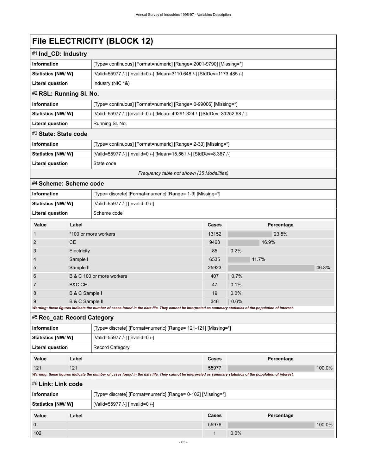# **File ELECTRICITY (BLOCK 12)**

| #1 Ind_CD: Industry                       |                                                                          |  |  |
|-------------------------------------------|--------------------------------------------------------------------------|--|--|
| <b>Information</b>                        | [Type= continuous] [Format=numeric] [Range= 2001-9790] [Missing=*]       |  |  |
| Statistics [NW/W]                         | [Valid=55977 /-] [Invalid=0 /-] [Mean=3110.648 /-] [StdDev=1173.485 /-]  |  |  |
| Literal question                          | Industry (NIC *&)                                                        |  |  |
| #2 RSL: Running SI. No.                   |                                                                          |  |  |
| <b>Information</b>                        | [Type= continuous] [Format=numeric] [Range= 0-99006] [Missing=*]         |  |  |
| Statistics [NW/W]                         | [Valid=55977 /-] [Invalid=0 /-] [Mean=49291.324 /-] [StdDev=31252.68 /-] |  |  |
| Literal question                          | Running SI. No.                                                          |  |  |
| #3 State: State code                      |                                                                          |  |  |
| <b>Information</b>                        | [Type= continuous] [Format=numeric] [Range= 2-33] [Missing=*]            |  |  |
| Statistics [NW/W]                         | [Valid=55977 /-] [Invalid=0 /-] [Mean=15.561 /-] [StdDev=8.367 /-]       |  |  |
| Literal question                          | State code                                                               |  |  |
| Frequency table not shown (35 Modalities) |                                                                          |  |  |

### #4 **Scheme: Scheme code**

| <b>Information</b>        |                                                                                                                                                             | [Type= discrete] [Format=numeric] [Range= 1-9] [Missing=*] |              |            |       |       |  |  |
|---------------------------|-------------------------------------------------------------------------------------------------------------------------------------------------------------|------------------------------------------------------------|--------------|------------|-------|-------|--|--|
| <b>Statistics [NW/ W]</b> |                                                                                                                                                             | [Valid=55977 /-] [Invalid=0 /-]                            |              |            |       |       |  |  |
| <b>Literal question</b>   |                                                                                                                                                             | Scheme code                                                |              |            |       |       |  |  |
| Value                     | Label                                                                                                                                                       |                                                            | <b>Cases</b> | Percentage |       |       |  |  |
|                           | *100 or more workers                                                                                                                                        |                                                            | 13152        |            | 23.5% |       |  |  |
| 2                         | <b>CE</b>                                                                                                                                                   |                                                            | 9463         |            | 16.9% |       |  |  |
| 3                         | Electricity                                                                                                                                                 |                                                            | 85           | 0.2%       |       |       |  |  |
| 4                         | Sample I                                                                                                                                                    |                                                            | 6535         |            | 11.7% |       |  |  |
| 5                         | Sample II                                                                                                                                                   |                                                            | 25923        |            |       | 46.3% |  |  |
| 6                         |                                                                                                                                                             | B & C 100 or more workers                                  | 407          | 0.7%       |       |       |  |  |
| 7                         | B&C CE                                                                                                                                                      |                                                            | 47           | 0.1%       |       |       |  |  |
| 8                         | B & C Sample I                                                                                                                                              |                                                            | 19           | 0.0%       |       |       |  |  |
| 9<br>B & C Sample II      |                                                                                                                                                             |                                                            | 346          | 0.6%       |       |       |  |  |
|                           | Warning: these figures indicate the number of cases found in the data file. They cannot be interpreted as summary statistics of the population of interest. |                                                            |              |            |       |       |  |  |

#### #5 **Rec\_cat: Record Category**

| <b>Information</b>      | [Type= discrete] [Format=numeric] [Range= 121-121] [Missing=*] |                                                                                                                                                             |              |            |        |  |
|-------------------------|----------------------------------------------------------------|-------------------------------------------------------------------------------------------------------------------------------------------------------------|--------------|------------|--------|--|
|                         | [Valid=55977 /-] [Invalid=0 /-]<br>Statistics [NW/W]           |                                                                                                                                                             |              |            |        |  |
| <b>Literal question</b> |                                                                | <b>Record Category</b>                                                                                                                                      |              |            |        |  |
| Value                   | Label                                                          |                                                                                                                                                             | Cases        | Percentage |        |  |
| 121                     | 121                                                            |                                                                                                                                                             | 55977        |            | 100.0% |  |
|                         |                                                                | Warning: these figures indicate the number of cases found in the data file. They cannot be interpreted as summary statistics of the population of interest. |              |            |        |  |
| #6 Link: Link code      |                                                                |                                                                                                                                                             |              |            |        |  |
| <b>Information</b>      | [Type= discrete] [Format=numeric] [Range= 0-102] [Missing=*]   |                                                                                                                                                             |              |            |        |  |
|                         | Statistics [NW/W]<br>[Valid=55977 /-] [Invalid=0 /-]           |                                                                                                                                                             |              |            |        |  |
| Value                   | Label                                                          |                                                                                                                                                             | Cases        | Percentage |        |  |
| $\mathbf 0$             |                                                                |                                                                                                                                                             | 55976        |            | 100.0% |  |
| 102                     |                                                                |                                                                                                                                                             | $\mathbf{1}$ | 0.0%       |        |  |
|                         |                                                                |                                                                                                                                                             |              |            |        |  |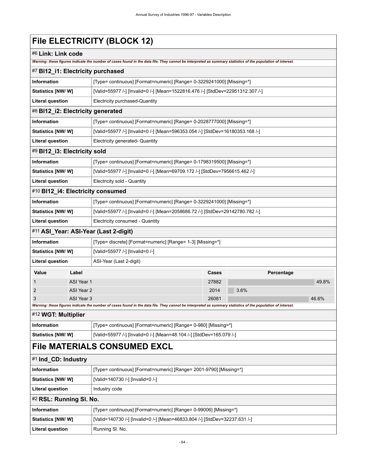# **File ELECTRICITY (BLOCK 12)**

### #6 **Link: Link code**

*Warning: these figures indicate the number of cases found in the data file. They cannot be interpreted as summary statistics of the population of interest.*

| #7 BI12_i1: Electricity purchased        |                                                       |                                                                                                                                                             |       |      |            |       |
|------------------------------------------|-------------------------------------------------------|-------------------------------------------------------------------------------------------------------------------------------------------------------------|-------|------|------------|-------|
| <b>Information</b>                       |                                                       | [Type= continuous] [Format=numeric] [Range= 0-3229241000] [Missing=*]                                                                                       |       |      |            |       |
| Statistics [NW/W]                        |                                                       | [Valid=55977 /-] [Invalid=0 /-] [Mean=1522816.476 /-] [StdDev=22951312.307 /-]                                                                              |       |      |            |       |
| <b>Literal question</b>                  |                                                       | Electricity purchased-Quantity                                                                                                                              |       |      |            |       |
| #8 BI12_i2: Electricity generated        |                                                       |                                                                                                                                                             |       |      |            |       |
| <b>Information</b>                       |                                                       | [Type= continuous] [Format=numeric] [Range= 0-2028777000] [Missing=*]                                                                                       |       |      |            |       |
| Statistics [NW/W]                        |                                                       | [Valid=55977 /-] [Invalid=0 /-] [Mean=596353.054 /-] [StdDev=16180353.168 /-]                                                                               |       |      |            |       |
| <b>Literal question</b>                  | Electricity generated- Quantity                       |                                                                                                                                                             |       |      |            |       |
| #9 BI12_i3: Electricity sold             |                                                       |                                                                                                                                                             |       |      |            |       |
| Information                              |                                                       | [Type= continuous] [Format=numeric] [Range= 0-1798319500] [Missing=*]                                                                                       |       |      |            |       |
| Statistics [NW/W]                        |                                                       | [Valid=55977 /-] [Invalid=0 /-] [Mean=69709.172 /-] [StdDev=7956615.462 /-]                                                                                 |       |      |            |       |
| <b>Literal question</b>                  |                                                       | Electricity sold - Quantity                                                                                                                                 |       |      |            |       |
| #10 BI12_i4: Electricity consumed        |                                                       |                                                                                                                                                             |       |      |            |       |
| <b>Information</b>                       |                                                       | [Type= continuous] [Format=numeric] [Range= 0-3229241000] [Missing=*]                                                                                       |       |      |            |       |
| Statistics [NW/ W]                       |                                                       | [Valid=55977 /-] [Invalid=0 /-] [Mean=2058686.72 /-] [StdDev=29142780.782 /-]                                                                               |       |      |            |       |
| <b>Literal question</b>                  |                                                       | Electricity consumed - Quantity                                                                                                                             |       |      |            |       |
|                                          |                                                       | #11 ASI_Year: ASI-Year (Last 2-digit)                                                                                                                       |       |      |            |       |
| <b>Information</b>                       |                                                       | [Type= discrete] [Format=numeric] [Range= 1-3] [Missing=*]                                                                                                  |       |      |            |       |
| Statistics [NW/W]                        |                                                       | [Valid=55977 /-] [Invalid=0 /-]                                                                                                                             |       |      |            |       |
| <b>Literal question</b>                  |                                                       | ASI-Year (Last 2-digit)                                                                                                                                     |       |      |            |       |
| Value                                    | Label                                                 |                                                                                                                                                             | Cases |      | Percentage |       |
| 1                                        | ASI Year 1                                            |                                                                                                                                                             | 27882 |      |            | 49.8% |
| 2                                        | ASI Year 2                                            |                                                                                                                                                             | 2014  | 3.6% |            |       |
| 3                                        | ASI Year 3                                            | Warning: these figures indicate the number of cases found in the data file. They cannot be interpreted as summary statistics of the population of interest. | 26081 |      |            | 46.6% |
| #12 WGT: Multiplier                      |                                                       |                                                                                                                                                             |       |      |            |       |
| <b>Information</b>                       |                                                       | [Type= continuous] [Format=numeric] [Range= 0-980] [Missing=*]                                                                                              |       |      |            |       |
| Statistics [NW/ W]                       |                                                       | [Valid=55977 /-] [Invalid=0 /-] [Mean=48.104 /-] [StdDev=165.079 /-]                                                                                        |       |      |            |       |
|                                          |                                                       | <b>File MATERIALS CONSUMED EXCL</b>                                                                                                                         |       |      |            |       |
| #1 Ind_CD: Industry                      |                                                       |                                                                                                                                                             |       |      |            |       |
| <b>Information</b>                       |                                                       | [Type= continuous] [Format=numeric] [Range= 2001-9790] [Missing=*]                                                                                          |       |      |            |       |
|                                          | Statistics [NW/W]<br>[Valid=140730 /-] [Invalid=0 /-] |                                                                                                                                                             |       |      |            |       |
| <b>Literal question</b><br>Industry code |                                                       |                                                                                                                                                             |       |      |            |       |
|                                          |                                                       |                                                                                                                                                             |       |      |            |       |
| #2 RSL: Running SI. No.                  |                                                       |                                                                                                                                                             |       |      |            |       |
| Information                              |                                                       | [Type= continuous] [Format=numeric] [Range= 0-99006] [Missing=*]                                                                                            |       |      |            |       |
| Statistics [NW/W]                        |                                                       | [Valid=140730 /-] [Invalid=0 /-] [Mean=46833.804 /-] [StdDev=32237.631 /-]                                                                                  |       |      |            |       |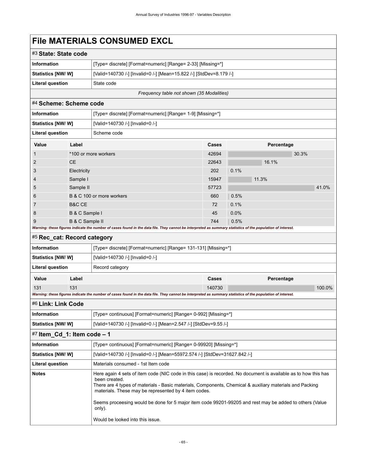### **File MATERIALS CONSUMED EXCL**

| #3 State: State code      |                                                                     |
|---------------------------|---------------------------------------------------------------------|
| Information               | [Type= discrete] [Format=numeric] [Range= 2-33] [Missing=*]         |
| <b>Statistics [NW/ W]</b> | [Valid=140730 /-] [Invalid=0 /-] [Mean=15.822 /-] [StdDev=8.179 /-] |
| Literal question          | State code                                                          |

*Frequency table not shown (35 Modalities)*

#### #4 **Scheme: Scheme code**

| <b>Information</b>       |                      | [Type= discrete] [Format=numeric] [Range= 1-9] [Missing=*]                                                                                                  |       |  |      |       |            |       |  |
|--------------------------|----------------------|-------------------------------------------------------------------------------------------------------------------------------------------------------------|-------|--|------|-------|------------|-------|--|
| <b>Statistics [NW/W]</b> |                      | [Valid=140730 /-] [Invalid=0 /-]                                                                                                                            |       |  |      |       |            |       |  |
| <b>Literal question</b>  |                      | Scheme code                                                                                                                                                 |       |  |      |       |            |       |  |
| Value                    | Label                |                                                                                                                                                             | Cases |  |      |       | Percentage |       |  |
| $\mathbf{1}$             | *100 or more workers |                                                                                                                                                             | 42694 |  |      |       | 30.3%      |       |  |
| 2                        | CE.                  |                                                                                                                                                             | 22643 |  |      | 16.1% |            |       |  |
| 3                        | Electricity          |                                                                                                                                                             | 202   |  | 0.1% |       |            |       |  |
| $\overline{4}$           | Sample I             |                                                                                                                                                             | 15947 |  |      | 11.3% |            |       |  |
| 5                        | Sample II            |                                                                                                                                                             | 57723 |  |      |       |            | 41.0% |  |
| 6                        |                      | B & C 100 or more workers                                                                                                                                   | 660   |  | 0.5% |       |            |       |  |
| $\overline{7}$           | <b>B&amp;C CE</b>    |                                                                                                                                                             | 72    |  | 0.1% |       |            |       |  |
| 8                        | B & C Sample I       |                                                                                                                                                             | 45    |  | 0.0% |       |            |       |  |
| 9                        | B & C Sample II      |                                                                                                                                                             | 744   |  | 0.5% |       |            |       |  |
|                          |                      | Warning: these figures indicate the number of cases found in the data file. They cannot be interpreted as summary statistics of the population of interest. |       |  |      |       |            |       |  |

#### #5 **Rec\_cat: Record category**

| [Type= discrete] [Format=numeric] [Range= 131-131] [Missing=*]<br><b>Information</b> |       |  |        |            |           |
|--------------------------------------------------------------------------------------|-------|--|--------|------------|-----------|
| <b>Statistics [NW/ W]</b><br>[Valid=140730 /-] [Invalid=0 /-]                        |       |  |        |            |           |
| Literal question<br>Record category                                                  |       |  |        |            |           |
| Value                                                                                | Label |  | Cases  | Percentage |           |
| 131                                                                                  | 131   |  | 140730 |            | $100.0\%$ |

### *Warning: these figures indicate the number of cases found in the data file. They cannot be interpreted as summary statistics of the population of interest.* #6 **Link: Link Code Information** [Type= continuous] [Format=numeric] [Range= 0-992] [Missing=\*] **Statistics [NW/ W]** [Valid=140730 /-] [Invalid=0 /-] [Mean=2.547 /-] [StdDev=9.55 /-]

| $\#7$ Item_Cd_1: Item code – 1 |                                                                                                                                                                                                                                                                                                                                                                                                                                                               |  |  |  |  |
|--------------------------------|---------------------------------------------------------------------------------------------------------------------------------------------------------------------------------------------------------------------------------------------------------------------------------------------------------------------------------------------------------------------------------------------------------------------------------------------------------------|--|--|--|--|
| Information                    | [Type= continuous] [Format=numeric] [Range= 0-99920] [Missing=*]                                                                                                                                                                                                                                                                                                                                                                                              |  |  |  |  |
| <b>Statistics [NW/ W]</b>      | [Valid=140730 /-] [Invalid=0 /-] [Mean=55972.574 /-] [StdDev=31627.842 /-]                                                                                                                                                                                                                                                                                                                                                                                    |  |  |  |  |
| Literal question               | Materials consumed - 1st Item code                                                                                                                                                                                                                                                                                                                                                                                                                            |  |  |  |  |
| <b>Notes</b>                   | Here again 4 sets of item code (NIC code in this case) is recorded. No document is available as to how this has<br>been created.<br>There are 4 types of materials - Basic materials, Components, Chemical & auxiliary materials and Packing<br>materials. These may be represented by 4 item codes.<br>Seems proceesing would be done for 5 major item code 99201-99205 and rest may be added to others (Value<br>only).<br>Would be looked into this issue. |  |  |  |  |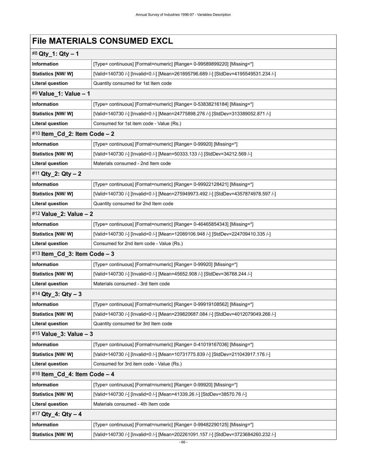# **File MATERIALS CONSUMED EXCL**

| #8 Qty_1: Qty - 1             |                                                                                     |  |  |
|-------------------------------|-------------------------------------------------------------------------------------|--|--|
| Information                   | [Type= continuous] [Format=numeric] [Range= 0-99589899220] [Missing=*]              |  |  |
| Statistics [NW/W]             | [Valid=140730 /-] [Invalid=0 /-] [Mean=261895796.689 /-] [StdDev=4195549531.234 /-] |  |  |
| <b>Literal question</b>       | Quantity consumed for 1st Item code                                                 |  |  |
| #9 Value_1: Value - 1         |                                                                                     |  |  |
| <b>Information</b>            | [Type= continuous] [Format=numeric] [Range= 0-53838216184] [Missing=*]              |  |  |
| <b>Statistics [NW/W]</b>      | [Valid=140730 /-] [Invalid=0 /-] [Mean=24775898.276 /-] [StdDev=313389052.871 /-]   |  |  |
| <b>Literal question</b>       | Consumed for 1st item code - Value (Rs.)                                            |  |  |
| #10 Item_Cd_2: Item Code - 2  |                                                                                     |  |  |
| Information                   | [Type= continuous] [Format=numeric] [Range= 0-99920] [Missing=*]                    |  |  |
| Statistics [NW/W]             | [Valid=140730 /-] [Invalid=0 /-] [Mean=50333.133 /-] [StdDev=34212.569 /-]          |  |  |
| <b>Literal question</b>       | Materials consumed - 2nd Item code                                                  |  |  |
| #11 Qty_2: Qty - 2            |                                                                                     |  |  |
| <b>Information</b>            | [Type= continuous] [Format=numeric] [Range= 0-99922128421] [Missing=*]              |  |  |
| <b>Statistics [NW/ W]</b>     | [Valid=140730 /-] [Invalid=0 /-] [Mean=275949973.492 /-] [StdDev=4357874978.597 /-] |  |  |
| <b>Literal question</b>       | Quantity consumed for 2nd Item code                                                 |  |  |
| #12 Value_2: Value - 2        |                                                                                     |  |  |
| <b>Information</b>            | [Type= continuous] [Format=numeric] [Range= 0-46465854343] [Missing=*]              |  |  |
| Statistics [NW/W]             | [Valid=140730 /-] [Invalid=0 /-] [Mean=12089106.948 /-] [StdDev=224709410.335 /-]   |  |  |
| <b>Literal question</b>       | Consumed for 2nd item code - Value (Rs.)                                            |  |  |
| #13 Item_Cd_3: Item Code $-3$ |                                                                                     |  |  |
| Information                   | [Type= continuous] [Format=numeric] [Range= 0-99920] [Missing=*]                    |  |  |
| <b>Statistics [NW/W]</b>      | [Valid=140730 /-] [Invalid=0 /-] [Mean=45652.908 /-] [StdDev=36768.244 /-]          |  |  |
| <b>Literal question</b>       | Materials consumed - 3rd Item code                                                  |  |  |
| #14 Qty_3: Qty - 3            |                                                                                     |  |  |
| <b>Information</b>            | [Type= continuous] [Format=numeric] [Range= 0-99919108562] [Missing=*]              |  |  |
| Statistics [NW/W]             | [Valid=140730 /-] [Invalid=0 /-] [Mean=239820687.084 /-] [StdDev=4012079049.266 /-] |  |  |
| <b>Literal question</b>       | Quantity consumed for 3rd Item code                                                 |  |  |
| #15 Value_3: Value - 3        |                                                                                     |  |  |
| Information                   | [Type= continuous] [Format=numeric] [Range= 0-41019167036] [Missing=*]              |  |  |
| Statistics [NW/W]             | [Valid=140730 /-] [Invalid=0 /-] [Mean=10731775.839 /-] [StdDev=211043917.176 /-]   |  |  |
| <b>Literal question</b>       | Consumed for 3rd item code - Value (Rs.)                                            |  |  |
| #16 Item_Cd_4: Item Code - 4  |                                                                                     |  |  |
| Information                   | [Type= continuous] [Format=numeric] [Range= 0-99920] [Missing=*]                    |  |  |
| Statistics [NW/W]             | [Valid=140730 /-] [Invalid=0 /-] [Mean=41339.26 /-] [StdDev=38570.76 /-]            |  |  |
| <b>Literal question</b>       | Materials consumed - 4th Item code                                                  |  |  |
| #17 Qty_4: Qty - 4            |                                                                                     |  |  |
| Information                   | [Type= continuous] [Format=numeric] [Range= 0-99482290125] [Missing=*]              |  |  |
| Statistics [NW/W]             | [Valid=140730 /-] [Invalid=0 /-] [Mean=202261091.157 /-] [StdDev=3723684260.232 /-] |  |  |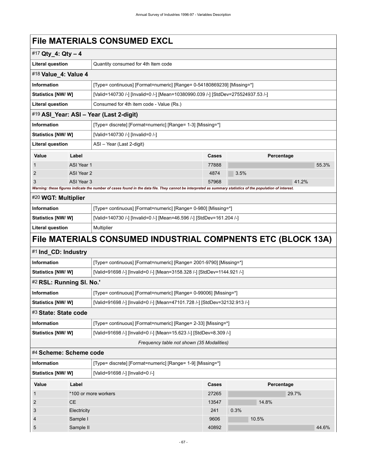### **File MATERIALS CONSUMED EXCL**

|                           |            | ו ווס ואואו בולואבט טטוזטטואובט באטב                                                                                                                        |       |            |       |  |  |
|---------------------------|------------|-------------------------------------------------------------------------------------------------------------------------------------------------------------|-------|------------|-------|--|--|
| #17 Qty_4: Qty - 4        |            |                                                                                                                                                             |       |            |       |  |  |
| <b>Literal question</b>   |            | Quantity consumed for 4th Item code                                                                                                                         |       |            |       |  |  |
| #18 Value_4: Value 4      |            |                                                                                                                                                             |       |            |       |  |  |
| Information               |            | [Type= continuous] [Format=numeric] [Range= 0-54180869239] [Missing=*]                                                                                      |       |            |       |  |  |
| Statistics [NW/W]         |            | [Valid=140730 /-] [Invalid=0 /-] [Mean=10380990.039 /-] [StdDev=275524937.53 /-]                                                                            |       |            |       |  |  |
| <b>Literal question</b>   |            | Consumed for 4th item code - Value (Rs.)                                                                                                                    |       |            |       |  |  |
|                           |            | #19 ASI_Year: ASI - Year (Last 2-digit)                                                                                                                     |       |            |       |  |  |
| <b>Information</b>        |            | [Type= discrete] [Format=numeric] [Range= 1-3] [Missing=*]                                                                                                  |       |            |       |  |  |
| Statistics [NW/W]         |            | [Valid=140730 /-] [Invalid=0 /-]                                                                                                                            |       |            |       |  |  |
| <b>Literal question</b>   |            | ASI - Year (Last 2-digit)                                                                                                                                   |       |            |       |  |  |
| Value                     | Label      |                                                                                                                                                             | Cases | Percentage |       |  |  |
| $\mathbf{1}$              | ASI Year 1 |                                                                                                                                                             | 77888 |            | 55.3% |  |  |
| 2                         | ASI Year 2 |                                                                                                                                                             | 4874  | 3.5%       |       |  |  |
| 3                         | ASI Year 3 |                                                                                                                                                             | 57968 |            | 41.2% |  |  |
|                           |            | Warning: these figures indicate the number of cases found in the data file. They cannot be interpreted as summary statistics of the population of interest. |       |            |       |  |  |
| #20 WGT: Multiplier       |            |                                                                                                                                                             |       |            |       |  |  |
| Information               |            | [Type= continuous] [Format=numeric] [Range= 0-980] [Missing=*]                                                                                              |       |            |       |  |  |
| <b>Statistics [NW/W]</b>  |            | [Valid=140730 /-] [Invalid=0 /-] [Mean=46.596 /-] [StdDev=161.204 /-]                                                                                       |       |            |       |  |  |
| <b>Literal question</b>   |            | Multiplier                                                                                                                                                  |       |            |       |  |  |
|                           |            | File MATERIALS CONSUMED INDUSTRIAL COMPNENTS ETC (BLOCK 13A)                                                                                                |       |            |       |  |  |
| #1 Ind_CD: Industry       |            |                                                                                                                                                             |       |            |       |  |  |
| <b>Information</b>        |            | [Type= continuous] [Format=numeric] [Range= 2001-9790] [Missing=*]                                                                                          |       |            |       |  |  |
| Statistics [NW/W]         |            | [Valid=91698 /-] [Invalid=0 /-] [Mean=3158.328 /-] [StdDev=1144.921 /-]                                                                                     |       |            |       |  |  |
| #2 RSL: Running SI. No.'  |            |                                                                                                                                                             |       |            |       |  |  |
| <b>Information</b>        |            | [Type= continuous] [Format=numeric] [Range= 0-99006] [Missing=*]                                                                                            |       |            |       |  |  |
| Statistics [NW/ W]        |            | [Valid=91698 /-] [Invalid=0 /-] [Mean=47101.728 /-] [StdDev=32132.913 /-]                                                                                   |       |            |       |  |  |
| #3 State: State code      |            |                                                                                                                                                             |       |            |       |  |  |
| <b>Information</b>        |            | [Type= continuous] [Format=numeric] [Range= 2-33] [Missing=*]                                                                                               |       |            |       |  |  |
| Statistics [NW/ W]        |            | [Valid=91698 /-] [Invalid=0 /-] [Mean=15.623 /-] [StdDev=8.309 /-]                                                                                          |       |            |       |  |  |
|                           |            | Frequency table not shown (35 Modalities)                                                                                                                   |       |            |       |  |  |
| #4 Scheme: Scheme code    |            |                                                                                                                                                             |       |            |       |  |  |
| Information               |            | [Type= discrete] [Format=numeric] [Range= 1-9] [Missing=*]                                                                                                  |       |            |       |  |  |
| <b>Statistics [NW/ W]</b> |            | [Valid=91698 /-] [Invalid=0 /-]                                                                                                                             |       |            |       |  |  |
| Value                     | Label      |                                                                                                                                                             | Cases | Percentage |       |  |  |
|                           |            |                                                                                                                                                             |       |            |       |  |  |

| $\cdots$ | -uvvi                | ----- | .    |       |       |       |
|----------|----------------------|-------|------|-------|-------|-------|
|          | *100 or more workers | 27265 |      |       | 29.7% |       |
| 2        | CE.                  | 13547 |      | 14.8% |       |       |
| 3        | Electricity          | 241   | 0.3% |       |       |       |
| 4        | Sample I             | 9606  |      | 10.5% |       |       |
| 5        | Sample II            | 40892 |      |       |       | 44.6% |
|          |                      |       |      |       |       |       |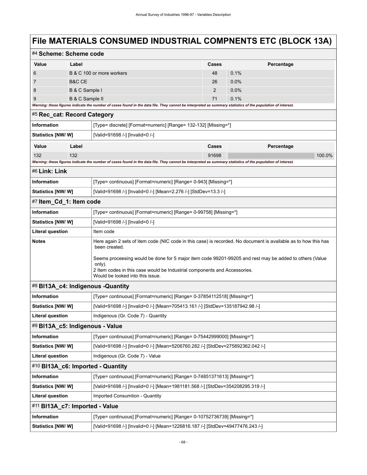# **File MATERIALS CONSUMED INDUSTRIAL COMPNENTS ETC (BLOCK 13A)**

| #4 Scheme: Scheme code                                                                                                                                      |                                                                                                                                                                                            |                                                                                                                                                                                                                                    |       |            |  |  |  |  |  |
|-------------------------------------------------------------------------------------------------------------------------------------------------------------|--------------------------------------------------------------------------------------------------------------------------------------------------------------------------------------------|------------------------------------------------------------------------------------------------------------------------------------------------------------------------------------------------------------------------------------|-------|------------|--|--|--|--|--|
| Value                                                                                                                                                       | Label                                                                                                                                                                                      |                                                                                                                                                                                                                                    |       | Percentage |  |  |  |  |  |
| 6                                                                                                                                                           |                                                                                                                                                                                            | B & C 100 or more workers                                                                                                                                                                                                          | 48    | 0.1%       |  |  |  |  |  |
| 7                                                                                                                                                           | <b>B&amp;C CE</b>                                                                                                                                                                          |                                                                                                                                                                                                                                    | 26    | $0.0\%$    |  |  |  |  |  |
| 8                                                                                                                                                           | B & C Sample I                                                                                                                                                                             |                                                                                                                                                                                                                                    | 2     | $0.0\%$    |  |  |  |  |  |
| 9<br>B & C Sample II                                                                                                                                        |                                                                                                                                                                                            |                                                                                                                                                                                                                                    | 71    | 0.1%       |  |  |  |  |  |
|                                                                                                                                                             | Warning: these figures indicate the number of cases found in the data file. They cannot be interpreted as summary statistics of the population of interest.<br>#5 Rec_cat: Record Category |                                                                                                                                                                                                                                    |       |            |  |  |  |  |  |
|                                                                                                                                                             |                                                                                                                                                                                            |                                                                                                                                                                                                                                    |       |            |  |  |  |  |  |
| <b>Information</b>                                                                                                                                          |                                                                                                                                                                                            | [Type= discrete] [Format=numeric] [Range= 132-132] [Missing=*]                                                                                                                                                                     |       |            |  |  |  |  |  |
| Statistics [NW/W]                                                                                                                                           |                                                                                                                                                                                            | [Valid=91698 /-] [Invalid=0 /-]                                                                                                                                                                                                    |       |            |  |  |  |  |  |
| Value                                                                                                                                                       | Label                                                                                                                                                                                      |                                                                                                                                                                                                                                    | Cases | Percentage |  |  |  |  |  |
| 132                                                                                                                                                         | 132                                                                                                                                                                                        |                                                                                                                                                                                                                                    | 91698 | 100.0%     |  |  |  |  |  |
| Warning: these figures indicate the number of cases found in the data file. They cannot be interpreted as summary statistics of the population of interest. |                                                                                                                                                                                            |                                                                                                                                                                                                                                    |       |            |  |  |  |  |  |
| #6 Link: Link                                                                                                                                               |                                                                                                                                                                                            |                                                                                                                                                                                                                                    |       |            |  |  |  |  |  |
| <b>Information</b>                                                                                                                                          |                                                                                                                                                                                            | [Type= continuous] [Format=numeric] [Range= 0-943] [Missing=*]                                                                                                                                                                     |       |            |  |  |  |  |  |
| Statistics [NW/ W]                                                                                                                                          |                                                                                                                                                                                            | [Valid=91698 /-] [Invalid=0 /-] [Mean=2.276 /-] [StdDev=13.3 /-]                                                                                                                                                                   |       |            |  |  |  |  |  |
| #7 Item_Cd_1: Item code                                                                                                                                     |                                                                                                                                                                                            |                                                                                                                                                                                                                                    |       |            |  |  |  |  |  |
| <b>Information</b>                                                                                                                                          |                                                                                                                                                                                            | [Type= continuous] [Format=numeric] [Range= 0-99758] [Missing=*]                                                                                                                                                                   |       |            |  |  |  |  |  |
| <b>Statistics [NW/ W]</b>                                                                                                                                   |                                                                                                                                                                                            | [Valid=91698 /-] [Invalid=0 /-]                                                                                                                                                                                                    |       |            |  |  |  |  |  |
| <b>Literal question</b>                                                                                                                                     |                                                                                                                                                                                            | Item code                                                                                                                                                                                                                          |       |            |  |  |  |  |  |
| <b>Notes</b>                                                                                                                                                |                                                                                                                                                                                            | Here again 2 sets of item code (NIC code in this case) is recorded. No document is available as to how this has<br>been created.                                                                                                   |       |            |  |  |  |  |  |
|                                                                                                                                                             |                                                                                                                                                                                            | Seems proceesing would be done for 5 major item code 99201-99205 and rest may be added to others (Value<br>only).<br>2 Item codes in this case would be Industrial components and Accessories.<br>Would be looked into this issue. |       |            |  |  |  |  |  |
|                                                                                                                                                             |                                                                                                                                                                                            | #8 BI13A_c4: Indigenous -Quantity                                                                                                                                                                                                  |       |            |  |  |  |  |  |
| <b>Information</b>                                                                                                                                          |                                                                                                                                                                                            | [Type= continuous] [Format=numeric] [Range= 0-37854112518] [Missing=*]                                                                                                                                                             |       |            |  |  |  |  |  |
| Statistics [NW/ W]                                                                                                                                          |                                                                                                                                                                                            | [Valid=91698 /-] [Invalid=0 /-] [Mean=705413.161 /-] [StdDev=135187942.98 /-]                                                                                                                                                      |       |            |  |  |  |  |  |
| Literal question                                                                                                                                            |                                                                                                                                                                                            | Indigenous (Gr. Code 7) - Quantity                                                                                                                                                                                                 |       |            |  |  |  |  |  |
| #9 BI13A_c5: Indigenous - Value                                                                                                                             |                                                                                                                                                                                            |                                                                                                                                                                                                                                    |       |            |  |  |  |  |  |
| Information                                                                                                                                                 |                                                                                                                                                                                            | [Type= continuous] [Format=numeric] [Range= 0-75442999000] [Missing=*]                                                                                                                                                             |       |            |  |  |  |  |  |
| Statistics [NW/ W]                                                                                                                                          |                                                                                                                                                                                            | [Valid=91698 /-] [Invalid=0 /-] [Mean=5206760.282 /-] [StdDev=275892362.042 /-]                                                                                                                                                    |       |            |  |  |  |  |  |
| <b>Literal question</b>                                                                                                                                     |                                                                                                                                                                                            | Indigenous (Gr. Code 7) - Value                                                                                                                                                                                                    |       |            |  |  |  |  |  |
| #10 BI13A c6: Imported - Quantity                                                                                                                           |                                                                                                                                                                                            |                                                                                                                                                                                                                                    |       |            |  |  |  |  |  |
| Information                                                                                                                                                 |                                                                                                                                                                                            | [Type= continuous] [Format=numeric] [Range= 0-74851371613] [Missing=*]                                                                                                                                                             |       |            |  |  |  |  |  |
| <b>Statistics [NW/W]</b>                                                                                                                                    |                                                                                                                                                                                            | [Valid=91698 /-] [Invalid=0 /-] [Mean=1981181.568 /-] [StdDev=354208295.319 /-]                                                                                                                                                    |       |            |  |  |  |  |  |
| <b>Literal question</b>                                                                                                                                     |                                                                                                                                                                                            | Imported Consumtion - Quantity                                                                                                                                                                                                     |       |            |  |  |  |  |  |
| #11 BI13A_c7: Imported - Value                                                                                                                              |                                                                                                                                                                                            |                                                                                                                                                                                                                                    |       |            |  |  |  |  |  |
| Information<br>[Type= continuous] [Format=numeric] [Range= 0-10752736739] [Missing=*]                                                                       |                                                                                                                                                                                            |                                                                                                                                                                                                                                    |       |            |  |  |  |  |  |
| Statistics [NW/ W]                                                                                                                                          |                                                                                                                                                                                            | [Valid=91698 /-] [Invalid=0 /-] [Mean=1226816.187 /-] [StdDev=49477476.243 /-]                                                                                                                                                     |       |            |  |  |  |  |  |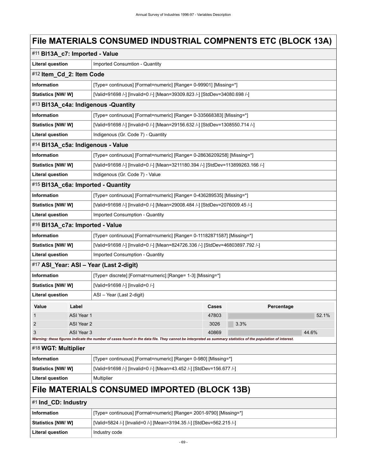# **File MATERIALS CONSUMED INDUSTRIAL COMPNENTS ETC (BLOCK 13A)**

| #11 BI13A_c7: Imported - Value                                                                         |                          |                                                                                                                                                             |       |            |       |  |  |
|--------------------------------------------------------------------------------------------------------|--------------------------|-------------------------------------------------------------------------------------------------------------------------------------------------------------|-------|------------|-------|--|--|
| <b>Literal question</b>                                                                                |                          | Imported Consumtion - Quantity                                                                                                                              |       |            |       |  |  |
|                                                                                                        | #12 Item_Cd_2: Item Code |                                                                                                                                                             |       |            |       |  |  |
| <b>Information</b>                                                                                     |                          | [Type= continuous] [Format=numeric] [Range= 0-99901] [Missing=*]                                                                                            |       |            |       |  |  |
| [Valid=91698 /-] [Invalid=0 /-] [Mean=39309.823 /-] [StdDev=34080.698 /-]<br><b>Statistics [NW/ W]</b> |                          |                                                                                                                                                             |       |            |       |  |  |
|                                                                                                        |                          | #13 BI13A_c4a: Indigenous -Quantity                                                                                                                         |       |            |       |  |  |
| <b>Information</b>                                                                                     |                          | [Type= continuous] [Format=numeric] [Range= 0-335668383] [Missing=*]                                                                                        |       |            |       |  |  |
| <b>Statistics [NW/ W]</b>                                                                              |                          | [Valid=91698 /-] [Invalid=0 /-] [Mean=29156.632 /-] [StdDev=1308550.714 /-]                                                                                 |       |            |       |  |  |
| <b>Literal question</b>                                                                                |                          | Indigenous (Gr. Code 7) - Quantity                                                                                                                          |       |            |       |  |  |
|                                                                                                        |                          | #14 BI13A_c5a: Indigenous - Value                                                                                                                           |       |            |       |  |  |
| Information                                                                                            |                          | [Type= continuous] [Format=numeric] [Range= 0-28636209258] [Missing=*]                                                                                      |       |            |       |  |  |
| <b>Statistics [NW/W]</b>                                                                               |                          | [Valid=91698 /-] [Invalid=0 /-] [Mean=3211180.394 /-] [StdDev=113899263.166 /-]                                                                             |       |            |       |  |  |
| <b>Literal question</b>                                                                                |                          | Indigenous (Gr. Code 7) - Value                                                                                                                             |       |            |       |  |  |
|                                                                                                        |                          | #15 BI13A_c6a: Imported - Quantity                                                                                                                          |       |            |       |  |  |
| Information                                                                                            |                          | [Type= continuous] [Format=numeric] [Range= 0-436289535] [Missing=*]                                                                                        |       |            |       |  |  |
| <b>Statistics [NW/W]</b>                                                                               |                          | [Valid=91698 /-] [Invalid=0 /-] [Mean=29008.484 /-] [StdDev=2076009.45 /-]                                                                                  |       |            |       |  |  |
| <b>Literal question</b>                                                                                |                          | Imported Consumption - Quantity                                                                                                                             |       |            |       |  |  |
| #16 BI13A_c7a: Imported - Value                                                                        |                          |                                                                                                                                                             |       |            |       |  |  |
| Information                                                                                            |                          | [Type= continuous] [Format=numeric] [Range= 0-11182871587] [Missing=*]                                                                                      |       |            |       |  |  |
| <b>Statistics [NW/W]</b>                                                                               |                          | [Valid=91698 /-] [Invalid=0 /-] [Mean=824726.336 /-] [StdDev=46803897.792 /-]                                                                               |       |            |       |  |  |
| <b>Literal question</b>                                                                                |                          | Imported Consumption - Quantity                                                                                                                             |       |            |       |  |  |
|                                                                                                        |                          | #17 ASI_Year: ASI - Year (Last 2-digit)                                                                                                                     |       |            |       |  |  |
| <b>Information</b>                                                                                     |                          | [Type= discrete] [Format=numeric] [Range= 1-3] [Missing=*]                                                                                                  |       |            |       |  |  |
| Statistics [NW/ W]                                                                                     |                          | [Valid=91698 /-] [Invalid=0 /-]                                                                                                                             |       |            |       |  |  |
| <b>Literal question</b>                                                                                |                          | ASI - Year (Last 2-digit)                                                                                                                                   |       |            |       |  |  |
| Value                                                                                                  | Label                    |                                                                                                                                                             | Cases | Percentage |       |  |  |
| $\mathbf{1}$                                                                                           | ASI Year 1               |                                                                                                                                                             | 47803 |            | 52.1% |  |  |
| $\overline{2}$                                                                                         | ASI Year 2               |                                                                                                                                                             | 3026  | 3.3%       |       |  |  |
| 3                                                                                                      | ASI Year 3               | Warning: these figures indicate the number of cases found in the data file. They cannot be interpreted as summary statistics of the population of interest. | 40869 |            | 44.6% |  |  |
| #18 WGT: Multiplier                                                                                    |                          |                                                                                                                                                             |       |            |       |  |  |
| <b>Information</b>                                                                                     |                          | [Type= continuous] [Format=numeric] [Range= 0-980] [Missing=*]                                                                                              |       |            |       |  |  |
| Statistics [NW/ W]                                                                                     |                          | [Valid=91698 /-] [Invalid=0 /-] [Mean=43.452 /-] [StdDev=156.677 /-]                                                                                        |       |            |       |  |  |
| <b>Literal question</b>                                                                                |                          | Multiplier                                                                                                                                                  |       |            |       |  |  |
|                                                                                                        |                          | File MATERIALS CONSUMED IMPORTED (BLOCK 13B)                                                                                                                |       |            |       |  |  |
| #1 Ind_CD: Industry                                                                                    |                          |                                                                                                                                                             |       |            |       |  |  |
| <b>Information</b>                                                                                     |                          | [Type= continuous] [Format=numeric] [Range= 2001-9790] [Missing=*]                                                                                          |       |            |       |  |  |
| <b>Statistics [NW/ W]</b>                                                                              |                          | [Valid=5824 /-] [Invalid=0 /-] [Mean=3194.35 /-] [StdDev=562.215 /-]                                                                                        |       |            |       |  |  |

Literal question **Industry code**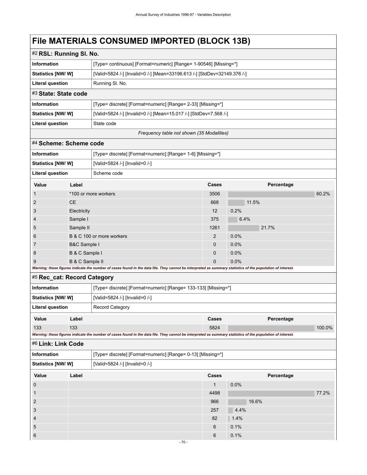# **File MATERIALS CONSUMED IMPORTED (BLOCK 13B)**

| #2 RSL: Running SI. No.     |                         |                                                                                                                                                             |              |            |        |  |  |  |  |
|-----------------------------|-------------------------|-------------------------------------------------------------------------------------------------------------------------------------------------------------|--------------|------------|--------|--|--|--|--|
| <b>Information</b>          |                         | [Type= continuous] [Format=numeric] [Range= 1-90546] [Missing=*]                                                                                            |              |            |        |  |  |  |  |
| Statistics [NW/W]           |                         | [Valid=5824 /-] [Invalid=0 /-] [Mean=33196.613 /-] [StdDev=32149.376 /-]                                                                                    |              |            |        |  |  |  |  |
| <b>Literal question</b>     |                         | Running SI. No.                                                                                                                                             |              |            |        |  |  |  |  |
| #3 State: State code        |                         |                                                                                                                                                             |              |            |        |  |  |  |  |
| Information                 |                         | [Type= discrete] [Format=numeric] [Range= 2-33] [Missing=*]                                                                                                 |              |            |        |  |  |  |  |
| Statistics [NW/W]           |                         | [Valid=5824 /-] [Invalid=0 /-] [Mean=15.017 /-] [StdDev=7.568 /-]                                                                                           |              |            |        |  |  |  |  |
| <b>Literal question</b>     |                         | State code                                                                                                                                                  |              |            |        |  |  |  |  |
|                             |                         | Frequency table not shown (35 Modalities)                                                                                                                   |              |            |        |  |  |  |  |
| #4 Scheme: Scheme code      |                         |                                                                                                                                                             |              |            |        |  |  |  |  |
| Information                 |                         | [Type= discrete] [Format=numeric] [Range= 1-6] [Missing=*]                                                                                                  |              |            |        |  |  |  |  |
| Statistics [NW/W]           |                         | [Valid=5824 /-] [Invalid=0 /-]                                                                                                                              |              |            |        |  |  |  |  |
| <b>Literal question</b>     |                         | Scheme code                                                                                                                                                 |              |            |        |  |  |  |  |
| Value                       | Label                   |                                                                                                                                                             | Cases        | Percentage |        |  |  |  |  |
| 1                           |                         | *100 or more workers                                                                                                                                        | 3506         |            | 60.2%  |  |  |  |  |
| $\overline{c}$              | <b>CE</b>               |                                                                                                                                                             | 668          | 11.5%      |        |  |  |  |  |
| 3                           | Electricity             |                                                                                                                                                             | 12           | 0.2%       |        |  |  |  |  |
| 4                           | Sample I                |                                                                                                                                                             | 375          | 6.4%       |        |  |  |  |  |
| 5                           | Sample II               |                                                                                                                                                             | 1261         | 21.7%      |        |  |  |  |  |
| 6                           |                         | B & C 100 or more workers                                                                                                                                   | 2            | 0.0%       |        |  |  |  |  |
| 7                           | <b>B&amp;C Sample I</b> |                                                                                                                                                             | 0            | 0.0%       |        |  |  |  |  |
| 8                           | B & C Sample I          |                                                                                                                                                             | 0            | 0.0%       |        |  |  |  |  |
| 9                           | B & C Sample II         | Warning: these figures indicate the number of cases found in the data file. They cannot be interpreted as summary statistics of the population of interest. | 0            | 0.0%       |        |  |  |  |  |
| #5 Rec_cat: Record Category |                         |                                                                                                                                                             |              |            |        |  |  |  |  |
| Information                 |                         | [Type= discrete] [Format=numeric] [Range= 133-133] [Missing=*]                                                                                              |              |            |        |  |  |  |  |
| <b>Statistics [NW/W]</b>    |                         | [Valid=5824 /-] [Invalid=0 /-]                                                                                                                              |              |            |        |  |  |  |  |
| <b>Literal question</b>     |                         | <b>Record Category</b>                                                                                                                                      |              |            |        |  |  |  |  |
| Value                       | Label                   |                                                                                                                                                             | Cases        | Percentage |        |  |  |  |  |
| 133                         | 133                     |                                                                                                                                                             | 5824         |            | 100.0% |  |  |  |  |
|                             |                         | Warning: these figures indicate the number of cases found in the data file. They cannot be interpreted as summary statistics of the population of interest. |              |            |        |  |  |  |  |
| #6 Link: Link Code          |                         |                                                                                                                                                             |              |            |        |  |  |  |  |
| Information                 |                         | [Type= discrete] [Format=numeric] [Range= 0-13] [Missing=*]                                                                                                 |              |            |        |  |  |  |  |
| Statistics [NW/W]           |                         | [Valid=5824 /-] [Invalid=0 /-]                                                                                                                              |              |            |        |  |  |  |  |
| Value                       | Label                   |                                                                                                                                                             | Cases        | Percentage |        |  |  |  |  |
| $\mathbf 0$                 |                         |                                                                                                                                                             | $\mathbf{1}$ | 0.0%       |        |  |  |  |  |
| $\mathbf{1}$                |                         |                                                                                                                                                             | 4498         |            | 77.2%  |  |  |  |  |
| $\overline{\mathbf{c}}$     |                         |                                                                                                                                                             | 966          | 16.6%      |        |  |  |  |  |
| 3                           |                         |                                                                                                                                                             | 257          | 4.4%       |        |  |  |  |  |
| $\overline{\mathbf{4}}$     |                         |                                                                                                                                                             | 82           | 1.4%       |        |  |  |  |  |
| 5                           |                         |                                                                                                                                                             | 6            | 0.1%       |        |  |  |  |  |
| $6\phantom{1}6$             |                         |                                                                                                                                                             | 6            | 0.1%       |        |  |  |  |  |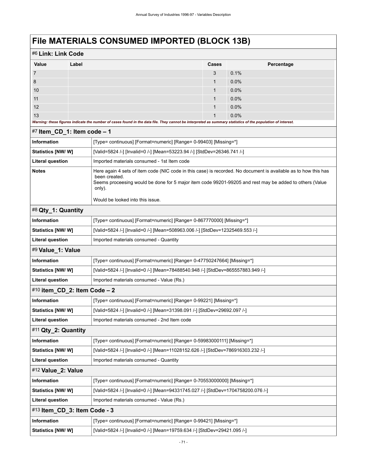### **File MATERIALS CONSUMED IMPORTED (BLOCK 13B)**

| #6 Link: Link Code |                                                                                                                                                             |       |            |  |  |  |
|--------------------|-------------------------------------------------------------------------------------------------------------------------------------------------------------|-------|------------|--|--|--|
| Value              | Label                                                                                                                                                       | Cases | Percentage |  |  |  |
| $\overline{7}$     |                                                                                                                                                             | 3     | 0.1%       |  |  |  |
| 8                  |                                                                                                                                                             |       | 0.0%       |  |  |  |
| 10                 |                                                                                                                                                             | 1     | 0.0%       |  |  |  |
| 11                 |                                                                                                                                                             | 1     | 0.0%       |  |  |  |
| 12                 |                                                                                                                                                             | 1     | 0.0%       |  |  |  |
| 13                 |                                                                                                                                                             |       | $0.0\%$    |  |  |  |
|                    | Warning: these figures indicate the number of cases found in the data file. They cannot be interpreted as summary statistics of the population of interest. |       |            |  |  |  |

| $\pi$ , nem $\sim$ od $\sim$ rem code – i                                                                                                                                                                                                                                                                 |                                                                                  |
|-----------------------------------------------------------------------------------------------------------------------------------------------------------------------------------------------------------------------------------------------------------------------------------------------------------|----------------------------------------------------------------------------------|
| Information                                                                                                                                                                                                                                                                                               | [Type= continuous] [Format=numeric] [Range= 0-99403] [Missing=*]                 |
| Statistics [NW/W]                                                                                                                                                                                                                                                                                         | [Valid=5824 /-] [Invalid=0 /-] [Mean=53223.94 /-] [StdDev=26346.741 /-]          |
| <b>Literal question</b>                                                                                                                                                                                                                                                                                   | Imported materials consumed - 1st Item code                                      |
| Here again 4 sets of item code (NIC code in this case) is recorded. No document is available as to how this has<br><b>Notes</b><br>been created.<br>Seems proceesing would be done for 5 major item code 99201-99205 and rest may be added to others (Value<br>only).<br>Would be looked into this issue. |                                                                                  |
| #8 Qty_1: Quantity                                                                                                                                                                                                                                                                                        |                                                                                  |
| <b>Information</b>                                                                                                                                                                                                                                                                                        | [Type= continuous] [Format=numeric] [Range= 0-867770000] [Missing=*]             |
| Statistics [NW/W]                                                                                                                                                                                                                                                                                         | [Valid=5824 /-] [Invalid=0 /-] [Mean=508963.006 /-] [StdDev=12325469.553 /-]     |
| Literal question                                                                                                                                                                                                                                                                                          | Imported materials consumed - Quantity                                           |
| #9 Value_1: Value                                                                                                                                                                                                                                                                                         |                                                                                  |
| <b>Information</b>                                                                                                                                                                                                                                                                                        | [Type= continuous] [Format=numeric] [Range= 0-47750247664] [Missing=*]           |
| Statistics [NW/W]                                                                                                                                                                                                                                                                                         | [Valid=5824 /-] [Invalid=0 /-] [Mean=78488540.948 /-] [StdDev=865557883.949 /-]  |
| <b>Literal question</b>                                                                                                                                                                                                                                                                                   | Imported materials consumed - Value (Rs.)                                        |
| #10 item_CD_2: Item Code - 2                                                                                                                                                                                                                                                                              |                                                                                  |
| <b>Information</b>                                                                                                                                                                                                                                                                                        | [Type= continuous] [Format=numeric] [Range= 0-99221] [Missing=*]                 |
| Statistics [NW/W]                                                                                                                                                                                                                                                                                         | [Valid=5824 /-] [Invalid=0 /-] [Mean=31398.091 /-] [StdDev=29692.097 /-]         |
| <b>Literal question</b>                                                                                                                                                                                                                                                                                   | Imported materials consumed - 2nd Item code                                      |
| #11 Qty_2: Quantity                                                                                                                                                                                                                                                                                       |                                                                                  |
| <b>Information</b>                                                                                                                                                                                                                                                                                        | [Type= continuous] [Format=numeric] [Range= 0-59983000111] [Missing=*]           |
| Statistics [NW/W]                                                                                                                                                                                                                                                                                         | [Valid=5824 /-] [Invalid=0 /-] [Mean=11028152.626 /-] [StdDev=786916303.232 /-]  |
| <b>Literal question</b>                                                                                                                                                                                                                                                                                   | Imported materials consumed - Quantity                                           |
| #12 Value_2: Value                                                                                                                                                                                                                                                                                        |                                                                                  |
| <b>Information</b>                                                                                                                                                                                                                                                                                        | [Type= continuous] [Format=numeric] [Range= 0-70553000000] [Missing=*]           |
| Statistics [NW/W]                                                                                                                                                                                                                                                                                         | [Valid=5824 /-] [Invalid=0 /-] [Mean=94331745.027 /-] [StdDev=1704758200.076 /-] |
| <b>Literal question</b>                                                                                                                                                                                                                                                                                   | Imported materials consumed - Value (Rs.)                                        |
| #13 Item_CD_3: Item Code - 3                                                                                                                                                                                                                                                                              |                                                                                  |
| <b>Information</b>                                                                                                                                                                                                                                                                                        | [Type= continuous] [Format=numeric] [Range= 0-99421] [Missing=*]                 |
| Statistics [NW/W]                                                                                                                                                                                                                                                                                         | [Valid=5824 /-] [Invalid=0 /-] [Mean=19759.634 /-] [StdDev=29421.095 /-]         |

### $\frac{1}{47}$  **Item CD** 1: **Item code – 1**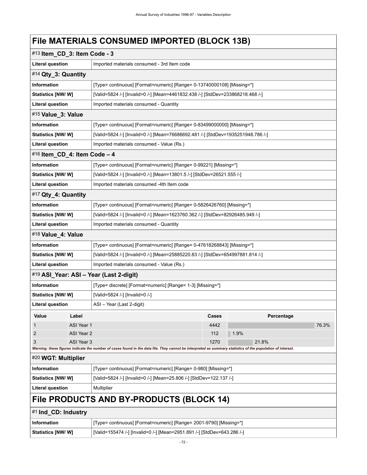# **File MATERIALS CONSUMED IMPORTED (BLOCK 13B)**

| #13 Item_CD_3: Item Code - 3 |                                                                                                  |                                                                                                                                                             |       |       |            |       |  |
|------------------------------|--------------------------------------------------------------------------------------------------|-------------------------------------------------------------------------------------------------------------------------------------------------------------|-------|-------|------------|-------|--|
|                              | <b>Literal question</b><br>Imported materials consumed - 3rd Item code                           |                                                                                                                                                             |       |       |            |       |  |
| #14 Qty_3: Quantity          |                                                                                                  |                                                                                                                                                             |       |       |            |       |  |
| <b>Information</b>           |                                                                                                  | [Type= continuous] [Format=numeric] [Range= 0-13740000108] [Missing=*]                                                                                      |       |       |            |       |  |
| Statistics [NW/W]            |                                                                                                  | [Valid=5824 /-] [Invalid=0 /-] [Mean=4461832.438 /-] [StdDev=233868218.468 /-]                                                                              |       |       |            |       |  |
| <b>Literal question</b>      | Imported materials consumed - Quantity                                                           |                                                                                                                                                             |       |       |            |       |  |
|                              | #15 Value_3: Value                                                                               |                                                                                                                                                             |       |       |            |       |  |
| Information                  |                                                                                                  | [Type= continuous] [Format=numeric] [Range= 0-83499000000] [Missing=*]                                                                                      |       |       |            |       |  |
| Statistics [NW/W]            |                                                                                                  | [Valid=5824 /-] [Invalid=0 /-] [Mean=76686692.481 /-] [StdDev=1935251948.786 /-]                                                                            |       |       |            |       |  |
| <b>Literal question</b>      |                                                                                                  | Imported materials consumed - Value (Rs.)                                                                                                                   |       |       |            |       |  |
| #16 Item_CD_4: Item Code - 4 |                                                                                                  |                                                                                                                                                             |       |       |            |       |  |
| <b>Information</b>           |                                                                                                  | [Type= continuous] [Format=numeric] [Range= 0-99221] [Missing=*]                                                                                            |       |       |            |       |  |
| Statistics [NW/ W]           |                                                                                                  | [Valid=5824 /-] [Invalid=0 /-] [Mean=13801.5 /-] [StdDev=26521.555 /-]                                                                                      |       |       |            |       |  |
| <b>Literal question</b>      |                                                                                                  | Imported materials consumed -4th Item code                                                                                                                  |       |       |            |       |  |
| #17 Qty_4: Quantity          |                                                                                                  |                                                                                                                                                             |       |       |            |       |  |
| <b>Information</b>           |                                                                                                  | [Type= continuous] [Format=numeric] [Range= 0-5826426760] [Missing=*]                                                                                       |       |       |            |       |  |
| Statistics [NW/W]            |                                                                                                  | [Valid=5824 /-] [Invalid=0 /-] [Mean=1623760.362 /-] [StdDev=82926485.949 /-]                                                                               |       |       |            |       |  |
| <b>Literal question</b>      |                                                                                                  | Imported materials consumed - Quantity                                                                                                                      |       |       |            |       |  |
| #18 Value_4: Value           |                                                                                                  |                                                                                                                                                             |       |       |            |       |  |
| Information                  |                                                                                                  | [Type= continuous] [Format=numeric] [Range= 0-47618268843] [Missing=*]                                                                                      |       |       |            |       |  |
| <b>Statistics [NW/W]</b>     |                                                                                                  | [Valid=5824 /-] [Invalid=0 /-] [Mean=25885220.83 /-] [StdDev=654997881.814 /-]                                                                              |       |       |            |       |  |
| <b>Literal question</b>      |                                                                                                  | Imported materials consumed - Value (Rs.)                                                                                                                   |       |       |            |       |  |
|                              |                                                                                                  | #19 ASI_Year: ASI - Year (Last 2-digit)                                                                                                                     |       |       |            |       |  |
| Information                  |                                                                                                  | [Type= discrete] [Format=numeric] [Range= 1-3] [Missing=*]                                                                                                  |       |       |            |       |  |
| Statistics [NW/W]            |                                                                                                  | [Valid=5824 /-] [Invalid=0 /-]                                                                                                                              |       |       |            |       |  |
| <b>Literal question</b>      |                                                                                                  | ASI - Year (Last 2-digit)                                                                                                                                   |       |       |            |       |  |
| Value                        | Label                                                                                            |                                                                                                                                                             | Cases |       | Percentage |       |  |
| 1                            | ASI Year 1                                                                                       |                                                                                                                                                             | 4442  |       |            | 76.3% |  |
| 2                            | ASI Year 2                                                                                       |                                                                                                                                                             | 112   | 1.9%  |            |       |  |
| 3                            | ASI Year 3                                                                                       | Warning: these figures indicate the number of cases found in the data file. They cannot be interpreted as summary statistics of the population of interest. | 1270  | 21.8% |            |       |  |
| #20 WGT: Multiplier          |                                                                                                  |                                                                                                                                                             |       |       |            |       |  |
| <b>Information</b>           |                                                                                                  | [Type= continuous] [Format=numeric] [Range= 0-980] [Missing=*]                                                                                              |       |       |            |       |  |
|                              | [Valid=5824 /-] [Invalid=0 /-] [Mean=25.806 /-] [StdDev=122.137 /-]<br><b>Statistics [NW/ W]</b> |                                                                                                                                                             |       |       |            |       |  |
| <b>Literal question</b>      |                                                                                                  | Multiplier                                                                                                                                                  |       |       |            |       |  |
|                              |                                                                                                  | File PRODUCTS AND BY-PRODUCTS (BLOCK 14)                                                                                                                    |       |       |            |       |  |
| #1 Ind_CD: Industry          |                                                                                                  |                                                                                                                                                             |       |       |            |       |  |
| <b>Information</b>           |                                                                                                  | [Type= continuous] [Format=numeric] [Range= 2001-9790] [Missing=*]                                                                                          |       |       |            |       |  |
| <b>Statistics [NW/W]</b>     |                                                                                                  | [Valid=155474 /-] [Invalid=0 /-] [Mean=2951.891 /-] [StdDev=643.286 /-]                                                                                     |       |       |            |       |  |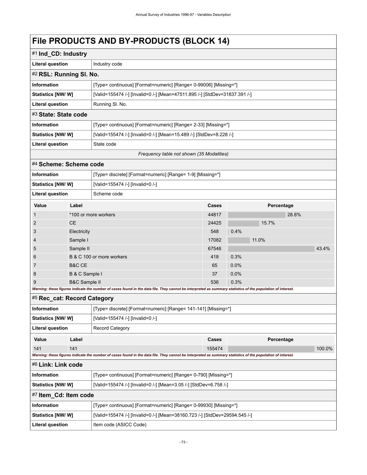### **FILA BRODUCTS AND BY BRODUCTS (BLOCK 14)**

| FIIE PRODUCTS AND BY-PRODUCTS (BLOCK 14) |                          |                                                                                                                                                             |                                           |      |            |       |       |  |
|------------------------------------------|--------------------------|-------------------------------------------------------------------------------------------------------------------------------------------------------------|-------------------------------------------|------|------------|-------|-------|--|
| #1 Ind_CD: Industry                      |                          |                                                                                                                                                             |                                           |      |            |       |       |  |
| <b>Literal question</b>                  |                          | Industry code                                                                                                                                               |                                           |      |            |       |       |  |
| #2 RSL: Running SI. No.                  |                          |                                                                                                                                                             |                                           |      |            |       |       |  |
| Information                              |                          | [Type= continuous] [Format=numeric] [Range= 0-99006] [Missing=*]                                                                                            |                                           |      |            |       |       |  |
| Statistics [NW/W]                        |                          | [Valid=155474 /-] [Invalid=0 /-] [Mean=47511.895 /-] [StdDev=31837.391 /-]                                                                                  |                                           |      |            |       |       |  |
| <b>Literal question</b>                  |                          | Running SI. No.                                                                                                                                             |                                           |      |            |       |       |  |
| #3 State: State code                     |                          |                                                                                                                                                             |                                           |      |            |       |       |  |
| <b>Information</b>                       |                          | [Type= continuous] [Format=numeric] [Range= 2-33] [Missing=*]                                                                                               |                                           |      |            |       |       |  |
| <b>Statistics [NW/W]</b>                 |                          | [Valid=155474 /-] [Invalid=0 /-] [Mean=15.489 /-] [StdDev=8.228 /-]                                                                                         |                                           |      |            |       |       |  |
| <b>Literal question</b>                  |                          | State code                                                                                                                                                  |                                           |      |            |       |       |  |
|                                          |                          |                                                                                                                                                             | Frequency table not shown (35 Modalities) |      |            |       |       |  |
| #4 Scheme: Scheme code                   |                          |                                                                                                                                                             |                                           |      |            |       |       |  |
| Information                              |                          | [Type= discrete] [Format=numeric] [Range= 1-9] [Missing=*]                                                                                                  |                                           |      |            |       |       |  |
| Statistics [NW/W]                        |                          | [Valid=155474 /-] [Invalid=0 /-]                                                                                                                            |                                           |      |            |       |       |  |
| <b>Literal question</b>                  |                          | Scheme code                                                                                                                                                 |                                           |      |            |       |       |  |
| Value                                    | Label                    |                                                                                                                                                             | Cases                                     |      | Percentage |       |       |  |
| $\mathbf{1}$                             |                          | *100 or more workers                                                                                                                                        | 44817                                     |      |            | 28.8% |       |  |
| 2                                        | <b>CE</b>                |                                                                                                                                                             | 24425                                     |      | 15.7%      |       |       |  |
| 3                                        | Electricity              |                                                                                                                                                             | 548                                       | 0.4% |            |       |       |  |
| 4                                        | Sample I                 |                                                                                                                                                             | 17082                                     |      | 11.0%      |       |       |  |
| 5                                        | Sample II                |                                                                                                                                                             | 67546                                     |      |            |       | 43.4% |  |
| 6                                        |                          | B & C 100 or more workers                                                                                                                                   | 418                                       | 0.3% |            |       |       |  |
| 7                                        | B&C CE                   |                                                                                                                                                             | 65                                        | 0.0% |            |       |       |  |
| 8                                        | B & C Sample I           |                                                                                                                                                             | 37                                        | 0.0% |            |       |       |  |
| 9                                        | <b>B&amp;C Sample II</b> |                                                                                                                                                             | 536                                       | 0.3% |            |       |       |  |
|                                          |                          | Warning: these figures indicate the number of cases found in the data file. They cannot be interpreted as summary statistics of the population of interest. |                                           |      |            |       |       |  |
| #5 Rec_cat: Record Category              |                          |                                                                                                                                                             |                                           |      |            |       |       |  |
| <b>Information</b>                       |                          | [Type= discrete] [Format=numeric] [Range= 141-141] [Missing=*]                                                                                              |                                           |      |            |       |       |  |
| Statistics [NW/W]                        |                          | [Valid=155474 /-] [Invalid=0 /-]                                                                                                                            |                                           |      |            |       |       |  |
| <b>Literal question</b>                  |                          | <b>Record Category</b>                                                                                                                                      |                                           |      |            |       |       |  |

| - - - - - - - - - - - - - - -                                                          |                       |       |                                                                                                                                                             |        |            |        |
|----------------------------------------------------------------------------------------|-----------------------|-------|-------------------------------------------------------------------------------------------------------------------------------------------------------------|--------|------------|--------|
|                                                                                        | Value                 | Label |                                                                                                                                                             | Cases  | Percentage |        |
|                                                                                        | 141                   | 141   |                                                                                                                                                             | 155474 |            | 100.0% |
|                                                                                        |                       |       | Warning: these figures indicate the number of cases found in the data file. They cannot be interpreted as summary statistics of the population of interest. |        |            |        |
|                                                                                        | #6 Link: Link code    |       |                                                                                                                                                             |        |            |        |
| Information<br>[Type= continuous] [Format=numeric] [Range= 0-790] [Missing=*]          |                       |       |                                                                                                                                                             |        |            |        |
| Statistics [NW/W]<br>[Valid=155474 /-] [Invalid=0 /-] [Mean=3.05 /-] [StdDev=6.758 /-] |                       |       |                                                                                                                                                             |        |            |        |
|                                                                                        | #7 Item Cd: Item code |       |                                                                                                                                                             |        |            |        |
|                                                                                        | Information           |       | [Type= continuous] [Format=numeric] [Range= 0-99930] [Missing=*]                                                                                            |        |            |        |
|                                                                                        |                       |       |                                                                                                                                                             |        |            |        |

| Information        | [Type= continuous] [Format=numeric] [Range= 0-99930] [Missing=*]           |
|--------------------|----------------------------------------------------------------------------|
| Statistics [NW/ W] | [Valid=155474 /-] [Invalid=0 /-] [Mean=38160.723 /-] [StdDev=29594.545 /-] |
| Literal question   | Item code (ASICC Code)                                                     |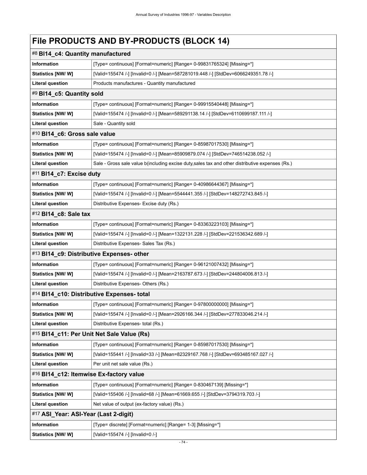# **File PRODUCTS AND BY-PRODUCTS (BLOCK 14)**

| #8 BI14_c4: Quantity manufactured         |                                                                                                  |
|-------------------------------------------|--------------------------------------------------------------------------------------------------|
| <b>Information</b>                        | [Type= continuous] [Format=numeric] [Range= 0-99831765324] [Missing=*]                           |
| Statistics [NW/W]                         | [Valid=155474 /-] [Invalid=0 /-] [Mean=587281019.448 /-] [StdDev=6066249351.78 /-]               |
| <b>Literal question</b>                   | Products manufactures - Quantity manufactured                                                    |
| #9 BI14_c5: Quantity sold                 |                                                                                                  |
| <b>Information</b>                        | [Type= continuous] [Format=numeric] [Range= 0-99915540448] [Missing=*]                           |
| Statistics [NW/W]                         | [Valid=155474 /-] [Invalid=0 /-] [Mean=589291138.14 /-] [StdDev=6110699187.111 /-]               |
| <b>Literal question</b>                   | Sale - Quantity sold                                                                             |
| #10 BI14_c6: Gross sale value             |                                                                                                  |
| Information                               | [Type= continuous] [Format=numeric] [Range= 0-85987017530] [Missing=*]                           |
| Statistics [NW/W]                         | [Valid=155474 /-] [Invalid=0 /-] [Mean=85909879.074 /-] [StdDev=746514238.052 /-]                |
| <b>Literal question</b>                   | Sale - Gross sale value b(including excise duty, sales tax and other distributive expenses (Rs.) |
| #11 BI14_c7: Excise duty                  |                                                                                                  |
| Information                               | [Type= continuous] [Format=numeric] [Range= 0-40986644367] [Missing=*]                           |
| Statistics [NW/ W]                        | [Valid=155474 /-] [Invalid=0 /-] [Mean=5544441.355 /-] [StdDev=148272743.845 /-]                 |
| <b>Literal question</b>                   | Distributive Expenses- Excise duty (Rs.)                                                         |
| #12 BI14_c8: Sale tax                     |                                                                                                  |
| <b>Information</b>                        | [Type= continuous] [Format=numeric] [Range= 0-83363223103] [Missing=*]                           |
| Statistics [NW/W]                         | [Valid=155474 /-] [Invalid=0 /-] [Mean=1322131.228 /-] [StdDev=221536342.689 /-]                 |
| <b>Literal question</b>                   | Distributive Expenses- Sales Tax (Rs.)                                                           |
| #13 BI14_c9: Distributive Expenses- other |                                                                                                  |
| Information                               | [Type= continuous] [Format=numeric] [Range= 0-96121007432] [Missing=*]                           |
| <b>Statistics [NW/ W]</b>                 | [Valid=155474 /-] [Invalid=0 /-] [Mean=2163787.673 /-] [StdDev=244804006.813 /-]                 |
| <b>Literal question</b>                   | Distributive Expenses- Others (Rs.)                                                              |
|                                           | #14 BI14_c10: Distributive Expenses- total                                                       |
| <b>Information</b>                        | [Type= continuous] [Format=numeric] [Range= 0-97800000000] [Missing=*]                           |
| Statistics [NW/ W]                        | [Valid=155474 /-] [Invalid=0 /-] [Mean=2926166.344 /-] [StdDev=277833046.214 /-]                 |
| <b>Literal question</b>                   | Distributive Expenses- total (Rs.)                                                               |
|                                           | #15 BI14_c11: Per Unit Net Sale Value (Rs)                                                       |
| Information                               | [Type= continuous] [Format=numeric] [Range= 0-85987017530] [Missing=*]                           |
| Statistics [NW/W]                         | [Valid=155441 /-] [Invalid=33 /-] [Mean=82329167.768 /-] [StdDev=693485167.027 /-]               |
| <b>Literal question</b>                   | Per unit net sale value (Rs.)                                                                    |
| #16 BI14_c12: Itemwise Ex-factory value   |                                                                                                  |
| Information                               | [Type= continuous] [Format=numeric] [Range= 0-830467139] [Missing=*]                             |
| Statistics [NW/W]                         | [Valid=155406 /-] [Invalid=68 /-] [Mean=61669.655 /-] [StdDev=3794319.703 /-]                    |
| Literal question                          | Net value of output (ex-factory value) (Rs.)                                                     |
| #17 ASI_Year: ASI-Year (Last 2-digit)     |                                                                                                  |
| Information                               | [Type= discrete] [Format=numeric] [Range= 1-3] [Missing=*]                                       |
| Statistics [NW/W]                         | [Valid=155474 /-] [Invalid=0 /-]                                                                 |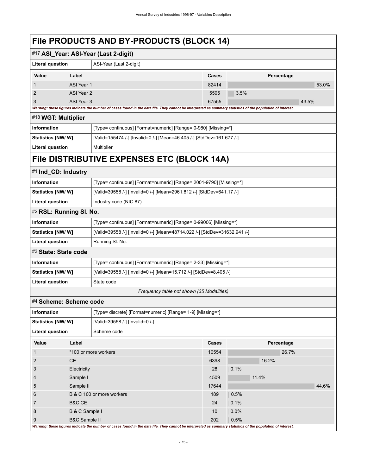| THODOCTO AND DT THODOCTO (DEOON 17)   |                                                                |                                                                                                                                                             |              |            |  |  |  |  |
|---------------------------------------|----------------------------------------------------------------|-------------------------------------------------------------------------------------------------------------------------------------------------------------|--------------|------------|--|--|--|--|
| #17 ASI_Year: ASI-Year (Last 2-digit) |                                                                |                                                                                                                                                             |              |            |  |  |  |  |
| <b>Literal question</b>               |                                                                | ASI-Year (Last 2-digit)                                                                                                                                     |              |            |  |  |  |  |
| Value                                 | Label                                                          |                                                                                                                                                             | <b>Cases</b> | Percentage |  |  |  |  |
|                                       | ASI Year 1                                                     |                                                                                                                                                             | 82414        | 53.0%      |  |  |  |  |
| 2                                     | ASI Year 2                                                     |                                                                                                                                                             | 5505         | 3.5%       |  |  |  |  |
| ASI Year 3<br>3                       |                                                                |                                                                                                                                                             | 67555        | 43.5%      |  |  |  |  |
|                                       |                                                                | Warning: these figures indicate the number of cases found in the data file. They cannot be interpreted as summary statistics of the population of interest. |              |            |  |  |  |  |
| #18 WGT: Multiplier                   |                                                                |                                                                                                                                                             |              |            |  |  |  |  |
| <b>Information</b>                    | [Type= continuous] [Format=numeric] [Range= 0-980] [Missing=*] |                                                                                                                                                             |              |            |  |  |  |  |
| <b>Statistics [NW/W]</b>              |                                                                | [Valid=155474 /-] [Invalid=0 /-] [Mean=46.405 /-] [StdDev=161.677 /-]                                                                                       |              |            |  |  |  |  |
| <b>Literal question</b>               |                                                                | Multiplier                                                                                                                                                  |              |            |  |  |  |  |
|                                       |                                                                | File DISTRIBUTIVE EXPENSES ETC (BLOCK 14A)                                                                                                                  |              |            |  |  |  |  |
| #1 Ind_CD: Industry                   |                                                                |                                                                                                                                                             |              |            |  |  |  |  |
| Information                           |                                                                | [Type= continuous] [Format=numeric] [Range= 2001-9790] [Missing=*]                                                                                          |              |            |  |  |  |  |
| Statistics [NW/W]                     |                                                                | [Valid=39558 /-] [Invalid=0 /-] [Mean=2961.812 /-] [StdDev=641.17 /-]                                                                                       |              |            |  |  |  |  |
| <b>Literal question</b>               |                                                                | Industry code (NIC 87)                                                                                                                                      |              |            |  |  |  |  |
|                                       | #2 RSL: Running SI. No.                                        |                                                                                                                                                             |              |            |  |  |  |  |
| <b>Information</b>                    |                                                                | [Type= continuous] [Format=numeric] [Range= 0-99006] [Missing=*]                                                                                            |              |            |  |  |  |  |
| Statistics [NW/W]                     |                                                                | [Valid=39558 /-] [Invalid=0 /-] [Mean=48714.022 /-] [StdDev=31632.941 /-]                                                                                   |              |            |  |  |  |  |
| <b>Literal question</b>               |                                                                | Running SI. No.                                                                                                                                             |              |            |  |  |  |  |
| #3 State: State code                  |                                                                |                                                                                                                                                             |              |            |  |  |  |  |
| <b>Information</b>                    |                                                                | [Type= continuous] [Format=numeric] [Range= 2-33] [Missing=*]                                                                                               |              |            |  |  |  |  |
| Statistics [NW/W]                     |                                                                | [Valid=39558 /-] [Invalid=0 /-] [Mean=15.712 /-] [StdDev=8.405 /-]                                                                                          |              |            |  |  |  |  |
| <b>Literal question</b>               |                                                                | State code                                                                                                                                                  |              |            |  |  |  |  |
|                                       |                                                                | Frequency table not shown (35 Modalities)                                                                                                                   |              |            |  |  |  |  |
| #4 Scheme: Scheme code                |                                                                |                                                                                                                                                             |              |            |  |  |  |  |
| Information                           |                                                                | [Type= discrete] [Format=numeric] [Range= 1-9] [Missing=*]                                                                                                  |              |            |  |  |  |  |
| Statistics [NW/W]                     |                                                                | [Valid=39558 /-] [Invalid=0 /-]                                                                                                                             |              |            |  |  |  |  |
| <b>Literal question</b>               |                                                                | Scheme code                                                                                                                                                 |              |            |  |  |  |  |
| Value                                 | Label                                                          |                                                                                                                                                             | <b>Cases</b> | Percentage |  |  |  |  |
| 1                                     |                                                                | *100 or more workers                                                                                                                                        | 10554        | 26.7%      |  |  |  |  |
| $\overline{c}$                        | <b>CE</b>                                                      |                                                                                                                                                             | 6398         | 16.2%      |  |  |  |  |
| 3                                     | Electricity                                                    |                                                                                                                                                             | 28           | 0.1%       |  |  |  |  |
| 4                                     | Sample I                                                       |                                                                                                                                                             | 4509         | 11.4%      |  |  |  |  |
| 5                                     | Sample II                                                      |                                                                                                                                                             | 17644        | 44.6%      |  |  |  |  |
| 6                                     |                                                                | B & C 100 or more workers                                                                                                                                   | 189          | 0.5%       |  |  |  |  |
| 7                                     | <b>B&amp;C CE</b>                                              |                                                                                                                                                             | 24           | 0.1%       |  |  |  |  |
| 8                                     | B & C Sample I                                                 |                                                                                                                                                             | 10           | 0.0%       |  |  |  |  |
| 9                                     | <b>B&amp;C Sample II</b>                                       | Warning: these figures indicate the number of cases found in the data file. They cannot be interpreted as summary statistics of the population of interest. | 202          | 0.5%       |  |  |  |  |

 $\mathbf{I}$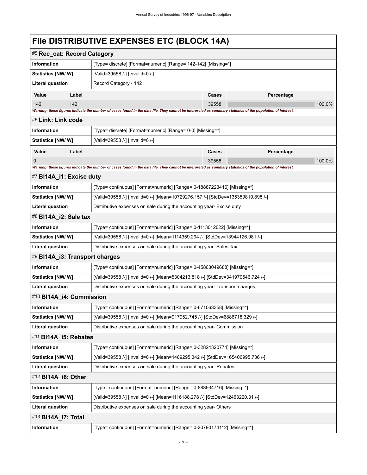# **File DISTRIBUTIVE EXPENSES ETC (BLOCK 14A)**

| #5 Rec_cat: Record Category                                                                               |                                                                        |                                                                                                                                                             |                                                                |                   |        |  |  |  |
|-----------------------------------------------------------------------------------------------------------|------------------------------------------------------------------------|-------------------------------------------------------------------------------------------------------------------------------------------------------------|----------------------------------------------------------------|-------------------|--------|--|--|--|
| <b>Information</b>                                                                                        |                                                                        |                                                                                                                                                             | [Type= discrete] [Format=numeric] [Range= 142-142] [Missing=*] |                   |        |  |  |  |
| Statistics [NW/ W]                                                                                        |                                                                        | [Valid=39558 /-] [Invalid=0 /-]                                                                                                                             |                                                                |                   |        |  |  |  |
| <b>Literal question</b>                                                                                   |                                                                        | Record Category - 142                                                                                                                                       |                                                                |                   |        |  |  |  |
| Value                                                                                                     | Label                                                                  |                                                                                                                                                             | Cases                                                          | <b>Percentage</b> |        |  |  |  |
| 142                                                                                                       | 142                                                                    |                                                                                                                                                             | 39558                                                          |                   | 100.0% |  |  |  |
|                                                                                                           |                                                                        | Warning: these figures indicate the number of cases found in the data file. They cannot be interpreted as summary statistics of the population of interest. |                                                                |                   |        |  |  |  |
| #6 Link: Link code                                                                                        |                                                                        |                                                                                                                                                             |                                                                |                   |        |  |  |  |
| Information                                                                                               |                                                                        | [Type= discrete] [Format=numeric] [Range= 0-0] [Missing=*]                                                                                                  |                                                                |                   |        |  |  |  |
| Statistics [NW/W]                                                                                         |                                                                        | [Valid=39558 /-] [Invalid=0 /-]                                                                                                                             |                                                                |                   |        |  |  |  |
| Value                                                                                                     | Label                                                                  |                                                                                                                                                             | Cases                                                          | Percentage        |        |  |  |  |
| 0                                                                                                         |                                                                        | Warning: these figures indicate the number of cases found in the data file. They cannot be interpreted as summary statistics of the population of interest. | 39558                                                          |                   | 100.0% |  |  |  |
| #7 BI14A_i1: Excise duty                                                                                  |                                                                        |                                                                                                                                                             |                                                                |                   |        |  |  |  |
| Information                                                                                               |                                                                        | [Type= continuous] [Format=numeric] [Range= 0-18887223416] [Missing=*]                                                                                      |                                                                |                   |        |  |  |  |
| Statistics [NW/W]                                                                                         |                                                                        |                                                                                                                                                             |                                                                |                   |        |  |  |  |
| <b>Literal question</b>                                                                                   |                                                                        | [Valid=39558 /-] [Invalid=0 /-] [Mean=10729276.157 /-] [StdDev=135359819.898 /-]<br>Distributive expenses on sale during the accounting year- Excise duty   |                                                                |                   |        |  |  |  |
| #8 BI14A_i2: Sale tax                                                                                     |                                                                        |                                                                                                                                                             |                                                                |                   |        |  |  |  |
| Information                                                                                               |                                                                        | [Type= continuous] [Format=numeric] [Range= 0-1113012022] [Missing=*]                                                                                       |                                                                |                   |        |  |  |  |
| <b>Statistics [NW/ W]</b>                                                                                 |                                                                        | [Valid=39558 /-] [Invalid=0 /-] [Mean=1114359.294 /-] [StdDev=13944126.981 /-]                                                                              |                                                                |                   |        |  |  |  |
| <b>Literal question</b>                                                                                   |                                                                        | Distributive expenses on sale during the accounting year-Sales Tax                                                                                          |                                                                |                   |        |  |  |  |
| #9 BI14A_i3: Transport charges                                                                            |                                                                        |                                                                                                                                                             |                                                                |                   |        |  |  |  |
| Information                                                                                               |                                                                        | [Type= continuous] [Format=numeric] [Range= 0-45863049688] [Missing=*]                                                                                      |                                                                |                   |        |  |  |  |
| Statistics [NW/W]                                                                                         |                                                                        | [Valid=39558 /-] [Invalid=0 /-] [Mean=5304213.818 /-] [StdDev=341970546.724 /-]                                                                             |                                                                |                   |        |  |  |  |
| <b>Literal question</b>                                                                                   |                                                                        | Distributive expenses on sale during the accounting year-Transport charges                                                                                  |                                                                |                   |        |  |  |  |
| #10 BI14A_i4: Commission                                                                                  |                                                                        |                                                                                                                                                             |                                                                |                   |        |  |  |  |
| Information                                                                                               |                                                                        | [Type= continuous] [Format=numeric] [Range= 0-671063358] [Missing=*]                                                                                        |                                                                |                   |        |  |  |  |
| Statistics [NW/W]                                                                                         |                                                                        | [Valid=39558 /-] [Invalid=0 /-] [Mean=917952.745 /-] [StdDev=6886718.329 /-]                                                                                |                                                                |                   |        |  |  |  |
| <b>Literal question</b>                                                                                   |                                                                        | Distributive expenses on sale during the accounting year- Commission                                                                                        |                                                                |                   |        |  |  |  |
| #11 BI14A_i5: Rebates                                                                                     |                                                                        |                                                                                                                                                             |                                                                |                   |        |  |  |  |
| Information                                                                                               |                                                                        | [Type= continuous] [Format=numeric] [Range= 0-32824320774] [Missing=*]                                                                                      |                                                                |                   |        |  |  |  |
| Statistics [NW/W]                                                                                         |                                                                        | [Valid=39558 /-] [Invalid=0 /-] [Mean=1489295.342 /-] [StdDev=165406995.736 /-]                                                                             |                                                                |                   |        |  |  |  |
| <b>Literal question</b>                                                                                   |                                                                        | Distributive expenses on sale during the accounting year-Rebates                                                                                            |                                                                |                   |        |  |  |  |
| #12 BI14A_i6: Other                                                                                       |                                                                        |                                                                                                                                                             |                                                                |                   |        |  |  |  |
| Information                                                                                               | [Type= continuous] [Format=numeric] [Range= 0-883934716] [Missing=*]   |                                                                                                                                                             |                                                                |                   |        |  |  |  |
| [Valid=39558 /-] [Invalid=0 /-] [Mean=1116188.278 /-] [StdDev=12463220.31 /-]<br><b>Statistics [NW/W]</b> |                                                                        |                                                                                                                                                             |                                                                |                   |        |  |  |  |
| <b>Literal question</b>                                                                                   |                                                                        | Distributive expenses on sale during the accounting year-Others                                                                                             |                                                                |                   |        |  |  |  |
| #13 BI14A_i7: Total                                                                                       |                                                                        |                                                                                                                                                             |                                                                |                   |        |  |  |  |
| Information                                                                                               | [Type= continuous] [Format=numeric] [Range= 0-20790174112] [Missing=*] |                                                                                                                                                             |                                                                |                   |        |  |  |  |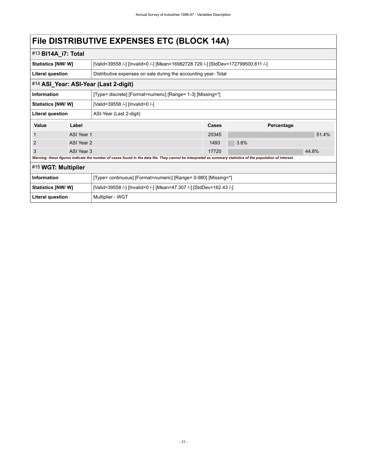# **File DISTRIBUTIVE EXPENSES ETC (BLOCK 14A)**

| #13 <b>BI14A_i7: Total</b>                                                                                                                                  |            |                                                                                  |       |            |       |  |  |
|-------------------------------------------------------------------------------------------------------------------------------------------------------------|------------|----------------------------------------------------------------------------------|-------|------------|-------|--|--|
| <b>Statistics [NW/W]</b>                                                                                                                                    |            | [Valid=39558 /-] [Invalid=0 /-] [Mean=16982728.729 /-] [StdDev=172799500.811 /-] |       |            |       |  |  |
| <b>Literal question</b>                                                                                                                                     |            | Distributive expenses on sale during the accounting year-Total                   |       |            |       |  |  |
| #14 ASI_Year: ASI-Year (Last 2-digit)                                                                                                                       |            |                                                                                  |       |            |       |  |  |
| Information                                                                                                                                                 |            | [Type= discrete] [Format=numeric] [Range= 1-3] [Missing=*]                       |       |            |       |  |  |
| Statistics [NW/W]                                                                                                                                           |            | [Valid=39558 /-] [Invalid=0 /-]                                                  |       |            |       |  |  |
| <b>Literal question</b>                                                                                                                                     |            | ASI-Year (Last 2-digit)                                                          |       |            |       |  |  |
| Value                                                                                                                                                       | Label      |                                                                                  | Cases | Percentage |       |  |  |
|                                                                                                                                                             | ASI Year 1 |                                                                                  |       |            | 51.4% |  |  |
| 2                                                                                                                                                           | ASI Year 2 |                                                                                  | 1493  | 3.8%       |       |  |  |
| 3                                                                                                                                                           | ASI Year 3 |                                                                                  | 17720 |            | 44.8% |  |  |
| Warning: these figures indicate the number of cases found in the data file. They cannot be interpreted as summary statistics of the population of interest. |            |                                                                                  |       |            |       |  |  |
| #15 WGT: Multiplier                                                                                                                                         |            |                                                                                  |       |            |       |  |  |
| Information                                                                                                                                                 |            | [Type= continuous] [Format=numeric] [Range= 0-980] [Missing=*]                   |       |            |       |  |  |
| <b>Statistics [NW/W]</b>                                                                                                                                    |            | [Valid=39558 /-] [Invalid=0 /-] [Mean=47.307 /-] [StdDev=162.43 /-]              |       |            |       |  |  |
| Literal question                                                                                                                                            |            | Multiplier - WGT                                                                 |       |            |       |  |  |
|                                                                                                                                                             |            |                                                                                  |       |            |       |  |  |